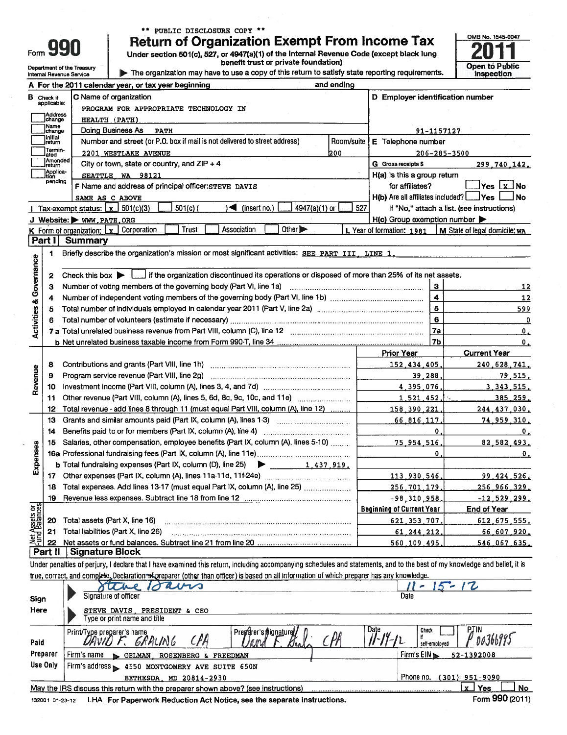| ∙orm |  |
|------|--|

Department of the Treasury<br>Internal Revenue Service

# \*\* PUBLIC DISCLOSURE COPY \*\*

**Return of Organization Exempt From Income Tax** Under section 501(c), 527, or 4947(a)(1) of the Internal Revenue Code (except black lung benefit trust or private foundation)

The organization may have to use a copy of this return to satisfy state reporting requirements.



|                                    |                                                                                                                           | A For the 2011 calendar year, or tax year beginning                                                                                                                                                                            | and ending |                                                     |                                                                |  |  |  |  |  |
|------------------------------------|---------------------------------------------------------------------------------------------------------------------------|--------------------------------------------------------------------------------------------------------------------------------------------------------------------------------------------------------------------------------|------------|-----------------------------------------------------|----------------------------------------------------------------|--|--|--|--|--|
|                                    | <b>B</b> Check if                                                                                                         | C Name of organization                                                                                                                                                                                                         |            | D Employer identification number                    |                                                                |  |  |  |  |  |
|                                    | applicable:                                                                                                               | PROGRAM FOR APPROPRIATE TECHNOLOGY IN                                                                                                                                                                                          |            |                                                     |                                                                |  |  |  |  |  |
|                                    | Address<br>change                                                                                                         | HEALTH (PATH)                                                                                                                                                                                                                  |            |                                                     |                                                                |  |  |  |  |  |
|                                    | Name<br> change                                                                                                           | 91-1157127                                                                                                                                                                                                                     |            |                                                     |                                                                |  |  |  |  |  |
|                                    | Initial<br>return                                                                                                         | Number and street (or P.O. box if mail is not delivered to street address)                                                                                                                                                     | Room/suite | E Telephone number                                  |                                                                |  |  |  |  |  |
|                                    | Termin-<br>ated                                                                                                           | $206 - 285 - 3500$                                                                                                                                                                                                             |            |                                                     |                                                                |  |  |  |  |  |
|                                    | 200<br>2201 WESTLAKE AVENUE<br>Amended<br>City or town, state or country, and $ZIP + 4$<br>G Gross receipts \$<br>Ireturn |                                                                                                                                                                                                                                |            |                                                     |                                                                |  |  |  |  |  |
|                                    | Applica-<br>Ition                                                                                                         | SEATTLE WA 98121                                                                                                                                                                                                               |            | H(a) is this a group return                         | 299.740.142.                                                   |  |  |  |  |  |
|                                    | pending                                                                                                                   | F Name and address of principal officer: STEVE DAVIS                                                                                                                                                                           |            | for affiliates?                                     | Yes Lx No                                                      |  |  |  |  |  |
|                                    |                                                                                                                           |                                                                                                                                                                                                                                |            | $H(b)$ Are all affiliates included? $\Box$ Yes      | i No                                                           |  |  |  |  |  |
|                                    |                                                                                                                           | SAME AS C ABOVE<br>$501(c)$ (<br>$\blacktriangleright$<br>(insert no.)<br>4947(a)(1) or<br>Tax-exempt status: $x \mid 501(c)(3)$                                                                                               | 527        |                                                     |                                                                |  |  |  |  |  |
|                                    |                                                                                                                           |                                                                                                                                                                                                                                |            |                                                     | If "No," attach a list. (see instructions)                     |  |  |  |  |  |
|                                    |                                                                                                                           | J Website: WWW.PATH.ORG<br><b>Trust</b><br>Other $\blacktriangleright$<br>Association                                                                                                                                          |            | $H(c)$ Group exemption number $\blacktriangleright$ |                                                                |  |  |  |  |  |
|                                    | Part I                                                                                                                    | Corporation<br><b>K</b> Form of organization: $\mathbf{x}$                                                                                                                                                                     |            |                                                     | L. Year of formation: $1981$   M State of legal domicile: $WA$ |  |  |  |  |  |
|                                    |                                                                                                                           | <b>Summary</b>                                                                                                                                                                                                                 |            |                                                     |                                                                |  |  |  |  |  |
|                                    | 1                                                                                                                         | Briefly describe the organization's mission or most significant activities: SEE PART III, LINE 1.                                                                                                                              |            |                                                     |                                                                |  |  |  |  |  |
| <b>Activities &amp; Governance</b> |                                                                                                                           |                                                                                                                                                                                                                                |            |                                                     |                                                                |  |  |  |  |  |
|                                    | 2                                                                                                                         | Check this box $\blacktriangleright$ $\Box$ if the organization discontinued its operations or disposed of more than 25% of its net assets.                                                                                    |            |                                                     |                                                                |  |  |  |  |  |
|                                    | 3                                                                                                                         | Number of voting members of the governing body (Part VI, line 1a) [19] [19] [19] [19] [19] [19] Number of voting members of the governing body (Part VI, line 1a)                                                              |            | $\overline{\mathbf{3}}$                             | 12                                                             |  |  |  |  |  |
|                                    | 4                                                                                                                         |                                                                                                                                                                                                                                |            | $\overline{\mathbf{4}}$                             | 12                                                             |  |  |  |  |  |
|                                    | 5                                                                                                                         |                                                                                                                                                                                                                                |            | $\overline{\mathbf{5}}$                             | 599                                                            |  |  |  |  |  |
|                                    | 6                                                                                                                         |                                                                                                                                                                                                                                |            | 6                                                   | 0                                                              |  |  |  |  |  |
|                                    |                                                                                                                           |                                                                                                                                                                                                                                |            | 7a                                                  | $\mathbf{0}$ .                                                 |  |  |  |  |  |
|                                    |                                                                                                                           | b Net unrelated business taxable income from Form 990-T, line 34 manufactures contracts and contained business                                                                                                                 |            | 7b                                                  | $\mathbf{0}$ .                                                 |  |  |  |  |  |
|                                    |                                                                                                                           |                                                                                                                                                                                                                                |            | <b>Prior Year</b>                                   | <b>Current Year</b>                                            |  |  |  |  |  |
|                                    | 8                                                                                                                         |                                                                                                                                                                                                                                |            | 152,434,405                                         | 240.628.741.                                                   |  |  |  |  |  |
|                                    | 9                                                                                                                         | Program service revenue (Part VIII, line 2g) [2011] [2012] [2012] [2012] [2012] [2012] [2012] [2012] [2012] [2012] [2012] [2012] [2012] [2012] [2012] [2012] [2012] [2012] [2012] [2012] [2012] [2012] [2012] [2012] [2012] [2 |            | 39,288,                                             | <u>79.515.</u>                                                 |  |  |  |  |  |
| Revenue                            | 10                                                                                                                        | Investment income (Part VIII, column (A), lines 3, 4, and 7d)                                                                                                                                                                  |            | 4,395,076,                                          | 3.343.515.                                                     |  |  |  |  |  |
|                                    | 11                                                                                                                        | Other revenue (Part VIII, column (A), lines 5, 6d, 8c, 9c, 10c, and 11e) manufactured.                                                                                                                                         |            | 1,521,452.                                          | 385 259.                                                       |  |  |  |  |  |
|                                    | 12                                                                                                                        | Total revenue - add lines 8 through 11 (must equal Part VIII, column (A), line 12)                                                                                                                                             |            | 158 390 221                                         | 244.437.030.                                                   |  |  |  |  |  |
|                                    | 13                                                                                                                        | Grants and similar amounts paid (Part IX, column (A), lines 1-3) <i></i>                                                                                                                                                       |            | 66 816 117.                                         | 74.959.310.                                                    |  |  |  |  |  |
|                                    | 14                                                                                                                        |                                                                                                                                                                                                                                |            |                                                     | 0.<br>0.                                                       |  |  |  |  |  |
|                                    | 15                                                                                                                        | Salaries, other compensation, employee benefits (Part IX, column (A), lines 5-10)                                                                                                                                              |            | 75.954.516.                                         | 82.582.493.                                                    |  |  |  |  |  |
|                                    |                                                                                                                           |                                                                                                                                                                                                                                |            |                                                     | $\Omega$ .<br>0.                                               |  |  |  |  |  |
| Expenses                           |                                                                                                                           |                                                                                                                                                                                                                                |            |                                                     |                                                                |  |  |  |  |  |
|                                    | 17                                                                                                                        |                                                                                                                                                                                                                                |            | 113,930,546.                                        | 99.424.526.                                                    |  |  |  |  |  |
|                                    | 18                                                                                                                        | Total expenses. Add lines 13-17 (must equal Part IX, column (A), line 25)                                                                                                                                                      |            | 256.701.179.                                        | 256 966 329.                                                   |  |  |  |  |  |
|                                    | 19                                                                                                                        | Revenue less expenses. Subtract line 18 from line 12                                                                                                                                                                           |            | $-98, 310, 958$                                     | $-12,529,299$                                                  |  |  |  |  |  |
|                                    |                                                                                                                           |                                                                                                                                                                                                                                |            |                                                     |                                                                |  |  |  |  |  |
|                                    |                                                                                                                           |                                                                                                                                                                                                                                |            | <b>Beginning of Current Year</b>                    | <b>End of Year</b>                                             |  |  |  |  |  |
|                                    | 20                                                                                                                        | Total assets (Part X, line 16)                                                                                                                                                                                                 |            | 621.353.707                                         | 612.675.555.                                                   |  |  |  |  |  |
| <b>Lund Balances</b>               | 21                                                                                                                        | Total liabilities (Part X, line 26)                                                                                                                                                                                            |            | 61.244.212                                          | 66 607 920.                                                    |  |  |  |  |  |
|                                    | 22                                                                                                                        |                                                                                                                                                                                                                                |            | 560.109.495                                         | 546 067 635.                                                   |  |  |  |  |  |
|                                    | Part II                                                                                                                   | <b>Signature Block</b>                                                                                                                                                                                                         |            |                                                     |                                                                |  |  |  |  |  |
|                                    |                                                                                                                           | Under penalties of perjury, I declare that I have examined this return, including accompanying schedules and statements, and to the best of my knowledge and belief, it is                                                     |            |                                                     |                                                                |  |  |  |  |  |
|                                    |                                                                                                                           | true, correct, and complete. Declaration of preparer (other than officer) is based on all information of which preparer has any knowledge.                                                                                     |            |                                                     |                                                                |  |  |  |  |  |
|                                    |                                                                                                                           | abis                                                                                                                                                                                                                           |            |                                                     |                                                                |  |  |  |  |  |
|                                    |                                                                                                                           |                                                                                                                                                                                                                                |            |                                                     | Z<br>$\overline{\phantom{a}}$                                  |  |  |  |  |  |
| Sign                               |                                                                                                                           | Signature of officer                                                                                                                                                                                                           |            | Date                                                |                                                                |  |  |  |  |  |

|          | Type or print name and title                                                      |                            |                                                               |  |  |
|----------|-----------------------------------------------------------------------------------|----------------------------|---------------------------------------------------------------|--|--|
| Paid     | Preparer's Signature<br>Print/Type preparer's name<br>$\mathscr{L}$               | Date                       | PJIN<br>Check<br><b>არ</b> ი <i>ღ</i> 366995<br>self-emoloved |  |  |
| Preparer | Firm's name<br><b>GELMAN</b><br>ROSENBERG & FREEDMAN                              | Firm's $EIN$<br>52-1392008 |                                                               |  |  |
| Use Only | Firm's address > 4550 MONTGOMERY AVE SUITE 650N                                   |                            |                                                               |  |  |
|          | MD 20814-2930<br><b>BETHESDA</b>                                                  |                            | Phone no.<br>$(301)$ 951-9090                                 |  |  |
|          | May the IRS discuss this return with the preparer shown above? (see instructions) |                            | Nο<br>Yes<br>Y.                                               |  |  |

LHA For Paperwork Reduction Act Notice, see the separate instructions. 132001 01-23-12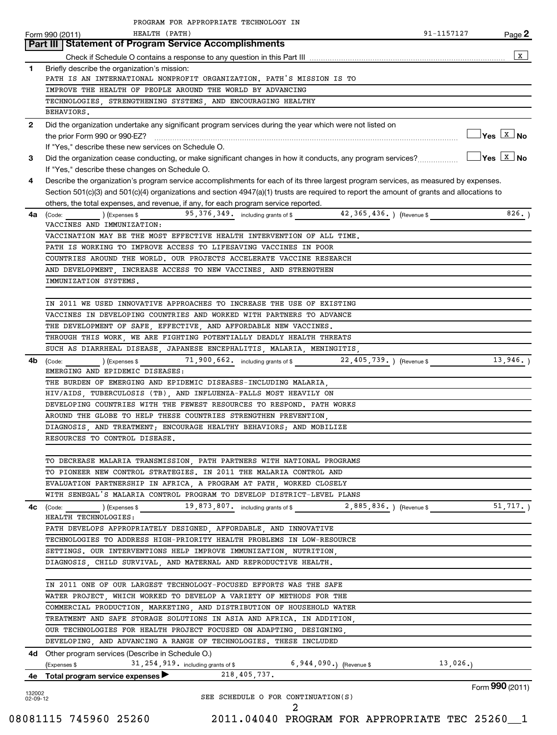|                    | PROGRAM FOR APPROPRIATE TECHNOLOGY IN                                                                                                                                                                                                                                                                                                                                                                                                                                                  |            |                                  |
|--------------------|----------------------------------------------------------------------------------------------------------------------------------------------------------------------------------------------------------------------------------------------------------------------------------------------------------------------------------------------------------------------------------------------------------------------------------------------------------------------------------------|------------|----------------------------------|
|                    | HEALTH (PATH)<br>Form 990 (2011)                                                                                                                                                                                                                                                                                                                                                                                                                                                       | 91-1157127 | Page 2                           |
|                    | <b>Part III Statement of Program Service Accomplishments</b>                                                                                                                                                                                                                                                                                                                                                                                                                           |            |                                  |
|                    |                                                                                                                                                                                                                                                                                                                                                                                                                                                                                        |            | $\mathbf{x}$                     |
| $\mathbf{1}$       | Briefly describe the organization's mission:                                                                                                                                                                                                                                                                                                                                                                                                                                           |            |                                  |
|                    | PATH IS AN INTERNATIONAL NONPROFIT ORGANIZATION. PATH'S MISSION IS TO                                                                                                                                                                                                                                                                                                                                                                                                                  |            |                                  |
|                    | IMPROVE THE HEALTH OF PEOPLE AROUND THE WORLD BY ADVANCING                                                                                                                                                                                                                                                                                                                                                                                                                             |            |                                  |
|                    | TECHNOLOGIES, STRENGTHENING SYSTEMS, AND ENCOURAGING HEALTHY                                                                                                                                                                                                                                                                                                                                                                                                                           |            |                                  |
|                    | BEHAVIORS.                                                                                                                                                                                                                                                                                                                                                                                                                                                                             |            |                                  |
| $\mathbf{2}$       | Did the organization undertake any significant program services during the year which were not listed on                                                                                                                                                                                                                                                                                                                                                                               |            |                                  |
|                    |                                                                                                                                                                                                                                                                                                                                                                                                                                                                                        |            | $\Box$ Yes $\boxed{\text{x}}$ No |
|                    | If "Yes." describe these new services on Schedule O.                                                                                                                                                                                                                                                                                                                                                                                                                                   |            |                                  |
| 3                  | Did the organization cease conducting, or make significant changes in how it conducts, any program services?                                                                                                                                                                                                                                                                                                                                                                           |            | $\Box$ Yes $\boxed{\text{x}}$ No |
|                    | If "Yes," describe these changes on Schedule O.                                                                                                                                                                                                                                                                                                                                                                                                                                        |            |                                  |
| 4                  | Describe the organization's program service accomplishments for each of its three largest program services, as measured by expenses.                                                                                                                                                                                                                                                                                                                                                   |            |                                  |
|                    | Section 501(c)(3) and 501(c)(4) organizations and section 4947(a)(1) trusts are required to report the amount of grants and allocations to                                                                                                                                                                                                                                                                                                                                             |            |                                  |
|                    | others, the total expenses, and revenue, if any, for each program service reported.                                                                                                                                                                                                                                                                                                                                                                                                    |            |                                  |
| 4a                 |                                                                                                                                                                                                                                                                                                                                                                                                                                                                                        |            | 826.                             |
|                    | VACCINES AND IMMUNIZATION:                                                                                                                                                                                                                                                                                                                                                                                                                                                             |            |                                  |
|                    | VACCINATION MAY BE THE MOST EFFECTIVE HEALTH INTERVENTION OF ALL TIME.                                                                                                                                                                                                                                                                                                                                                                                                                 |            |                                  |
|                    | PATH IS WORKING TO IMPROVE ACCESS TO LIFESAVING VACCINES IN POOR                                                                                                                                                                                                                                                                                                                                                                                                                       |            |                                  |
|                    | COUNTRIES AROUND THE WORLD. OUR PROJECTS ACCELERATE VACCINE RESEARCH                                                                                                                                                                                                                                                                                                                                                                                                                   |            |                                  |
|                    | AND DEVELOPMENT, INCREASE ACCESS TO NEW VACCINES, AND STRENGTHEN                                                                                                                                                                                                                                                                                                                                                                                                                       |            |                                  |
|                    | IMMUNIZATION SYSTEMS.                                                                                                                                                                                                                                                                                                                                                                                                                                                                  |            |                                  |
|                    |                                                                                                                                                                                                                                                                                                                                                                                                                                                                                        |            |                                  |
|                    | IN 2011 WE USED INNOVATIVE APPROACHES TO INCREASE THE USE OF EXISTING                                                                                                                                                                                                                                                                                                                                                                                                                  |            |                                  |
|                    | VACCINES IN DEVELOPING COUNTRIES AND WORKED WITH PARTNERS TO ADVANCE                                                                                                                                                                                                                                                                                                                                                                                                                   |            |                                  |
|                    | THE DEVELOPMENT OF SAFE, EFFECTIVE, AND AFFORDABLE NEW VACCINES.                                                                                                                                                                                                                                                                                                                                                                                                                       |            |                                  |
|                    | THROUGH THIS WORK, WE ARE FIGHTING POTENTIALLY DEADLY HEALTH THREATS                                                                                                                                                                                                                                                                                                                                                                                                                   |            |                                  |
|                    | SUCH AS DIARRHEAL DISEASE, JAPANESE ENCEPHALITIS, MALARIA, MENINGITIS,                                                                                                                                                                                                                                                                                                                                                                                                                 |            |                                  |
| 4b                 | (Expenses \$ 71,900,662. including grants of \$ 22,405,739.) (Revenue \$ 13,946.)<br>(Code:                                                                                                                                                                                                                                                                                                                                                                                            |            |                                  |
|                    | EMERGING AND EPIDEMIC DISEASES:                                                                                                                                                                                                                                                                                                                                                                                                                                                        |            |                                  |
|                    | THE BURDEN OF EMERGING AND EPIDEMIC DISEASES-INCLUDING MALARIA,                                                                                                                                                                                                                                                                                                                                                                                                                        |            |                                  |
|                    | HIV/AIDS, TUBERCULOSIS (TB), AND INFLUENZA-FALLS MOST HEAVILY ON                                                                                                                                                                                                                                                                                                                                                                                                                       |            |                                  |
|                    | DEVELOPING COUNTRIES WITH THE FEWEST RESOURCES TO RESPOND. PATH WORKS                                                                                                                                                                                                                                                                                                                                                                                                                  |            |                                  |
|                    | AROUND THE GLOBE TO HELP THESE COUNTRIES STRENGTHEN PREVENTION,                                                                                                                                                                                                                                                                                                                                                                                                                        |            |                                  |
|                    | DIAGNOSIS, AND TREATMENT; ENCOURAGE HEALTHY BEHAVIORS; AND MOBILIZE                                                                                                                                                                                                                                                                                                                                                                                                                    |            |                                  |
|                    | RESOURCES TO CONTROL DISEASE.                                                                                                                                                                                                                                                                                                                                                                                                                                                          |            |                                  |
|                    |                                                                                                                                                                                                                                                                                                                                                                                                                                                                                        |            |                                  |
|                    | TO DECREASE MALARIA TRANSMISSION, PATH PARTNERS WITH NATIONAL PROGRAMS<br>TO PIONEER NEW CONTROL STRATEGIES. IN 2011 THE MALARIA CONTROL AND                                                                                                                                                                                                                                                                                                                                           |            |                                  |
|                    | EVALUATION PARTNERSHIP IN AFRICA, A PROGRAM AT PATH, WORKED CLOSELY                                                                                                                                                                                                                                                                                                                                                                                                                    |            |                                  |
|                    | WITH SENEGAL'S MALARIA CONTROL PROGRAM TO DEVELOP DISTRICT-LEVEL PLANS                                                                                                                                                                                                                                                                                                                                                                                                                 |            |                                  |
| 4с                 |                                                                                                                                                                                                                                                                                                                                                                                                                                                                                        |            | $51, 717.$ )                     |
|                    | $\frac{\text{(Code:}}{\text{Area: } \frac{1}{2} \cdot \frac{1}{2} \cdot \frac{1}{2} \cdot \frac{1}{2} \cdot \frac{1}{2} \cdot \frac{1}{2} \cdot \frac{1}{2} \cdot \frac{1}{2} \cdot \frac{1}{2} \cdot \frac{1}{2} \cdot \frac{1}{2} \cdot \frac{1}{2} \cdot \frac{1}{2} \cdot \frac{1}{2} \cdot \frac{1}{2} \cdot \frac{1}{2} \cdot \frac{1}{2} \cdot \frac{1}{2} \cdot \frac{1}{2} \cdot \frac{1}{2} \cdot \frac{1}{2} \cdot \frac{1}{2} \cdot \frac{1}{2} \$<br>HEALTH TECHNOLOGIES: |            |                                  |
|                    | PATH DEVELOPS APPROPRIATELY DESIGNED, AFFORDABLE, AND INNOVATIVE                                                                                                                                                                                                                                                                                                                                                                                                                       |            |                                  |
|                    | TECHNOLOGIES TO ADDRESS HIGH-PRIORITY HEALTH PROBLEMS IN LOW-RESOURCE                                                                                                                                                                                                                                                                                                                                                                                                                  |            |                                  |
|                    | SETTINGS. OUR INTERVENTIONS HELP IMPROVE IMMUNIZATION, NUTRITION,                                                                                                                                                                                                                                                                                                                                                                                                                      |            |                                  |
|                    | DIAGNOSIS, CHILD SURVIVAL, AND MATERNAL AND REPRODUCTIVE HEALTH.                                                                                                                                                                                                                                                                                                                                                                                                                       |            |                                  |
|                    |                                                                                                                                                                                                                                                                                                                                                                                                                                                                                        |            |                                  |
|                    | IN 2011 ONE OF OUR LARGEST TECHNOLOGY-FOCUSED EFFORTS WAS THE SAFE                                                                                                                                                                                                                                                                                                                                                                                                                     |            |                                  |
|                    | WATER PROJECT, WHICH WORKED TO DEVELOP A VARIETY OF METHODS FOR THE                                                                                                                                                                                                                                                                                                                                                                                                                    |            |                                  |
|                    | COMMERCIAL PRODUCTION, MARKETING, AND DISTRIBUTION OF HOUSEHOLD WATER                                                                                                                                                                                                                                                                                                                                                                                                                  |            |                                  |
|                    | TREATMENT AND SAFE STORAGE SOLUTIONS IN ASIA AND AFRICA. IN ADDITION,                                                                                                                                                                                                                                                                                                                                                                                                                  |            |                                  |
|                    | OUR TECHNOLOGIES FOR HEALTH PROJECT FOCUSED ON ADAPTING, DESIGNING,                                                                                                                                                                                                                                                                                                                                                                                                                    |            |                                  |
|                    | DEVELOPING, AND ADVANCING A RANGE OF TECHNOLOGIES. THESE INCLUDED                                                                                                                                                                                                                                                                                                                                                                                                                      |            |                                  |
|                    | 4d Other program services (Describe in Schedule O.)                                                                                                                                                                                                                                                                                                                                                                                                                                    |            |                                  |
|                    |                                                                                                                                                                                                                                                                                                                                                                                                                                                                                        |            |                                  |
| 4e                 | (Expenses \$31, 254, 919. including grants of \$6, 944, 090.) (Revenue \$13, 026.)<br>Total program service expenses ▶218, 405, 737.                                                                                                                                                                                                                                                                                                                                                   |            |                                  |
|                    |                                                                                                                                                                                                                                                                                                                                                                                                                                                                                        |            | Form 990 (2011)                  |
| 132002<br>02-09-12 | SEE SCHEDULE O FOR CONTINUATION(S)                                                                                                                                                                                                                                                                                                                                                                                                                                                     |            |                                  |
|                    | 2                                                                                                                                                                                                                                                                                                                                                                                                                                                                                      |            |                                  |

| 08081115 745960 2526 |  |
|----------------------|--|
|                      |  |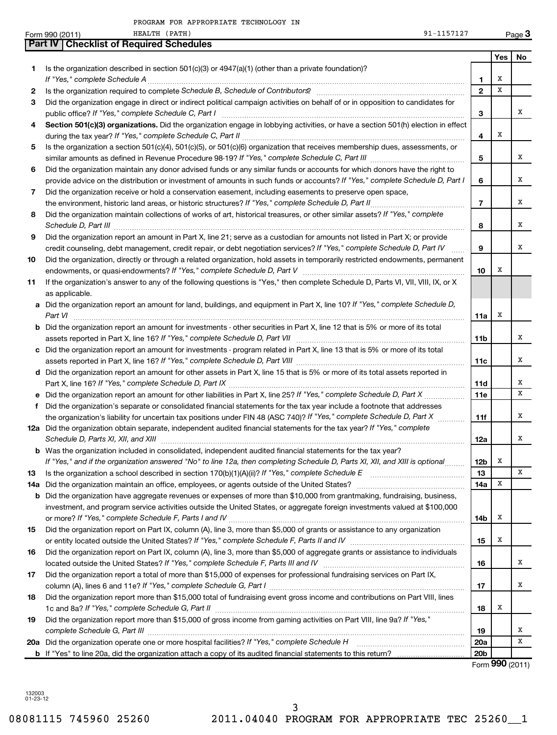|           | PROGRAM FOR APPROPRIATE TECHNOLOGY IN                                                                                                                                                                                                |                 |     |        |
|-----------|--------------------------------------------------------------------------------------------------------------------------------------------------------------------------------------------------------------------------------------|-----------------|-----|--------|
|           | HEALTH (PATH)<br>91-1157127<br>Form 990 (2011)                                                                                                                                                                                       |                 |     | Page 3 |
|           | <b>Checklist of Required Schedules</b><br>∣ Part IV I                                                                                                                                                                                |                 |     |        |
|           |                                                                                                                                                                                                                                      |                 | Yes | No     |
| 1.        | Is the organization described in section $501(c)(3)$ or $4947(a)(1)$ (other than a private foundation)?<br>If "Yes," complete Schedule A                                                                                             | $\mathbf{1}$    | х   |        |
| 2         |                                                                                                                                                                                                                                      | $\mathbf{2}$    | х   |        |
| 3         | Did the organization engage in direct or indirect political campaign activities on behalf of or in opposition to candidates for                                                                                                      |                 |     |        |
|           | public office? If "Yes," complete Schedule C, Part I                                                                                                                                                                                 | 3               |     | х      |
| 4         | Section 501(c)(3) organizations. Did the organization engage in lobbying activities, or have a section 501(h) election in effect                                                                                                     |                 |     |        |
|           |                                                                                                                                                                                                                                      | 4               | х   |        |
| 5         | Is the organization a section 501(c)(4), 501(c)(5), or 501(c)(6) organization that receives membership dues, assessments, or                                                                                                         |                 |     |        |
|           |                                                                                                                                                                                                                                      | 5               |     | х      |
| 6         | Did the organization maintain any donor advised funds or any similar funds or accounts for which donors have the right to                                                                                                            |                 |     |        |
|           | provide advice on the distribution or investment of amounts in such funds or accounts? If "Yes," complete Schedule D, Part I                                                                                                         | 6               |     | х      |
| 7.        | Did the organization receive or hold a conservation easement, including easements to preserve open space,                                                                                                                            |                 |     |        |
|           |                                                                                                                                                                                                                                      | $\overline{7}$  |     | х      |
| 8         | Did the organization maintain collections of works of art, historical treasures, or other similar assets? If "Yes," complete                                                                                                         |                 |     |        |
|           | Schedule D, Part III <b>Process Commission Contract Contract Contract Contract Contract Contract Contract Contract Contract Contract Contract Contract Contract Contract Contract Contract Contract Contract Contract Contract C</b> | 8               |     | х      |
| 9         | Did the organization report an amount in Part X, line 21; serve as a custodian for amounts not listed in Part X; or provide                                                                                                          |                 |     | х      |
|           | credit counseling, debt management, credit repair, or debt negotiation services? If "Yes," complete Schedule D, Part IV                                                                                                              | 9               |     |        |
| 10        | Did the organization, directly or through a related organization, hold assets in temporarily restricted endowments, permanent                                                                                                        | 10              | х   |        |
| 11        | If the organization's answer to any of the following questions is "Yes," then complete Schedule D, Parts VI, VII, VIII, IX, or X                                                                                                     |                 |     |        |
|           | as applicable.                                                                                                                                                                                                                       |                 |     |        |
|           | a Did the organization report an amount for land, buildings, and equipment in Part X, line 10? If "Yes," complete Schedule D,                                                                                                        |                 |     |        |
|           | Part VI                                                                                                                                                                                                                              | 11a             | х   |        |
|           | <b>b</b> Did the organization report an amount for investments - other securities in Part X, line 12 that is 5% or more of its total                                                                                                 |                 |     |        |
|           |                                                                                                                                                                                                                                      | 11b             |     | х      |
|           | c Did the organization report an amount for investments - program related in Part X, line 13 that is 5% or more of its total                                                                                                         |                 |     |        |
|           |                                                                                                                                                                                                                                      | 11c             |     | х      |
|           | d Did the organization report an amount for other assets in Part X, line 15 that is 5% or more of its total assets reported in                                                                                                       |                 |     |        |
|           |                                                                                                                                                                                                                                      | 11d             |     | X      |
|           |                                                                                                                                                                                                                                      | 11 <sub>c</sub> |     | x      |
| f         | Did the organization's separate or consolidated financial statements for the tax year include a footnote that addresses                                                                                                              |                 |     |        |
|           | the organization's liability for uncertain tax positions under FIN 48 (ASC 740)? If "Yes," complete Schedule D, Part X                                                                                                               | 11f             |     | х      |
|           | 12a Did the organization obtain separate, independent audited financial statements for the tax year? If "Yes," complete                                                                                                              |                 |     |        |
|           | Schedule D. Parts XI. XII. and XIII                                                                                                                                                                                                  | 12a             |     | x      |
|           | <b>b</b> Was the organization included in consolidated, independent audited financial statements for the tax year?                                                                                                                   |                 | Х   |        |
|           | If "Yes," and if the organization answered "No" to line 12a, then completing Schedule D, Parts XI, XII, and XIII is optional                                                                                                         | <b>12b</b>      |     | x      |
| 13<br>14a |                                                                                                                                                                                                                                      | 13<br>14a       | х   |        |
| b         | Did the organization have aggregate revenues or expenses of more than \$10,000 from grantmaking, fundraising, business,                                                                                                              |                 |     |        |
|           | investment, and program service activities outside the United States, or aggregate foreign investments valued at \$100,000                                                                                                           |                 |     |        |
|           |                                                                                                                                                                                                                                      | 14 <sub>b</sub> | х   |        |
| 15        | Did the organization report on Part IX, column (A), line 3, more than \$5,000 of grants or assistance to any organization                                                                                                            |                 |     |        |
|           |                                                                                                                                                                                                                                      | 15              | Х   |        |
| 16        | Did the organization report on Part IX, column (A), line 3, more than \$5,000 of aggregate grants or assistance to individuals                                                                                                       |                 |     |        |
|           |                                                                                                                                                                                                                                      | 16              |     | х      |
| 17        | Did the organization report a total of more than \$15,000 of expenses for professional fundraising services on Part IX,                                                                                                              |                 |     |        |
|           |                                                                                                                                                                                                                                      | 17              |     | х      |
| 18        | Did the organization report more than \$15,000 total of fundraising event gross income and contributions on Part VIII, lines                                                                                                         |                 |     |        |
|           |                                                                                                                                                                                                                                      | 18              | х   |        |
| 19        | Did the organization report more than \$15,000 of gross income from gaming activities on Part VIII, line 9a? If "Yes,"                                                                                                               |                 |     |        |
|           |                                                                                                                                                                                                                                      | 19              |     | х      |
|           |                                                                                                                                                                                                                                      | 20a             |     | х      |
|           |                                                                                                                                                                                                                                      | 20 <sub>b</sub> |     |        |

Form (2011) **990**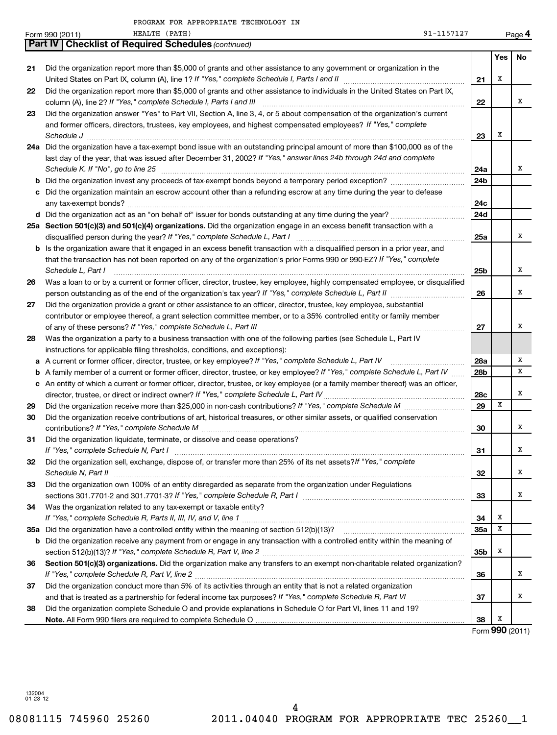|    | PROGRAM FOR APPROPRIATE TECHNOLOGY IN                                                                                               |                 |     |                 |
|----|-------------------------------------------------------------------------------------------------------------------------------------|-----------------|-----|-----------------|
|    | HEALTH (PATH)<br>91-1157127<br>Form 990 (2011)                                                                                      |                 |     | Page 4          |
|    | <b>Checklist of Required Schedules (continued)</b><br><b>Part IV</b>                                                                |                 |     |                 |
|    |                                                                                                                                     |                 | Yes | No.             |
| 21 | Did the organization report more than \$5,000 of grants and other assistance to any government or organization in the               |                 |     |                 |
|    |                                                                                                                                     | 21              | Х   |                 |
| 22 | Did the organization report more than \$5,000 of grants and other assistance to individuals in the United States on Part IX,        |                 |     |                 |
|    | column (A), line 2? If "Yes," complete Schedule I, Parts I and III                                                                  | 22              |     | x               |
| 23 | Did the organization answer "Yes" to Part VII, Section A, line 3, 4, or 5 about compensation of the organization's current          |                 |     |                 |
|    | and former officers, directors, trustees, key employees, and highest compensated employees? If "Yes," complete                      |                 |     |                 |
|    | Schedule J                                                                                                                          | 23              | Х   |                 |
|    | 24a Did the organization have a tax-exempt bond issue with an outstanding principal amount of more than \$100,000 as of the         |                 |     |                 |
|    | last day of the year, that was issued after December 31, 2002? If "Yes," answer lines 24b through 24d and complete                  |                 |     |                 |
|    | Schedule K. If "No", go to line 25                                                                                                  | 24a             |     | x               |
|    | <b>b</b> Did the organization invest any proceeds of tax-exempt bonds beyond a temporary period exception?                          | 24 <sub>b</sub> |     |                 |
| c  | Did the organization maintain an escrow account other than a refunding escrow at any time during the year to defease                |                 |     |                 |
|    |                                                                                                                                     | 24c             |     |                 |
|    |                                                                                                                                     | 24d             |     |                 |
|    | 25a Section 501(c)(3) and 501(c)(4) organizations. Did the organization engage in an excess benefit transaction with a              |                 |     |                 |
|    | disqualified person during the year? If "Yes," complete Schedule L, Part I                                                          | 25a             |     | х               |
|    | <b>b</b> Is the organization aware that it engaged in an excess benefit transaction with a disqualified person in a prior year, and |                 |     |                 |
|    | that the transaction has not been reported on any of the organization's prior Forms 990 or 990-EZ? If "Yes," complete               |                 |     |                 |
|    | Schedule L, Part I                                                                                                                  | 25 <sub>b</sub> |     | х               |
| 26 | Was a loan to or by a current or former officer, director, trustee, key employee, highly compensated employee, or disqualified      |                 |     |                 |
|    |                                                                                                                                     | 26              |     | x               |
| 27 | Did the organization provide a grant or other assistance to an officer, director, trustee, key employee, substantial                |                 |     |                 |
|    | contributor or employee thereof, a grant selection committee member, or to a 35% controlled entity or family member                 |                 |     |                 |
|    |                                                                                                                                     | 27              |     | Х               |
| 28 | Was the organization a party to a business transaction with one of the following parties (see Schedule L, Part IV                   |                 |     |                 |
|    | instructions for applicable filing thresholds, conditions, and exceptions):                                                         |                 |     |                 |
|    | a A current or former officer, director, trustee, or key employee? If "Yes," complete Schedule L, Part IV                           | 28a             |     | х               |
|    | <b>b</b> A family member of a current or former officer, director, trustee, or key employee? If "Yes," complete Schedule L, Part IV | 28 <sub>b</sub> |     | x               |
|    | c An entity of which a current or former officer, director, trustee, or key employee (or a family member thereof) was an officer,   |                 |     |                 |
|    | director, trustee, or direct or indirect owner? If "Yes," complete Schedule L, Part IV                                              | 28c             |     | х               |
| 29 | Did the organization receive more than \$25,000 in non-cash contributions? If "Yes," complete Schedule M                            | 29              | X   |                 |
| 30 | Did the organization receive contributions of art, historical treasures, or other similar assets, or qualified conservation         |                 |     |                 |
|    |                                                                                                                                     | 30              |     | х               |
|    | Did the organization liquidate, terminate, or dissolve and cease operations?                                                        |                 |     |                 |
|    | If "Yes," complete Schedule N, Part I                                                                                               | 31              |     | х               |
| 32 | Did the organization sell, exchange, dispose of, or transfer more than 25% of its net assets? If "Yes," complete                    |                 |     |                 |
|    | Schedule N, Part II                                                                                                                 | 32              |     | X               |
| 33 | Did the organization own 100% of an entity disregarded as separate from the organization under Regulations                          |                 |     |                 |
|    |                                                                                                                                     | 33              |     | X               |
| 34 | Was the organization related to any tax-exempt or taxable entity?                                                                   |                 |     |                 |
|    |                                                                                                                                     | 34              | X   |                 |
|    |                                                                                                                                     | 35a             | X   |                 |
| b  | Did the organization receive any payment from or engage in any transaction with a controlled entity within the meaning of           |                 |     |                 |
|    |                                                                                                                                     | 35b             | х   |                 |
| 36 | Section 501(c)(3) organizations. Did the organization make any transfers to an exempt non-charitable related organization?          |                 |     |                 |
|    |                                                                                                                                     | 36              |     | x               |
| 37 | Did the organization conduct more than 5% of its activities through an entity that is not a related organization                    |                 |     |                 |
|    |                                                                                                                                     | 37              |     | X               |
| 38 | Did the organization complete Schedule O and provide explanations in Schedule O for Part VI, lines 11 and 19?                       |                 |     |                 |
|    |                                                                                                                                     | 38              | X   |                 |
|    |                                                                                                                                     |                 |     | Form 990 (2011) |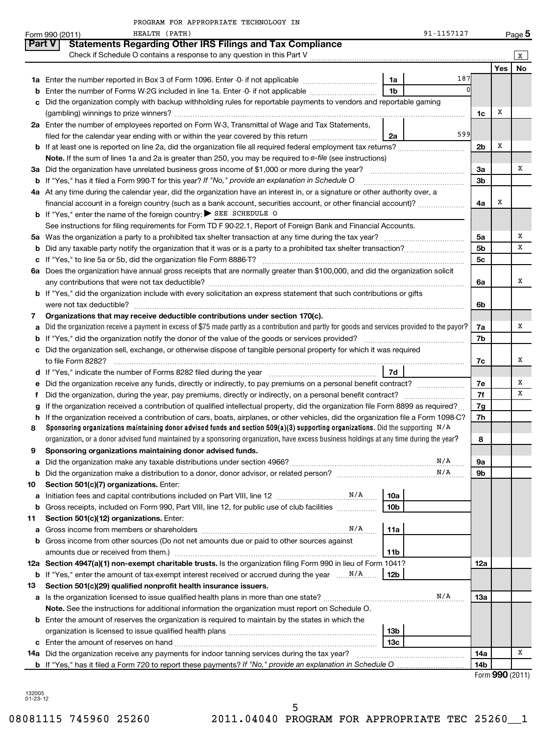| HEALTH (PATH)<br>91-1157127<br>$Page$ 5<br>Form 990 (2011)<br><b>Part V</b><br><b>Statements Regarding Other IRS Filings and Tax Compliance</b><br>Check if Schedule O contains a response to any question in this Part V<br>X<br>No<br>Yes<br>187<br>1a<br>1 <sub>b</sub><br>Enter the number of Forms W-2G included in line 1a. Enter -0- if not applicable<br>b<br>Did the organization comply with backup withholding rules for reportable payments to vendors and reportable gaming<br>c<br>х<br>1c<br>2a Enter the number of employees reported on Form W-3, Transmittal of Wage and Tax Statements,<br>599<br>filed for the calendar year ending with or within the year covered by this return <i>[[[[[[[[[[[[[[]]]]</i> ]]<br>2a<br>х<br>b If at least one is reported on line 2a, did the organization file all required federal employment tax returns?<br>2b<br>Note. If the sum of lines 1a and 2a is greater than 250, you may be required to e-file (see instructions)<br>х<br>За<br>За<br>If "Yes," has it filed a Form 990-T for this year? If "No," provide an explanation in Schedule O<br>3b<br>b<br>4a At any time during the calendar year, did the organization have an interest in, or a signature or other authority over, a<br>х<br>financial account in a foreign country (such as a bank account, securities account, or other financial account)?<br>4a<br><b>b</b> If "Yes," enter the name of the foreign country: SEE SCHEDULE O<br>See instructions for filing requirements for Form TD F 90-22.1, Report of Foreign Bank and Financial Accounts.<br>х<br>5a<br>х<br>5b<br>b<br>5c<br>с<br>6a Does the organization have annual gross receipts that are normally greater than \$100,000, and did the organization solicit<br>х<br>6a<br><b>b</b> If "Yes," did the organization include with every solicitation an express statement that such contributions or gifts<br>6b<br>Organizations that may receive deductible contributions under section 170(c).<br>7<br>Did the organization receive a payment in excess of \$75 made partly as a contribution and partly for goods and services provided to the payor?<br>х<br>7a<br>a<br>7b<br>b<br>Did the organization sell, exchange, or otherwise dispose of tangible personal property for which it was required<br>c<br>х<br>7c<br><b>7d</b><br>х<br>Did the organization receive any funds, directly or indirectly, to pay premiums on a personal benefit contract?<br>7е<br>е<br>х<br>7f<br>f.<br>If the organization received a contribution of qualified intellectual property, did the organization file Form 8899 as required?<br>7g<br>g<br>If the organization received a contribution of cars, boats, airplanes, or other vehicles, did the organization file a Form 1098-C?<br>7h<br>h<br>Sponsoring organizations maintaining donor advised funds and section 509(a)(3) supporting organizations. Did the supporting $N/A$<br>8<br>organization, or a donor advised fund maintained by a sponsoring organization, have excess business holdings at any time during the year?<br>8<br>9<br>Sponsoring organizations maintaining donor advised funds.<br>N/A<br>9а<br>а<br>N/A<br>9b<br>b<br>10<br>Section 501(c)(7) organizations. Enter:<br>10a<br>а<br>Gross receipts, included on Form 990, Part VIII, line 12, for public use of club facilities<br>10b<br>b<br>Section 501(c)(12) organizations. Enter:<br>11<br>N/A<br>11a<br>а<br>b Gross income from other sources (Do not net amounts due or paid to other sources against<br>amounts due or received from them.)<br>11b<br>12a Section 4947(a)(1) non-exempt charitable trusts. Is the organization filing Form 990 in lieu of Form 1041?<br>12a<br>If "Yes," enter the amount of tax-exempt interest received or accrued during the year $\ldots$ $N/A$ .<br>12b<br>b<br>Section 501(c)(29) qualified nonprofit health insurance issuers.<br>13<br>N/A<br>a Is the organization licensed to issue qualified health plans in more than one state?<br>1За<br>Note. See the instructions for additional information the organization must report on Schedule O.<br><b>b</b> Enter the amount of reserves the organization is required to maintain by the states in which the<br>13b<br>13 <sub>c</sub><br>с<br>х<br>14a Did the organization receive any payments for indoor tanning services during the tax year?<br>14a<br><b>b</b> If "Yes," has it filed a Form 720 to report these payments? If "No," provide an explanation in Schedule O<br>14 <sub>b</sub> | PROGRAM FOR APPROPRIATE TECHNOLOGY IN |  |  |
|----------------------------------------------------------------------------------------------------------------------------------------------------------------------------------------------------------------------------------------------------------------------------------------------------------------------------------------------------------------------------------------------------------------------------------------------------------------------------------------------------------------------------------------------------------------------------------------------------------------------------------------------------------------------------------------------------------------------------------------------------------------------------------------------------------------------------------------------------------------------------------------------------------------------------------------------------------------------------------------------------------------------------------------------------------------------------------------------------------------------------------------------------------------------------------------------------------------------------------------------------------------------------------------------------------------------------------------------------------------------------------------------------------------------------------------------------------------------------------------------------------------------------------------------------------------------------------------------------------------------------------------------------------------------------------------------------------------------------------------------------------------------------------------------------------------------------------------------------------------------------------------------------------------------------------------------------------------------------------------------------------------------------------------------------------------------------------------------------------------------------------------------------------------------------------------------------------------------------------------------------------------------------------------------------------------------------------------------------------------------------------------------------------------------------------------------------------------------------------------------------------------------------------------------------------------------------------------------------------------------------------------------------------------------------------------------------------------------------------------------------------------------------------------------------------------------------------------------------------------------------------------------------------------------------------------------------------------------------------------------------------------------------------------------------------------------------------------------------------------------------------------------------------------------------------------------------------------------------------------------------------------------------------------------------------------------------------------------------------------------------------------------------------------------------------------------------------------------------------------------------------------------------------------------------------------------------------------------------------------------------------------------------------------------------------------------------------------------------------------------------------------------------------------------------------------------------------------------------------------------------------------------------------------------------------------------------------------------------------------------------------------------------------------------------------------------------------------------------------------------------------------------------------------------------------------------------------------------------------------------------------------------------------------------------------------------------------------------------------------------------------------------------------------------------------------------------------------------------------------------------------------------------|---------------------------------------|--|--|
|                                                                                                                                                                                                                                                                                                                                                                                                                                                                                                                                                                                                                                                                                                                                                                                                                                                                                                                                                                                                                                                                                                                                                                                                                                                                                                                                                                                                                                                                                                                                                                                                                                                                                                                                                                                                                                                                                                                                                                                                                                                                                                                                                                                                                                                                                                                                                                                                                                                                                                                                                                                                                                                                                                                                                                                                                                                                                                                                                                                                                                                                                                                                                                                                                                                                                                                                                                                                                                                                                                                                                                                                                                                                                                                                                                                                                                                                                                                                                                                                                                                                                                                                                                                                                                                                                                                                                                                                                                                                                                                            |                                       |  |  |
|                                                                                                                                                                                                                                                                                                                                                                                                                                                                                                                                                                                                                                                                                                                                                                                                                                                                                                                                                                                                                                                                                                                                                                                                                                                                                                                                                                                                                                                                                                                                                                                                                                                                                                                                                                                                                                                                                                                                                                                                                                                                                                                                                                                                                                                                                                                                                                                                                                                                                                                                                                                                                                                                                                                                                                                                                                                                                                                                                                                                                                                                                                                                                                                                                                                                                                                                                                                                                                                                                                                                                                                                                                                                                                                                                                                                                                                                                                                                                                                                                                                                                                                                                                                                                                                                                                                                                                                                                                                                                                                            |                                       |  |  |
|                                                                                                                                                                                                                                                                                                                                                                                                                                                                                                                                                                                                                                                                                                                                                                                                                                                                                                                                                                                                                                                                                                                                                                                                                                                                                                                                                                                                                                                                                                                                                                                                                                                                                                                                                                                                                                                                                                                                                                                                                                                                                                                                                                                                                                                                                                                                                                                                                                                                                                                                                                                                                                                                                                                                                                                                                                                                                                                                                                                                                                                                                                                                                                                                                                                                                                                                                                                                                                                                                                                                                                                                                                                                                                                                                                                                                                                                                                                                                                                                                                                                                                                                                                                                                                                                                                                                                                                                                                                                                                                            |                                       |  |  |
|                                                                                                                                                                                                                                                                                                                                                                                                                                                                                                                                                                                                                                                                                                                                                                                                                                                                                                                                                                                                                                                                                                                                                                                                                                                                                                                                                                                                                                                                                                                                                                                                                                                                                                                                                                                                                                                                                                                                                                                                                                                                                                                                                                                                                                                                                                                                                                                                                                                                                                                                                                                                                                                                                                                                                                                                                                                                                                                                                                                                                                                                                                                                                                                                                                                                                                                                                                                                                                                                                                                                                                                                                                                                                                                                                                                                                                                                                                                                                                                                                                                                                                                                                                                                                                                                                                                                                                                                                                                                                                                            |                                       |  |  |
|                                                                                                                                                                                                                                                                                                                                                                                                                                                                                                                                                                                                                                                                                                                                                                                                                                                                                                                                                                                                                                                                                                                                                                                                                                                                                                                                                                                                                                                                                                                                                                                                                                                                                                                                                                                                                                                                                                                                                                                                                                                                                                                                                                                                                                                                                                                                                                                                                                                                                                                                                                                                                                                                                                                                                                                                                                                                                                                                                                                                                                                                                                                                                                                                                                                                                                                                                                                                                                                                                                                                                                                                                                                                                                                                                                                                                                                                                                                                                                                                                                                                                                                                                                                                                                                                                                                                                                                                                                                                                                                            |                                       |  |  |
|                                                                                                                                                                                                                                                                                                                                                                                                                                                                                                                                                                                                                                                                                                                                                                                                                                                                                                                                                                                                                                                                                                                                                                                                                                                                                                                                                                                                                                                                                                                                                                                                                                                                                                                                                                                                                                                                                                                                                                                                                                                                                                                                                                                                                                                                                                                                                                                                                                                                                                                                                                                                                                                                                                                                                                                                                                                                                                                                                                                                                                                                                                                                                                                                                                                                                                                                                                                                                                                                                                                                                                                                                                                                                                                                                                                                                                                                                                                                                                                                                                                                                                                                                                                                                                                                                                                                                                                                                                                                                                                            |                                       |  |  |
|                                                                                                                                                                                                                                                                                                                                                                                                                                                                                                                                                                                                                                                                                                                                                                                                                                                                                                                                                                                                                                                                                                                                                                                                                                                                                                                                                                                                                                                                                                                                                                                                                                                                                                                                                                                                                                                                                                                                                                                                                                                                                                                                                                                                                                                                                                                                                                                                                                                                                                                                                                                                                                                                                                                                                                                                                                                                                                                                                                                                                                                                                                                                                                                                                                                                                                                                                                                                                                                                                                                                                                                                                                                                                                                                                                                                                                                                                                                                                                                                                                                                                                                                                                                                                                                                                                                                                                                                                                                                                                                            |                                       |  |  |
|                                                                                                                                                                                                                                                                                                                                                                                                                                                                                                                                                                                                                                                                                                                                                                                                                                                                                                                                                                                                                                                                                                                                                                                                                                                                                                                                                                                                                                                                                                                                                                                                                                                                                                                                                                                                                                                                                                                                                                                                                                                                                                                                                                                                                                                                                                                                                                                                                                                                                                                                                                                                                                                                                                                                                                                                                                                                                                                                                                                                                                                                                                                                                                                                                                                                                                                                                                                                                                                                                                                                                                                                                                                                                                                                                                                                                                                                                                                                                                                                                                                                                                                                                                                                                                                                                                                                                                                                                                                                                                                            |                                       |  |  |
|                                                                                                                                                                                                                                                                                                                                                                                                                                                                                                                                                                                                                                                                                                                                                                                                                                                                                                                                                                                                                                                                                                                                                                                                                                                                                                                                                                                                                                                                                                                                                                                                                                                                                                                                                                                                                                                                                                                                                                                                                                                                                                                                                                                                                                                                                                                                                                                                                                                                                                                                                                                                                                                                                                                                                                                                                                                                                                                                                                                                                                                                                                                                                                                                                                                                                                                                                                                                                                                                                                                                                                                                                                                                                                                                                                                                                                                                                                                                                                                                                                                                                                                                                                                                                                                                                                                                                                                                                                                                                                                            |                                       |  |  |
|                                                                                                                                                                                                                                                                                                                                                                                                                                                                                                                                                                                                                                                                                                                                                                                                                                                                                                                                                                                                                                                                                                                                                                                                                                                                                                                                                                                                                                                                                                                                                                                                                                                                                                                                                                                                                                                                                                                                                                                                                                                                                                                                                                                                                                                                                                                                                                                                                                                                                                                                                                                                                                                                                                                                                                                                                                                                                                                                                                                                                                                                                                                                                                                                                                                                                                                                                                                                                                                                                                                                                                                                                                                                                                                                                                                                                                                                                                                                                                                                                                                                                                                                                                                                                                                                                                                                                                                                                                                                                                                            |                                       |  |  |
|                                                                                                                                                                                                                                                                                                                                                                                                                                                                                                                                                                                                                                                                                                                                                                                                                                                                                                                                                                                                                                                                                                                                                                                                                                                                                                                                                                                                                                                                                                                                                                                                                                                                                                                                                                                                                                                                                                                                                                                                                                                                                                                                                                                                                                                                                                                                                                                                                                                                                                                                                                                                                                                                                                                                                                                                                                                                                                                                                                                                                                                                                                                                                                                                                                                                                                                                                                                                                                                                                                                                                                                                                                                                                                                                                                                                                                                                                                                                                                                                                                                                                                                                                                                                                                                                                                                                                                                                                                                                                                                            |                                       |  |  |
|                                                                                                                                                                                                                                                                                                                                                                                                                                                                                                                                                                                                                                                                                                                                                                                                                                                                                                                                                                                                                                                                                                                                                                                                                                                                                                                                                                                                                                                                                                                                                                                                                                                                                                                                                                                                                                                                                                                                                                                                                                                                                                                                                                                                                                                                                                                                                                                                                                                                                                                                                                                                                                                                                                                                                                                                                                                                                                                                                                                                                                                                                                                                                                                                                                                                                                                                                                                                                                                                                                                                                                                                                                                                                                                                                                                                                                                                                                                                                                                                                                                                                                                                                                                                                                                                                                                                                                                                                                                                                                                            |                                       |  |  |
|                                                                                                                                                                                                                                                                                                                                                                                                                                                                                                                                                                                                                                                                                                                                                                                                                                                                                                                                                                                                                                                                                                                                                                                                                                                                                                                                                                                                                                                                                                                                                                                                                                                                                                                                                                                                                                                                                                                                                                                                                                                                                                                                                                                                                                                                                                                                                                                                                                                                                                                                                                                                                                                                                                                                                                                                                                                                                                                                                                                                                                                                                                                                                                                                                                                                                                                                                                                                                                                                                                                                                                                                                                                                                                                                                                                                                                                                                                                                                                                                                                                                                                                                                                                                                                                                                                                                                                                                                                                                                                                            |                                       |  |  |
|                                                                                                                                                                                                                                                                                                                                                                                                                                                                                                                                                                                                                                                                                                                                                                                                                                                                                                                                                                                                                                                                                                                                                                                                                                                                                                                                                                                                                                                                                                                                                                                                                                                                                                                                                                                                                                                                                                                                                                                                                                                                                                                                                                                                                                                                                                                                                                                                                                                                                                                                                                                                                                                                                                                                                                                                                                                                                                                                                                                                                                                                                                                                                                                                                                                                                                                                                                                                                                                                                                                                                                                                                                                                                                                                                                                                                                                                                                                                                                                                                                                                                                                                                                                                                                                                                                                                                                                                                                                                                                                            |                                       |  |  |
|                                                                                                                                                                                                                                                                                                                                                                                                                                                                                                                                                                                                                                                                                                                                                                                                                                                                                                                                                                                                                                                                                                                                                                                                                                                                                                                                                                                                                                                                                                                                                                                                                                                                                                                                                                                                                                                                                                                                                                                                                                                                                                                                                                                                                                                                                                                                                                                                                                                                                                                                                                                                                                                                                                                                                                                                                                                                                                                                                                                                                                                                                                                                                                                                                                                                                                                                                                                                                                                                                                                                                                                                                                                                                                                                                                                                                                                                                                                                                                                                                                                                                                                                                                                                                                                                                                                                                                                                                                                                                                                            |                                       |  |  |
|                                                                                                                                                                                                                                                                                                                                                                                                                                                                                                                                                                                                                                                                                                                                                                                                                                                                                                                                                                                                                                                                                                                                                                                                                                                                                                                                                                                                                                                                                                                                                                                                                                                                                                                                                                                                                                                                                                                                                                                                                                                                                                                                                                                                                                                                                                                                                                                                                                                                                                                                                                                                                                                                                                                                                                                                                                                                                                                                                                                                                                                                                                                                                                                                                                                                                                                                                                                                                                                                                                                                                                                                                                                                                                                                                                                                                                                                                                                                                                                                                                                                                                                                                                                                                                                                                                                                                                                                                                                                                                                            |                                       |  |  |
|                                                                                                                                                                                                                                                                                                                                                                                                                                                                                                                                                                                                                                                                                                                                                                                                                                                                                                                                                                                                                                                                                                                                                                                                                                                                                                                                                                                                                                                                                                                                                                                                                                                                                                                                                                                                                                                                                                                                                                                                                                                                                                                                                                                                                                                                                                                                                                                                                                                                                                                                                                                                                                                                                                                                                                                                                                                                                                                                                                                                                                                                                                                                                                                                                                                                                                                                                                                                                                                                                                                                                                                                                                                                                                                                                                                                                                                                                                                                                                                                                                                                                                                                                                                                                                                                                                                                                                                                                                                                                                                            |                                       |  |  |
|                                                                                                                                                                                                                                                                                                                                                                                                                                                                                                                                                                                                                                                                                                                                                                                                                                                                                                                                                                                                                                                                                                                                                                                                                                                                                                                                                                                                                                                                                                                                                                                                                                                                                                                                                                                                                                                                                                                                                                                                                                                                                                                                                                                                                                                                                                                                                                                                                                                                                                                                                                                                                                                                                                                                                                                                                                                                                                                                                                                                                                                                                                                                                                                                                                                                                                                                                                                                                                                                                                                                                                                                                                                                                                                                                                                                                                                                                                                                                                                                                                                                                                                                                                                                                                                                                                                                                                                                                                                                                                                            |                                       |  |  |
|                                                                                                                                                                                                                                                                                                                                                                                                                                                                                                                                                                                                                                                                                                                                                                                                                                                                                                                                                                                                                                                                                                                                                                                                                                                                                                                                                                                                                                                                                                                                                                                                                                                                                                                                                                                                                                                                                                                                                                                                                                                                                                                                                                                                                                                                                                                                                                                                                                                                                                                                                                                                                                                                                                                                                                                                                                                                                                                                                                                                                                                                                                                                                                                                                                                                                                                                                                                                                                                                                                                                                                                                                                                                                                                                                                                                                                                                                                                                                                                                                                                                                                                                                                                                                                                                                                                                                                                                                                                                                                                            |                                       |  |  |
|                                                                                                                                                                                                                                                                                                                                                                                                                                                                                                                                                                                                                                                                                                                                                                                                                                                                                                                                                                                                                                                                                                                                                                                                                                                                                                                                                                                                                                                                                                                                                                                                                                                                                                                                                                                                                                                                                                                                                                                                                                                                                                                                                                                                                                                                                                                                                                                                                                                                                                                                                                                                                                                                                                                                                                                                                                                                                                                                                                                                                                                                                                                                                                                                                                                                                                                                                                                                                                                                                                                                                                                                                                                                                                                                                                                                                                                                                                                                                                                                                                                                                                                                                                                                                                                                                                                                                                                                                                                                                                                            |                                       |  |  |
|                                                                                                                                                                                                                                                                                                                                                                                                                                                                                                                                                                                                                                                                                                                                                                                                                                                                                                                                                                                                                                                                                                                                                                                                                                                                                                                                                                                                                                                                                                                                                                                                                                                                                                                                                                                                                                                                                                                                                                                                                                                                                                                                                                                                                                                                                                                                                                                                                                                                                                                                                                                                                                                                                                                                                                                                                                                                                                                                                                                                                                                                                                                                                                                                                                                                                                                                                                                                                                                                                                                                                                                                                                                                                                                                                                                                                                                                                                                                                                                                                                                                                                                                                                                                                                                                                                                                                                                                                                                                                                                            |                                       |  |  |
|                                                                                                                                                                                                                                                                                                                                                                                                                                                                                                                                                                                                                                                                                                                                                                                                                                                                                                                                                                                                                                                                                                                                                                                                                                                                                                                                                                                                                                                                                                                                                                                                                                                                                                                                                                                                                                                                                                                                                                                                                                                                                                                                                                                                                                                                                                                                                                                                                                                                                                                                                                                                                                                                                                                                                                                                                                                                                                                                                                                                                                                                                                                                                                                                                                                                                                                                                                                                                                                                                                                                                                                                                                                                                                                                                                                                                                                                                                                                                                                                                                                                                                                                                                                                                                                                                                                                                                                                                                                                                                                            |                                       |  |  |
|                                                                                                                                                                                                                                                                                                                                                                                                                                                                                                                                                                                                                                                                                                                                                                                                                                                                                                                                                                                                                                                                                                                                                                                                                                                                                                                                                                                                                                                                                                                                                                                                                                                                                                                                                                                                                                                                                                                                                                                                                                                                                                                                                                                                                                                                                                                                                                                                                                                                                                                                                                                                                                                                                                                                                                                                                                                                                                                                                                                                                                                                                                                                                                                                                                                                                                                                                                                                                                                                                                                                                                                                                                                                                                                                                                                                                                                                                                                                                                                                                                                                                                                                                                                                                                                                                                                                                                                                                                                                                                                            |                                       |  |  |
|                                                                                                                                                                                                                                                                                                                                                                                                                                                                                                                                                                                                                                                                                                                                                                                                                                                                                                                                                                                                                                                                                                                                                                                                                                                                                                                                                                                                                                                                                                                                                                                                                                                                                                                                                                                                                                                                                                                                                                                                                                                                                                                                                                                                                                                                                                                                                                                                                                                                                                                                                                                                                                                                                                                                                                                                                                                                                                                                                                                                                                                                                                                                                                                                                                                                                                                                                                                                                                                                                                                                                                                                                                                                                                                                                                                                                                                                                                                                                                                                                                                                                                                                                                                                                                                                                                                                                                                                                                                                                                                            |                                       |  |  |
|                                                                                                                                                                                                                                                                                                                                                                                                                                                                                                                                                                                                                                                                                                                                                                                                                                                                                                                                                                                                                                                                                                                                                                                                                                                                                                                                                                                                                                                                                                                                                                                                                                                                                                                                                                                                                                                                                                                                                                                                                                                                                                                                                                                                                                                                                                                                                                                                                                                                                                                                                                                                                                                                                                                                                                                                                                                                                                                                                                                                                                                                                                                                                                                                                                                                                                                                                                                                                                                                                                                                                                                                                                                                                                                                                                                                                                                                                                                                                                                                                                                                                                                                                                                                                                                                                                                                                                                                                                                                                                                            |                                       |  |  |
| Form 990 (2011)                                                                                                                                                                                                                                                                                                                                                                                                                                                                                                                                                                                                                                                                                                                                                                                                                                                                                                                                                                                                                                                                                                                                                                                                                                                                                                                                                                                                                                                                                                                                                                                                                                                                                                                                                                                                                                                                                                                                                                                                                                                                                                                                                                                                                                                                                                                                                                                                                                                                                                                                                                                                                                                                                                                                                                                                                                                                                                                                                                                                                                                                                                                                                                                                                                                                                                                                                                                                                                                                                                                                                                                                                                                                                                                                                                                                                                                                                                                                                                                                                                                                                                                                                                                                                                                                                                                                                                                                                                                                                                            |                                       |  |  |
|                                                                                                                                                                                                                                                                                                                                                                                                                                                                                                                                                                                                                                                                                                                                                                                                                                                                                                                                                                                                                                                                                                                                                                                                                                                                                                                                                                                                                                                                                                                                                                                                                                                                                                                                                                                                                                                                                                                                                                                                                                                                                                                                                                                                                                                                                                                                                                                                                                                                                                                                                                                                                                                                                                                                                                                                                                                                                                                                                                                                                                                                                                                                                                                                                                                                                                                                                                                                                                                                                                                                                                                                                                                                                                                                                                                                                                                                                                                                                                                                                                                                                                                                                                                                                                                                                                                                                                                                                                                                                                                            |                                       |  |  |
|                                                                                                                                                                                                                                                                                                                                                                                                                                                                                                                                                                                                                                                                                                                                                                                                                                                                                                                                                                                                                                                                                                                                                                                                                                                                                                                                                                                                                                                                                                                                                                                                                                                                                                                                                                                                                                                                                                                                                                                                                                                                                                                                                                                                                                                                                                                                                                                                                                                                                                                                                                                                                                                                                                                                                                                                                                                                                                                                                                                                                                                                                                                                                                                                                                                                                                                                                                                                                                                                                                                                                                                                                                                                                                                                                                                                                                                                                                                                                                                                                                                                                                                                                                                                                                                                                                                                                                                                                                                                                                                            |                                       |  |  |
|                                                                                                                                                                                                                                                                                                                                                                                                                                                                                                                                                                                                                                                                                                                                                                                                                                                                                                                                                                                                                                                                                                                                                                                                                                                                                                                                                                                                                                                                                                                                                                                                                                                                                                                                                                                                                                                                                                                                                                                                                                                                                                                                                                                                                                                                                                                                                                                                                                                                                                                                                                                                                                                                                                                                                                                                                                                                                                                                                                                                                                                                                                                                                                                                                                                                                                                                                                                                                                                                                                                                                                                                                                                                                                                                                                                                                                                                                                                                                                                                                                                                                                                                                                                                                                                                                                                                                                                                                                                                                                                            |                                       |  |  |
|                                                                                                                                                                                                                                                                                                                                                                                                                                                                                                                                                                                                                                                                                                                                                                                                                                                                                                                                                                                                                                                                                                                                                                                                                                                                                                                                                                                                                                                                                                                                                                                                                                                                                                                                                                                                                                                                                                                                                                                                                                                                                                                                                                                                                                                                                                                                                                                                                                                                                                                                                                                                                                                                                                                                                                                                                                                                                                                                                                                                                                                                                                                                                                                                                                                                                                                                                                                                                                                                                                                                                                                                                                                                                                                                                                                                                                                                                                                                                                                                                                                                                                                                                                                                                                                                                                                                                                                                                                                                                                                            |                                       |  |  |
|                                                                                                                                                                                                                                                                                                                                                                                                                                                                                                                                                                                                                                                                                                                                                                                                                                                                                                                                                                                                                                                                                                                                                                                                                                                                                                                                                                                                                                                                                                                                                                                                                                                                                                                                                                                                                                                                                                                                                                                                                                                                                                                                                                                                                                                                                                                                                                                                                                                                                                                                                                                                                                                                                                                                                                                                                                                                                                                                                                                                                                                                                                                                                                                                                                                                                                                                                                                                                                                                                                                                                                                                                                                                                                                                                                                                                                                                                                                                                                                                                                                                                                                                                                                                                                                                                                                                                                                                                                                                                                                            |                                       |  |  |
|                                                                                                                                                                                                                                                                                                                                                                                                                                                                                                                                                                                                                                                                                                                                                                                                                                                                                                                                                                                                                                                                                                                                                                                                                                                                                                                                                                                                                                                                                                                                                                                                                                                                                                                                                                                                                                                                                                                                                                                                                                                                                                                                                                                                                                                                                                                                                                                                                                                                                                                                                                                                                                                                                                                                                                                                                                                                                                                                                                                                                                                                                                                                                                                                                                                                                                                                                                                                                                                                                                                                                                                                                                                                                                                                                                                                                                                                                                                                                                                                                                                                                                                                                                                                                                                                                                                                                                                                                                                                                                                            |                                       |  |  |
|                                                                                                                                                                                                                                                                                                                                                                                                                                                                                                                                                                                                                                                                                                                                                                                                                                                                                                                                                                                                                                                                                                                                                                                                                                                                                                                                                                                                                                                                                                                                                                                                                                                                                                                                                                                                                                                                                                                                                                                                                                                                                                                                                                                                                                                                                                                                                                                                                                                                                                                                                                                                                                                                                                                                                                                                                                                                                                                                                                                                                                                                                                                                                                                                                                                                                                                                                                                                                                                                                                                                                                                                                                                                                                                                                                                                                                                                                                                                                                                                                                                                                                                                                                                                                                                                                                                                                                                                                                                                                                                            |                                       |  |  |
|                                                                                                                                                                                                                                                                                                                                                                                                                                                                                                                                                                                                                                                                                                                                                                                                                                                                                                                                                                                                                                                                                                                                                                                                                                                                                                                                                                                                                                                                                                                                                                                                                                                                                                                                                                                                                                                                                                                                                                                                                                                                                                                                                                                                                                                                                                                                                                                                                                                                                                                                                                                                                                                                                                                                                                                                                                                                                                                                                                                                                                                                                                                                                                                                                                                                                                                                                                                                                                                                                                                                                                                                                                                                                                                                                                                                                                                                                                                                                                                                                                                                                                                                                                                                                                                                                                                                                                                                                                                                                                                            |                                       |  |  |
|                                                                                                                                                                                                                                                                                                                                                                                                                                                                                                                                                                                                                                                                                                                                                                                                                                                                                                                                                                                                                                                                                                                                                                                                                                                                                                                                                                                                                                                                                                                                                                                                                                                                                                                                                                                                                                                                                                                                                                                                                                                                                                                                                                                                                                                                                                                                                                                                                                                                                                                                                                                                                                                                                                                                                                                                                                                                                                                                                                                                                                                                                                                                                                                                                                                                                                                                                                                                                                                                                                                                                                                                                                                                                                                                                                                                                                                                                                                                                                                                                                                                                                                                                                                                                                                                                                                                                                                                                                                                                                                            |                                       |  |  |
|                                                                                                                                                                                                                                                                                                                                                                                                                                                                                                                                                                                                                                                                                                                                                                                                                                                                                                                                                                                                                                                                                                                                                                                                                                                                                                                                                                                                                                                                                                                                                                                                                                                                                                                                                                                                                                                                                                                                                                                                                                                                                                                                                                                                                                                                                                                                                                                                                                                                                                                                                                                                                                                                                                                                                                                                                                                                                                                                                                                                                                                                                                                                                                                                                                                                                                                                                                                                                                                                                                                                                                                                                                                                                                                                                                                                                                                                                                                                                                                                                                                                                                                                                                                                                                                                                                                                                                                                                                                                                                                            |                                       |  |  |
|                                                                                                                                                                                                                                                                                                                                                                                                                                                                                                                                                                                                                                                                                                                                                                                                                                                                                                                                                                                                                                                                                                                                                                                                                                                                                                                                                                                                                                                                                                                                                                                                                                                                                                                                                                                                                                                                                                                                                                                                                                                                                                                                                                                                                                                                                                                                                                                                                                                                                                                                                                                                                                                                                                                                                                                                                                                                                                                                                                                                                                                                                                                                                                                                                                                                                                                                                                                                                                                                                                                                                                                                                                                                                                                                                                                                                                                                                                                                                                                                                                                                                                                                                                                                                                                                                                                                                                                                                                                                                                                            |                                       |  |  |
|                                                                                                                                                                                                                                                                                                                                                                                                                                                                                                                                                                                                                                                                                                                                                                                                                                                                                                                                                                                                                                                                                                                                                                                                                                                                                                                                                                                                                                                                                                                                                                                                                                                                                                                                                                                                                                                                                                                                                                                                                                                                                                                                                                                                                                                                                                                                                                                                                                                                                                                                                                                                                                                                                                                                                                                                                                                                                                                                                                                                                                                                                                                                                                                                                                                                                                                                                                                                                                                                                                                                                                                                                                                                                                                                                                                                                                                                                                                                                                                                                                                                                                                                                                                                                                                                                                                                                                                                                                                                                                                            |                                       |  |  |
|                                                                                                                                                                                                                                                                                                                                                                                                                                                                                                                                                                                                                                                                                                                                                                                                                                                                                                                                                                                                                                                                                                                                                                                                                                                                                                                                                                                                                                                                                                                                                                                                                                                                                                                                                                                                                                                                                                                                                                                                                                                                                                                                                                                                                                                                                                                                                                                                                                                                                                                                                                                                                                                                                                                                                                                                                                                                                                                                                                                                                                                                                                                                                                                                                                                                                                                                                                                                                                                                                                                                                                                                                                                                                                                                                                                                                                                                                                                                                                                                                                                                                                                                                                                                                                                                                                                                                                                                                                                                                                                            |                                       |  |  |
|                                                                                                                                                                                                                                                                                                                                                                                                                                                                                                                                                                                                                                                                                                                                                                                                                                                                                                                                                                                                                                                                                                                                                                                                                                                                                                                                                                                                                                                                                                                                                                                                                                                                                                                                                                                                                                                                                                                                                                                                                                                                                                                                                                                                                                                                                                                                                                                                                                                                                                                                                                                                                                                                                                                                                                                                                                                                                                                                                                                                                                                                                                                                                                                                                                                                                                                                                                                                                                                                                                                                                                                                                                                                                                                                                                                                                                                                                                                                                                                                                                                                                                                                                                                                                                                                                                                                                                                                                                                                                                                            |                                       |  |  |
|                                                                                                                                                                                                                                                                                                                                                                                                                                                                                                                                                                                                                                                                                                                                                                                                                                                                                                                                                                                                                                                                                                                                                                                                                                                                                                                                                                                                                                                                                                                                                                                                                                                                                                                                                                                                                                                                                                                                                                                                                                                                                                                                                                                                                                                                                                                                                                                                                                                                                                                                                                                                                                                                                                                                                                                                                                                                                                                                                                                                                                                                                                                                                                                                                                                                                                                                                                                                                                                                                                                                                                                                                                                                                                                                                                                                                                                                                                                                                                                                                                                                                                                                                                                                                                                                                                                                                                                                                                                                                                                            |                                       |  |  |
|                                                                                                                                                                                                                                                                                                                                                                                                                                                                                                                                                                                                                                                                                                                                                                                                                                                                                                                                                                                                                                                                                                                                                                                                                                                                                                                                                                                                                                                                                                                                                                                                                                                                                                                                                                                                                                                                                                                                                                                                                                                                                                                                                                                                                                                                                                                                                                                                                                                                                                                                                                                                                                                                                                                                                                                                                                                                                                                                                                                                                                                                                                                                                                                                                                                                                                                                                                                                                                                                                                                                                                                                                                                                                                                                                                                                                                                                                                                                                                                                                                                                                                                                                                                                                                                                                                                                                                                                                                                                                                                            |                                       |  |  |
|                                                                                                                                                                                                                                                                                                                                                                                                                                                                                                                                                                                                                                                                                                                                                                                                                                                                                                                                                                                                                                                                                                                                                                                                                                                                                                                                                                                                                                                                                                                                                                                                                                                                                                                                                                                                                                                                                                                                                                                                                                                                                                                                                                                                                                                                                                                                                                                                                                                                                                                                                                                                                                                                                                                                                                                                                                                                                                                                                                                                                                                                                                                                                                                                                                                                                                                                                                                                                                                                                                                                                                                                                                                                                                                                                                                                                                                                                                                                                                                                                                                                                                                                                                                                                                                                                                                                                                                                                                                                                                                            |                                       |  |  |
|                                                                                                                                                                                                                                                                                                                                                                                                                                                                                                                                                                                                                                                                                                                                                                                                                                                                                                                                                                                                                                                                                                                                                                                                                                                                                                                                                                                                                                                                                                                                                                                                                                                                                                                                                                                                                                                                                                                                                                                                                                                                                                                                                                                                                                                                                                                                                                                                                                                                                                                                                                                                                                                                                                                                                                                                                                                                                                                                                                                                                                                                                                                                                                                                                                                                                                                                                                                                                                                                                                                                                                                                                                                                                                                                                                                                                                                                                                                                                                                                                                                                                                                                                                                                                                                                                                                                                                                                                                                                                                                            |                                       |  |  |
|                                                                                                                                                                                                                                                                                                                                                                                                                                                                                                                                                                                                                                                                                                                                                                                                                                                                                                                                                                                                                                                                                                                                                                                                                                                                                                                                                                                                                                                                                                                                                                                                                                                                                                                                                                                                                                                                                                                                                                                                                                                                                                                                                                                                                                                                                                                                                                                                                                                                                                                                                                                                                                                                                                                                                                                                                                                                                                                                                                                                                                                                                                                                                                                                                                                                                                                                                                                                                                                                                                                                                                                                                                                                                                                                                                                                                                                                                                                                                                                                                                                                                                                                                                                                                                                                                                                                                                                                                                                                                                                            |                                       |  |  |
|                                                                                                                                                                                                                                                                                                                                                                                                                                                                                                                                                                                                                                                                                                                                                                                                                                                                                                                                                                                                                                                                                                                                                                                                                                                                                                                                                                                                                                                                                                                                                                                                                                                                                                                                                                                                                                                                                                                                                                                                                                                                                                                                                                                                                                                                                                                                                                                                                                                                                                                                                                                                                                                                                                                                                                                                                                                                                                                                                                                                                                                                                                                                                                                                                                                                                                                                                                                                                                                                                                                                                                                                                                                                                                                                                                                                                                                                                                                                                                                                                                                                                                                                                                                                                                                                                                                                                                                                                                                                                                                            |                                       |  |  |
|                                                                                                                                                                                                                                                                                                                                                                                                                                                                                                                                                                                                                                                                                                                                                                                                                                                                                                                                                                                                                                                                                                                                                                                                                                                                                                                                                                                                                                                                                                                                                                                                                                                                                                                                                                                                                                                                                                                                                                                                                                                                                                                                                                                                                                                                                                                                                                                                                                                                                                                                                                                                                                                                                                                                                                                                                                                                                                                                                                                                                                                                                                                                                                                                                                                                                                                                                                                                                                                                                                                                                                                                                                                                                                                                                                                                                                                                                                                                                                                                                                                                                                                                                                                                                                                                                                                                                                                                                                                                                                                            |                                       |  |  |
|                                                                                                                                                                                                                                                                                                                                                                                                                                                                                                                                                                                                                                                                                                                                                                                                                                                                                                                                                                                                                                                                                                                                                                                                                                                                                                                                                                                                                                                                                                                                                                                                                                                                                                                                                                                                                                                                                                                                                                                                                                                                                                                                                                                                                                                                                                                                                                                                                                                                                                                                                                                                                                                                                                                                                                                                                                                                                                                                                                                                                                                                                                                                                                                                                                                                                                                                                                                                                                                                                                                                                                                                                                                                                                                                                                                                                                                                                                                                                                                                                                                                                                                                                                                                                                                                                                                                                                                                                                                                                                                            |                                       |  |  |
|                                                                                                                                                                                                                                                                                                                                                                                                                                                                                                                                                                                                                                                                                                                                                                                                                                                                                                                                                                                                                                                                                                                                                                                                                                                                                                                                                                                                                                                                                                                                                                                                                                                                                                                                                                                                                                                                                                                                                                                                                                                                                                                                                                                                                                                                                                                                                                                                                                                                                                                                                                                                                                                                                                                                                                                                                                                                                                                                                                                                                                                                                                                                                                                                                                                                                                                                                                                                                                                                                                                                                                                                                                                                                                                                                                                                                                                                                                                                                                                                                                                                                                                                                                                                                                                                                                                                                                                                                                                                                                                            |                                       |  |  |
|                                                                                                                                                                                                                                                                                                                                                                                                                                                                                                                                                                                                                                                                                                                                                                                                                                                                                                                                                                                                                                                                                                                                                                                                                                                                                                                                                                                                                                                                                                                                                                                                                                                                                                                                                                                                                                                                                                                                                                                                                                                                                                                                                                                                                                                                                                                                                                                                                                                                                                                                                                                                                                                                                                                                                                                                                                                                                                                                                                                                                                                                                                                                                                                                                                                                                                                                                                                                                                                                                                                                                                                                                                                                                                                                                                                                                                                                                                                                                                                                                                                                                                                                                                                                                                                                                                                                                                                                                                                                                                                            |                                       |  |  |
|                                                                                                                                                                                                                                                                                                                                                                                                                                                                                                                                                                                                                                                                                                                                                                                                                                                                                                                                                                                                                                                                                                                                                                                                                                                                                                                                                                                                                                                                                                                                                                                                                                                                                                                                                                                                                                                                                                                                                                                                                                                                                                                                                                                                                                                                                                                                                                                                                                                                                                                                                                                                                                                                                                                                                                                                                                                                                                                                                                                                                                                                                                                                                                                                                                                                                                                                                                                                                                                                                                                                                                                                                                                                                                                                                                                                                                                                                                                                                                                                                                                                                                                                                                                                                                                                                                                                                                                                                                                                                                                            |                                       |  |  |
|                                                                                                                                                                                                                                                                                                                                                                                                                                                                                                                                                                                                                                                                                                                                                                                                                                                                                                                                                                                                                                                                                                                                                                                                                                                                                                                                                                                                                                                                                                                                                                                                                                                                                                                                                                                                                                                                                                                                                                                                                                                                                                                                                                                                                                                                                                                                                                                                                                                                                                                                                                                                                                                                                                                                                                                                                                                                                                                                                                                                                                                                                                                                                                                                                                                                                                                                                                                                                                                                                                                                                                                                                                                                                                                                                                                                                                                                                                                                                                                                                                                                                                                                                                                                                                                                                                                                                                                                                                                                                                                            |                                       |  |  |
|                                                                                                                                                                                                                                                                                                                                                                                                                                                                                                                                                                                                                                                                                                                                                                                                                                                                                                                                                                                                                                                                                                                                                                                                                                                                                                                                                                                                                                                                                                                                                                                                                                                                                                                                                                                                                                                                                                                                                                                                                                                                                                                                                                                                                                                                                                                                                                                                                                                                                                                                                                                                                                                                                                                                                                                                                                                                                                                                                                                                                                                                                                                                                                                                                                                                                                                                                                                                                                                                                                                                                                                                                                                                                                                                                                                                                                                                                                                                                                                                                                                                                                                                                                                                                                                                                                                                                                                                                                                                                                                            |                                       |  |  |
|                                                                                                                                                                                                                                                                                                                                                                                                                                                                                                                                                                                                                                                                                                                                                                                                                                                                                                                                                                                                                                                                                                                                                                                                                                                                                                                                                                                                                                                                                                                                                                                                                                                                                                                                                                                                                                                                                                                                                                                                                                                                                                                                                                                                                                                                                                                                                                                                                                                                                                                                                                                                                                                                                                                                                                                                                                                                                                                                                                                                                                                                                                                                                                                                                                                                                                                                                                                                                                                                                                                                                                                                                                                                                                                                                                                                                                                                                                                                                                                                                                                                                                                                                                                                                                                                                                                                                                                                                                                                                                                            |                                       |  |  |
|                                                                                                                                                                                                                                                                                                                                                                                                                                                                                                                                                                                                                                                                                                                                                                                                                                                                                                                                                                                                                                                                                                                                                                                                                                                                                                                                                                                                                                                                                                                                                                                                                                                                                                                                                                                                                                                                                                                                                                                                                                                                                                                                                                                                                                                                                                                                                                                                                                                                                                                                                                                                                                                                                                                                                                                                                                                                                                                                                                                                                                                                                                                                                                                                                                                                                                                                                                                                                                                                                                                                                                                                                                                                                                                                                                                                                                                                                                                                                                                                                                                                                                                                                                                                                                                                                                                                                                                                                                                                                                                            |                                       |  |  |
|                                                                                                                                                                                                                                                                                                                                                                                                                                                                                                                                                                                                                                                                                                                                                                                                                                                                                                                                                                                                                                                                                                                                                                                                                                                                                                                                                                                                                                                                                                                                                                                                                                                                                                                                                                                                                                                                                                                                                                                                                                                                                                                                                                                                                                                                                                                                                                                                                                                                                                                                                                                                                                                                                                                                                                                                                                                                                                                                                                                                                                                                                                                                                                                                                                                                                                                                                                                                                                                                                                                                                                                                                                                                                                                                                                                                                                                                                                                                                                                                                                                                                                                                                                                                                                                                                                                                                                                                                                                                                                                            |                                       |  |  |
|                                                                                                                                                                                                                                                                                                                                                                                                                                                                                                                                                                                                                                                                                                                                                                                                                                                                                                                                                                                                                                                                                                                                                                                                                                                                                                                                                                                                                                                                                                                                                                                                                                                                                                                                                                                                                                                                                                                                                                                                                                                                                                                                                                                                                                                                                                                                                                                                                                                                                                                                                                                                                                                                                                                                                                                                                                                                                                                                                                                                                                                                                                                                                                                                                                                                                                                                                                                                                                                                                                                                                                                                                                                                                                                                                                                                                                                                                                                                                                                                                                                                                                                                                                                                                                                                                                                                                                                                                                                                                                                            |                                       |  |  |
|                                                                                                                                                                                                                                                                                                                                                                                                                                                                                                                                                                                                                                                                                                                                                                                                                                                                                                                                                                                                                                                                                                                                                                                                                                                                                                                                                                                                                                                                                                                                                                                                                                                                                                                                                                                                                                                                                                                                                                                                                                                                                                                                                                                                                                                                                                                                                                                                                                                                                                                                                                                                                                                                                                                                                                                                                                                                                                                                                                                                                                                                                                                                                                                                                                                                                                                                                                                                                                                                                                                                                                                                                                                                                                                                                                                                                                                                                                                                                                                                                                                                                                                                                                                                                                                                                                                                                                                                                                                                                                                            |                                       |  |  |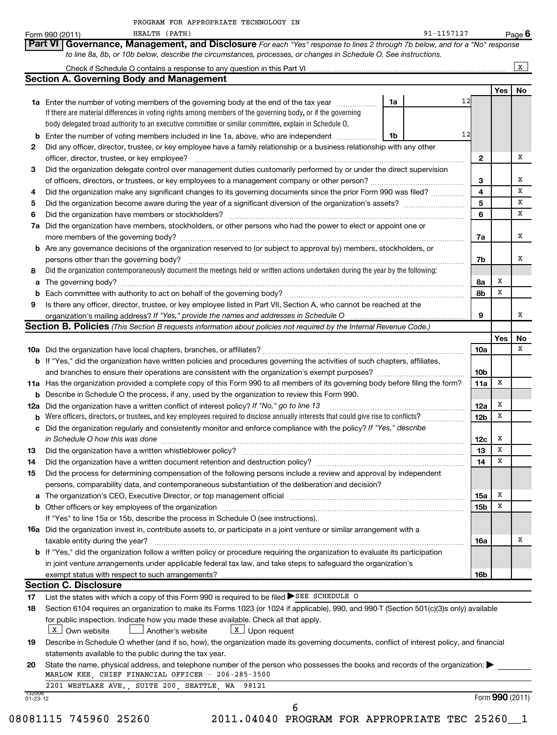|                          | HEALTH (PATH)<br>91-1157127<br>Form 990 (2011)                                                                                                                                                                                                                                                                                                                                         |                 |                 | Page 6       |
|--------------------------|----------------------------------------------------------------------------------------------------------------------------------------------------------------------------------------------------------------------------------------------------------------------------------------------------------------------------------------------------------------------------------------|-----------------|-----------------|--------------|
|                          | Part VI<br>Governance, Management, and Disclosure For each "Yes" response to lines 2 through 7b below, and for a "No" response                                                                                                                                                                                                                                                         |                 |                 |              |
|                          | to line 8a, 8b, or 10b below, describe the circumstances, processes, or changes in Schedule O. See instructions.                                                                                                                                                                                                                                                                       |                 |                 |              |
|                          |                                                                                                                                                                                                                                                                                                                                                                                        |                 |                 | $\mathbf{x}$ |
|                          | <b>Section A. Governing Body and Management</b>                                                                                                                                                                                                                                                                                                                                        |                 |                 |              |
|                          |                                                                                                                                                                                                                                                                                                                                                                                        |                 | Yes             | No           |
|                          | 12<br>1a Enter the number of voting members of the governing body at the end of the tax year<br>1a                                                                                                                                                                                                                                                                                     |                 |                 |              |
|                          | If there are material differences in voting rights among members of the governing body, or if the governing                                                                                                                                                                                                                                                                            |                 |                 |              |
|                          | body delegated broad authority to an executive committee or similar committee, explain in Schedule O.                                                                                                                                                                                                                                                                                  |                 |                 |              |
| b                        | 12<br>Enter the number of voting members included in line 1a, above, who are independent<br>1b                                                                                                                                                                                                                                                                                         |                 |                 |              |
| 2                        | Did any officer, director, trustee, or key employee have a family relationship or a business relationship with any other                                                                                                                                                                                                                                                               |                 |                 |              |
|                          | officer, director, trustee, or key employee?<br>$\begin{bmatrix} \begin{bmatrix} 0 & 0 & 0 \\ 0 & 0 & 0 \\ 0 & 0 & 0 \\ 0 & 0 & 0 \\ 0 & 0 & 0 \\ 0 & 0 & 0 \\ 0 & 0 & 0 \\ 0 & 0 & 0 & 0 \\ 0 & 0 & 0 & 0 \\ 0 & 0 & 0 & 0 \\ 0 & 0 & 0 & 0 & 0 \\ 0 & 0 & 0 & 0 & 0 \\ 0 & 0 & 0 & 0 & 0 \\ 0 & 0 & 0 & 0 & 0 & 0 \\ 0 & 0 & 0 & 0 & 0 & 0 \\ 0 & 0 & 0 & 0 & 0 & 0 & 0 \\ 0 & 0 & $ | 2               |                 | x            |
| З                        | Did the organization delegate control over management duties customarily performed by or under the direct supervision                                                                                                                                                                                                                                                                  | 3               |                 | х            |
| 4                        | Did the organization make any significant changes to its governing documents since the prior Form 990 was filed?                                                                                                                                                                                                                                                                       | 4               |                 | X            |
| 5                        |                                                                                                                                                                                                                                                                                                                                                                                        | 5               |                 | х            |
| 6                        |                                                                                                                                                                                                                                                                                                                                                                                        | 6               |                 | х            |
| 7а                       | Did the organization have members, stockholders, or other persons who had the power to elect or appoint one or                                                                                                                                                                                                                                                                         |                 |                 |              |
|                          |                                                                                                                                                                                                                                                                                                                                                                                        | 7a              |                 | x            |
| b                        | Are any governance decisions of the organization reserved to (or subject to approval by) members, stockholders, or                                                                                                                                                                                                                                                                     |                 |                 |              |
|                          | persons other than the governing body?                                                                                                                                                                                                                                                                                                                                                 | 7b              |                 | х            |
| 8                        | Did the organization contemporaneously document the meetings held or written actions undertaken during the year by the following:                                                                                                                                                                                                                                                      |                 |                 |              |
| а                        |                                                                                                                                                                                                                                                                                                                                                                                        | 8a              | х               |              |
| b                        |                                                                                                                                                                                                                                                                                                                                                                                        | 8b              | х               |              |
| 9                        | Is there any officer, director, trustee, or key employee listed in Part VII, Section A, who cannot be reached at the                                                                                                                                                                                                                                                                   |                 |                 |              |
|                          |                                                                                                                                                                                                                                                                                                                                                                                        | 9               |                 | x            |
|                          | Section B. Policies (This Section B requests information about policies not required by the Internal Revenue Code.)                                                                                                                                                                                                                                                                    |                 |                 |              |
|                          |                                                                                                                                                                                                                                                                                                                                                                                        |                 | Yes             | No           |
|                          |                                                                                                                                                                                                                                                                                                                                                                                        | 10a             |                 | х            |
|                          | b If "Yes," did the organization have written policies and procedures governing the activities of such chapters, affiliates,                                                                                                                                                                                                                                                           |                 |                 |              |
|                          |                                                                                                                                                                                                                                                                                                                                                                                        | 10b             |                 |              |
|                          | 11a Has the organization provided a complete copy of this Form 990 to all members of its governing body before filing the form?                                                                                                                                                                                                                                                        | 11a             | x               |              |
|                          | <b>b</b> Describe in Schedule O the process, if any, used by the organization to review this Form 990.                                                                                                                                                                                                                                                                                 |                 |                 |              |
| 12a                      | Did the organization have a written conflict of interest policy? If "No," go to line 13                                                                                                                                                                                                                                                                                                | 12a             | х               |              |
| b                        | Were officers, directors, or trustees, and key employees required to disclose annually interests that could give rise to conflicts?                                                                                                                                                                                                                                                    | 12 <sub>b</sub> | Х               |              |
| c                        | Did the organization regularly and consistently monitor and enforce compliance with the policy? If "Yes," describe<br>in Schedule O how this was done                                                                                                                                                                                                                                  |                 | х               |              |
| 13                       | Did the organization have a written whistleblower policy?                                                                                                                                                                                                                                                                                                                              | 12c<br>13       | х               |              |
| 14                       |                                                                                                                                                                                                                                                                                                                                                                                        | 14              | Х               |              |
| 15                       | Did the process for determining compensation of the following persons include a review and approval by independent                                                                                                                                                                                                                                                                     |                 |                 |              |
|                          | persons, comparability data, and contemporaneous substantiation of the deliberation and decision?                                                                                                                                                                                                                                                                                      |                 |                 |              |
| a                        | The organization's CEO, Executive Director, or top management official manufactured content of the organization's CEO, Executive Director, or top management official manufactured content of the state of the state of the st                                                                                                                                                         | <b>15a</b>      | х               |              |
| b                        |                                                                                                                                                                                                                                                                                                                                                                                        | 15b             | х               |              |
|                          | If "Yes" to line 15a or 15b, describe the process in Schedule O (see instructions).                                                                                                                                                                                                                                                                                                    |                 |                 |              |
|                          | <b>16a</b> Did the organization invest in, contribute assets to, or participate in a joint venture or similar arrangement with a                                                                                                                                                                                                                                                       |                 |                 |              |
|                          | taxable entity during the year?                                                                                                                                                                                                                                                                                                                                                        | 16a             |                 | х            |
|                          | <b>b</b> If "Yes," did the organization follow a written policy or procedure requiring the organization to evaluate its participation                                                                                                                                                                                                                                                  |                 |                 |              |
|                          | in joint venture arrangements under applicable federal tax law, and take steps to safeguard the organization's                                                                                                                                                                                                                                                                         |                 |                 |              |
|                          | exempt status with respect to such arrangements?                                                                                                                                                                                                                                                                                                                                       | 16b             |                 |              |
|                          | <b>Section C. Disclosure</b>                                                                                                                                                                                                                                                                                                                                                           |                 |                 |              |
| 17                       | List the states with which a copy of this Form 990 is required to be filed ▶SEE SCHEDULE O                                                                                                                                                                                                                                                                                             |                 |                 |              |
| 18                       | Section 6104 requires an organization to make its Forms 1023 (or 1024 if applicable), 990, and 990-T (Section 501(c)(3)s only) available                                                                                                                                                                                                                                               |                 |                 |              |
|                          | for public inspection. Indicate how you made these available. Check all that apply.                                                                                                                                                                                                                                                                                                    |                 |                 |              |
|                          | $\lfloor x \rfloor$ Own website<br>$\boxed{\text{X}}$ Upon request<br>Another's website                                                                                                                                                                                                                                                                                                |                 |                 |              |
| 19                       | Describe in Schedule O whether (and if so, how), the organization made its governing documents, conflict of interest policy, and financial                                                                                                                                                                                                                                             |                 |                 |              |
|                          | statements available to the public during the tax year.                                                                                                                                                                                                                                                                                                                                |                 |                 |              |
| 20                       | State the name, physical address, and telephone number of the person who possesses the books and records of the organization:<br>MARLOW KEE, CHIEF FINANCIAL OFFICER - 206-285-3500                                                                                                                                                                                                    |                 |                 |              |
|                          | 2201 WESTLAKE AVE., SUITE 200, SEATTLE, WA 98121                                                                                                                                                                                                                                                                                                                                       |                 |                 |              |
| 132006<br>$01 - 23 - 12$ |                                                                                                                                                                                                                                                                                                                                                                                        |                 | Form 990 (2011) |              |
|                          | 6                                                                                                                                                                                                                                                                                                                                                                                      |                 |                 |              |
|                          |                                                                                                                                                                                                                                                                                                                                                                                        |                 |                 |              |

|  |  |  | 08081115 745960 2526 |  |
|--|--|--|----------------------|--|
|  |  |  |                      |  |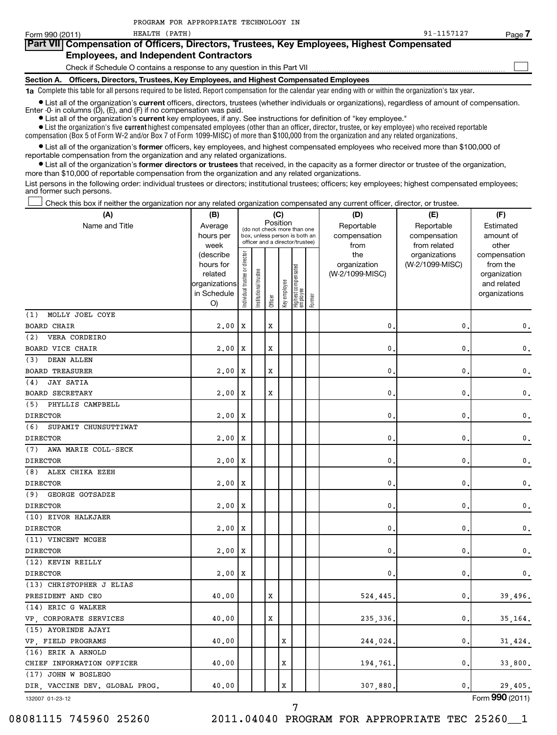**7**

| Part VII Compensation of Officers, Directors, Trustees, Key Employees, Highest Compensated |  |
|--------------------------------------------------------------------------------------------|--|
| <b>Employees, and Independent Contractors</b>                                              |  |
| Check if Schedule O contains a response to any question in this Part VII                   |  |

**Section A. Officers, Directors, Trustees, Key Employees, and Highest Compensated Employees**

**1a**  Complete this table for all persons required to be listed. Report compensation for the calendar year ending with or within the organization's tax year.

• List all of the organization's current officers, directors, trustees (whether individuals or organizations), regardless of amount of compensation. Enter -0- in columns  $(D)$ ,  $(E)$ , and  $(F)$  if no compensation was paid.

**•** List all of the organization's **current** key employees, if any. See instructions for definition of "key employee."

 $\bullet$  List the organization's five  $\tt current$  highest compensated employees (other than an officer, director, trustee, or key employee) who received reportable compensation (Box 5 of Form W-2 and/or Box 7 of Form 1099-MISC) of more than \$100,000 from the organization and any related organizations .

 $\bullet$  List all of the organization's former officers, key employees, and highest compensated employees who received more than \$100,000 of reportable compensation from the organization and any related organizations.

**•** List all of the organization's former directors or trustees that received, in the capacity as a former director or trustee of the organization, more than \$10,000 of reportable compensation from the organization and any related organizations.

List persons in the following order: individual trustees or directors; institutional trustees; officers; key employees; highest compensated employees; and former such persons.

Check this box if neither the organization nor any related organization compensated any current officer, director, or trustee.  $\left\vert \cdot\right\vert$ 

| (A)                            | (B)               |                     |                                                                  | (C)                                     |              |                                 |        | (D)             | (E)                           | (F)                   |
|--------------------------------|-------------------|---------------------|------------------------------------------------------------------|-----------------------------------------|--------------|---------------------------------|--------|-----------------|-------------------------------|-----------------------|
| Name and Title                 | Average           |                     |                                                                  | Position<br>(do not check more than one |              |                                 |        | Reportable      | Reportable                    | Estimated             |
|                                | hours per         |                     | box, unless person is both an<br>officer and a director/trustee) |                                         |              |                                 |        | compensation    | compensation                  | amount of             |
|                                | week<br>(describe |                     |                                                                  |                                         |              |                                 |        | from<br>the     | from related<br>organizations | other<br>compensation |
|                                | hours for         | trustee or director |                                                                  |                                         |              |                                 |        | organization    | (W-2/1099-MISC)               | from the              |
|                                | related           |                     |                                                                  |                                         |              |                                 |        | (W-2/1099-MISC) |                               | organization          |
|                                | organizations     |                     |                                                                  |                                         |              |                                 |        |                 |                               | and related           |
|                                | in Schedule       | Individual t        | Institutional trustee                                            | Officer                                 | Key employee | Highest compensated<br>employee | Former |                 |                               | organizations         |
| MOLLY JOEL COYE<br>(1)         | O)                |                     |                                                                  |                                         |              |                                 |        |                 |                               |                       |
| <b>BOARD CHAIR</b>             | 2,00              | X                   |                                                                  | $\mathbf x$                             |              |                                 |        | 0.              | 0                             | 0.                    |
| (2) VERA CORDEIRO              |                   |                     |                                                                  |                                         |              |                                 |        |                 |                               |                       |
| BOARD VICE CHAIR               | 2,00              | X                   |                                                                  | $\mathbf x$                             |              |                                 |        | 0               | 0                             | 0.                    |
| <b>DEAN ALLEN</b><br>(3)       |                   |                     |                                                                  |                                         |              |                                 |        |                 |                               |                       |
| <b>BOARD TREASURER</b>         | 2,00              | X                   |                                                                  | X                                       |              |                                 |        | 0               | 0                             | 0.                    |
| JAY SATIA<br>(4)               |                   |                     |                                                                  |                                         |              |                                 |        |                 |                               |                       |
| <b>BOARD SECRETARY</b>         | 2,00              | X                   |                                                                  | X                                       |              |                                 |        | 0.              | 0.                            | 0.                    |
| (5) PHYLLIS CAMPBELL           |                   |                     |                                                                  |                                         |              |                                 |        |                 |                               |                       |
| <b>DIRECTOR</b>                | 2,00              | х                   |                                                                  |                                         |              |                                 |        | 0.              | 0                             | 0.                    |
| (6)<br>SUPAMIT CHUNSUTTIWAT    |                   |                     |                                                                  |                                         |              |                                 |        |                 |                               |                       |
| <b>DIRECTOR</b>                | 2,00              | X                   |                                                                  |                                         |              |                                 |        | 0               | 0                             | 0.                    |
| AWA MARIE COLL-SECK<br>(7)     |                   |                     |                                                                  |                                         |              |                                 |        |                 |                               |                       |
| <b>DIRECTOR</b>                | 2,00              | X                   |                                                                  |                                         |              |                                 |        | $\mathbf{0}$ .  | 0                             | 0.                    |
| (8) ALEX CHIKA EZEH            |                   |                     |                                                                  |                                         |              |                                 |        |                 |                               |                       |
| <b>DIRECTOR</b>                | 2,00              | X                   |                                                                  |                                         |              |                                 |        | $\mathbf 0$ .   | 0                             | 0.                    |
| (9)<br>GEORGE GOTSADZE         |                   |                     |                                                                  |                                         |              |                                 |        |                 |                               |                       |
| <b>DIRECTOR</b>                | 2,00              | X                   |                                                                  |                                         |              |                                 |        | $\mathbf{0}$ .  | 0                             | 0.                    |
| (10) EIVOR HALKJAER            |                   |                     |                                                                  |                                         |              |                                 |        |                 |                               |                       |
| <b>DIRECTOR</b>                | 2.00              | X                   |                                                                  |                                         |              |                                 |        | 0               | 0                             | $\mathbf 0$ .         |
| (11) VINCENT MCGEE             |                   |                     |                                                                  |                                         |              |                                 |        |                 |                               |                       |
| <b>DIRECTOR</b>                | 2,00              | X                   |                                                                  |                                         |              |                                 |        | $\mathbf{0}$    | 0                             | $\mathbf 0$ .         |
| (12) KEVIN REILLY              |                   |                     |                                                                  |                                         |              |                                 |        |                 |                               |                       |
| <b>DIRECTOR</b>                | 2,00              | X                   |                                                                  |                                         |              |                                 |        | 0.              | 0.                            | 0.                    |
| (13) CHRISTOPHER J ELIAS       |                   |                     |                                                                  |                                         |              |                                 |        |                 |                               |                       |
| PRESIDENT AND CEO              | 40.00             |                     |                                                                  | X                                       |              |                                 |        | 524, 445.       | 0.                            | 39,496.               |
| (14) ERIC G WALKER             |                   |                     |                                                                  |                                         |              |                                 |        |                 |                               |                       |
| VP, CORPORATE SERVICES         | 40.00             |                     |                                                                  | X                                       |              |                                 |        | 235,336.        | 0                             | 35,164.               |
| (15) AYORINDE AJAYI            |                   |                     |                                                                  |                                         |              |                                 |        |                 |                               |                       |
| VP, FIELD PROGRAMS             | 40.00             |                     |                                                                  |                                         | X            |                                 |        | 244,024.        | 0.                            | 31,424.               |
| (16) ERIK A ARNOLD             |                   |                     |                                                                  |                                         |              |                                 |        |                 |                               |                       |
| CHIEF INFORMATION OFFICER      | 40.00             |                     |                                                                  |                                         | $\mathbf x$  |                                 |        | 194,761.        | 0.                            | 33,800.               |
| (17) JOHN W BOSLEGO            |                   |                     |                                                                  |                                         |              |                                 |        |                 |                               |                       |
| DIR, VACCINE DEV. GLOBAL PROG. | 40.00             |                     |                                                                  |                                         | $\mathbf x$  |                                 |        | 307,880         | $\mathbf{0}$ .                | 29,405.               |
| 132007 01-23-12                |                   |                     |                                                                  |                                         |              |                                 |        |                 |                               | Form 990 (2011)       |

7

132007 01-23-12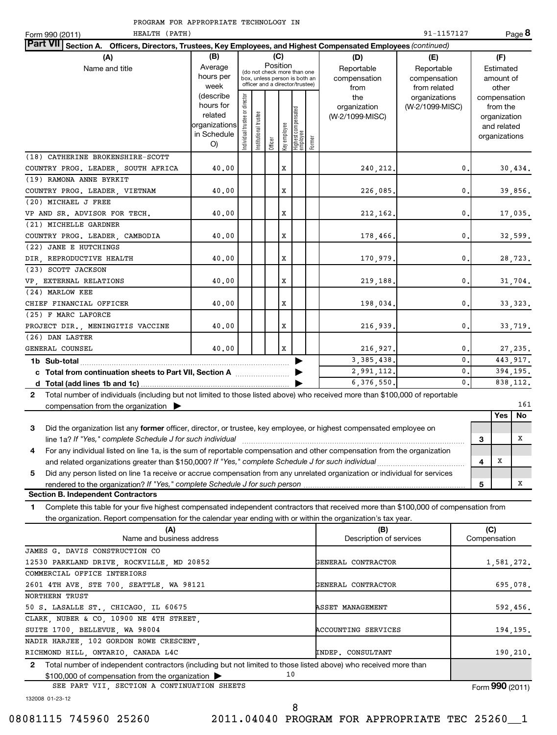| HEALTH (PATH)<br>Form 990 (2011)                                                                                                           |                        |                     |                       |          |              |                                                                  |        |                                 | 91-1157127      |         |         |                          | Page 8    |
|--------------------------------------------------------------------------------------------------------------------------------------------|------------------------|---------------------|-----------------------|----------|--------------|------------------------------------------------------------------|--------|---------------------------------|-----------------|---------|---------|--------------------------|-----------|
| <b>Part VII</b><br>Section A. Officers, Directors, Trustees, Key Employees, and Highest Compensated Employees (continued)                  |                        |                     |                       |          |              |                                                                  |        |                                 |                 |         |         |                          |           |
| (A)                                                                                                                                        | (B)                    |                     |                       |          | (C)          |                                                                  |        | (D)                             | (E)             |         |         | (F)                      |           |
| Name and title                                                                                                                             | Average                |                     |                       | Position |              | (do not check more than one                                      |        | Reportable                      | Reportable      |         |         | Estimated                |           |
|                                                                                                                                            | hours per              |                     |                       |          |              | box, unless person is both an<br>officer and a director/trustee) |        | compensation                    | compensation    |         |         | amount of                |           |
|                                                                                                                                            | week                   |                     |                       |          |              |                                                                  |        | from                            | from related    |         |         | other                    |           |
|                                                                                                                                            | (describe<br>hours for |                     |                       |          |              |                                                                  |        | the                             | organizations   |         |         | compensation             |           |
|                                                                                                                                            | related                |                     |                       |          |              |                                                                  |        | organization<br>(W-2/1099-MISC) | (W-2/1099-MISC) |         |         | from the<br>organization |           |
|                                                                                                                                            | organizations          | trustee or director |                       |          |              |                                                                  |        |                                 |                 |         |         | and related              |           |
|                                                                                                                                            | in Schedule            |                     | Institutional trustee |          | Key employee |                                                                  |        |                                 |                 |         |         | organizations            |           |
|                                                                                                                                            | O)                     | Individual          |                       | Officer  |              | Highest compensated<br> employee                                 | Former |                                 |                 |         |         |                          |           |
| (18) CATHERINE BROKENSHIRE-SCOTT                                                                                                           |                        |                     |                       |          |              |                                                                  |        |                                 |                 |         |         |                          |           |
| COUNTRY PROG. LEADER, SOUTH AFRICA                                                                                                         | 40.00                  |                     |                       |          | x            |                                                                  |        | 240, 212.                       |                 | 0.      |         |                          | 30,434.   |
| (19) RAMONA ANNE BYRKIT                                                                                                                    |                        |                     |                       |          |              |                                                                  |        |                                 |                 |         |         |                          |           |
| COUNTRY PROG. LEADER, VIETNAM                                                                                                              | 40.00                  |                     |                       |          | x            |                                                                  |        | 226,085.                        |                 | 0.      |         |                          | 39,856.   |
| (20) MICHAEL J FREE                                                                                                                        |                        |                     |                       |          |              |                                                                  |        |                                 |                 |         |         |                          |           |
| VP AND SR. ADVISOR FOR TECH.                                                                                                               | 40.00                  |                     |                       |          | x            |                                                                  |        | 212,162.                        |                 | 0.      |         |                          | 17,035.   |
| (21) MICHELLE GARDNER                                                                                                                      |                        |                     |                       |          |              |                                                                  |        |                                 |                 |         |         |                          |           |
| COUNTRY PROG. LEADER, CAMBODIA                                                                                                             | 40.00                  |                     |                       |          | x            |                                                                  |        | 178,466.                        |                 | 0.      |         |                          | 32,599.   |
| (22) JANE E HUTCHINGS                                                                                                                      |                        |                     |                       |          |              |                                                                  |        |                                 |                 |         |         |                          |           |
| DIR, REPRODUCTIVE HEALTH<br>40.00<br>X<br>170,979.<br>0.                                                                                   |                        |                     |                       |          |              |                                                                  |        |                                 |                 |         | 28,723. |                          |           |
| (23) SCOTT JACKSON                                                                                                                         |                        |                     |                       |          |              |                                                                  |        |                                 |                 |         |         |                          |           |
| VP, EXTERNAL RELATIONS<br>40.00<br>X<br>0.<br>219,188.                                                                                     |                        |                     |                       |          |              |                                                                  |        |                                 |                 | 31,704. |         |                          |           |
| (24) MARLOW KEE                                                                                                                            |                        |                     |                       |          |              |                                                                  |        |                                 |                 |         |         |                          |           |
| CHIEF FINANCIAL OFFICER                                                                                                                    | 40.00                  |                     |                       |          | x            |                                                                  |        | 198,034.                        |                 | 0.      |         |                          | 33, 323.  |
| (25) F MARC LAFORCE                                                                                                                        |                        |                     |                       |          |              |                                                                  |        |                                 |                 |         |         |                          |           |
| PROJECT DIR., MENINGITIS VACCINE                                                                                                           | 40.00                  |                     |                       |          | x            |                                                                  |        | 216,939.                        |                 | 0.      |         |                          | 33,719.   |
| (26) DAN LASTER                                                                                                                            |                        |                     |                       |          |              |                                                                  |        |                                 |                 |         |         |                          |           |
| GENERAL COUNSEL                                                                                                                            | 40.00                  |                     |                       |          | x            |                                                                  |        | 216,927.                        |                 | 0.      |         |                          | 27,235.   |
| 1b Sub-total                                                                                                                               |                        |                     |                       |          |              |                                                                  |        | 3, 385, 438.                    |                 | 0.      |         |                          | 443, 917. |
| c Total from continuation sheets to Part VII, Section A                                                                                    |                        |                     |                       |          |              |                                                                  |        | 2,991,112.                      |                 | 0.      |         |                          | 394,195.  |
|                                                                                                                                            |                        |                     |                       |          |              |                                                                  |        | 6, 376, 550.                    |                 | 0.      |         |                          | 838, 112. |
| 2 Total number of individuals (including but not limited to those listed above) who received more than \$100,000 of reportable             |                        |                     |                       |          |              |                                                                  |        |                                 |                 |         |         |                          |           |
| compensation from the organization $\blacktriangleright$                                                                                   |                        |                     |                       |          |              |                                                                  |        |                                 |                 |         |         |                          | 161       |
|                                                                                                                                            |                        |                     |                       |          |              |                                                                  |        |                                 |                 |         |         | Yes                      | No        |
| 3<br>Did the organization list any former officer, director, or trustee, key employee, or highest compensated employee on                  |                        |                     |                       |          |              |                                                                  |        |                                 |                 |         |         |                          |           |
| line 1a? If "Yes," complete Schedule J for such individual                                                                                 |                        |                     |                       |          |              |                                                                  |        |                                 |                 |         | 3       |                          | x         |
| For any individual listed on line 1a, is the sum of reportable compensation and other compensation from the organization<br>4              |                        |                     |                       |          |              |                                                                  |        |                                 |                 |         |         |                          |           |
| and related organizations greater than \$150,000? If "Yes," complete Schedule J for such individual                                        |                        |                     |                       |          |              |                                                                  |        |                                 |                 |         | 4       | х                        |           |
| Did any person listed on line 1a receive or accrue compensation from any unrelated organization or individual for services<br>5            |                        |                     |                       |          |              |                                                                  |        |                                 |                 |         |         |                          |           |
| rendered to the organization? If "Yes," complete Schedule J for such person<br><b>Section B. Independent Contractors</b>                   |                        |                     |                       |          |              |                                                                  |        |                                 |                 |         | 5       |                          | х         |
|                                                                                                                                            |                        |                     |                       |          |              |                                                                  |        |                                 |                 |         |         |                          |           |
| Complete this table for your five highest compensated independent contractors that received more than \$100,000 of compensation from<br>1. |                        |                     |                       |          |              |                                                                  |        |                                 |                 |         |         |                          |           |
| the organization. Report compensation for the calendar year ending with or within the organization's tax year.                             |                        |                     |                       |          |              |                                                                  |        |                                 |                 |         |         |                          |           |
| (A)<br>Name and business address                                                                                                           |                        |                     |                       |          |              |                                                                  |        | (B)<br>Description of services  |                 |         | (C)     | Compensation             |           |
| DAIILA COMOPPHOPION OC                                                                                                                     |                        |                     |                       |          |              |                                                                  |        |                                 |                 |         |         |                          |           |

| Name and business address                                                                                                        | Description of services    | Compensation    |
|----------------------------------------------------------------------------------------------------------------------------------|----------------------------|-----------------|
| JAMES G. DAVIS CONSTRUCTION CO                                                                                                   |                            |                 |
| 12530 PARKLAND DRIVE, ROCKVILLE, MD 20852                                                                                        | GENERAL CONTRACTOR         | 1,581,272.      |
| COMMERCIAL OFFICE INTERIORS                                                                                                      |                            |                 |
| 2601 4TH AVE, STE 700, SEATTLE, WA 98121                                                                                         | GENERAL CONTRACTOR         | 695,078.        |
| NORTHERN TRUST                                                                                                                   |                            |                 |
| 50 S. LASALLE ST., CHICAGO, IL 60675                                                                                             | <b>ASSET MANAGEMENT</b>    | 592.456.        |
| CLARK, NUBER & CO, 10900 NE 4TH STREET,                                                                                          |                            |                 |
| SUITE 1700, BELLEVUE, WA 98004                                                                                                   | <b>ACCOUNTING SERVICES</b> | 194,195.        |
| NADIR HARJEE, 102 GORDON ROWE CRESCENT,                                                                                          |                            |                 |
| RICHMOND HILL, ONTARIO, CANADA L4C                                                                                               | INDEP. CONSULTANT          | 190,210.        |
| Total number of independent contractors (including but not limited to those listed above) who received more than<br>$\mathbf{2}$ |                            |                 |
| 10<br>$$100,000$ of compensation from the organization $\blacktriangleright$                                                     |                            |                 |
| SEE PART VII, SECTION A CONTINUATION SHEETS                                                                                      |                            | Form 990 (2011) |

132008 01-23-12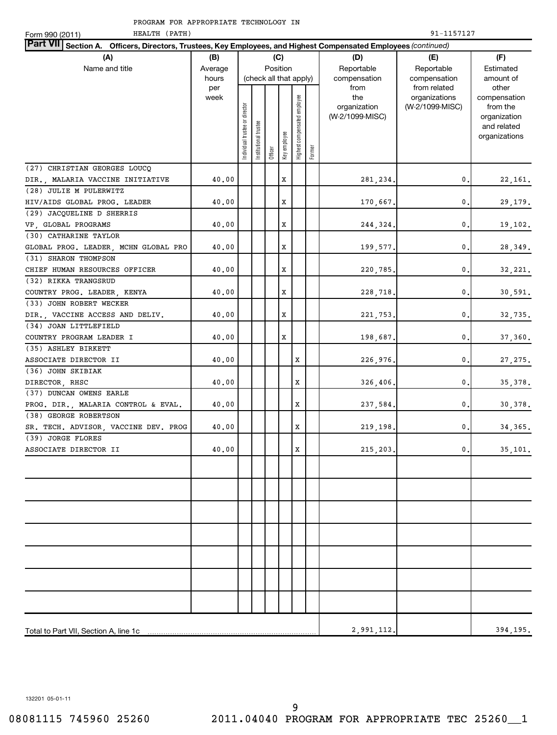| Part VII Section A. Officers, Directors, Trustees, Key Employees, and Highest Compensated Employees (continued) |             |                                |                       |         |                        |                              |        |                 |                               |                       |
|-----------------------------------------------------------------------------------------------------------------|-------------|--------------------------------|-----------------------|---------|------------------------|------------------------------|--------|-----------------|-------------------------------|-----------------------|
| (A)                                                                                                             | (B)         |                                |                       |         | (C)                    |                              |        | (D)             | (E)                           | (F)                   |
| Name and title                                                                                                  | Average     |                                |                       |         | Position               |                              |        | Reportable      | Reportable                    | Estimated             |
|                                                                                                                 | hours       |                                |                       |         | (check all that apply) |                              |        | compensation    | compensation                  | amount of             |
|                                                                                                                 | per<br>week |                                |                       |         |                        |                              |        | from<br>the     | from related<br>organizations | other<br>compensation |
|                                                                                                                 |             |                                |                       |         |                        |                              |        | organization    | (W-2/1099-MISC)               | from the              |
|                                                                                                                 |             |                                |                       |         |                        |                              |        | (W-2/1099-MISC) |                               | organization          |
|                                                                                                                 |             |                                |                       |         |                        |                              |        |                 |                               | and related           |
|                                                                                                                 |             |                                |                       |         |                        |                              |        |                 |                               | organizations         |
|                                                                                                                 |             | Individual trustee or director | Institutional trustee | Officer | Key employee           | Highest compensated employee | Former |                 |                               |                       |
| (27) CHRISTIAN GEORGES LOUCQ                                                                                    |             |                                |                       |         |                        |                              |        |                 |                               |                       |
| DIR., MALARIA VACCINE INITIATIVE                                                                                | 40.00       |                                |                       |         | x                      |                              |        | 281, 234.       | 0.                            | 22,161.               |
| (28) JULIE M PULERWITZ                                                                                          |             |                                |                       |         |                        |                              |        |                 |                               |                       |
| HIV/AIDS GLOBAL PROG. LEADER                                                                                    | 40.00       |                                |                       |         | x                      |                              |        | 170,667.        | 0.                            | 29,179.               |
| (29) JACQUELINE D SHERRIS                                                                                       |             |                                |                       |         |                        |                              |        |                 |                               |                       |
| VP, GLOBAL PROGRAMS                                                                                             | 40.00       |                                |                       |         | x                      |                              |        | 244,324.        | 0.                            | 19, 102.              |
| (30) CATHARINE TAYLOR                                                                                           |             |                                |                       |         |                        |                              |        |                 |                               |                       |
| GLOBAL PROG. LEADER, MCHN GLOBAL PRO                                                                            | 40.00       |                                |                       |         | х                      |                              |        | 199,577.        | 0.                            | 28,349.               |
| (31) SHARON THOMPSON                                                                                            |             |                                |                       |         |                        |                              |        |                 |                               |                       |
| CHIEF HUMAN RESOURCES OFFICER                                                                                   | 40.00       |                                |                       |         | х                      |                              |        | 220,785.        | 0.                            | 32, 221.              |
| (32) RIKKA TRANGSRUD                                                                                            |             |                                |                       |         |                        |                              |        |                 |                               |                       |
| COUNTRY PROG. LEADER, KENYA                                                                                     | 40.00       |                                |                       |         | х                      |                              |        | 228,718.        | 0.                            | 30,591.               |
| (33) JOHN ROBERT WECKER                                                                                         |             |                                |                       |         |                        |                              |        |                 |                               |                       |
| DIR., VACCINE ACCESS AND DELIV.                                                                                 | 40.00       |                                |                       |         | x                      |                              |        | 221,753.        | 0.                            | 32,735.               |
| (34) JOAN LITTLEFIELD                                                                                           |             |                                |                       |         |                        |                              |        |                 |                               |                       |
| COUNTRY PROGRAM LEADER I                                                                                        | 40.00       |                                |                       |         | x                      |                              |        | 198,687.        | 0.                            | 37,360.               |
| (35) ASHLEY BIRKETT                                                                                             |             |                                |                       |         |                        |                              |        |                 |                               |                       |
| ASSOCIATE DIRECTOR II                                                                                           | 40.00       |                                |                       |         |                        | х                            |        | 226,976.        | 0.                            | 27, 275.              |
| (36) JOHN SKIBIAK                                                                                               |             |                                |                       |         |                        |                              |        |                 |                               |                       |
| DIRECTOR, RHSC                                                                                                  | 40.00       |                                |                       |         |                        | х                            |        | 326,406.        | 0.                            | 35, 378.              |
| (37) DUNCAN OWENS EARLE                                                                                         |             |                                |                       |         |                        |                              |        |                 |                               |                       |
| PROG. DIR., MALARIA CONTROL & EVAL.                                                                             | 40.00       |                                |                       |         |                        | х                            |        | 237,584.        | 0.                            | 30,378.               |
| (38) GEORGE ROBERTSON                                                                                           |             |                                |                       |         |                        |                              |        |                 |                               |                       |
| SR. TECH. ADVISOR, VACCINE DEV. PROG                                                                            | 40.00       |                                |                       |         |                        | х                            |        | 219,198.        | 0.                            | 34, 365.              |
| (39) JORGE FLORES                                                                                               |             |                                |                       |         |                        |                              |        |                 |                               |                       |
| ASSOCIATE DIRECTOR II                                                                                           | 40.00       |                                |                       |         |                        | X                            |        | 215,203.        | 0.                            | 35,101.               |
|                                                                                                                 |             |                                |                       |         |                        |                              |        |                 |                               |                       |
|                                                                                                                 |             |                                |                       |         |                        |                              |        |                 |                               |                       |
|                                                                                                                 |             |                                |                       |         |                        |                              |        |                 |                               |                       |
|                                                                                                                 |             |                                |                       |         |                        |                              |        |                 |                               |                       |
|                                                                                                                 |             |                                |                       |         |                        |                              |        |                 |                               |                       |
|                                                                                                                 |             |                                |                       |         |                        |                              |        |                 |                               |                       |
|                                                                                                                 |             |                                |                       |         |                        |                              |        |                 |                               |                       |
|                                                                                                                 |             |                                |                       |         |                        |                              |        |                 |                               |                       |
|                                                                                                                 |             |                                |                       |         |                        |                              |        |                 |                               |                       |
|                                                                                                                 |             |                                |                       |         |                        |                              |        |                 |                               |                       |
|                                                                                                                 |             |                                |                       |         |                        |                              |        |                 |                               |                       |
|                                                                                                                 |             |                                |                       |         |                        |                              |        |                 |                               |                       |
|                                                                                                                 |             |                                |                       |         |                        |                              |        |                 |                               |                       |
|                                                                                                                 |             |                                |                       |         |                        |                              |        |                 |                               |                       |
|                                                                                                                 |             |                                |                       |         |                        |                              |        | 2,991,112.      |                               | 394,195.              |
|                                                                                                                 |             |                                |                       |         |                        |                              |        |                 |                               |                       |

Form 990 (2011)

HEALTH (PATH) 91-1157127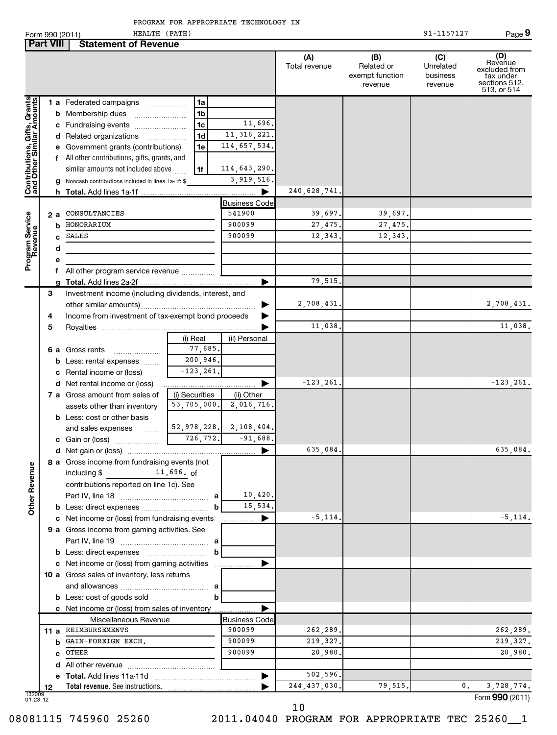|  |  |  | PROGRAM FOR APPROPRIATE TECHNOLOGY IN |  |  |
|--|--|--|---------------------------------------|--|--|
|--|--|--|---------------------------------------|--|--|

|                                                           |        |                                                                                | HEALTH (PATH)<br>Form 990 (2011)                                                                |                |                           |                              |                                                 | 91-1157127                              | Page 9                                                                       |
|-----------------------------------------------------------|--------|--------------------------------------------------------------------------------|-------------------------------------------------------------------------------------------------|----------------|---------------------------|------------------------------|-------------------------------------------------|-----------------------------------------|------------------------------------------------------------------------------|
| <b>Part VIII</b>                                          |        |                                                                                | <b>Statement of Revenue</b>                                                                     |                |                           |                              |                                                 |                                         |                                                                              |
|                                                           |        |                                                                                |                                                                                                 |                |                           | (A)<br>Total revenue         | (B)<br>Related or<br>exempt function<br>revenue | (C)<br>Unrelated<br>business<br>revenue | (D)<br>Revenue<br>excluded from<br>tax under<br>sections 512,<br>513, or 514 |
| Contributions, Gifts, Grants<br>and Other Similar Amounts |        |                                                                                | 1 a Federated campaigns                                                                         | 1a             |                           |                              |                                                 |                                         |                                                                              |
|                                                           |        |                                                                                | <b>b</b> Membership dues                                                                        | 1 <sub>b</sub> |                           |                              |                                                 |                                         |                                                                              |
|                                                           |        |                                                                                | c Fundraising events                                                                            | 1c             | 11,696.                   |                              |                                                 |                                         |                                                                              |
|                                                           |        |                                                                                | d Related organizations                                                                         | 1d<br>.        | 11, 316, 221.             |                              |                                                 |                                         |                                                                              |
|                                                           |        |                                                                                | e Government grants (contributions)                                                             | 1e             | 114,657,534.              |                              |                                                 |                                         |                                                                              |
|                                                           |        |                                                                                | f All other contributions, gifts, grants, and                                                   |                |                           |                              |                                                 |                                         |                                                                              |
|                                                           |        |                                                                                | similar amounts not included above                                                              | 1f             | 114,643,290.              |                              |                                                 |                                         |                                                                              |
|                                                           |        |                                                                                | g Noncash contributions included in lines 1a-1f: \$                                             |                | 3,919,516.                |                              |                                                 |                                         |                                                                              |
|                                                           |        |                                                                                |                                                                                                 |                | ▶                         | 240,628,741.                 |                                                 |                                         |                                                                              |
|                                                           |        |                                                                                |                                                                                                 |                | <b>Business Code</b>      |                              |                                                 |                                         |                                                                              |
|                                                           |        | 2а                                                                             | CONSULTANCIES                                                                                   |                | 541900                    | 39,697.                      | 39,697.                                         |                                         |                                                                              |
| Program Service<br>Revenue                                |        | b                                                                              | HONORARIUM                                                                                      |                | 900099                    | 27,475.                      | 27,475.                                         |                                         |                                                                              |
|                                                           |        | c                                                                              | SALES                                                                                           |                | 900099                    | 12,343.                      | 12,343.                                         |                                         |                                                                              |
|                                                           |        | d                                                                              |                                                                                                 |                |                           |                              |                                                 |                                         |                                                                              |
|                                                           |        | е                                                                              |                                                                                                 |                |                           |                              |                                                 |                                         |                                                                              |
|                                                           |        |                                                                                | f All other program service revenue                                                             |                |                           |                              |                                                 |                                         |                                                                              |
|                                                           |        |                                                                                |                                                                                                 |                | ▶                         | 79,515.                      |                                                 |                                         |                                                                              |
|                                                           | 3      |                                                                                | Investment income (including dividends, interest, and                                           |                |                           | 2,708,431.                   |                                                 |                                         | 2,708,431.                                                                   |
|                                                           |        |                                                                                | Income from investment of tax-exempt bond proceeds                                              |                |                           |                              |                                                 |                                         |                                                                              |
|                                                           | 4<br>5 |                                                                                |                                                                                                 |                |                           | 11,038.                      |                                                 |                                         | 11,038.                                                                      |
|                                                           |        |                                                                                |                                                                                                 | (i) Real       | (ii) Personal             |                              |                                                 |                                         |                                                                              |
|                                                           |        |                                                                                |                                                                                                 | 77,685.        |                           |                              |                                                 |                                         |                                                                              |
|                                                           |        | 6 a Gross rents<br><b>b</b> Less: rental expenses<br>c Rental income or (loss) |                                                                                                 | 200,946.       |                           |                              |                                                 |                                         |                                                                              |
|                                                           |        |                                                                                |                                                                                                 | $-123, 261$    |                           |                              |                                                 |                                         |                                                                              |
|                                                           |        |                                                                                | d Net rental income or (loss)                                                                   |                | ▶                         | $-123, 261.$                 |                                                 |                                         | $-123, 261.$                                                                 |
|                                                           |        |                                                                                | 7 a Gross amount from sales of                                                                  | (i) Securities | (ii) Other                |                              |                                                 |                                         |                                                                              |
|                                                           |        |                                                                                | assets other than inventory                                                                     | 53,705,000.    | 2,016,716.                |                              |                                                 |                                         |                                                                              |
|                                                           |        |                                                                                | <b>b</b> Less: cost or other basis                                                              |                |                           |                              |                                                 |                                         |                                                                              |
|                                                           |        |                                                                                | and sales expenses                                                                              |                | $52,978,228$ . 2,108,404. |                              |                                                 |                                         |                                                                              |
|                                                           |        |                                                                                | c Gain or (loss)                                                                                | 726,772.       | $-91,688.$                |                              |                                                 |                                         |                                                                              |
|                                                           |        |                                                                                |                                                                                                 |                |                           | 635,084.                     |                                                 |                                         | 635,084.                                                                     |
|                                                           |        |                                                                                | 8 a Gross income from fundraising events (not                                                   |                |                           |                              |                                                 |                                         |                                                                              |
| <b>Other Revenue</b>                                      |        |                                                                                | $11,696.$ of<br>including \$                                                                    |                |                           |                              |                                                 |                                         |                                                                              |
|                                                           |        |                                                                                | contributions reported on line 1c). See                                                         |                |                           |                              |                                                 |                                         |                                                                              |
|                                                           |        |                                                                                |                                                                                                 | a              | 10,420.                   |                              |                                                 |                                         |                                                                              |
|                                                           |        |                                                                                |                                                                                                 | b              | 15,534.                   |                              |                                                 |                                         |                                                                              |
|                                                           |        |                                                                                | c Net income or (loss) from fundraising events                                                  |                | ▶                         | $-5, 114.$                   |                                                 |                                         | $-5, 114.$                                                                   |
|                                                           |        |                                                                                | 9 a Gross income from gaming activities. See                                                    |                |                           |                              |                                                 |                                         |                                                                              |
|                                                           |        |                                                                                |                                                                                                 |                |                           |                              |                                                 |                                         |                                                                              |
|                                                           |        |                                                                                | <b>b</b> Less: direct expenses <b>manually</b><br>c Net income or (loss) from gaming activities | b              |                           |                              |                                                 |                                         |                                                                              |
|                                                           |        |                                                                                | 10 a Gross sales of inventory, less returns                                                     |                |                           |                              |                                                 |                                         |                                                                              |
|                                                           |        |                                                                                |                                                                                                 |                |                           |                              |                                                 |                                         |                                                                              |
|                                                           |        |                                                                                |                                                                                                 | b              |                           |                              |                                                 |                                         |                                                                              |
|                                                           |        |                                                                                | c Net income or (loss) from sales of inventory                                                  |                |                           |                              |                                                 |                                         |                                                                              |
|                                                           |        |                                                                                | Miscellaneous Revenue                                                                           |                | <b>Business Code</b>      |                              |                                                 |                                         |                                                                              |
|                                                           |        |                                                                                | 11 a REIMBURSEMENTS                                                                             |                | 900099                    | 262,289.                     |                                                 |                                         | 262,289.                                                                     |
|                                                           |        |                                                                                | <b>b</b> GAIN-FOREIGN EXCH.                                                                     |                | 900099                    | 219, 327.                    |                                                 |                                         | 219, 327.                                                                    |
|                                                           |        |                                                                                | c OTHER                                                                                         |                | 900099                    | 20,980.                      |                                                 |                                         | 20,980.                                                                      |
|                                                           |        |                                                                                |                                                                                                 |                |                           |                              |                                                 |                                         |                                                                              |
|                                                           |        |                                                                                |                                                                                                 |                | ▶                         | 502,596.                     |                                                 |                                         |                                                                              |
|                                                           | 12     |                                                                                |                                                                                                 |                |                           | $\overline{244}$ , 437, 030. | 79,515.                                         | 0.                                      | $\overline{3}$ , 728, 774.                                                   |
| 132009<br>$01 - 23 - 12$                                  |        |                                                                                |                                                                                                 |                |                           |                              |                                                 |                                         | Form 990 (2011)                                                              |

08081115 745960 25260 2011.04040 PROGRAM FOR APPROPRIATE TEC 25260\_\_1

10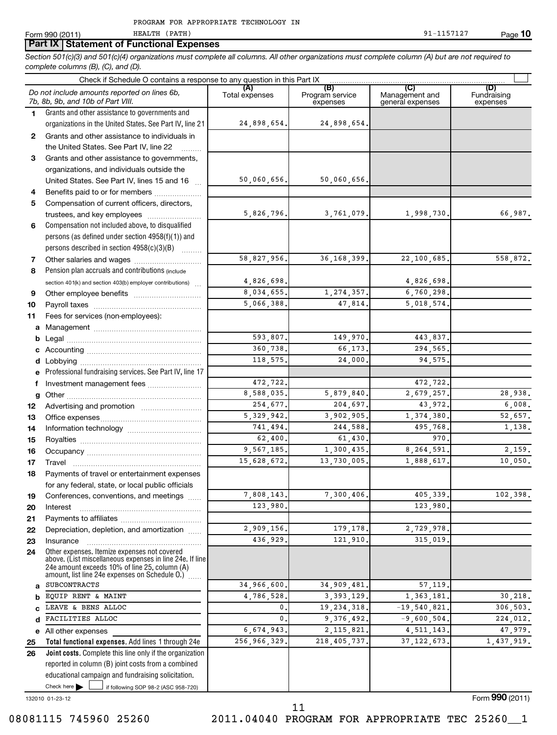**Part IX Statement of Functional Expenses**

*Section 501(c)(3) and 501(c)(4) organizations must complete all columns. All other organizations must complete column (A) but are not required to complete columns (B), (C), and (D).*

|         | Check if Schedule O contains a response to any question in this Part IX                                                                                                                                     |                            |                                    |                                           |                                |
|---------|-------------------------------------------------------------------------------------------------------------------------------------------------------------------------------------------------------------|----------------------------|------------------------------------|-------------------------------------------|--------------------------------|
|         | Do not include amounts reported on lines 6b,<br>7b, 8b, 9b, and 10b of Part VIII.                                                                                                                           | Total expenses             | (B)<br>Program service<br>expenses | (C)<br>Management and<br>general expenses | (D)<br>Fundraising<br>expenses |
| 1.      | Grants and other assistance to governments and                                                                                                                                                              |                            |                                    |                                           |                                |
|         | organizations in the United States. See Part IV, line 21                                                                                                                                                    | 24,898,654.                | 24,898,654.                        |                                           |                                |
| 2       | Grants and other assistance to individuals in                                                                                                                                                               |                            |                                    |                                           |                                |
|         | the United States. See Part IV, line 22                                                                                                                                                                     |                            |                                    |                                           |                                |
| 3       | Grants and other assistance to governments,                                                                                                                                                                 |                            |                                    |                                           |                                |
|         | organizations, and individuals outside the                                                                                                                                                                  |                            |                                    |                                           |                                |
|         | United States. See Part IV, lines 15 and 16                                                                                                                                                                 | 50,060,656.                | 50,060,656.                        |                                           |                                |
| 4       | Benefits paid to or for members                                                                                                                                                                             |                            |                                    |                                           |                                |
| 5       | Compensation of current officers, directors,                                                                                                                                                                |                            |                                    |                                           |                                |
|         | trustees, and key employees                                                                                                                                                                                 | 5,826,796.                 | 3,761,079.                         | 1,998,730.                                | 66,987.                        |
| 6       | Compensation not included above, to disqualified                                                                                                                                                            |                            |                                    |                                           |                                |
|         | persons (as defined under section 4958(f)(1)) and                                                                                                                                                           |                            |                                    |                                           |                                |
|         | persons described in section 4958(c)(3)(B)                                                                                                                                                                  |                            |                                    |                                           |                                |
| 7       | Other salaries and wages                                                                                                                                                                                    | 58,827,956.                | 36, 168, 399.                      | 22,100,685.                               | 558,872.                       |
| 8       | Pension plan accruals and contributions (include                                                                                                                                                            |                            |                                    |                                           |                                |
|         | section 401(k) and section 403(b) employer contributions)                                                                                                                                                   | 4,826,698.                 |                                    | 4,826,698.                                |                                |
| 9       |                                                                                                                                                                                                             | 8,034,655.                 | 1,274,357.                         | 6,760,298.                                |                                |
| 10      |                                                                                                                                                                                                             | 5,066,388.                 | 47,814.                            | $\overline{5}$ , 018, 574.                |                                |
| 11      | Fees for services (non-employees):                                                                                                                                                                          |                            |                                    |                                           |                                |
| a       |                                                                                                                                                                                                             |                            |                                    |                                           |                                |
| b       |                                                                                                                                                                                                             | 593,807.<br>360,738.       | 149,970.<br>66, 173.               | 443,837.                                  |                                |
| c       |                                                                                                                                                                                                             | 118,575.                   | 24,000.                            | 294,565.<br>94,575.                       |                                |
| d       | Professional fundraising services. See Part IV, line 17                                                                                                                                                     |                            |                                    |                                           |                                |
|         |                                                                                                                                                                                                             | 472,722.                   |                                    | 472,722.                                  |                                |
| f       | Investment management fees                                                                                                                                                                                  | $\overline{8}$ , 588, 035. | 5,879,840.                         | 2,679,257.                                | 28,938.                        |
| g<br>12 |                                                                                                                                                                                                             | 254,677.                   | 204,697.                           | 43,972.                                   | 6,008.                         |
| 13      |                                                                                                                                                                                                             | 5, 329, 942.               | 3,902,905.                         | 1,374,380.                                | 52,657.                        |
| 14      |                                                                                                                                                                                                             | 741,494.                   | 244,588.                           | 495,768.                                  | 1,138.                         |
| 15      |                                                                                                                                                                                                             | 62,400.                    | 61,430.                            | 970                                       |                                |
| 16      |                                                                                                                                                                                                             | $\overline{9,}567,185.$    | 1,300,435.                         | 8,264,591.                                | 2,159.                         |
| 17      |                                                                                                                                                                                                             | 15,628,672.                | 13,730,005.                        | 1,888,617.                                | 10,050.                        |
| 18      | Payments of travel or entertainment expenses                                                                                                                                                                |                            |                                    |                                           |                                |
|         | for any federal, state, or local public officials                                                                                                                                                           |                            |                                    |                                           |                                |
| 19      | Conferences, conventions, and meetings                                                                                                                                                                      | 7,808,143.                 | 7,300,406.                         | 405,339.                                  | 102,398.                       |
| 20      | Interest                                                                                                                                                                                                    | 123,980                    |                                    | 123,980                                   |                                |
| 21      |                                                                                                                                                                                                             |                            |                                    |                                           |                                |
| 22      | Depreciation, depletion, and amortization                                                                                                                                                                   | 2,909,156.                 | 179,178.                           | 2,729,978.                                |                                |
| 23      | Insurance                                                                                                                                                                                                   | 436,929.                   | 121,910.                           | 315,019.                                  |                                |
| 24      | Other expenses. Itemize expenses not covered<br>above. (List miscellaneous expenses in line 24e. If line<br>24e amount exceeds 10% of line 25, column (A)<br>amount, list line 24e expenses on Schedule O.) |                            |                                    |                                           |                                |
| a       | <b>SUBCONTRACTS</b>                                                                                                                                                                                         | 34,966,600                 | 34,909,481.                        | 57, 119.                                  |                                |
| b       | EQUIP RENT & MAINT                                                                                                                                                                                          | 4,786,528                  | 3, 393, 129.                       | 1,363,181.                                | 30, 218.                       |
| C       | LEAVE & BENS ALLOC                                                                                                                                                                                          | 0.                         | 19, 234, 318.                      | $-19,540,821.$                            | 306,503.                       |
| d       | FACILITIES ALLOC                                                                                                                                                                                            | $\mathbf{0}$               | 9,376,492.                         | $\overline{-9}$ ,600,504.                 | 224,012.                       |
| е       | All other expenses                                                                                                                                                                                          | 6,674,943                  | 2, 115, 821.                       | 4, 511, 143.                              | 47,979.                        |
| 25      | Total functional expenses. Add lines 1 through 24e                                                                                                                                                          | 256,966,329.               | 218, 405, 737.                     | 37, 122, 673.                             | 1,437,919.                     |
| 26      | Joint costs. Complete this line only if the organization                                                                                                                                                    |                            |                                    |                                           |                                |
|         | reported in column (B) joint costs from a combined                                                                                                                                                          |                            |                                    |                                           |                                |
|         | educational campaign and fundraising solicitation.                                                                                                                                                          |                            |                                    |                                           |                                |
|         | Check here<br>if following SOP 98-2 (ASC 958-720)                                                                                                                                                           |                            |                                    |                                           |                                |

132010 01-23-12

Form (2011) **990**

08081115 745960 25260 2011.04040 PROGRAM FOR APPROPRIATE TEC 25260\_\_1

11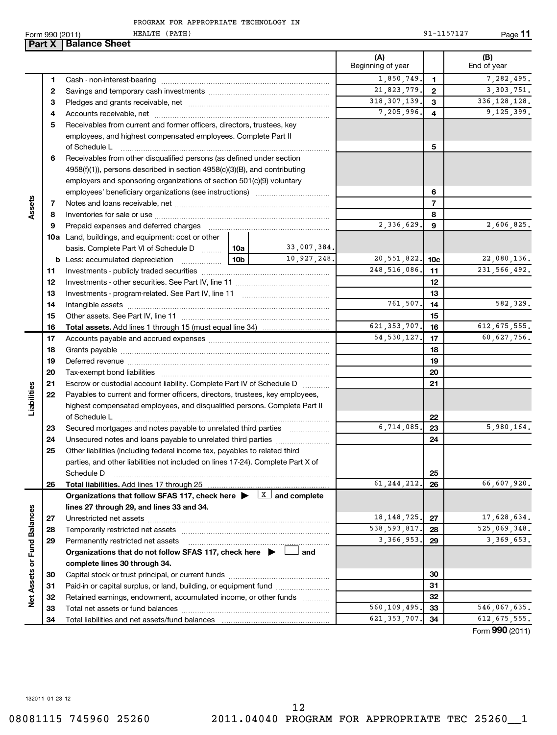|  |  |  | PROGRAM FOR APPROPRIATE TECHNOLOGY IN |  |  |
|--|--|--|---------------------------------------|--|--|
|--|--|--|---------------------------------------|--|--|

**Part X Balance Sheet** 

Form 990 (2011) HEALTH (PATH) 91-1157127 HEALTH (PATH)

**11**

|                             |          |                                                                                                                                                       |  |             | (A)<br>Beginning of year        |                 | (B)<br>End of year              |
|-----------------------------|----------|-------------------------------------------------------------------------------------------------------------------------------------------------------|--|-------------|---------------------------------|-----------------|---------------------------------|
|                             | 1        |                                                                                                                                                       |  |             | 1,850,749.                      | 1               | 7,282,495.                      |
|                             | 2        |                                                                                                                                                       |  |             | 21,823,779.                     | $\mathbf{2}$    | 3, 303, 751.                    |
|                             | З        |                                                                                                                                                       |  |             | 318, 307, 139.                  | 3               | 336, 128, 128.                  |
|                             | 4        |                                                                                                                                                       |  |             | 7,205,996.                      | 4               | 9, 125, 399.                    |
|                             | 5        | Receivables from current and former officers, directors, trustees, key                                                                                |  |             |                                 |                 |                                 |
|                             |          | employees, and highest compensated employees. Complete Part II                                                                                        |  |             |                                 |                 |                                 |
|                             |          | of Schedule L                                                                                                                                         |  |             |                                 | 5               |                                 |
|                             | 6        | Receivables from other disqualified persons (as defined under section                                                                                 |  |             |                                 |                 |                                 |
|                             |          | $4958(f)(1)$ , persons described in section $4958(c)(3)(B)$ , and contributing                                                                        |  |             |                                 |                 |                                 |
|                             |          | employers and sponsoring organizations of section 501(c)(9) voluntary                                                                                 |  |             |                                 |                 |                                 |
|                             |          |                                                                                                                                                       |  |             |                                 | 6               |                                 |
| Assets                      | 7        |                                                                                                                                                       |  |             |                                 | 7               |                                 |
|                             | 8        |                                                                                                                                                       |  |             |                                 | 8               |                                 |
|                             | 9        | Prepaid expenses and deferred charges [11] matter continuum matter and referred charges [11] matter continuum matter                                  |  |             | 2,336,629.                      | 9               | 2,606,825.                      |
|                             |          | <b>10a</b> Land, buildings, and equipment: cost or other                                                                                              |  |             |                                 |                 |                                 |
|                             |          | basis. Complete Part VI of Schedule D    10a                                                                                                          |  | 33,007,384. |                                 |                 |                                 |
|                             |          |                                                                                                                                                       |  | 10,927,248. | 20, 551, 822.                   | 10 <sub>c</sub> | 22,080,136.                     |
|                             | 11       |                                                                                                                                                       |  |             | 248, 516, 086.                  | 11              | 231,566,492.                    |
|                             | 12       |                                                                                                                                                       |  |             |                                 | 12              |                                 |
|                             | 13       |                                                                                                                                                       |  |             |                                 | 13              |                                 |
|                             | 14       |                                                                                                                                                       |  |             | 761,507.                        | 14              | 582,329.                        |
|                             | 15       |                                                                                                                                                       |  |             |                                 | 15              |                                 |
|                             | 16       |                                                                                                                                                       |  |             | 621, 353, 707.<br>54, 530, 127. | 16              | 612, 675, 555.<br>60,627,756.   |
|                             | 17       |                                                                                                                                                       |  |             |                                 | 17              |                                 |
|                             | 18       |                                                                                                                                                       |  |             |                                 | 18              |                                 |
|                             | 19<br>20 |                                                                                                                                                       |  |             |                                 | 19<br>20        |                                 |
|                             | 21       | Tax-exempt bond liabilities [111] Tax-axial materials and liabilities and material material materials and the                                         |  |             |                                 | 21              |                                 |
|                             | 22       | Escrow or custodial account liability. Complete Part IV of Schedule D<br>Payables to current and former officers, directors, trustees, key employees, |  |             |                                 |                 |                                 |
| Liabilities                 |          | highest compensated employees, and disqualified persons. Complete Part II                                                                             |  |             |                                 |                 |                                 |
|                             |          | of Schedule L                                                                                                                                         |  |             |                                 | 22              |                                 |
|                             | 23       | Secured mortgages and notes payable to unrelated third parties <i>manumum</i>                                                                         |  |             | 6,714,085.                      | 23              | 5,980,164.                      |
|                             | 24       |                                                                                                                                                       |  |             |                                 | 24              |                                 |
|                             | 25       | Other liabilities (including federal income tax, payables to related third                                                                            |  |             |                                 |                 |                                 |
|                             |          | parties, and other liabilities not included on lines 17-24). Complete Part X of                                                                       |  |             |                                 |                 |                                 |
|                             |          | Schedule D                                                                                                                                            |  |             |                                 | 25              |                                 |
|                             | 26       | Total liabilities. Add lines 17 through 25                                                                                                            |  |             | 61, 244, 212.                   | 26              | 66,607,920.                     |
|                             |          | Organizations that follow SFAS 117, check here $\blacktriangleright \frac{X}{X}$ and complete                                                         |  |             |                                 |                 |                                 |
|                             |          | lines 27 through 29, and lines 33 and 34.                                                                                                             |  |             |                                 |                 |                                 |
|                             | 27       |                                                                                                                                                       |  |             | 18, 148, 725.                   | 27              | 17,628,634.                     |
|                             | 28       |                                                                                                                                                       |  |             | 538, 593, 817.                  | 28              | 525,069,348.                    |
|                             | 29       | Permanently restricted net assets                                                                                                                     |  |             | 3,366,953.                      | 29              | 3, 369, 653.                    |
|                             |          | Organizations that do not follow SFAS 117, check here $\blacktriangleright \Box$ and                                                                  |  |             |                                 |                 |                                 |
|                             |          | complete lines 30 through 34.                                                                                                                         |  |             |                                 |                 |                                 |
|                             | 30       |                                                                                                                                                       |  |             |                                 | 30              |                                 |
|                             | 31       | Paid-in or capital surplus, or land, building, or equipment fund                                                                                      |  |             |                                 | 31              |                                 |
| Net Assets or Fund Balances | 32       | Retained earnings, endowment, accumulated income, or other funds                                                                                      |  |             |                                 | 32              |                                 |
|                             | 33       |                                                                                                                                                       |  |             | 560,109,495.                    | 33              | 546,067,635.                    |
|                             | 34       |                                                                                                                                                       |  |             | 621, 353, 707.                  | 34              | 612,675,555.<br>Form 990 (2011) |

132011 01-23-12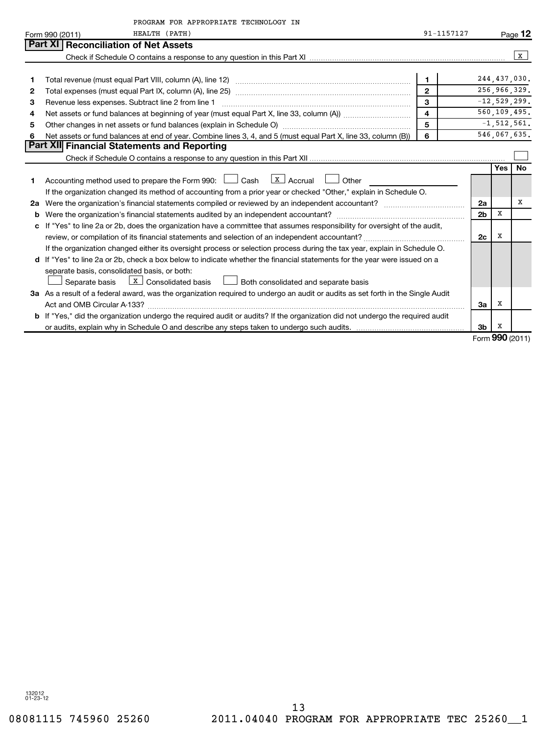|    | PROGRAM FOR APPROPRIATE TECHNOLOGY IN                                                                                                                                                                                   |                         |                |            |                 |
|----|-------------------------------------------------------------------------------------------------------------------------------------------------------------------------------------------------------------------------|-------------------------|----------------|------------|-----------------|
|    | HEALTH (PATH)<br>Form 990 (2011)                                                                                                                                                                                        | 91-1157127              |                |            | Page 12         |
|    | Part XI   Reconciliation of Net Assets                                                                                                                                                                                  |                         |                |            |                 |
|    |                                                                                                                                                                                                                         |                         |                |            | x               |
|    |                                                                                                                                                                                                                         |                         |                |            |                 |
| 1  |                                                                                                                                                                                                                         | $\mathbf{1}$            |                |            | 244, 437, 030.  |
| 2  |                                                                                                                                                                                                                         | $\overline{2}$          |                |            | 256,966,329.    |
| 3  | Revenue less expenses. Subtract line 2 from line 1                                                                                                                                                                      | 3                       |                |            | $-12,529,299.$  |
| 4  |                                                                                                                                                                                                                         | $\overline{\mathbf{4}}$ |                |            | 560,109,495.    |
| 5  |                                                                                                                                                                                                                         | 5                       |                |            | $-1, 512, 561.$ |
| 6  | Net assets or fund balances at end of year. Combine lines 3, 4, and 5 (must equal Part X, line 33, column (B))                                                                                                          | 6                       |                |            | 546,067,635.    |
|    | Part XII Financial Statements and Reporting                                                                                                                                                                             |                         |                |            |                 |
|    |                                                                                                                                                                                                                         |                         |                |            |                 |
| 1  | $\lfloor x \rfloor$ Accrual<br>Accounting method used to prepare the Form 990: [130] Cash<br>Other<br>If the organization changed its method of accounting from a prior year or checked "Other," explain in Schedule O. |                         |                | <b>Yes</b> | <b>No</b>       |
| 2a |                                                                                                                                                                                                                         |                         | 2a             |            | x               |
| b  | Were the organization's financial statements audited by an independent accountant?                                                                                                                                      |                         | 2 <sub>b</sub> | X          |                 |
| c  | If "Yes" to line 2a or 2b, does the organization have a committee that assumes responsibility for oversight of the audit,                                                                                               |                         |                |            |                 |
|    |                                                                                                                                                                                                                         |                         | 2c             | х          |                 |
|    | If the organization changed either its oversight process or selection process during the tax year, explain in Schedule O.                                                                                               |                         |                |            |                 |
|    | d If "Yes" to line 2a or 2b, check a box below to indicate whether the financial statements for the year were issued on a                                                                                               |                         |                |            |                 |
|    | separate basis, consolidated basis, or both:                                                                                                                                                                            |                         |                |            |                 |
|    | $\boxed{\mathbf{X}}$ Consolidated basis<br>Both consolidated and separate basis<br>Separate basis                                                                                                                       |                         |                |            |                 |
|    | 3a As a result of a federal award, was the organization required to undergo an audit or audits as set forth in the Single Audit                                                                                         |                         |                |            |                 |
|    |                                                                                                                                                                                                                         |                         | За             | х          |                 |
|    | b If "Yes," did the organization undergo the required audit or audits? If the organization did not undergo the required audit                                                                                           |                         |                |            |                 |
|    |                                                                                                                                                                                                                         |                         | 3 <sub>b</sub> | х          |                 |
|    |                                                                                                                                                                                                                         |                         |                |            | Form 990 (2011) |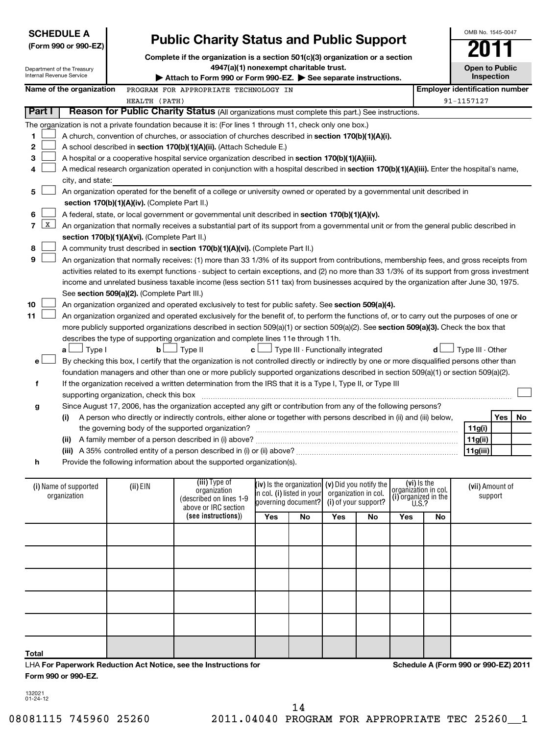|                   | <b>SCHEDULE A</b><br>(Form 990 or 990-EZ)<br>Department of the Treasury<br>Internal Revenue Service |                                               | <b>Public Charity Status and Public Support</b><br>Complete if the organization is a section 501(c)(3) organization or a section<br>4947(a)(1) nonexempt charitable trust.<br>Attach to Form 990 or Form 990-EZ. See separate instructions.                                                                                                                                                                                                                                                                                                |                     |                            |                                                                                                   |    |                                                                      |     | OMB No. 1545-0047<br><b>Open to Public</b><br>Inspection |     |    |
|-------------------|-----------------------------------------------------------------------------------------------------|-----------------------------------------------|--------------------------------------------------------------------------------------------------------------------------------------------------------------------------------------------------------------------------------------------------------------------------------------------------------------------------------------------------------------------------------------------------------------------------------------------------------------------------------------------------------------------------------------------|---------------------|----------------------------|---------------------------------------------------------------------------------------------------|----|----------------------------------------------------------------------|-----|----------------------------------------------------------|-----|----|
|                   | Name of the organization                                                                            |                                               | PROGRAM FOR APPROPRIATE TECHNOLOGY IN                                                                                                                                                                                                                                                                                                                                                                                                                                                                                                      |                     |                            |                                                                                                   |    |                                                                      |     | <b>Employer identification number</b>                    |     |    |
|                   |                                                                                                     | HEALTH (PATH)                                 |                                                                                                                                                                                                                                                                                                                                                                                                                                                                                                                                            |                     |                            |                                                                                                   |    |                                                                      |     | 91-1157127                                               |     |    |
| <b>Part I</b>     |                                                                                                     |                                               | Reason for Public Charity Status (All organizations must complete this part.) See instructions.                                                                                                                                                                                                                                                                                                                                                                                                                                            |                     |                            |                                                                                                   |    |                                                                      |     |                                                          |     |    |
| 1<br>2<br>3<br>4  | city, and state:                                                                                    |                                               | The organization is not a private foundation because it is: (For lines 1 through 11, check only one box.)<br>A church, convention of churches, or association of churches described in section 170(b)(1)(A)(i).<br>A school described in section 170(b)(1)(A)(ii). (Attach Schedule E.)<br>A hospital or a cooperative hospital service organization described in section 170(b)(1)(A)(iii).<br>A medical research organization operated in conjunction with a hospital described in section 170(b)(1)(A)(iii). Enter the hospital's name, |                     |                            |                                                                                                   |    |                                                                      |     |                                                          |     |    |
| 5                 |                                                                                                     |                                               | An organization operated for the benefit of a college or university owned or operated by a governmental unit described in                                                                                                                                                                                                                                                                                                                                                                                                                  |                     |                            |                                                                                                   |    |                                                                      |     |                                                          |     |    |
|                   |                                                                                                     | section 170(b)(1)(A)(iv). (Complete Part II.) |                                                                                                                                                                                                                                                                                                                                                                                                                                                                                                                                            |                     |                            |                                                                                                   |    |                                                                      |     |                                                          |     |    |
| 6                 |                                                                                                     |                                               | A federal, state, or local government or governmental unit described in section 170(b)(1)(A)(v).                                                                                                                                                                                                                                                                                                                                                                                                                                           |                     |                            |                                                                                                   |    |                                                                      |     |                                                          |     |    |
| $\mathbf{x}$<br>7 |                                                                                                     |                                               | An organization that normally receives a substantial part of its support from a governmental unit or from the general public described in                                                                                                                                                                                                                                                                                                                                                                                                  |                     |                            |                                                                                                   |    |                                                                      |     |                                                          |     |    |
|                   |                                                                                                     | section 170(b)(1)(A)(vi). (Complete Part II.) |                                                                                                                                                                                                                                                                                                                                                                                                                                                                                                                                            |                     |                            |                                                                                                   |    |                                                                      |     |                                                          |     |    |
| 8                 |                                                                                                     |                                               | A community trust described in section 170(b)(1)(A)(vi). (Complete Part II.)                                                                                                                                                                                                                                                                                                                                                                                                                                                               |                     |                            |                                                                                                   |    |                                                                      |     |                                                          |     |    |
| 9                 |                                                                                                     |                                               | An organization that normally receives: (1) more than 33 1/3% of its support from contributions, membership fees, and gross receipts from                                                                                                                                                                                                                                                                                                                                                                                                  |                     |                            |                                                                                                   |    |                                                                      |     |                                                          |     |    |
|                   |                                                                                                     |                                               | activities related to its exempt functions - subject to certain exceptions, and (2) no more than 33 1/3% of its support from gross investment                                                                                                                                                                                                                                                                                                                                                                                              |                     |                            |                                                                                                   |    |                                                                      |     |                                                          |     |    |
|                   |                                                                                                     |                                               | income and unrelated business taxable income (less section 511 tax) from businesses acquired by the organization after June 30, 1975.                                                                                                                                                                                                                                                                                                                                                                                                      |                     |                            |                                                                                                   |    |                                                                      |     |                                                          |     |    |
|                   |                                                                                                     | See section 509(a)(2). (Complete Part III.)   |                                                                                                                                                                                                                                                                                                                                                                                                                                                                                                                                            |                     |                            |                                                                                                   |    |                                                                      |     |                                                          |     |    |
| 10                |                                                                                                     |                                               | An organization organized and operated exclusively to test for public safety. See section 509(a)(4).                                                                                                                                                                                                                                                                                                                                                                                                                                       |                     |                            |                                                                                                   |    |                                                                      |     |                                                          |     |    |
| 11                |                                                                                                     |                                               | An organization organized and operated exclusively for the benefit of, to perform the functions of, or to carry out the purposes of one or                                                                                                                                                                                                                                                                                                                                                                                                 |                     |                            |                                                                                                   |    |                                                                      |     |                                                          |     |    |
|                   |                                                                                                     |                                               | more publicly supported organizations described in section 509(a)(1) or section 509(a)(2). See section 509(a)(3). Check the box that<br>describes the type of supporting organization and complete lines 11e through 11h.                                                                                                                                                                                                                                                                                                                  |                     |                            |                                                                                                   |    |                                                                      |     |                                                          |     |    |
|                   | $a \Box$ Type I                                                                                     |                                               | $\mathbf{b}$ $\Box$ Type II                                                                                                                                                                                                                                                                                                                                                                                                                                                                                                                | c l                 |                            | J Type III - Functionally integrated                                                              |    |                                                                      | d l | Type III - Other                                         |     |    |
| e                 |                                                                                                     |                                               | By checking this box, I certify that the organization is not controlled directly or indirectly by one or more disqualified persons other than                                                                                                                                                                                                                                                                                                                                                                                              |                     |                            |                                                                                                   |    |                                                                      |     |                                                          |     |    |
|                   |                                                                                                     |                                               | foundation managers and other than one or more publicly supported organizations described in section 509(a)(1) or section 509(a)(2).                                                                                                                                                                                                                                                                                                                                                                                                       |                     |                            |                                                                                                   |    |                                                                      |     |                                                          |     |    |
| f                 |                                                                                                     |                                               | If the organization received a written determination from the IRS that it is a Type I, Type II, or Type III                                                                                                                                                                                                                                                                                                                                                                                                                                |                     |                            |                                                                                                   |    |                                                                      |     |                                                          |     |    |
|                   |                                                                                                     | supporting organization, check this box       |                                                                                                                                                                                                                                                                                                                                                                                                                                                                                                                                            |                     |                            |                                                                                                   |    |                                                                      |     |                                                          |     |    |
| g                 |                                                                                                     |                                               | Since August 17, 2006, has the organization accepted any gift or contribution from any of the following persons?                                                                                                                                                                                                                                                                                                                                                                                                                           |                     |                            |                                                                                                   |    |                                                                      |     |                                                          |     |    |
|                   | (i)                                                                                                 |                                               | A person who directly or indirectly controls, either alone or together with persons described in (ii) and (iii) below,                                                                                                                                                                                                                                                                                                                                                                                                                     |                     |                            |                                                                                                   |    |                                                                      |     |                                                          | Yes | No |
|                   |                                                                                                     |                                               |                                                                                                                                                                                                                                                                                                                                                                                                                                                                                                                                            |                     |                            |                                                                                                   |    |                                                                      |     | 11g(i)                                                   |     |    |
|                   |                                                                                                     |                                               | (ii) A family member of a person described in (i) above?                                                                                                                                                                                                                                                                                                                                                                                                                                                                                   |                     |                            |                                                                                                   |    |                                                                      |     | 11g(ii)                                                  |     |    |
|                   |                                                                                                     |                                               |                                                                                                                                                                                                                                                                                                                                                                                                                                                                                                                                            |                     |                            |                                                                                                   |    |                                                                      |     | 11g(iii)                                                 |     |    |
| h                 |                                                                                                     |                                               | Provide the following information about the supported organization(s).                                                                                                                                                                                                                                                                                                                                                                                                                                                                     |                     |                            |                                                                                                   |    |                                                                      |     |                                                          |     |    |
|                   |                                                                                                     |                                               |                                                                                                                                                                                                                                                                                                                                                                                                                                                                                                                                            |                     |                            |                                                                                                   |    |                                                                      |     |                                                          |     |    |
|                   | (i) Name of supported<br>organization                                                               | (ii) EIN                                      | (iii) Type of<br>organization<br>(described on lines 1-9<br>above or IRC section                                                                                                                                                                                                                                                                                                                                                                                                                                                           | governing document? | in col. (i) listed in your | (iv) is the organization $(v)$ Did you notify the<br>organization in col.<br>(i) of your support? |    | (vi) is the<br>organizátion in col.<br>(i) organized in the<br>U.S.? |     | (vii) Amount of<br>support                               |     |    |
|                   |                                                                                                     |                                               | (see instructions))                                                                                                                                                                                                                                                                                                                                                                                                                                                                                                                        | Yes                 | No                         | Yes                                                                                               | No | Yes                                                                  | No  |                                                          |     |    |
|                   |                                                                                                     |                                               |                                                                                                                                                                                                                                                                                                                                                                                                                                                                                                                                            |                     |                            |                                                                                                   |    |                                                                      |     |                                                          |     |    |
|                   |                                                                                                     |                                               |                                                                                                                                                                                                                                                                                                                                                                                                                                                                                                                                            |                     |                            |                                                                                                   |    |                                                                      |     |                                                          |     |    |
|                   |                                                                                                     |                                               |                                                                                                                                                                                                                                                                                                                                                                                                                                                                                                                                            |                     |                            |                                                                                                   |    |                                                                      |     |                                                          |     |    |

132021 01-24-12

**Total**

**Form 990 or 990-EZ.**

LHA **For Paperwork Reduction Act Notice, see the Instructions for** 

# 08081115 745960 25260 2011.04040 PROGRAM FOR APPROPRIATE TEC 25260\_\_1

**Schedule A (Form 990 or 990-EZ) 2011**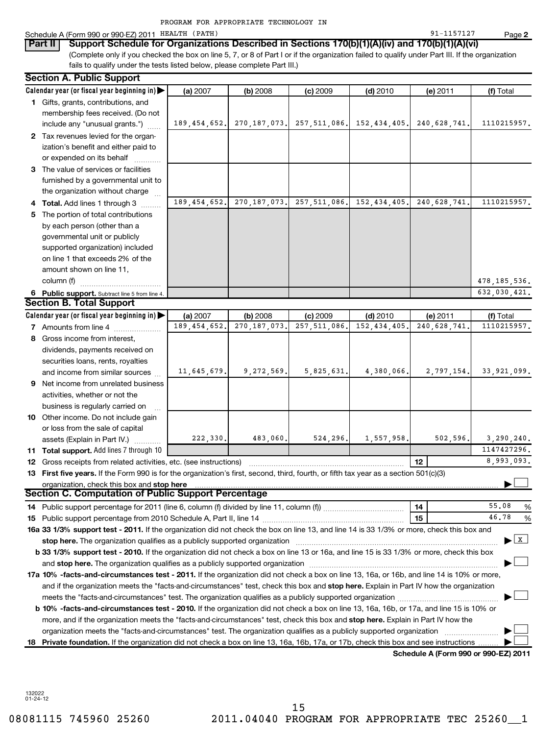|                                                                                                                                                                                                                                | PROGRAM FOR APPROPRIATE TECHNOLOGY IN |                |                |               |             |                     |
|--------------------------------------------------------------------------------------------------------------------------------------------------------------------------------------------------------------------------------|---------------------------------------|----------------|----------------|---------------|-------------|---------------------|
| Schedule A (Form 990 or 990-EZ) 2011 HEALTH (PATH)                                                                                                                                                                             |                                       |                |                |               | 91-1157127  | Page 2              |
| Support Schedule for Organizations Described in Sections 170(b)(1)(A)(iv) and 170(b)(1)(A)(vi)<br>Part II                                                                                                                      |                                       |                |                |               |             |                     |
| (Complete only if you checked the box on line 5, 7, or 8 of Part I or if the organization failed to qualify under Part III. If the organization                                                                                |                                       |                |                |               |             |                     |
| fails to qualify under the tests listed below, please complete Part III.)                                                                                                                                                      |                                       |                |                |               |             |                     |
| <b>Section A. Public Support</b>                                                                                                                                                                                               |                                       |                |                |               |             |                     |
| Calendar year (or fiscal year beginning in)                                                                                                                                                                                    | (a) 2007                              | (b) 2008       | $(c)$ 2009     | $(d)$ 2010    | (e) 2011    | (f) Total           |
| 1 Gifts, grants, contributions, and                                                                                                                                                                                            |                                       |                |                |               |             |                     |
| membership fees received. (Do not<br>include any "unusual grants.")                                                                                                                                                            | 189, 454, 652.                        | 270, 187, 073. | 257, 511, 086. | 152,434,405.  | 240,628,741 | 1110215957.         |
|                                                                                                                                                                                                                                |                                       |                |                |               |             |                     |
| 2 Tax revenues levied for the organ-<br>ization's benefit and either paid to                                                                                                                                                   |                                       |                |                |               |             |                     |
| or expended on its behalf                                                                                                                                                                                                      |                                       |                |                |               |             |                     |
| 3 The value of services or facilities                                                                                                                                                                                          |                                       |                |                |               |             |                     |
| furnished by a governmental unit to                                                                                                                                                                                            |                                       |                |                |               |             |                     |
| the organization without charge                                                                                                                                                                                                |                                       |                |                |               |             |                     |
| 4 Total. Add lines 1 through 3                                                                                                                                                                                                 | 189, 454, 652.                        | 270, 187, 073. | 257, 511, 086. | 152,434,405   | 240,628,741 | 1110215957.         |
| 5 The portion of total contributions                                                                                                                                                                                           |                                       |                |                |               |             |                     |
| by each person (other than a                                                                                                                                                                                                   |                                       |                |                |               |             |                     |
| governmental unit or publicly                                                                                                                                                                                                  |                                       |                |                |               |             |                     |
| supported organization) included                                                                                                                                                                                               |                                       |                |                |               |             |                     |
| on line 1 that exceeds 2% of the                                                                                                                                                                                               |                                       |                |                |               |             |                     |
| amount shown on line 11,                                                                                                                                                                                                       |                                       |                |                |               |             |                     |
| column (f)                                                                                                                                                                                                                     |                                       |                |                |               |             | 478, 185, 536.      |
| 6 Public support. Subtract line 5 from line 4.                                                                                                                                                                                 |                                       |                |                |               |             | 632,030,421.        |
| <b>Section B. Total Support</b>                                                                                                                                                                                                |                                       |                |                |               |             |                     |
| Calendar year (or fiscal year beginning in)                                                                                                                                                                                    | (a) 2007                              | (b) 2008       | $(c)$ 2009     | $(d)$ 2010    | (e) 2011    | (f) Total           |
| <b>7</b> Amounts from line 4                                                                                                                                                                                                   | 189, 454, 652.                        | 270, 187, 073  | 257, 511, 086  | 152, 434, 405 | 240,628,741 | 1110215957.         |
| 8 Gross income from interest,                                                                                                                                                                                                  |                                       |                |                |               |             |                     |
| dividends, payments received on                                                                                                                                                                                                |                                       |                |                |               |             |                     |
| securities loans, rents, royalties                                                                                                                                                                                             | 11,645,679.                           | 9,272,569      | 5,825,631.     | 4,380,066.    | 2,797,154.  | 33,921,099.         |
| and income from similar sources                                                                                                                                                                                                |                                       |                |                |               |             |                     |
| <b>9</b> Net income from unrelated business<br>activities, whether or not the                                                                                                                                                  |                                       |                |                |               |             |                     |
| business is regularly carried on                                                                                                                                                                                               |                                       |                |                |               |             |                     |
| <b>10</b> Other income. Do not include gain                                                                                                                                                                                    |                                       |                |                |               |             |                     |
| or loss from the sale of capital                                                                                                                                                                                               |                                       |                |                |               |             |                     |
| assets (Explain in Part IV.)                                                                                                                                                                                                   | 222,330.                              | 483,060.       | 524,296.       | 1,557,958     | 502,596     | 3, 290, 240.        |
| 11 Total support. Add lines 7 through 10                                                                                                                                                                                       |                                       |                |                |               |             | 1147427296.         |
| 12 Gross receipts from related activities, etc. (see instructions)                                                                                                                                                             |                                       |                |                |               | 12          | 8,993,093.          |
| 13 First five years. If the Form 990 is for the organization's first, second, third, fourth, or fifth tax year as a section 501(c)(3)                                                                                          |                                       |                |                |               |             |                     |
|                                                                                                                                                                                                                                |                                       |                |                |               |             |                     |
| Section C. Computation of Public Support Percentage                                                                                                                                                                            |                                       |                |                |               |             |                     |
|                                                                                                                                                                                                                                |                                       |                |                |               | 14          | 55.08<br>%          |
|                                                                                                                                                                                                                                |                                       |                |                |               | 15          | 46.78<br>%          |
| 16a 33 1/3% support test - 2011. If the organization did not check the box on line 13, and line 14 is 33 1/3% or more, check this box and                                                                                      |                                       |                |                |               |             |                     |
| stop here. The organization qualifies as a publicly supported organization manufaction manufacture or manufacture or the organization manufacture or the organization of the state of the state of the state of the state of t |                                       |                |                |               |             | $\lfloor x \rfloor$ |
| <b>b 33 1/3% support test - 2010.</b> If the organization did not check a box on line 13 or 16a, and line 15 is 33 1/3% or more, check this box                                                                                |                                       |                |                |               |             |                     |
|                                                                                                                                                                                                                                |                                       |                |                |               |             |                     |
| 17a 10% -facts-and-circumstances test - 2011. If the organization did not check a box on line 13, 16a, or 16b, and line 14 is 10% or more,                                                                                     |                                       |                |                |               |             |                     |
| and if the organization meets the "facts-and-circumstances" test, check this box and stop here. Explain in Part IV how the organization                                                                                        |                                       |                |                |               |             |                     |
|                                                                                                                                                                                                                                |                                       |                |                |               |             |                     |
| <b>b 10%</b> -facts-and-circumstances test - 2010. If the organization did not check a box on line 13, 16a, 16b, or 17a, and line 15 is 10% or                                                                                 |                                       |                |                |               |             |                     |
| more, and if the organization meets the "facts-and-circumstances" test, check this box and stop here. Explain in Part IV how the                                                                                               |                                       |                |                |               |             |                     |
| organization meets the "facts-and-circumstances" test. The organization qualifies as a publicly supported organization                                                                                                         |                                       |                |                |               |             |                     |
| 18 Private foundation. If the organization did not check a box on line 13, 16a, 16b, 17a, or 17b, check this box and see instructions                                                                                          |                                       |                |                |               |             |                     |

**Schedule A (Form 990 or 990-EZ) 2011**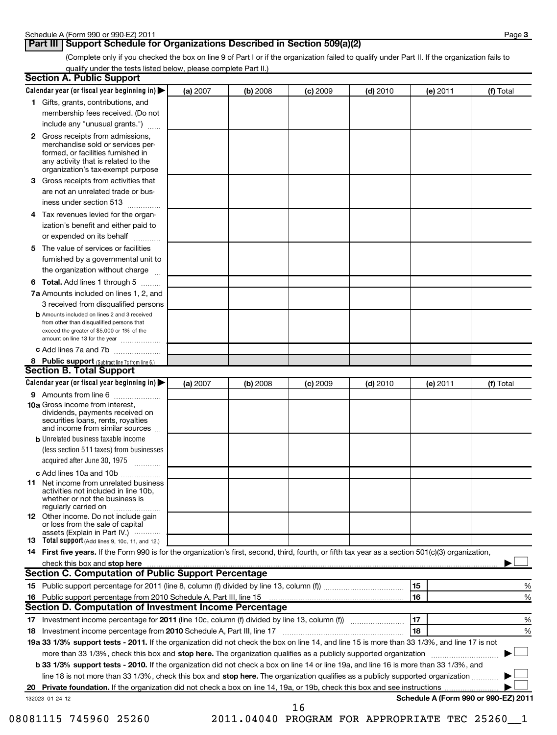# **Part III** Support Schedule for Organizations Described in Section 509(a)(2)

(Complete only if you checked the box on line 9 of Part I or if the organization failed to qualify under Part II. If the organization fails to qualify under the tests listed below, please complete Part II.)

| <b>Section A. Public Support</b>                                                                                                                                                                |          |          |            |            |          |                                      |
|-------------------------------------------------------------------------------------------------------------------------------------------------------------------------------------------------|----------|----------|------------|------------|----------|--------------------------------------|
| Calendar year (or fiscal year beginning in)                                                                                                                                                     | (a) 2007 | (b) 2008 | $(c)$ 2009 | $(d)$ 2010 | (e) 2011 | (f) Total                            |
| 1 Gifts, grants, contributions, and                                                                                                                                                             |          |          |            |            |          |                                      |
| membership fees received. (Do not                                                                                                                                                               |          |          |            |            |          |                                      |
| include any "unusual grants.")                                                                                                                                                                  |          |          |            |            |          |                                      |
| <b>2</b> Gross receipts from admissions,<br>merchandise sold or services per-<br>formed, or facilities furnished in<br>any activity that is related to the<br>organization's tax-exempt purpose |          |          |            |            |          |                                      |
| <b>3</b> Gross receipts from activities that<br>are not an unrelated trade or bus-                                                                                                              |          |          |            |            |          |                                      |
| iness under section 513                                                                                                                                                                         |          |          |            |            |          |                                      |
| 4 Tax revenues levied for the organ-<br>ization's benefit and either paid to<br>or expended on its behalf                                                                                       |          |          |            |            |          |                                      |
| 5 The value of services or facilities                                                                                                                                                           |          |          |            |            |          |                                      |
| furnished by a governmental unit to<br>the organization without charge                                                                                                                          |          |          |            |            |          |                                      |
| <b>6 Total.</b> Add lines 1 through 5                                                                                                                                                           |          |          |            |            |          |                                      |
| 7a Amounts included on lines 1, 2, and                                                                                                                                                          |          |          |            |            |          |                                      |
| 3 received from disqualified persons                                                                                                                                                            |          |          |            |            |          |                                      |
| <b>b</b> Amounts included on lines 2 and 3 received<br>from other than disqualified persons that<br>exceed the greater of \$5,000 or 1% of the<br>amount on line 13 for the year                |          |          |            |            |          |                                      |
| c Add lines 7a and 7b                                                                                                                                                                           |          |          |            |            |          |                                      |
| 8 Public support (Subtract line 7c from line 6.)                                                                                                                                                |          |          |            |            |          |                                      |
| <b>Section B. Total Support</b>                                                                                                                                                                 |          |          |            |            |          |                                      |
| Calendar year (or fiscal year beginning in)                                                                                                                                                     | (a) 2007 | (b) 2008 | (c) 2009   | $(d)$ 2010 | (e) 2011 | (f) Total                            |
| 9 Amounts from line 6                                                                                                                                                                           |          |          |            |            |          |                                      |
| <b>10a</b> Gross income from interest,<br>dividends, payments received on<br>securities loans, rents, royalties<br>and income from similar sources                                              |          |          |            |            |          |                                      |
| <b>b</b> Unrelated business taxable income                                                                                                                                                      |          |          |            |            |          |                                      |
| (less section 511 taxes) from businesses<br>acquired after June 30, 1975<br>1.1.1.1.1.1.1.1.1.1                                                                                                 |          |          |            |            |          |                                      |
| c Add lines 10a and 10b                                                                                                                                                                         |          |          |            |            |          |                                      |
| 11 Net income from unrelated business<br>activities not included in line 10b.<br>whether or not the business is<br>regularly carried on                                                         |          |          |            |            |          |                                      |
| 12 Other income. Do not include gain<br>or loss from the sale of capital<br>assets (Explain in Part IV.) $\cdots$                                                                               |          |          |            |            |          |                                      |
| 13 Total support (Add lines 9, 10c, 11, and 12.)                                                                                                                                                |          |          |            |            |          |                                      |
| 14 First five years. If the Form 990 is for the organization's first, second, third, fourth, or fifth tax year as a section 501(c)(3) organization,                                             |          |          |            |            |          |                                      |
|                                                                                                                                                                                                 |          |          |            |            |          |                                      |
| <b>Section C. Computation of Public Support Percentage</b>                                                                                                                                      |          |          |            |            |          |                                      |
|                                                                                                                                                                                                 |          |          |            |            | 15       | %                                    |
| 16 Public support percentage from 2010 Schedule A, Part III, line 15                                                                                                                            |          |          |            |            | 16       | %                                    |
| Section D. Computation of Investment Income Percentage                                                                                                                                          |          |          |            |            |          |                                      |
| 17 Investment income percentage for 2011 (line 10c, column (f) divided by line 13, column (f))                                                                                                  |          |          |            |            | 17       | %                                    |
| 18 Investment income percentage from 2010 Schedule A, Part III, line 17                                                                                                                         |          |          |            |            | 18       | %                                    |
| 19a 33 1/3% support tests - 2011. If the organization did not check the box on line 14, and line 15 is more than 33 1/3%, and line 17 is not                                                    |          |          |            |            |          |                                      |
| more than 33 1/3%, check this box and stop here. The organization qualifies as a publicly supported organization                                                                                |          |          |            |            |          |                                      |
| b 33 1/3% support tests - 2010. If the organization did not check a box on line 14 or line 19a, and line 16 is more than 33 1/3%, and                                                           |          |          |            |            |          |                                      |
| line 18 is not more than 33 1/3%, check this box and stop here. The organization qualifies as a publicly supported organization                                                                 |          |          |            |            |          |                                      |
| 132023 01-24-12                                                                                                                                                                                 |          |          |            |            |          | Schedule A (Form 990 or 990-EZ) 2011 |
|                                                                                                                                                                                                 |          |          | 16         |            |          |                                      |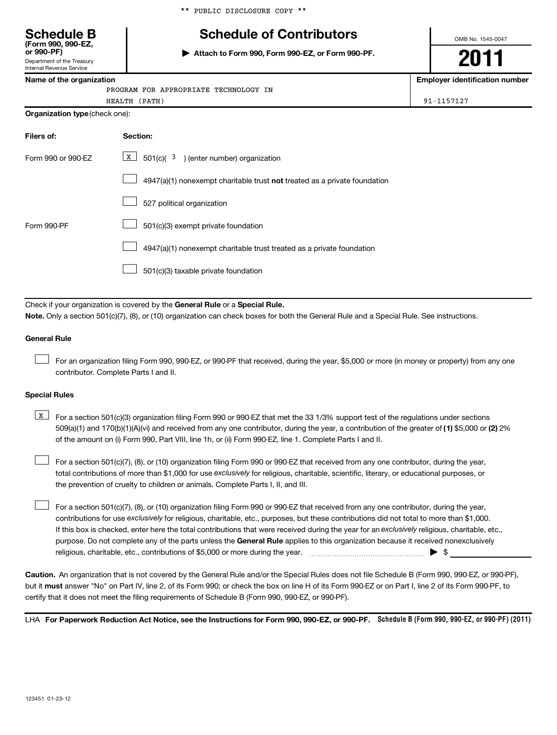|  |  | ** PUBLIC DISCLOSURE COPY ** |  |  |
|--|--|------------------------------|--|--|
|--|--|------------------------------|--|--|

# **Schedule B Schedule of Contributors**

**or 990-PF) | Attach to Form 990, Form 990-EZ, or Form 990-PF.**

OMB No. 1545-0047

**2011**

**Name of the organization Employer identification number**

|  | Name of the organization |
|--|--------------------------|

Department of the Treasury Internal Revenue Service

**(Form 990, 990-EZ,**

| . . | PROGRAM FOR APPROPRIATE TECHNOLOGY<br>ΙN |                |
|-----|------------------------------------------|----------------|
|     | HEALTH<br>(РА ТН                         | $91 - 1157127$ |

**Organization type** (check one):

| Filers of:         | Section:                                                                    |
|--------------------|-----------------------------------------------------------------------------|
| Form 990 or 990-FZ | $\boxed{\text{X}}$ 501(c)( <sup>3</sup> ) (enter number) organization       |
|                    | $4947(a)(1)$ nonexempt charitable trust not treated as a private foundation |
|                    | 527 political organization                                                  |
| Form 990-PF        | 501(c)(3) exempt private foundation                                         |
|                    | 4947(a)(1) nonexempt charitable trust treated as a private foundation       |
|                    | 501(c)(3) taxable private foundation                                        |

Check if your organization is covered by the General Rule or a Special Rule. **Note.**  Only a section 501(c)(7), (8), or (10) organization can check boxes for both the General Rule and a Special Rule. See instructions.

#### **General Rule**

For an organization filing Form 990, 990-EZ, or 990-PF that received, during the year, \$5,000 or more (in money or property) from any one contributor. Complete Parts I and II.  $\left\vert \cdot\right\vert$ 

#### **Special Rules**

509(a)(1) and 170(b)(1)(A)(vi) and received from any one contributor, during the year, a contribution of the greater of (1**)** \$5,000 or (**2**) 2%  $\boxed{\text{X}}$  For a section 501(c)(3) organization filing Form 990 or 990-EZ that met the 33 1/3% support test of the regulations under sections of the amount on (i) Form 990, Part VIII, line 1h, or (ii) Form 990-EZ, line 1. Complete Parts I and II.

total contributions of more than \$1,000 for use exclusively for religious, charitable, scientific, literary, or educational purposes, or For a section 501(c)(7), (8), or (10) organization filing Form 990 or 990-EZ that received from any one contributor, during the year, the prevention of cruelty to children or animals. Complete Parts I, II, and III.  $\left\vert \cdot\right\vert$ 

purpose. Do not complete any of the parts unless the General Rule applies to this organization because it received nonexclusively contributions for use exclusively for religious, charitable, etc., purposes, but these contributions did not total to more than \$1,000. If this box is checked, enter here the total contributions that were received during the year for an exclusively religious, charitable, etc., For a section 501(c)(7), (8), or (10) organization filing Form 990 or 990-EZ that received from any one contributor, during the year, religious, charitable, etc., contributions of \$5,000 or more during the year. ~~~~~~~~~~~~~~~~~ | \$  $\left\vert \cdot\right\vert$ 

**Caution.** An organization that is not covered by the General Rule and/or the Special Rules does not file Schedule B (Form 990, 990-EZ, or 990-PF), but it **must** answer "No" on Part IV, line 2, of its Form 990; or check the box on line H of its Form 990-EZ or on Part I, line 2 of its Form 990-PF, to certify that it does not meet the filing requirements of Schedule B (Form 990, 990-EZ, or 990-PF).

LHA For Paperwork Reduction Act Notice, see the Instructions for Form 990, 990-EZ, or 990-PF. Schedule B (Form 990, 990-EZ, or 990-PF) (2011)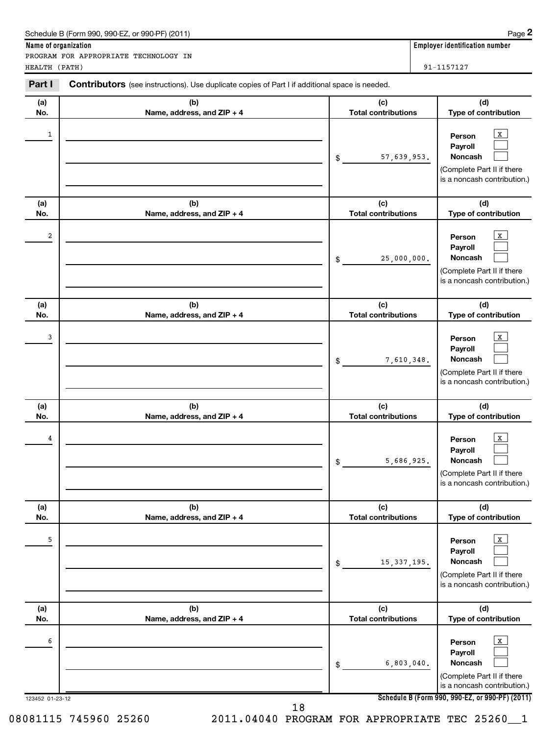| (d)<br>(a)<br>(b)<br>(c)<br><b>Total contributions</b><br>Type of contribution<br>No.<br>Name, address, and ZIP + 4<br>1<br>x<br>Person<br>Payroll<br><b>Noncash</b><br>57,639,953.<br>\$<br>(Complete Part II if there<br>is a noncash contribution.)<br>(b)<br>(d)<br>(a)<br>(c)<br><b>Total contributions</b><br>Type of contribution<br>Name, address, and ZIP + 4<br>No.<br>2<br>x<br>Person<br>Payroll<br>Noncash<br>25,000,000.<br>\$<br>(Complete Part II if there<br>is a noncash contribution.)<br>(b)<br>(c)<br>(d)<br>(a)<br><b>Total contributions</b><br>Type of contribution<br>Name, address, and ZIP + 4<br>No.<br>3<br>Person<br>Payroll<br>Noncash<br>7,610,348.<br>\$<br>(Complete Part II if there<br>is a noncash contribution.)<br>(b)<br>(c)<br>(d)<br>(a)<br><b>Total contributions</b><br>Type of contribution<br>Name, address, and ZIP + 4<br>No.<br>4<br>Person<br>Payroll<br>Noncash<br>5,686,925.<br>\$<br>(Complete Part II if there<br>is a noncash contribution.)<br>(b)<br>(c)<br>(d)<br>(a)<br>Type of contribution<br>Name, address, and ZIP + 4<br><b>Total contributions</b><br>No.<br>5<br>х<br>Person<br>Payroll<br>Noncash<br>15, 337, 195.<br>\$<br>(Complete Part II if there<br>is a noncash contribution.)<br>(b)<br>(c)<br>(d)<br>(a)<br><b>Total contributions</b><br>Type of contribution<br>No.<br>Name, address, and ZIP + 4<br>6<br>х<br>Person<br>Payroll<br>Noncash<br>6,803,040.<br>\$<br>(Complete Part II if there<br>is a noncash contribution.)<br>Schedule B (Form 990, 990-EZ, or 990-PF) (2011)<br>123452 01-23-12 | Part I | Contributors (see instructions). Use duplicate copies of Part I if additional space is needed. |  |
|----------------------------------------------------------------------------------------------------------------------------------------------------------------------------------------------------------------------------------------------------------------------------------------------------------------------------------------------------------------------------------------------------------------------------------------------------------------------------------------------------------------------------------------------------------------------------------------------------------------------------------------------------------------------------------------------------------------------------------------------------------------------------------------------------------------------------------------------------------------------------------------------------------------------------------------------------------------------------------------------------------------------------------------------------------------------------------------------------------------------------------------------------------------------------------------------------------------------------------------------------------------------------------------------------------------------------------------------------------------------------------------------------------------------------------------------------------------------------------------------------------------------------------------------------------------------------------|--------|------------------------------------------------------------------------------------------------|--|
|                                                                                                                                                                                                                                                                                                                                                                                                                                                                                                                                                                                                                                                                                                                                                                                                                                                                                                                                                                                                                                                                                                                                                                                                                                                                                                                                                                                                                                                                                                                                                                                  |        |                                                                                                |  |
|                                                                                                                                                                                                                                                                                                                                                                                                                                                                                                                                                                                                                                                                                                                                                                                                                                                                                                                                                                                                                                                                                                                                                                                                                                                                                                                                                                                                                                                                                                                                                                                  |        |                                                                                                |  |
|                                                                                                                                                                                                                                                                                                                                                                                                                                                                                                                                                                                                                                                                                                                                                                                                                                                                                                                                                                                                                                                                                                                                                                                                                                                                                                                                                                                                                                                                                                                                                                                  |        |                                                                                                |  |
|                                                                                                                                                                                                                                                                                                                                                                                                                                                                                                                                                                                                                                                                                                                                                                                                                                                                                                                                                                                                                                                                                                                                                                                                                                                                                                                                                                                                                                                                                                                                                                                  |        |                                                                                                |  |
|                                                                                                                                                                                                                                                                                                                                                                                                                                                                                                                                                                                                                                                                                                                                                                                                                                                                                                                                                                                                                                                                                                                                                                                                                                                                                                                                                                                                                                                                                                                                                                                  |        |                                                                                                |  |
|                                                                                                                                                                                                                                                                                                                                                                                                                                                                                                                                                                                                                                                                                                                                                                                                                                                                                                                                                                                                                                                                                                                                                                                                                                                                                                                                                                                                                                                                                                                                                                                  |        |                                                                                                |  |
|                                                                                                                                                                                                                                                                                                                                                                                                                                                                                                                                                                                                                                                                                                                                                                                                                                                                                                                                                                                                                                                                                                                                                                                                                                                                                                                                                                                                                                                                                                                                                                                  |        |                                                                                                |  |
|                                                                                                                                                                                                                                                                                                                                                                                                                                                                                                                                                                                                                                                                                                                                                                                                                                                                                                                                                                                                                                                                                                                                                                                                                                                                                                                                                                                                                                                                                                                                                                                  |        |                                                                                                |  |
|                                                                                                                                                                                                                                                                                                                                                                                                                                                                                                                                                                                                                                                                                                                                                                                                                                                                                                                                                                                                                                                                                                                                                                                                                                                                                                                                                                                                                                                                                                                                                                                  |        |                                                                                                |  |
|                                                                                                                                                                                                                                                                                                                                                                                                                                                                                                                                                                                                                                                                                                                                                                                                                                                                                                                                                                                                                                                                                                                                                                                                                                                                                                                                                                                                                                                                                                                                                                                  |        |                                                                                                |  |
|                                                                                                                                                                                                                                                                                                                                                                                                                                                                                                                                                                                                                                                                                                                                                                                                                                                                                                                                                                                                                                                                                                                                                                                                                                                                                                                                                                                                                                                                                                                                                                                  |        |                                                                                                |  |
| 18                                                                                                                                                                                                                                                                                                                                                                                                                                                                                                                                                                                                                                                                                                                                                                                                                                                                                                                                                                                                                                                                                                                                                                                                                                                                                                                                                                                                                                                                                                                                                                               |        |                                                                                                |  |

#### **Name of organization Employer identification number**

PROGRAM FOR APPROPRIATE TECHNOLOGY IN HEALTH (PATH) 91-1157127

**2**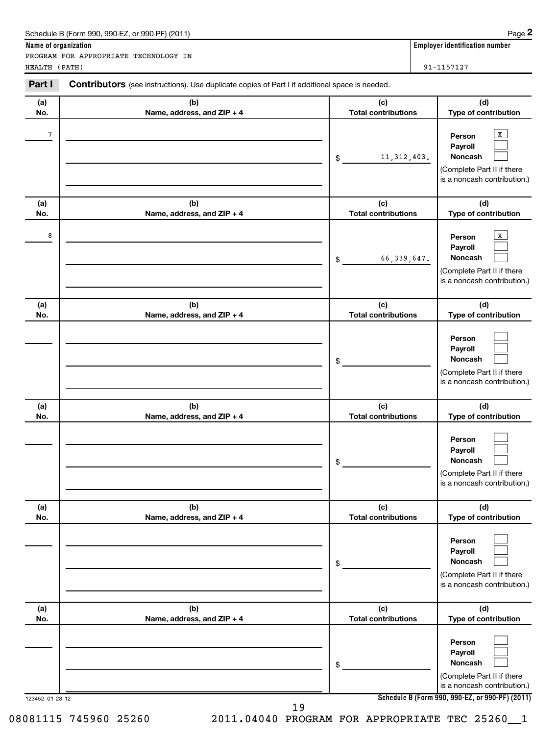| Part I          | Contributors (see instructions). Use duplicate copies of Part I if additional space is needed. |                                   |                                                                                                                                              |
|-----------------|------------------------------------------------------------------------------------------------|-----------------------------------|----------------------------------------------------------------------------------------------------------------------------------------------|
| (a)<br>No.      | (b)<br>Name, address, and ZIP + 4                                                              | (c)<br><b>Total contributions</b> | (d)<br>Type of contribution                                                                                                                  |
| 7               |                                                                                                | 11, 312, 403.<br>\$               | X<br>Person<br>Payroll<br>Noncash<br>(Complete Part II if there<br>is a noncash contribution.)                                               |
| (a)<br>No.      | (b)<br>Name, address, and ZIP + 4                                                              | (c)<br><b>Total contributions</b> | (d)<br>Type of contribution                                                                                                                  |
| 8               |                                                                                                | 66, 339, 647.<br>\$               | X<br>Person<br>Payroll<br>Noncash<br>(Complete Part II if there<br>is a noncash contribution.)                                               |
| (a)<br>No.      | (b)<br>Name, address, and ZIP + 4                                                              | (c)<br><b>Total contributions</b> | (d)<br>Type of contribution                                                                                                                  |
|                 |                                                                                                | \$                                | Person<br>Payroll<br>Noncash<br>(Complete Part II if there<br>is a noncash contribution.)                                                    |
| (a)<br>No.      | (b)<br>Name, address, and ZIP + 4                                                              | (c)<br><b>Total contributions</b> | (d)<br>Type of contribution                                                                                                                  |
|                 |                                                                                                | \$                                | Person<br>Payroll<br>Noncash<br>(Complete Part II if there<br>is a noncash contribution.)                                                    |
| (a)<br>No.      | (b)<br>Name, address, and ZIP + 4                                                              | (c)<br><b>Total contributions</b> | (d)<br>Type of contribution                                                                                                                  |
|                 |                                                                                                | \$                                | Person<br>Payroll<br>Noncash<br>(Complete Part II if there<br>is a noncash contribution.)                                                    |
| (a)<br>No.      | (b)<br>Name, address, and ZIP + 4                                                              | (c)<br><b>Total contributions</b> | (d)<br>Type of contribution                                                                                                                  |
| 123452 01-23-12 |                                                                                                | \$                                | Person<br>Payroll<br>Noncash<br>(Complete Part II if there<br>is a noncash contribution.)<br>Schedule B (Form 990, 990-EZ, or 990-PF) (2011) |
|                 | 19                                                                                             |                                   |                                                                                                                                              |

### **Name of organization Employer identification number**

PROGRAM FOR APPROPRIATE TECHNOLOGY IN HEALTH (PATH) 91-1157127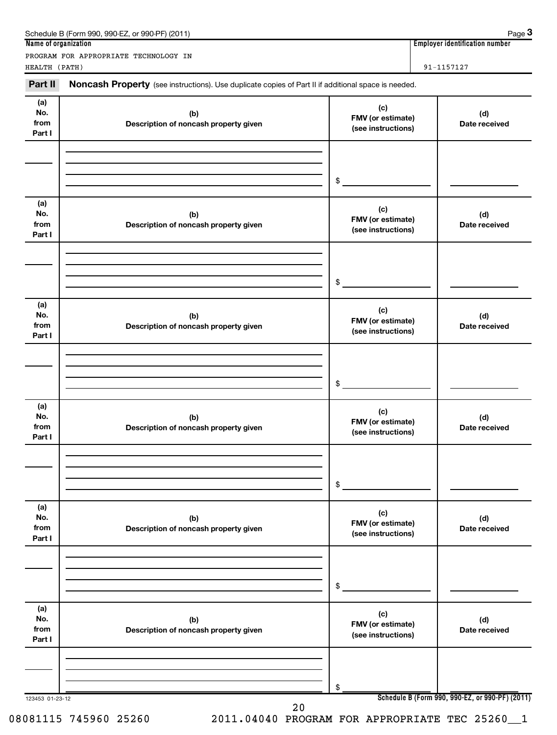| Schedule B (Form 990, 990-EZ, or 990-PF) (2011) | Page $3$                       |
|-------------------------------------------------|--------------------------------|
| Name of organization                            | Emplover identification number |
| PROGRAM FOR APPROPRIATE TECHNOLOGY IN           |                                |
| HEALTH (PATH)                                   | 91-1157127                     |

Part II Noncash Property (see instructions). Use duplicate copies of Part II if additional space is needed.

| (a)<br>No.<br>from<br>Part I | (b)<br>Description of noncash property given | (c)<br>FMV (or estimate)<br>(see instructions) | (d)<br>Date received                            |
|------------------------------|----------------------------------------------|------------------------------------------------|-------------------------------------------------|
|                              |                                              |                                                |                                                 |
|                              |                                              | \$                                             |                                                 |
| (a)                          |                                              |                                                |                                                 |
| No.<br>from<br>Part I        | (b)<br>Description of noncash property given | (c)<br>FMV (or estimate)<br>(see instructions) | (d)<br>Date received                            |
|                              |                                              |                                                |                                                 |
|                              |                                              |                                                |                                                 |
|                              |                                              | \$                                             |                                                 |
| (a)<br>No.<br>from<br>Part I | (b)<br>Description of noncash property given | (c)<br>FMV (or estimate)<br>(see instructions) | (d)<br>Date received                            |
|                              |                                              |                                                |                                                 |
|                              |                                              |                                                |                                                 |
|                              |                                              | \$                                             |                                                 |
| (a)<br>No.<br>from<br>Part I | (b)<br>Description of noncash property given | (c)<br>FMV (or estimate)<br>(see instructions) | (d)<br>Date received                            |
|                              |                                              |                                                |                                                 |
|                              |                                              |                                                |                                                 |
|                              |                                              | \$                                             |                                                 |
| (a)<br>No.<br>from<br>Part I | (b)<br>Description of noncash property given | (c)<br>FMV (or estimate)<br>(see instructions) | (d)<br>Date received                            |
|                              |                                              |                                                |                                                 |
|                              |                                              |                                                |                                                 |
|                              |                                              | \$                                             |                                                 |
| (a)<br>No.<br>from<br>Part I | (b)<br>Description of noncash property given | (c)<br>FMV (or estimate)<br>(see instructions) | (d)<br>Date received                            |
|                              |                                              |                                                |                                                 |
|                              |                                              |                                                |                                                 |
|                              |                                              | \$                                             |                                                 |
| 123453 01-23-12              | 20                                           |                                                | Schedule B (Form 990, 990-EZ, or 990-PF) (2011) |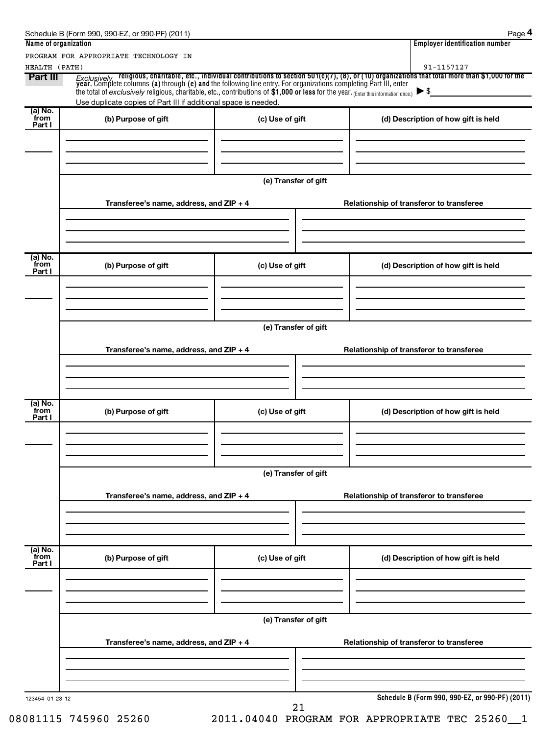| HEALTH (PATH)             | PROGRAM FOR APPROPRIATE TECHNOLOGY IN                                                                                                                                                                                      |                      | <b>Employer identification number</b><br>91-1157127                                                                                                                                                                                 |  |  |
|---------------------------|----------------------------------------------------------------------------------------------------------------------------------------------------------------------------------------------------------------------------|----------------------|-------------------------------------------------------------------------------------------------------------------------------------------------------------------------------------------------------------------------------------|--|--|
| Part III                  | the total of exclusively religious, charitable, etc., contributions of \$1,000 or less for the year. (Enter this information once.) $\triangleright$ \$<br>Use duplicate copies of Part III if additional space is needed. |                      | <i>Exclusively</i> religious, charitable, etc., individual contributions to section 501(c)(7), (8), or (10) organizations that total more than \$1,000 for the year. Complete columns (a) through (e) and the following line entry. |  |  |
| (a) No.<br>from<br>Part I | (b) Purpose of gift                                                                                                                                                                                                        | (c) Use of gift      | (d) Description of how gift is held                                                                                                                                                                                                 |  |  |
|                           | Transferee's name, address, and ZIP + 4                                                                                                                                                                                    | (e) Transfer of gift | Relationship of transferor to transferee                                                                                                                                                                                            |  |  |
|                           |                                                                                                                                                                                                                            |                      |                                                                                                                                                                                                                                     |  |  |
| (a) No.<br>from<br>Part I | (b) Purpose of gift                                                                                                                                                                                                        | (c) Use of gift      | (d) Description of how gift is held                                                                                                                                                                                                 |  |  |
|                           | Transferee's name, address, and ZIP + 4                                                                                                                                                                                    | (e) Transfer of gift | Relationship of transferor to transferee                                                                                                                                                                                            |  |  |
| (a) No.<br>from           |                                                                                                                                                                                                                            |                      |                                                                                                                                                                                                                                     |  |  |
| Part I                    | (b) Purpose of gift                                                                                                                                                                                                        | (c) Use of gift      | (d) Description of how gift is held                                                                                                                                                                                                 |  |  |
|                           | (e) Transfer of gift                                                                                                                                                                                                       |                      |                                                                                                                                                                                                                                     |  |  |
|                           | Transferee's name, address, and ZIP + 4                                                                                                                                                                                    |                      | Relationship of transferor to transferee                                                                                                                                                                                            |  |  |
| (a) No.<br>from<br>Part I | (b) Purpose of gift                                                                                                                                                                                                        | (c) Use of gift      | (d) Description of how gift is held                                                                                                                                                                                                 |  |  |
|                           |                                                                                                                                                                                                                            | (e) Transfer of gift |                                                                                                                                                                                                                                     |  |  |
|                           | Transferee's name, address, and ZIP + 4                                                                                                                                                                                    |                      | Relationship of transferor to transferee                                                                                                                                                                                            |  |  |
| 123454 01-23-12           |                                                                                                                                                                                                                            |                      | Schedule B (Form 990, 990-EZ, or 990-PF) (2011)                                                                                                                                                                                     |  |  |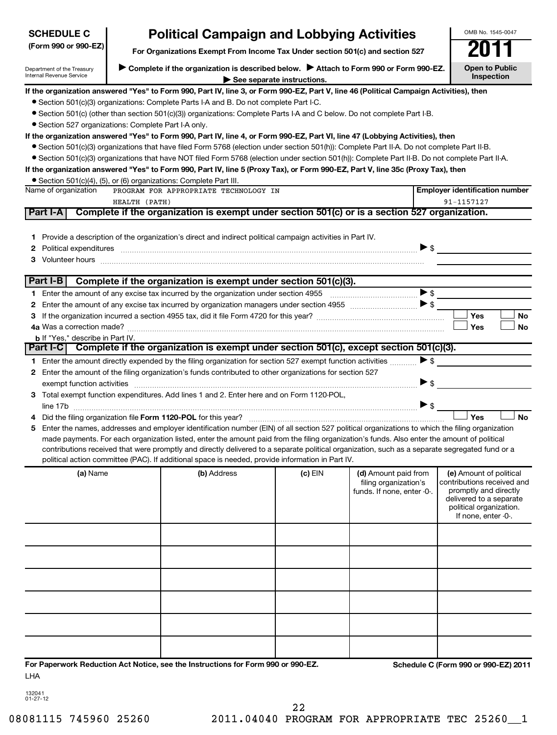| <b>SCHEDULE C</b>                                      |                                                                                                                      | <b>Political Campaign and Lobbying Activities</b>                                                                                                                                                                                                                                              |           |                                                                             | OMB No. 1545-0047                                                                                                                                           |  |
|--------------------------------------------------------|----------------------------------------------------------------------------------------------------------------------|------------------------------------------------------------------------------------------------------------------------------------------------------------------------------------------------------------------------------------------------------------------------------------------------|-----------|-----------------------------------------------------------------------------|-------------------------------------------------------------------------------------------------------------------------------------------------------------|--|
| (Form 990 or 990-EZ)                                   | For Organizations Exempt From Income Tax Under section 501(c) and section 527                                        |                                                                                                                                                                                                                                                                                                |           |                                                                             |                                                                                                                                                             |  |
| Department of the Treasury<br>Internal Revenue Service | Complete if the organization is described below.<br>Attach to Form 990 or Form 990-EZ.<br>See separate instructions. |                                                                                                                                                                                                                                                                                                |           |                                                                             |                                                                                                                                                             |  |
|                                                        |                                                                                                                      | If the organization answered "Yes" to Form 990, Part IV, line 3, or Form 990-EZ, Part V, line 46 (Political Campaign Activities), then                                                                                                                                                         |           |                                                                             |                                                                                                                                                             |  |
|                                                        |                                                                                                                      | • Section 501(c)(3) organizations: Complete Parts I-A and B. Do not complete Part I-C.                                                                                                                                                                                                         |           |                                                                             |                                                                                                                                                             |  |
|                                                        |                                                                                                                      | • Section 501(c) (other than section 501(c)(3)) organizations: Complete Parts I-A and C below. Do not complete Part I-B.                                                                                                                                                                       |           |                                                                             |                                                                                                                                                             |  |
| • Section 527 organizations: Complete Part I-A only.   |                                                                                                                      |                                                                                                                                                                                                                                                                                                |           |                                                                             |                                                                                                                                                             |  |
|                                                        |                                                                                                                      | If the organization answered "Yes" to Form 990, Part IV, line 4, or Form 990-EZ, Part VI, line 47 (Lobbying Activities), then<br>• Section 501(c)(3) organizations that have filed Form 5768 (election under section 501(h)): Complete Part II-A. Do not complete Part II-B.                   |           |                                                                             |                                                                                                                                                             |  |
|                                                        |                                                                                                                      | • Section 501(c)(3) organizations that have NOT filed Form 5768 (election under section 501(h)): Complete Part II-B. Do not complete Part II-A.                                                                                                                                                |           |                                                                             |                                                                                                                                                             |  |
|                                                        |                                                                                                                      | If the organization answered "Yes" to Form 990, Part IV, line 5 (Proxy Tax), or Form 990-EZ, Part V, line 35c (Proxy Tax), then                                                                                                                                                                |           |                                                                             |                                                                                                                                                             |  |
|                                                        |                                                                                                                      | • Section 501(c)(4), (5), or (6) organizations: Complete Part III.                                                                                                                                                                                                                             |           |                                                                             |                                                                                                                                                             |  |
| Name of organization                                   |                                                                                                                      | PROGRAM FOR APPROPRIATE TECHNOLOGY IN                                                                                                                                                                                                                                                          |           |                                                                             | <b>Employer identification number</b>                                                                                                                       |  |
|                                                        | HEALTH (PATH)                                                                                                        |                                                                                                                                                                                                                                                                                                |           |                                                                             | 91-1157127                                                                                                                                                  |  |
| Part I-A                                               |                                                                                                                      | Complete if the organization is exempt under section 501(c) or is a section 527 organization.                                                                                                                                                                                                  |           |                                                                             |                                                                                                                                                             |  |
|                                                        |                                                                                                                      | Provide a description of the organization's direct and indirect political campaign activities in Part IV.                                                                                                                                                                                      |           |                                                                             |                                                                                                                                                             |  |
| 1.<br>2                                                |                                                                                                                      |                                                                                                                                                                                                                                                                                                |           | $\triangleright$ s                                                          |                                                                                                                                                             |  |
|                                                        |                                                                                                                      |                                                                                                                                                                                                                                                                                                |           |                                                                             |                                                                                                                                                             |  |
|                                                        |                                                                                                                      |                                                                                                                                                                                                                                                                                                |           |                                                                             |                                                                                                                                                             |  |
| Part I-B                                               |                                                                                                                      | Complete if the organization is exempt under section 501(c)(3).                                                                                                                                                                                                                                |           |                                                                             |                                                                                                                                                             |  |
|                                                        |                                                                                                                      |                                                                                                                                                                                                                                                                                                |           |                                                                             |                                                                                                                                                             |  |
| 2                                                      |                                                                                                                      |                                                                                                                                                                                                                                                                                                |           |                                                                             |                                                                                                                                                             |  |
| З                                                      |                                                                                                                      |                                                                                                                                                                                                                                                                                                |           |                                                                             | Yes<br>No                                                                                                                                                   |  |
| <b>b</b> If "Yes," describe in Part IV.                |                                                                                                                      |                                                                                                                                                                                                                                                                                                |           |                                                                             | <b>No</b><br>Yes                                                                                                                                            |  |
| Part I-C                                               |                                                                                                                      | Complete if the organization is exempt under section 501(c), except section 501(c)(3).                                                                                                                                                                                                         |           |                                                                             |                                                                                                                                                             |  |
|                                                        |                                                                                                                      | 1 Enter the amount directly expended by the filing organization for section 527 exempt function activities                                                                                                                                                                                     |           |                                                                             | $\blacktriangleright$ \$                                                                                                                                    |  |
|                                                        |                                                                                                                      | 2 Enter the amount of the filing organization's funds contributed to other organizations for section 527                                                                                                                                                                                       |           |                                                                             |                                                                                                                                                             |  |
|                                                        |                                                                                                                      |                                                                                                                                                                                                                                                                                                |           | $\triangleright$ \$                                                         |                                                                                                                                                             |  |
|                                                        |                                                                                                                      | 3 Total exempt function expenditures. Add lines 1 and 2. Enter here and on Form 1120-POL,                                                                                                                                                                                                      |           |                                                                             |                                                                                                                                                             |  |
|                                                        |                                                                                                                      |                                                                                                                                                                                                                                                                                                |           |                                                                             |                                                                                                                                                             |  |
| 4                                                      |                                                                                                                      |                                                                                                                                                                                                                                                                                                |           |                                                                             | Yes<br><b>No</b>                                                                                                                                            |  |
| 5.                                                     |                                                                                                                      | Enter the names, addresses and employer identification number (EIN) of all section 527 political organizations to which the filing organization<br>made payments. For each organization listed, enter the amount paid from the filing organization's funds. Also enter the amount of political |           |                                                                             |                                                                                                                                                             |  |
|                                                        |                                                                                                                      | contributions received that were promptly and directly delivered to a separate political organization, such as a separate segregated fund or a                                                                                                                                                 |           |                                                                             |                                                                                                                                                             |  |
|                                                        |                                                                                                                      | political action committee (PAC). If additional space is needed, provide information in Part IV.                                                                                                                                                                                               |           |                                                                             |                                                                                                                                                             |  |
| (a) Name                                               |                                                                                                                      | (b) Address                                                                                                                                                                                                                                                                                    | $(c)$ EIN | (d) Amount paid from<br>filing organization's<br>funds. If none, enter -0-. | (e) Amount of political<br>contributions received and<br>promptly and directly<br>delivered to a separate<br>political organization.<br>If none, enter -0-. |  |
|                                                        |                                                                                                                      |                                                                                                                                                                                                                                                                                                |           |                                                                             |                                                                                                                                                             |  |
|                                                        |                                                                                                                      |                                                                                                                                                                                                                                                                                                |           |                                                                             |                                                                                                                                                             |  |
|                                                        |                                                                                                                      |                                                                                                                                                                                                                                                                                                |           |                                                                             |                                                                                                                                                             |  |
|                                                        |                                                                                                                      |                                                                                                                                                                                                                                                                                                |           |                                                                             |                                                                                                                                                             |  |
|                                                        |                                                                                                                      |                                                                                                                                                                                                                                                                                                |           |                                                                             |                                                                                                                                                             |  |
|                                                        |                                                                                                                      |                                                                                                                                                                                                                                                                                                |           |                                                                             |                                                                                                                                                             |  |
| LHA                                                    |                                                                                                                      | For Paperwork Reduction Act Notice, see the Instructions for Form 990 or 990-EZ.                                                                                                                                                                                                               |           |                                                                             | Schedule C (Form 990 or 990-EZ) 2011                                                                                                                        |  |

132041 01-27-12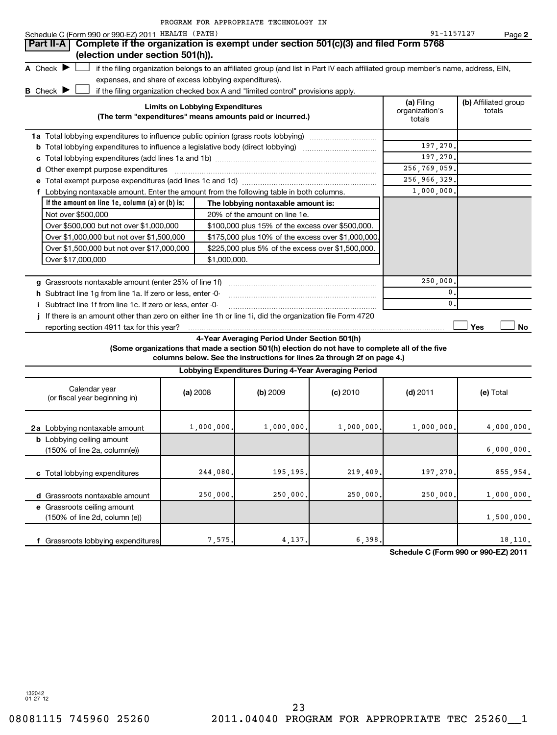|                                                             | PROGRAM FOR APPROPRIATE TECHNOLOGY IN                                                                                             |                                        |                                |
|-------------------------------------------------------------|-----------------------------------------------------------------------------------------------------------------------------------|----------------------------------------|--------------------------------|
| Schedule C (Form 990 or 990-EZ) 2011 HEALTH (PATH)          |                                                                                                                                   | 91-1157127                             | Page 2                         |
| Part II-A                                                   | Complete if the organization is exempt under section 501(c)(3) and filed Form 5768                                                |                                        |                                |
| (election under section 501(h)).                            |                                                                                                                                   |                                        |                                |
| A Check $\blacktriangleright$                               | if the filing organization belongs to an affiliated group (and list in Part IV each affiliated group member's name, address, EIN, |                                        |                                |
|                                                             | expenses, and share of excess lobbying expenditures).                                                                             |                                        |                                |
| <b>B</b> Check $\blacktriangleright$                        | if the filing organization checked box A and "limited control" provisions apply.                                                  |                                        |                                |
|                                                             | <b>Limits on Lobbying Expenditures</b><br>(The term "expenditures" means amounts paid or incurred.)                               | (a) Filing<br>organization's<br>totals | (b) Affiliated group<br>totals |
|                                                             |                                                                                                                                   |                                        |                                |
| b                                                           | Total lobbying expenditures to influence a legislative body (direct lobbying) manuscription of                                    | 197,270.                               |                                |
|                                                             |                                                                                                                                   | 197,270.                               |                                |
| Other exempt purpose expenditures<br>d                      |                                                                                                                                   | 256,769,059.                           |                                |
|                                                             |                                                                                                                                   | 256,966,329.                           |                                |
|                                                             | Lobbying nontaxable amount. Enter the amount from the following table in both columns.                                            | 1,000,000.                             |                                |
| If the amount on line $1e$ , column $(a)$ or $(b)$ is:      | The lobbying nontaxable amount is:                                                                                                |                                        |                                |
| Not over \$500,000                                          | 20% of the amount on line 1e.                                                                                                     |                                        |                                |
| Over \$500,000 but not over \$1,000,000                     | \$100,000 plus 15% of the excess over \$500,000.                                                                                  |                                        |                                |
| Over \$1,000,000 but not over \$1,500,000                   | \$175,000 plus 10% of the excess over \$1,000,000.                                                                                |                                        |                                |
| Over \$1,500,000 but not over \$17,000,000                  | \$225,000 plus 5% of the excess over \$1,500,000.                                                                                 |                                        |                                |
| Over \$17,000,000                                           | \$1,000,000.                                                                                                                      |                                        |                                |
| g Grassroots nontaxable amount (enter 25% of line 1f)       |                                                                                                                                   | 250,000                                |                                |
| h Subtract line 1g from line 1a. If zero or less, enter -0- |                                                                                                                                   | 0                                      |                                |
| i Subtract line 1f from line 1c. If zero or less, enter -0- |                                                                                                                                   | 0                                      |                                |
| reporting section 4911 tax for this year?                   | If there is an amount other than zero on either line 1h or line 1i, did the organization file Form 4720                           |                                        | Yes<br><b>No</b>               |
|                                                             | 4-Year Averaging Period Under Section 501(h)                                                                                      |                                        |                                |
|                                                             | (Some organizations that made a section 501(h) election do not have to complete all of the five                                   |                                        |                                |

**columns below. See the instructions for lines 2a through 2f on page 4.)**

| Lobbying Expenditures During 4-Year Averaging Period |          |          |            |            |     |  |
|------------------------------------------------------|----------|----------|------------|------------|-----|--|
| r vear<br>المرزانيم لمرز لمرمز زبم لمرز              | (a) 2008 | (b) 2009 | $(c)$ 2010 | $(d)$ 2011 | (e) |  |

| Calendar year<br>(or fiscal year beginning in)                                      | (a) 2008   | (b) 2009   | $(c)$ 2010 | $(d)$ 2011 | (e) Total  |
|-------------------------------------------------------------------------------------|------------|------------|------------|------------|------------|
| 2a Lobbying nontaxable amount                                                       | 1,000,000. | 1,000,000. | 1,000,000. | 1,000,000. | 4,000,000. |
| <b>b</b> Lobbying ceiling amount<br>$(150\% \text{ of line } 2a, \text{column}(e))$ |            |            |            |            | 6,000,000. |
| c Total lobbying expenditures                                                       | 244,080.   | 195, 195.  | 219,409.   | 197,270.   | 855,954.   |
| d Grassroots nontaxable amount                                                      | 250,000.   | 250,000.   | 250,000.   | 250,000.   | 1,000,000. |
| e Grassroots ceiling amount<br>(150% of line 2d, column (e))                        |            |            |            |            | 1,500,000. |
| Grassroots lobbying expenditures                                                    | 7,575.     | 4, 137.    | 6,398.     |            | 18,110.    |

**Schedule C (Form 990 or 990-EZ) 2011**

132042 01-27-12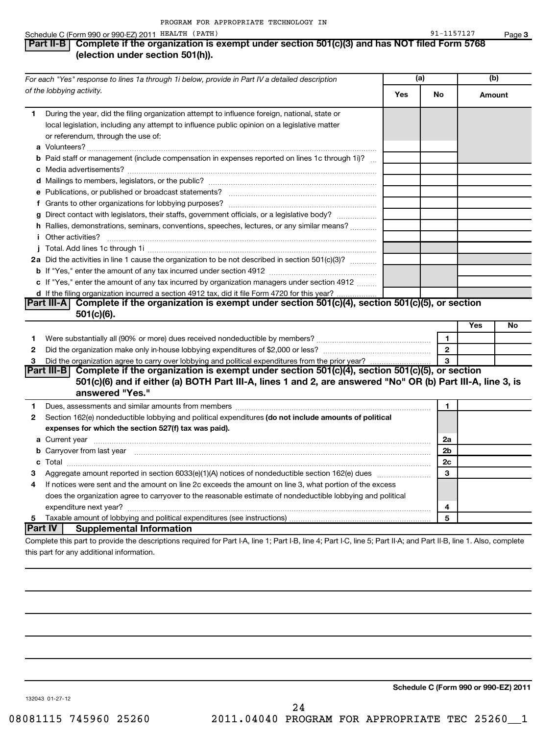#### Schedule C (Form 990 or 990-EZ) 2011 HEALTH (PATH) 30 and 50 and 50 and 50 and 50 and 51-1157127

## **Part II-B Complete if the organization is exempt under section 501(c)(3) and has NOT filed Form 5768 (election under section 501(h)).**

|            | For each "Yes" response to lines 1a through 1i below, provide in Part IV a detailed description                                                                                                                                     |     | (a)                  |     | (b)    |  |
|------------|-------------------------------------------------------------------------------------------------------------------------------------------------------------------------------------------------------------------------------------|-----|----------------------|-----|--------|--|
|            | of the lobbying activity.                                                                                                                                                                                                           | Yes | No                   |     | Amount |  |
| 1          | During the year, did the filing organization attempt to influence foreign, national, state or<br>local legislation, including any attempt to influence public opinion on a legislative matter<br>or referendum, through the use of: |     |                      |     |        |  |
|            | <b>b</b> Paid staff or management (include compensation in expenses reported on lines 1c through 1i)?                                                                                                                               |     |                      |     |        |  |
|            |                                                                                                                                                                                                                                     |     |                      |     |        |  |
|            |                                                                                                                                                                                                                                     |     |                      |     |        |  |
|            |                                                                                                                                                                                                                                     |     |                      |     |        |  |
|            |                                                                                                                                                                                                                                     |     |                      |     |        |  |
|            | g Direct contact with legislators, their staffs, government officials, or a legislative body?                                                                                                                                       |     |                      |     |        |  |
|            | h Rallies, demonstrations, seminars, conventions, speeches, lectures, or any similar means?                                                                                                                                         |     |                      |     |        |  |
| i.         | Other activities?                                                                                                                                                                                                                   |     |                      |     |        |  |
|            | 2a Did the activities in line 1 cause the organization to be not described in section 501(c)(3)?                                                                                                                                    |     |                      |     |        |  |
|            |                                                                                                                                                                                                                                     |     |                      |     |        |  |
|            | c If "Yes," enter the amount of any tax incurred by organization managers under section 4912                                                                                                                                        |     |                      |     |        |  |
|            | d If the filing organization incurred a section 4912 tax, did it file Form 4720 for this year?                                                                                                                                      |     |                      |     |        |  |
|            | Complete if the organization is exempt under section 501(c)(4), section 501(c)(5), or section<br>∣Part III-A⊺                                                                                                                       |     |                      |     |        |  |
|            | $501(c)(6)$ .                                                                                                                                                                                                                       |     |                      |     |        |  |
|            |                                                                                                                                                                                                                                     |     |                      | Yes | No     |  |
| 1          |                                                                                                                                                                                                                                     |     | 1                    |     |        |  |
| 2          |                                                                                                                                                                                                                                     |     | $\overline{2}$       |     |        |  |
| 3          |                                                                                                                                                                                                                                     |     | 3                    |     |        |  |
|            | Part III-B Complete if the organization is exempt under section $501(c)(4)$ , section $501(c)(5)$ , or section                                                                                                                      |     |                      |     |        |  |
|            | 501(c)(6) and if either (a) BOTH Part III-A, lines 1 and 2, are answered "No" OR (b) Part III-A, line 3, is                                                                                                                         |     |                      |     |        |  |
|            | answered "Yes."                                                                                                                                                                                                                     |     |                      |     |        |  |
| 1          | Dues, assessments and similar amounts from members [11] matter content and streamly matter and similar amounts from members [11] matter and streamly matter and similar amounts from members [11] matter and streamly matter a      |     | 1                    |     |        |  |
| 2          | Section 162(e) nondeductible lobbying and political expenditures (do not include amounts of political                                                                                                                               |     |                      |     |        |  |
|            | expenses for which the section 527(f) tax was paid).                                                                                                                                                                                |     |                      |     |        |  |
|            |                                                                                                                                                                                                                                     |     | 2a                   |     |        |  |
|            | b Carryover from last year manufactured and continuum control of the control of the control of the control of the control of the control of the control of the control of the control of the control of the control of the con      |     | 2 <sub>b</sub><br>2c |     |        |  |
|            | Aggregate amount reported in section 6033(e)(1)(A) notices of nondeductible section 162(e) dues manufaction                                                                                                                         |     | 3                    |     |        |  |
| з<br>4     | If notices were sent and the amount on line 2c exceeds the amount on line 3, what portion of the excess                                                                                                                             |     |                      |     |        |  |
|            | does the organization agree to carryover to the reasonable estimate of nondeductible lobbying and political                                                                                                                         |     |                      |     |        |  |
|            |                                                                                                                                                                                                                                     |     | 4                    |     |        |  |
| 5.         |                                                                                                                                                                                                                                     |     | 5                    |     |        |  |
| ∣Part IV ∣ | <b>Supplemental Information</b>                                                                                                                                                                                                     |     |                      |     |        |  |
|            | Complete this part to provide the descriptions required for Part I-A, line 1; Part I-B, line 4; Part I-C, line 5; Part II-A; and Part II-B, line 1. Also, complete                                                                  |     |                      |     |        |  |
|            | this part for any additional information.                                                                                                                                                                                           |     |                      |     |        |  |

**Schedule C (Form 990 or 990-EZ) 2011**

**3**

132043 01-27-12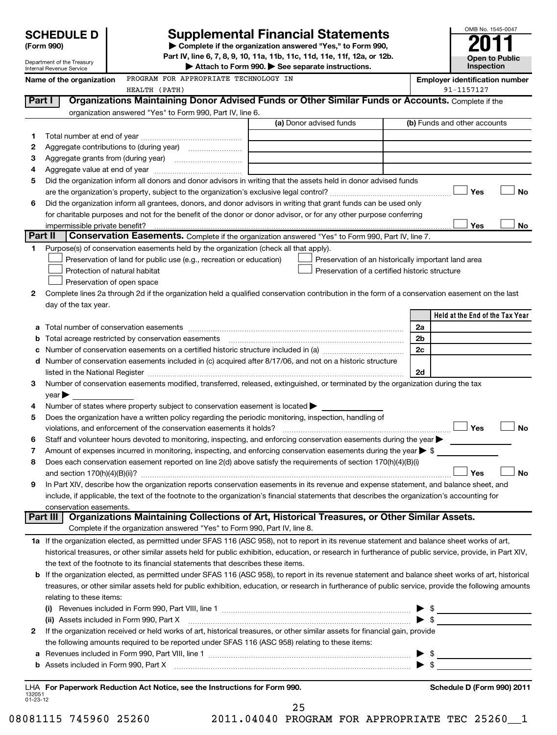**6**

# **Supplemental Financial Statements**

**(Form 990) | Complete if the organization answered "Yes," to Form 990, Part IV, line 6, 7, 8, 9, 10, 11a, 11b, 11c, 11d, 11e, 11f, 12a, or 12b.**

Department of the Treasury Internal Revenue Service **Name of the organization Part I Organizations Maintaining Donor Advise** PROGRAM FOR APPROPRIATE TECH HEALTH (PATH)

| nent of the Treasury<br><b>Revenue Service</b> | <b>Open to Public</b><br><b>Inspection</b>                                                                         |                         |            |                                       |
|------------------------------------------------|--------------------------------------------------------------------------------------------------------------------|-------------------------|------------|---------------------------------------|
| e of the organization                          | PROGRAM FOR APPROPRIATE TECHNOLOGY IN                                                                              |                         |            | <b>Employer identification number</b> |
|                                                | HEALTH (PATH)                                                                                                      |                         | 91-1157127 |                                       |
| t I                                            | Organizations Maintaining Donor Advised Funds or Other Similar Funds or Accounts. Complete if the                  |                         |            |                                       |
|                                                | organization answered "Yes" to Form 990, Part IV, line 6.                                                          |                         |            |                                       |
|                                                |                                                                                                                    | (a) Donor advised funds |            | (b) Funds and other accounts          |
|                                                |                                                                                                                    |                         |            |                                       |
|                                                | Aggregate contributions to (during year)                                                                           |                         |            |                                       |
| Aggregate grants from (during year)            |                                                                                                                    |                         |            |                                       |
| Aggregate value at end of year                 |                                                                                                                    |                         |            |                                       |
|                                                | Did the organization inform all donors and donor advisors in writing that the assets held in donor advised funds   |                         |            |                                       |
|                                                |                                                                                                                    |                         |            | Yes<br><b>No</b>                      |
|                                                | Did the organization inform all grantees, donors, and donor advisors in writing that grant funds can be used only  |                         |            |                                       |
|                                                | for charitable purposes and not for the benefit of the donor or donor advisor, or for any other purpose conferring |                         |            |                                       |

OMB No. 1545-0047

|   | impermissible private benefit?                                                                                                                                                                                                 |                |                                 | <b>Yes</b> | No        |
|---|--------------------------------------------------------------------------------------------------------------------------------------------------------------------------------------------------------------------------------|----------------|---------------------------------|------------|-----------|
|   | Part II<br>Conservation Easements. Complete if the organization answered "Yes" to Form 990, Part IV, line 7.                                                                                                                   |                |                                 |            |           |
| 1 | Purpose(s) of conservation easements held by the organization (check all that apply).                                                                                                                                          |                |                                 |            |           |
|   | Preservation of land for public use (e.g., recreation or education)<br>Preservation of an historically important land area                                                                                                     |                |                                 |            |           |
|   | Protection of natural habitat<br>Preservation of a certified historic structure                                                                                                                                                |                |                                 |            |           |
|   | Preservation of open space                                                                                                                                                                                                     |                |                                 |            |           |
| 2 | Complete lines 2a through 2d if the organization held a qualified conservation contribution in the form of a conservation easement on the last                                                                                 |                |                                 |            |           |
|   | day of the tax year.                                                                                                                                                                                                           |                |                                 |            |           |
|   |                                                                                                                                                                                                                                |                | Held at the End of the Tax Year |            |           |
| а |                                                                                                                                                                                                                                | 2a             |                                 |            |           |
| b |                                                                                                                                                                                                                                | 2 <sub>b</sub> |                                 |            |           |
| с |                                                                                                                                                                                                                                | 2c             |                                 |            |           |
| d | Number of conservation easements included in (c) acquired after 8/17/06, and not on a historic structure                                                                                                                       |                |                                 |            |           |
|   |                                                                                                                                                                                                                                | 2d             |                                 |            |           |
| 3 | Number of conservation easements modified, transferred, released, extinguished, or terminated by the organization during the tax                                                                                               |                |                                 |            |           |
|   | year                                                                                                                                                                                                                           |                |                                 |            |           |
| 4 | Number of states where property subject to conservation easement is located >                                                                                                                                                  |                |                                 |            |           |
| 5 | Does the organization have a written policy regarding the periodic monitoring, inspection, handling of                                                                                                                         |                |                                 |            |           |
|   | violations, and enforcement of the conservation easements it holds?                                                                                                                                                            |                |                                 | Yes        | <b>No</b> |
| 6 | Staff and volunteer hours devoted to monitoring, inspecting, and enforcing conservation easements during the year                                                                                                              |                |                                 |            |           |
| 7 | Amount of expenses incurred in monitoring, inspecting, and enforcing conservation easements during the year $\blacktriangleright$ \$                                                                                           |                |                                 |            |           |
| 8 | Does each conservation easement reported on line 2(d) above satisfy the requirements of section 170(h)(4)(B)(i)                                                                                                                |                |                                 |            |           |
|   |                                                                                                                                                                                                                                |                |                                 | Yes        | <b>No</b> |
| 9 | In Part XIV, describe how the organization reports conservation easements in its revenue and expense statement, and balance sheet, and                                                                                         |                |                                 |            |           |
|   | include, if applicable, the text of the footnote to the organization's financial statements that describes the organization's accounting for                                                                                   |                |                                 |            |           |
|   | conservation easements.                                                                                                                                                                                                        |                |                                 |            |           |
|   | Organizations Maintaining Collections of Art, Historical Treasures, or Other Similar Assets.<br>Part III                                                                                                                       |                |                                 |            |           |
|   | Complete if the organization answered "Yes" to Form 990, Part IV, line 8.                                                                                                                                                      |                |                                 |            |           |
|   | 1a If the organization elected, as permitted under SFAS 116 (ASC 958), not to report in its revenue statement and balance sheet works of art,                                                                                  |                |                                 |            |           |
|   | historical treasures, or other similar assets held for public exhibition, education, or research in furtherance of public service, provide, in Part XIV,                                                                       |                |                                 |            |           |
|   | the text of the footnote to its financial statements that describes these items.                                                                                                                                               |                |                                 |            |           |
|   | <b>b</b> If the organization elected, as permitted under SFAS 116 (ASC 958), to report in its revenue statement and balance sheet works of art, historical                                                                     |                |                                 |            |           |
|   | treasures, or other similar assets held for public exhibition, education, or research in furtherance of public service, provide the following amounts                                                                          |                |                                 |            |           |
|   | relating to these items:                                                                                                                                                                                                       |                |                                 |            |           |
|   |                                                                                                                                                                                                                                |                | \$                              |            |           |
|   |                                                                                                                                                                                                                                |                | -\$                             |            |           |
| 2 | If the organization received or held works of art, historical treasures, or other similar assets for financial gain, provide                                                                                                   |                |                                 |            |           |
|   | the following amounts required to be reported under SFAS 116 (ASC 958) relating to these items:                                                                                                                                |                |                                 |            |           |
| a | Revenues included in Form 990, Part VIII, line 1                                                                                                                                                                               |                | - \$                            |            |           |
| b | Assets included in Form 990, Part X [11] matter contract the state of the State of Table 1 and State 1 and Table 1 and Table 1 and Table 1 and Table 1 and Table 1 and Table 1 and Table 1 and Table 1 and Table 1 and Table 1 |                | -\$                             |            |           |
|   | LHA For Paperwork Reduction Act Notice, see the Instructions for Form 990.                                                                                                                                                     |                | Schedule D (Form 990) 2011      |            |           |

132051 01-23-12

25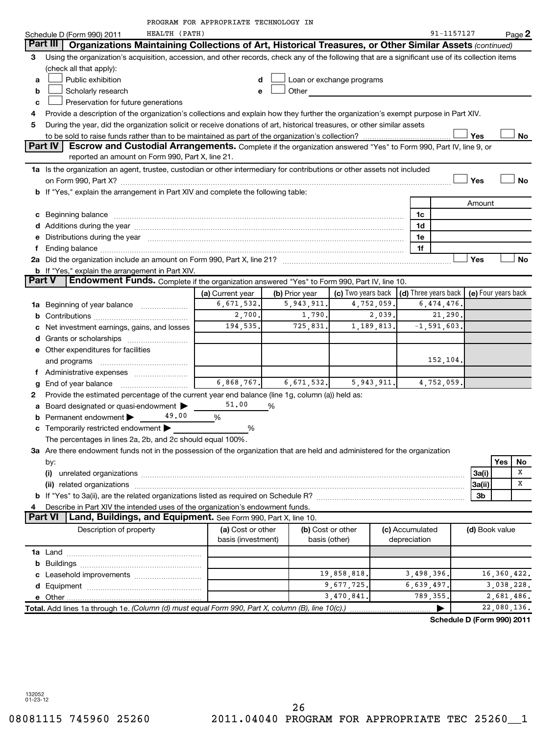|    |                                                                                                                                                                                                                                | PROGRAM FOR APPROPRIATE TECHNOLOGY IN |                                           |                                                                                                                                                                                                                               |              |                 |            |                |                            |
|----|--------------------------------------------------------------------------------------------------------------------------------------------------------------------------------------------------------------------------------|---------------------------------------|-------------------------------------------|-------------------------------------------------------------------------------------------------------------------------------------------------------------------------------------------------------------------------------|--------------|-----------------|------------|----------------|----------------------------|
|    | HEALTH (PATH)<br>Schedule D (Form 990) 2011                                                                                                                                                                                    |                                       |                                           |                                                                                                                                                                                                                               |              |                 | 91-1157127 |                | Page 2                     |
|    | Part III<br>Organizations Maintaining Collections of Art, Historical Treasures, or Other Similar Assets (continued)                                                                                                            |                                       |                                           |                                                                                                                                                                                                                               |              |                 |            |                |                            |
| 3  | Using the organization's acquisition, accession, and other records, check any of the following that are a significant use of its collection items                                                                              |                                       |                                           |                                                                                                                                                                                                                               |              |                 |            |                |                            |
|    | (check all that apply):                                                                                                                                                                                                        |                                       |                                           |                                                                                                                                                                                                                               |              |                 |            |                |                            |
| a  | Public exhibition                                                                                                                                                                                                              | d                                     |                                           | Loan or exchange programs                                                                                                                                                                                                     |              |                 |            |                |                            |
| b  | Scholarly research                                                                                                                                                                                                             | e                                     |                                           | Other and the contract of the contract of the contract of the contract of the contract of the contract of the contract of the contract of the contract of the contract of the contract of the contract of the contract of the |              |                 |            |                |                            |
| c  | Preservation for future generations                                                                                                                                                                                            |                                       |                                           |                                                                                                                                                                                                                               |              |                 |            |                |                            |
| 4  | Provide a description of the organization's collections and explain how they further the organization's exempt purpose in Part XIV.                                                                                            |                                       |                                           |                                                                                                                                                                                                                               |              |                 |            |                |                            |
| 5  | During the year, did the organization solicit or receive donations of art, historical treasures, or other similar assets                                                                                                       |                                       |                                           |                                                                                                                                                                                                                               |              |                 |            |                |                            |
|    |                                                                                                                                                                                                                                |                                       |                                           |                                                                                                                                                                                                                               |              |                 |            |                |                            |
|    | Part IV                                                                                                                                                                                                                        |                                       |                                           |                                                                                                                                                                                                                               |              |                 |            | Yes            | No                         |
|    | <b>Escrow and Custodial Arrangements.</b> Complete if the organization answered "Yes" to Form 990, Part IV, line 9, or<br>reported an amount on Form 990, Part X, line 21.                                                     |                                       |                                           |                                                                                                                                                                                                                               |              |                 |            |                |                            |
|    |                                                                                                                                                                                                                                |                                       |                                           |                                                                                                                                                                                                                               |              |                 |            |                |                            |
|    | 1a Is the organization an agent, trustee, custodian or other intermediary for contributions or other assets not included                                                                                                       |                                       |                                           |                                                                                                                                                                                                                               |              |                 |            |                |                            |
|    |                                                                                                                                                                                                                                |                                       |                                           |                                                                                                                                                                                                                               |              |                 |            | Yes            | No                         |
|    | b If "Yes," explain the arrangement in Part XIV and complete the following table:                                                                                                                                              |                                       |                                           |                                                                                                                                                                                                                               |              |                 |            |                |                            |
|    |                                                                                                                                                                                                                                |                                       |                                           |                                                                                                                                                                                                                               |              |                 |            | Amount         |                            |
|    | c Beginning balance measurements and the contract of the contract of the contract of the contract of the contract of the contract of the contract of the contract of the contract of the contract of the contract of the contr |                                       |                                           |                                                                                                                                                                                                                               |              | 1c              |            |                |                            |
|    |                                                                                                                                                                                                                                |                                       |                                           |                                                                                                                                                                                                                               |              | 1d              |            |                |                            |
|    | e Distributions during the year manufactured and an account of the year manufactured and the year manufactured and the year manufactured and the year manufactured and the year manufactured and the year manufactured and the |                                       |                                           |                                                                                                                                                                                                                               |              | 1e              |            |                |                            |
| f. |                                                                                                                                                                                                                                |                                       |                                           |                                                                                                                                                                                                                               |              | 1f              |            |                |                            |
|    |                                                                                                                                                                                                                                |                                       |                                           |                                                                                                                                                                                                                               |              |                 |            | Yes            | No                         |
|    | <b>b</b> If "Yes," explain the arrangement in Part XIV.                                                                                                                                                                        |                                       |                                           |                                                                                                                                                                                                                               |              |                 |            |                |                            |
|    | Part V<br>Endowment Funds. Complete if the organization answered "Yes" to Form 990, Part IV, line 10.                                                                                                                          |                                       |                                           |                                                                                                                                                                                                                               |              |                 |            |                |                            |
|    |                                                                                                                                                                                                                                | (a) Current year                      | (b) Prior year                            | (c) Two years back $\vert$ (d) Three years back $\vert$ (e) Four years back                                                                                                                                                   |              |                 |            |                |                            |
|    | 1a Beginning of year balance                                                                                                                                                                                                   | 6,671,532.                            | 5,943,911.                                |                                                                                                                                                                                                                               | 4,752,059.   |                 | 6,474,476. |                |                            |
|    |                                                                                                                                                                                                                                | 2,700.                                | 1,790.                                    |                                                                                                                                                                                                                               | 2,039.       |                 | 21,290.    |                |                            |
|    | c Net investment earnings, gains, and losses                                                                                                                                                                                   | 194,535.                              | 725,831.<br>1,189,813.<br>$-1, 591, 603.$ |                                                                                                                                                                                                                               |              |                 |            |                |                            |
|    | d Grants or scholarships                                                                                                                                                                                                       |                                       |                                           |                                                                                                                                                                                                                               |              |                 |            |                |                            |
|    | e Other expenditures for facilities                                                                                                                                                                                            |                                       |                                           |                                                                                                                                                                                                                               |              |                 |            |                |                            |
|    |                                                                                                                                                                                                                                |                                       |                                           |                                                                                                                                                                                                                               |              |                 | 152,104.   |                |                            |
|    |                                                                                                                                                                                                                                |                                       |                                           |                                                                                                                                                                                                                               |              |                 |            |                |                            |
|    | End of year balance                                                                                                                                                                                                            | 6,868,767.                            | 6,671,532.                                |                                                                                                                                                                                                                               | 5, 943, 911. |                 | 4,752,059. |                |                            |
| 2  | Provide the estimated percentage of the current year end balance (line 1g, column (a)) held as:                                                                                                                                |                                       |                                           |                                                                                                                                                                                                                               |              |                 |            |                |                            |
|    | a Board designated or quasi-endowment >                                                                                                                                                                                        | 51,00                                 | %                                         |                                                                                                                                                                                                                               |              |                 |            |                |                            |
|    | 49.00<br>Permanent endowment >                                                                                                                                                                                                 | %                                     |                                           |                                                                                                                                                                                                                               |              |                 |            |                |                            |
|    | c Temporarily restricted endowment                                                                                                                                                                                             |                                       |                                           |                                                                                                                                                                                                                               |              |                 |            |                |                            |
|    | The percentages in lines 2a, 2b, and 2c should equal 100%.                                                                                                                                                                     | ℅                                     |                                           |                                                                                                                                                                                                                               |              |                 |            |                |                            |
|    |                                                                                                                                                                                                                                |                                       |                                           |                                                                                                                                                                                                                               |              |                 |            |                |                            |
|    | 3a Are there endowment funds not in the possession of the organization that are held and administered for the organization                                                                                                     |                                       |                                           |                                                                                                                                                                                                                               |              |                 |            |                |                            |
|    | by:                                                                                                                                                                                                                            |                                       |                                           |                                                                                                                                                                                                                               |              |                 |            |                | Yes<br>No<br>х             |
|    |                                                                                                                                                                                                                                |                                       |                                           |                                                                                                                                                                                                                               |              |                 |            | 3a(i)          |                            |
|    |                                                                                                                                                                                                                                |                                       |                                           |                                                                                                                                                                                                                               |              |                 |            | 3a(ii)         | х                          |
|    |                                                                                                                                                                                                                                |                                       |                                           |                                                                                                                                                                                                                               |              |                 |            | 3b             |                            |
| 4  | Describe in Part XIV the intended uses of the organization's endowment funds.                                                                                                                                                  |                                       |                                           |                                                                                                                                                                                                                               |              |                 |            |                |                            |
|    | <b>Part VI</b><br>Land, Buildings, and Equipment. See Form 990, Part X, line 10.                                                                                                                                               |                                       |                                           |                                                                                                                                                                                                                               |              |                 |            |                |                            |
|    | Description of property                                                                                                                                                                                                        | (a) Cost or other                     |                                           | (b) Cost or other                                                                                                                                                                                                             |              | (c) Accumulated |            | (d) Book value |                            |
|    |                                                                                                                                                                                                                                | basis (investment)                    |                                           | basis (other)                                                                                                                                                                                                                 |              | depreciation    |            |                |                            |
|    |                                                                                                                                                                                                                                |                                       |                                           |                                                                                                                                                                                                                               |              |                 |            |                |                            |
|    |                                                                                                                                                                                                                                |                                       |                                           |                                                                                                                                                                                                                               |              |                 |            |                |                            |
|    |                                                                                                                                                                                                                                |                                       |                                           | 19,858,818.                                                                                                                                                                                                                   |              | 3,498,396.      |            |                | 16,360,422.                |
|    |                                                                                                                                                                                                                                |                                       |                                           | 9,677,725.                                                                                                                                                                                                                    |              | 6,639,497.      |            |                | 3,038,228.                 |
|    |                                                                                                                                                                                                                                |                                       |                                           | 3,470,841.                                                                                                                                                                                                                    |              | 789, 355.       |            |                | 2,681,486.                 |
|    | Total. Add lines 1a through 1e. (Column (d) must equal Form 990, Part X, column (B), line 10(c).)                                                                                                                              |                                       |                                           |                                                                                                                                                                                                                               |              |                 |            |                | 22,080,136.                |
|    |                                                                                                                                                                                                                                |                                       |                                           |                                                                                                                                                                                                                               |              |                 |            |                | Schedule D (Form 990) 2011 |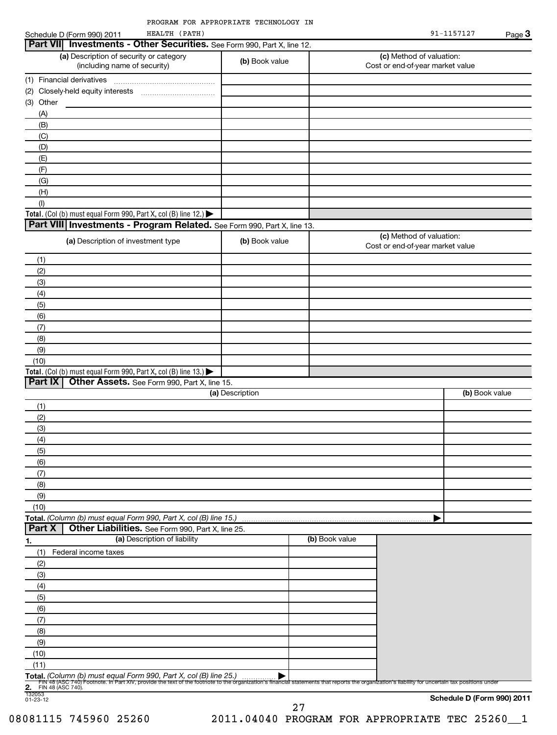| HEALTH (PATH)<br>Schedule D (Form 990) 2011                                                                                                                                                                                                                                               |                 |                | 91-1157127                                                   | Page 3         |
|-------------------------------------------------------------------------------------------------------------------------------------------------------------------------------------------------------------------------------------------------------------------------------------------|-----------------|----------------|--------------------------------------------------------------|----------------|
| Part VII Investments - Other Securities. See Form 990, Part X, line 12.                                                                                                                                                                                                                   |                 |                |                                                              |                |
| (a) Description of security or category<br>(including name of security)                                                                                                                                                                                                                   | (b) Book value  |                | (c) Method of valuation:<br>Cost or end-of-year market value |                |
|                                                                                                                                                                                                                                                                                           |                 |                |                                                              |                |
|                                                                                                                                                                                                                                                                                           |                 |                |                                                              |                |
| (3) Other                                                                                                                                                                                                                                                                                 |                 |                |                                                              |                |
| (A)                                                                                                                                                                                                                                                                                       |                 |                |                                                              |                |
| (B)                                                                                                                                                                                                                                                                                       |                 |                |                                                              |                |
| (C)                                                                                                                                                                                                                                                                                       |                 |                |                                                              |                |
| (D)                                                                                                                                                                                                                                                                                       |                 |                |                                                              |                |
| (E)                                                                                                                                                                                                                                                                                       |                 |                |                                                              |                |
| (F)                                                                                                                                                                                                                                                                                       |                 |                |                                                              |                |
| (G)                                                                                                                                                                                                                                                                                       |                 |                |                                                              |                |
| (H)                                                                                                                                                                                                                                                                                       |                 |                |                                                              |                |
| (1)                                                                                                                                                                                                                                                                                       |                 |                |                                                              |                |
| Total. (Col (b) must equal Form 990, Part X, col (B) line 12.)                                                                                                                                                                                                                            |                 |                |                                                              |                |
| Part VIII Investments - Program Related. See Form 990, Part X, line 13.                                                                                                                                                                                                                   |                 |                |                                                              |                |
| (a) Description of investment type                                                                                                                                                                                                                                                        | (b) Book value  |                | (c) Method of valuation:<br>Cost or end-of-year market value |                |
| (1)                                                                                                                                                                                                                                                                                       |                 |                |                                                              |                |
| (2)                                                                                                                                                                                                                                                                                       |                 |                |                                                              |                |
| (3)                                                                                                                                                                                                                                                                                       |                 |                |                                                              |                |
| (4)                                                                                                                                                                                                                                                                                       |                 |                |                                                              |                |
| (5)                                                                                                                                                                                                                                                                                       |                 |                |                                                              |                |
| (6)                                                                                                                                                                                                                                                                                       |                 |                |                                                              |                |
| (7)<br>(8)                                                                                                                                                                                                                                                                                |                 |                |                                                              |                |
| (9)                                                                                                                                                                                                                                                                                       |                 |                |                                                              |                |
| (10)                                                                                                                                                                                                                                                                                      |                 |                |                                                              |                |
| Total. (Col (b) must equal Form 990, Part X, col (B) line 13.) $\blacktriangleright$                                                                                                                                                                                                      |                 |                |                                                              |                |
| Part IX   Other Assets. See Form 990, Part X, line 15.                                                                                                                                                                                                                                    |                 |                |                                                              |                |
|                                                                                                                                                                                                                                                                                           | (a) Description |                |                                                              | (b) Book value |
| (1)                                                                                                                                                                                                                                                                                       |                 |                |                                                              |                |
| (2)                                                                                                                                                                                                                                                                                       |                 |                |                                                              |                |
| (3)                                                                                                                                                                                                                                                                                       |                 |                |                                                              |                |
| (4)                                                                                                                                                                                                                                                                                       |                 |                |                                                              |                |
| (၁)                                                                                                                                                                                                                                                                                       |                 |                |                                                              |                |
| (6)                                                                                                                                                                                                                                                                                       |                 |                |                                                              |                |
| (7)                                                                                                                                                                                                                                                                                       |                 |                |                                                              |                |
| (8)                                                                                                                                                                                                                                                                                       |                 |                |                                                              |                |
| (9)                                                                                                                                                                                                                                                                                       |                 |                |                                                              |                |
| (10)                                                                                                                                                                                                                                                                                      |                 |                |                                                              |                |
| Total. (Column (b) must equal Form 990, Part X, col (B) line 15.)                                                                                                                                                                                                                         |                 |                |                                                              |                |
| Part X<br>Other Liabilities. See Form 990, Part X, line 25.                                                                                                                                                                                                                               |                 |                |                                                              |                |
| (a) Description of liability<br><u>1.</u>                                                                                                                                                                                                                                                 |                 | (b) Book value |                                                              |                |
| Federal income taxes<br>(1)                                                                                                                                                                                                                                                               |                 |                |                                                              |                |
| (2)                                                                                                                                                                                                                                                                                       |                 |                |                                                              |                |
| (3)                                                                                                                                                                                                                                                                                       |                 |                |                                                              |                |
| (4)                                                                                                                                                                                                                                                                                       |                 |                |                                                              |                |
| (5)                                                                                                                                                                                                                                                                                       |                 |                |                                                              |                |
| (6)                                                                                                                                                                                                                                                                                       |                 |                |                                                              |                |
| (7)                                                                                                                                                                                                                                                                                       |                 |                |                                                              |                |
| (8)                                                                                                                                                                                                                                                                                       |                 |                |                                                              |                |
| (9)                                                                                                                                                                                                                                                                                       |                 |                |                                                              |                |
| (10)                                                                                                                                                                                                                                                                                      |                 |                |                                                              |                |
| (11)                                                                                                                                                                                                                                                                                      |                 |                |                                                              |                |
| Total. (Column (b) must equal Form 990, Part X, col (B) line 25.)<br>Fin 48 (ASC 740) Footnote. In Part XIV, provide the text of the footnote to the organization's financial statements that reports the organization's flability for uncertain tax positions under<br>FIN 48 (ASC 740). |                 |                |                                                              |                |
| 2. FIN4<br>132053<br>01-23-12                                                                                                                                                                                                                                                             |                 |                |                                                              |                |
|                                                                                                                                                                                                                                                                                           |                 |                | Schedule D (Form 990) 2011                                   |                |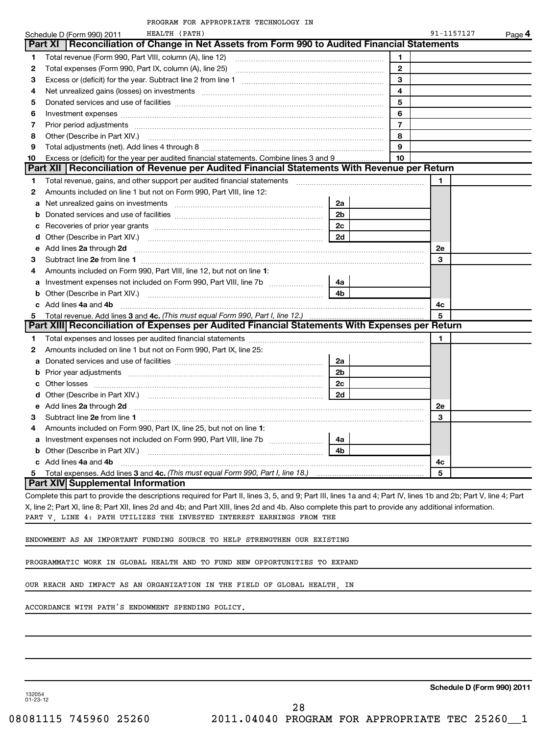|    | PROGRAM FOR APPROPRIATE TECHNOLOGY IN                                                                                                                                                                                               |                |                |            |        |
|----|-------------------------------------------------------------------------------------------------------------------------------------------------------------------------------------------------------------------------------------|----------------|----------------|------------|--------|
|    | HEALTH (PATH)<br>Schedule D (Form 990) 2011                                                                                                                                                                                         |                |                | 91-1157127 | Page 4 |
|    | Reconciliation of Change in Net Assets from Form 990 to Audited Financial Statements<br>Part XI                                                                                                                                     |                |                |            |        |
| 1  | Total revenue (Form 990, Part VIII, column (A), line 12)                                                                                                                                                                            |                | 1              |            |        |
| 2  | Total expenses (Form 990, Part IX, column (A), line 25) [11] [2010] [2010] [2010] [2010] [30] [2010] [30] [30] [                                                                                                                    |                | $\mathbf{2}$   |            |        |
| 3  |                                                                                                                                                                                                                                     |                | 3              |            |        |
| 4  | Net unrealized gains (losses) on investments [11] matter than the contract of the state of the state of the state of the state of the state of the state of the state of the state of the state of the state of the state of t      |                | $\overline{4}$ |            |        |
| 5  |                                                                                                                                                                                                                                     |                | 5              |            |        |
| 6  |                                                                                                                                                                                                                                     |                | 6              |            |        |
| 7  |                                                                                                                                                                                                                                     |                | $\overline{7}$ |            |        |
| 8  | Other (Describe in Part XIV.)                                                                                                                                                                                                       |                | 8              |            |        |
| 9  |                                                                                                                                                                                                                                     |                | 9              |            |        |
| 10 | Excess or (deficit) for the year per audited financial statements. Combine lines 3 and 9                                                                                                                                            |                | 10             |            |        |
|    | Part XII   Reconciliation of Revenue per Audited Financial Statements With Revenue per Return                                                                                                                                       |                |                |            |        |
| 1  | Total revenue, gains, and other support per audited financial statements [11, 11] matter controller and the support per audited financial statements [11] matter controller and the support of the statements and results are       |                |                | 1          |        |
| 2  | Amounts included on line 1 but not on Form 990, Part VIII, line 12:                                                                                                                                                                 |                |                |            |        |
| а  | Net unrealized gains on investments [11] matter contracts and the unrealized gains on investments [11] matter                                                                                                                       | 2a             |                |            |        |
| b  |                                                                                                                                                                                                                                     | 2 <sub>b</sub> |                |            |        |
| с  |                                                                                                                                                                                                                                     | 2c             |                |            |        |
| d  |                                                                                                                                                                                                                                     | 2d             |                |            |        |
| е  | Add lines 2a through 2d                                                                                                                                                                                                             |                |                | 2e         |        |
| 3  |                                                                                                                                                                                                                                     |                |                | 3          |        |
| 4  | Amounts included on Form 990, Part VIII, line 12, but not on line 1:                                                                                                                                                                |                |                |            |        |
| a  | Investment expenses not included on Form 990, Part VIII, line 7b                                                                                                                                                                    | 4a             |                |            |        |
| b  |                                                                                                                                                                                                                                     | 4 <sub>b</sub> |                |            |        |
|    | c Add lines 4a and 4b                                                                                                                                                                                                               |                |                | 4с         |        |
| 5  |                                                                                                                                                                                                                                     |                |                | 5          |        |
|    | Part XIII Reconciliation of Expenses per Audited Financial Statements With Expenses per Return                                                                                                                                      |                |                |            |        |
| 1  |                                                                                                                                                                                                                                     |                |                | 1          |        |
| 2  | Amounts included on line 1 but not on Form 990, Part IX, line 25:                                                                                                                                                                   |                |                |            |        |
| a  |                                                                                                                                                                                                                                     | 2a             |                |            |        |
| b  | Prior year adjustments information and continuum and contact the contract of the contract of the contract of the contract of the contract of the contract of the contract of the contract of the contract of the contract of t      | 2 <sub>b</sub> |                |            |        |
| с  |                                                                                                                                                                                                                                     | 2 <sub>c</sub> |                |            |        |
| d  |                                                                                                                                                                                                                                     | 2d             |                |            |        |
| е  | Add lines 2a through 2d <b>continuum continuum contracts</b> and an analysis of the contract of the contract of the contract of the contract of the contract of the contract of the contract of the contract of the contract of the |                |                | 2e         |        |
| 3  |                                                                                                                                                                                                                                     |                |                | 3          |        |
| 4  | Amounts included on Form 990, Part IX, line 25, but not on line 1:                                                                                                                                                                  |                |                |            |        |
| a  |                                                                                                                                                                                                                                     | 4a             |                |            |        |
| b  | Other (Describe in Part XIV.)                                                                                                                                                                                                       | 4 <sub>b</sub> |                |            |        |
|    | c Add lines 4a and 4b                                                                                                                                                                                                               |                |                | 4с         |        |
|    |                                                                                                                                                                                                                                     |                |                | 5          |        |
|    | Part XIV Supplemental Information                                                                                                                                                                                                   |                |                |            |        |
|    | Complete this part to provide the descriptions required for Dart IL lines 2. 5, and Q: Dart IIL lines 10 and 4: Dart IV lines 16 and 2b: Dart V, line 4: Dart                                                                       |                |                |            |        |

Complete this part to provide the descriptions required for Part II, lines 3, 5, and 9; Part III, lines 1a and 4; Part IV, lines 1b and 2b; Part V, line 4; Part X, line 2; Part XI, line 8; Part XII, lines 2d and 4b; and Part XIII, lines 2d and 4b. Also complete this part to provide any additional information. PART V, LINE 4: PATH UTILIZES THE INVESTED INTEREST EARNINGS FROM THE

ENDOWMENT AS AN IMPORTANT FUNDING SOURCE TO HELP STRENGTHEN OUR EXISTING

PROGRAMMATIC WORK IN GLOBAL HEALTH AND TO FUND NEW OPPORTUNITIES TO EXPAND

OUR REACH AND IMPACT AS AN ORGANIZATION IN THE FIELD OF GLOBAL HEALTH, IN

ACCORDANCE WITH PATH'S ENDOWMENT SPENDING POLICY.

**Schedule D (Form 990) 2011**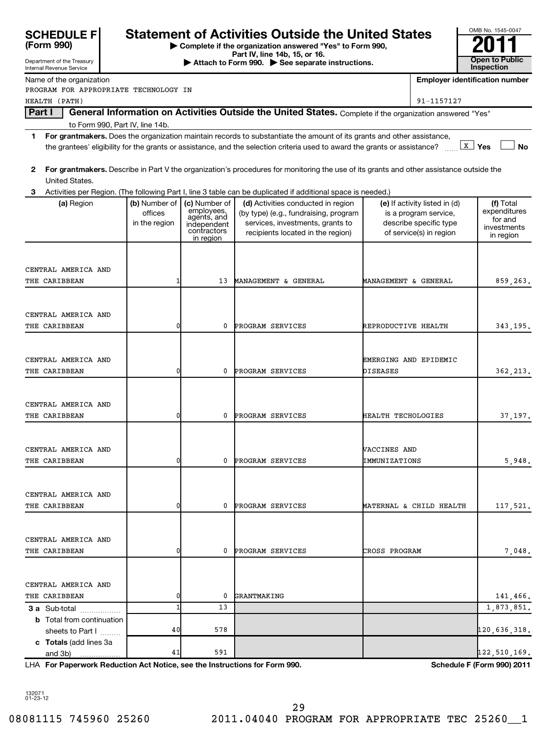| SCHEDULE F<br>(Form 990) |  |
|--------------------------|--|
|                          |  |

Department of the Treasury

# **Statement of Activities Outside the United States**

**| Complete if the organization answered "Yes" to Form 990,**

| OMB No. 1545-0047     |
|-----------------------|
| 20                    |
|                       |
| <b>Open to Public</b> |
| Inspection            |

Internal Revenue Service **Part IV, line 14b, 15, or 16. Conserved Bart IV, Ince 14b, 15, or 16. Conserved Bart IV, 15 See separate instructions. Conserved Bart III Conserved Bart III Conserved Bart II Conserved Bart II Conserved Bart Employer identification number 1 2 For grantmakers.**  Describe in Part V the organization's procedures for monitoring the use of its grants and other assistance outside the **3 For grantmakers.**  Does the organization maintain records to substantiate the amount of its grants and other assistance, the grantees' eligibility for the grants or assistance, and the selection criteria used to award the grants or assistance?  $\Box$  Yes  $\Box$  No (a) Region **(b)** Number of  $|$  (c) Number of  $|$  (d) Activities conducted in region  $|$  (e) If activity listed in (d)  $|$  (f) **3 a** Sub-total .................. **b** Total from continuation **c Totals**  (add lines 3a Name of the organization Part I | General Information on Activities Outside the United States. Complete if the organization answered "Yes" to Form 990, Part IV, line 14b. United States. Activities per Region. (The following Part I, line 3 table can be duplicated if additional space is needed.) (a) Region  $\vert$  (b) Number of offices in the region (c) Number of<br>employees, agents, and independent contractors in region (by type) (e.g., fundraising, program services, investments, grants to recipients located in the region) (e) If activity listed in (d) is a program service, describe specific type of service(s) in region (f) Total expenditures for and investments in region sheets to Part  $1$   $\ldots$ ... and 3b) PROGRAM FOR APPROPRIATE TECHNOLOGY IN HEALTH (PATH) 91-1157127 CENTRAL AMERICA AND THE CARIBBEAN 1 1 13 MANAGEMENT & GENERAL MANAGEMENT & GENERAL 859,263. CENTRAL AMERICA AND THE CARIBBEAN **1** 0 0 PROGRAM SERVICES REPRODUCTIVE HEALTH 343,195. CENTRAL AMERICA AND  $\begin{vmatrix} \cdot & \cdot & \cdot \\ \cdot & \cdot & \cdot \end{vmatrix}$  where  $\begin{vmatrix} \cdot & \cdot & \cdot \\ \cdot & \cdot & \cdot \end{vmatrix}$  where  $\begin{vmatrix} \cdot & \cdot & \cdot \\ \cdot & \cdot & \cdot \end{vmatrix}$ THE CARIBBEAN (CONSTRUCTED ASSERVED ASSOCIATED AND RESOURCES THE CONSTRUCTION OF PROGRAM SERVICES (CONSTRUCTED ASSERVED ASSERVED ASSERVED ASSERVED ASSERVED ASSOCIATED AND A SERVED ASSERVED ASSERVED ASSOCIATED ASSOCIATED AS CENTRAL AMERICA AND THE CARIBBEAN **120** 0 0 PROGRAM SERVICES HEALTH TECHOLOGIES 37,197. CENTRAL AMERICA AND VACCINES AND THE CARIBBEAN  $\begin{array}{ccc} | & 0 & 0 \end{array}$  PROGRAM SERVICES  $\begin{array}{ccc} \texttt{IMMUNIZATIONS} & & \end{array}$  5,948. CENTRAL AMERICA AND THE CARIBBEAN **117,521.** 0 0 PROGRAM SERVICES MATERNAL & CHILD HEALTH 117,521. CENTRAL AMERICA AND THE CARIBBEAN **1** 0 0 PROGRAM SERVICES CROSS PROGRAM 1 7,048. CENTRAL AMERICA AND THE CARIBBEAN (CONSTRUCTED ASSOCIATED AND THE CONSTRUCTED AND THE SERIES OF STATES OF STATES OF STATES OF STATES OF STATES OF STATES OF STATES OF STATES OF STATES OF STATES OF STATES OF STATES OF STATES OF STATES OF STATES  $13$  |  $1,873,851$ . 40 578 120,636,318. 41 591 122,510,169.

**For Paperwork Reduction Act Notice, see the Instructions for Form 990. Schedule F (Form 990) 2011** LHA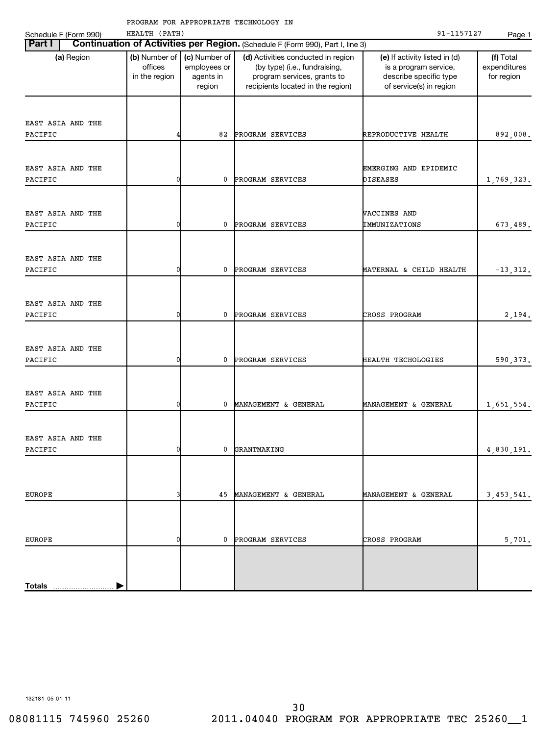| Schedule F (Form 990)        | HEALTH (PATH)                             |                                                      |                                                                                                                                         | 91-1157127                                                                                                  | Page 1                                  |
|------------------------------|-------------------------------------------|------------------------------------------------------|-----------------------------------------------------------------------------------------------------------------------------------------|-------------------------------------------------------------------------------------------------------------|-----------------------------------------|
| <b>Part I</b>                |                                           |                                                      | Continuation of Activities per Region. (Schedule F (Form 990), Part I, line 3)                                                          |                                                                                                             |                                         |
| (a) Region                   | (b) Number of<br>offices<br>in the region | (c) Number of<br>employees or<br>agents in<br>region | (d) Activities conducted in region<br>(by type) (i.e., fundraising,<br>program services, grants to<br>recipients located in the region) | (e) If activity listed in (d)<br>is a program service,<br>describe specific type<br>of service(s) in region | (f) Total<br>expenditures<br>for region |
| EAST ASIA AND THE<br>PACIFIC |                                           | 82                                                   | PROGRAM SERVICES                                                                                                                        | REPRODUCTIVE HEALTH                                                                                         | 892,008.                                |
| EAST ASIA AND THE<br>PACIFIC | 0                                         | 0                                                    | PROGRAM SERVICES                                                                                                                        | EMERGING AND EPIDEMIC<br><b>DISEASES</b>                                                                    | 1,769,323.                              |
| EAST ASIA AND THE<br>PACIFIC | 0                                         | 0                                                    | PROGRAM SERVICES                                                                                                                        | VACCINES AND<br>IMMUNIZATIONS                                                                               | 673,489.                                |
| EAST ASIA AND THE<br>PACIFIC | 0                                         | 0                                                    | PROGRAM SERVICES                                                                                                                        | MATERNAL & CHILD HEALTH                                                                                     | $-13, 312.$                             |
| EAST ASIA AND THE<br>PACIFIC | 0                                         | 0                                                    | PROGRAM SERVICES                                                                                                                        | CROSS PROGRAM                                                                                               | 2,194.                                  |
| EAST ASIA AND THE<br>PACIFIC | 0                                         | 0                                                    | PROGRAM SERVICES                                                                                                                        | HEALTH TECHOLOGIES                                                                                          | 590,373.                                |
| EAST ASIA AND THE<br>PACIFIC | 0                                         | $\mathbf 0$                                          | MANAGEMENT & GENERAL                                                                                                                    | MANAGEMENT & GENERAL                                                                                        | 1,651,554.                              |
| EAST ASIA AND THE<br>PACIFIC | O                                         | U                                                    | GRANTMAKING                                                                                                                             |                                                                                                             | 4,830,191.                              |
| EUROPE                       | 3                                         |                                                      | 45 MANAGEMENT & GENERAL                                                                                                                 | MANAGEMENT & GENERAL                                                                                        | 3, 453, 541.                            |
| EUROPE                       | 0                                         |                                                      | 0 PROGRAM SERVICES                                                                                                                      | CROSS PROGRAM                                                                                               | 5,701.                                  |
| <b>Totals</b>                |                                           |                                                      |                                                                                                                                         |                                                                                                             |                                         |

132181 05-01-11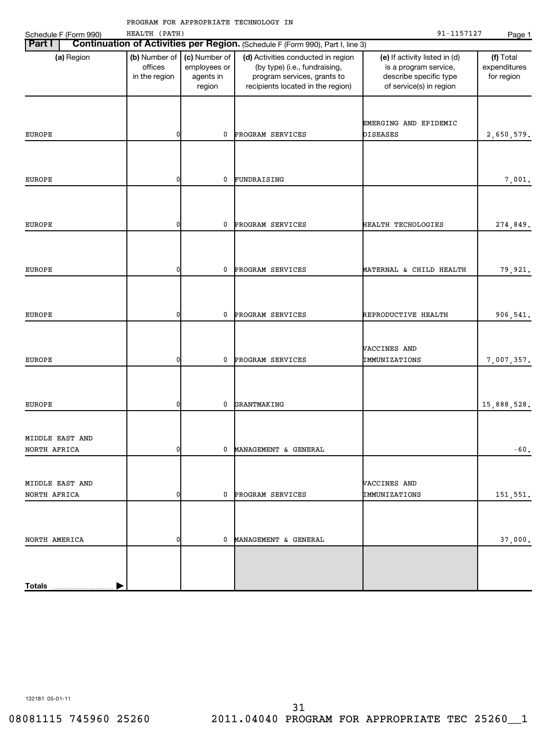| HEALTH (PATH)<br>91-1157127<br>Schedule F (Form 990)<br>Page 1 |                                           |                                                      |                                                                                                                                         |                                                                                                             |                                         |  |  |
|----------------------------------------------------------------|-------------------------------------------|------------------------------------------------------|-----------------------------------------------------------------------------------------------------------------------------------------|-------------------------------------------------------------------------------------------------------------|-----------------------------------------|--|--|
| <b>Part I</b>                                                  |                                           |                                                      | Continuation of Activities per Region. (Schedule F (Form 990), Part I, line 3)                                                          |                                                                                                             |                                         |  |  |
| (a) Region                                                     | (b) Number of<br>offices<br>in the region | (c) Number of<br>employees or<br>agents in<br>region | (d) Activities conducted in region<br>(by type) (i.e., fundraising,<br>program services, grants to<br>recipients located in the region) | (e) If activity listed in (d)<br>is a program service,<br>describe specific type<br>of service(s) in region | (f) Total<br>expenditures<br>for region |  |  |
| EUROPE                                                         | 0                                         | $\mathbf 0$                                          | PROGRAM SERVICES                                                                                                                        | EMERGING AND EPIDEMIC<br><b>DISEASES</b>                                                                    | 2,650,579.                              |  |  |
| EUROPE                                                         | 0                                         | 0                                                    | FUNDRAISING                                                                                                                             |                                                                                                             | 7,001.                                  |  |  |
|                                                                |                                           |                                                      |                                                                                                                                         |                                                                                                             |                                         |  |  |
| EUROPE                                                         | 0                                         | 0                                                    | PROGRAM SERVICES                                                                                                                        | HEALTH TECHOLOGIES                                                                                          | 274,849.                                |  |  |
| EUROPE                                                         | 0                                         | 0                                                    | PROGRAM SERVICES                                                                                                                        | MATERNAL & CHILD HEALTH                                                                                     | 79,921.                                 |  |  |
| EUROPE                                                         | 0                                         | 0                                                    | PROGRAM SERVICES                                                                                                                        | REPRODUCTIVE HEALTH                                                                                         | 906,541.                                |  |  |
| EUROPE                                                         | 0                                         | 0                                                    | PROGRAM SERVICES                                                                                                                        | VACCINES AND<br>IMMUNIZATIONS                                                                               | 7,007,357.                              |  |  |
| <b>EUROPE</b>                                                  | 0                                         | 0                                                    | GRANTMAKING                                                                                                                             |                                                                                                             | 15,888,528.                             |  |  |
| MIDDLE EAST AND<br>NORTH AFRICA                                | 0                                         |                                                      | MANAGEMENT & GENERAL                                                                                                                    |                                                                                                             | $-60.$                                  |  |  |
| MIDDLE EAST AND<br>NORTH AFRICA                                | 0                                         | $\mathbf 0$                                          | PROGRAM SERVICES                                                                                                                        | VACCINES AND<br>IMMUNIZATIONS                                                                               | 151,551.                                |  |  |
| NORTH AMERICA                                                  | 0                                         |                                                      | 0 MANAGEMENT & GENERAL                                                                                                                  |                                                                                                             | 37,000.                                 |  |  |
| Totals                                                         |                                           |                                                      |                                                                                                                                         |                                                                                                             |                                         |  |  |

132181 05-01-11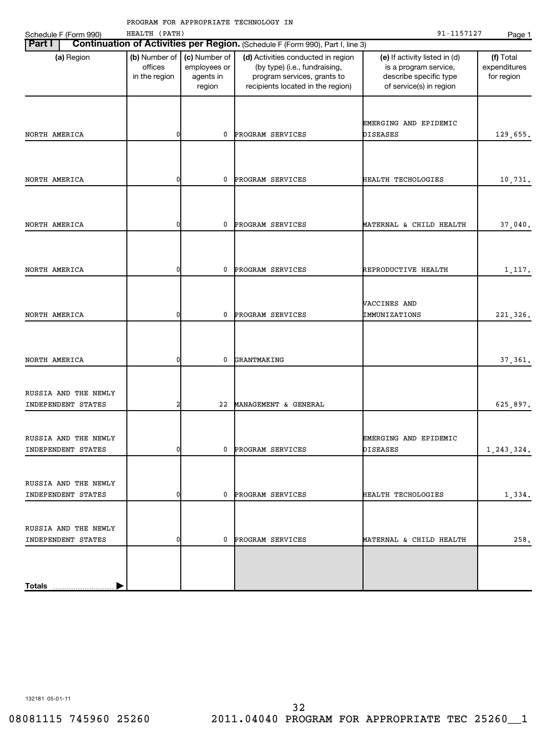| HEALTH (PATH)<br>91-1157127<br>Schedule F (Form 990) |                                           |                                                      |                                                                                                                                         |                                                                                                             |                                         |  |  |
|------------------------------------------------------|-------------------------------------------|------------------------------------------------------|-----------------------------------------------------------------------------------------------------------------------------------------|-------------------------------------------------------------------------------------------------------------|-----------------------------------------|--|--|
| Part I                                               |                                           |                                                      | Continuation of Activities per Region. (Schedule F (Form 990), Part I, line 3)                                                          |                                                                                                             |                                         |  |  |
| (a) Region                                           | (b) Number of<br>offices<br>in the region | (c) Number of<br>employees or<br>agents in<br>region | (d) Activities conducted in region<br>(by type) (i.e., fundraising,<br>program services, grants to<br>recipients located in the region) | (e) If activity listed in (d)<br>is a program service,<br>describe specific type<br>of service(s) in region | (f) Total<br>expenditures<br>for region |  |  |
| NORTH AMERICA                                        | 0                                         | 0                                                    | PROGRAM SERVICES                                                                                                                        | EMERGING AND EPIDEMIC<br><b>DISEASES</b>                                                                    |                                         |  |  |
|                                                      |                                           |                                                      |                                                                                                                                         |                                                                                                             | 129,655.                                |  |  |
| NORTH AMERICA                                        | 0                                         | 0                                                    | PROGRAM SERVICES                                                                                                                        | HEALTH TECHOLOGIES                                                                                          | 10,731.                                 |  |  |
| NORTH AMERICA                                        | 0                                         | 0                                                    | PROGRAM SERVICES                                                                                                                        | MATERNAL & CHILD HEALTH                                                                                     | 37,040.                                 |  |  |
| NORTH AMERICA                                        | 0                                         | 0                                                    | PROGRAM SERVICES                                                                                                                        | REPRODUCTIVE HEALTH                                                                                         | 1,117.                                  |  |  |
| NORTH AMERICA                                        | 0                                         | 0                                                    | PROGRAM SERVICES                                                                                                                        | VACCINES AND<br>IMMUNIZATIONS                                                                               | 221,326.                                |  |  |
| NORTH AMERICA                                        | $\overline{0}$                            | 0                                                    | GRANTMAKING                                                                                                                             |                                                                                                             | 37,361.                                 |  |  |
| RUSSIA AND THE NEWLY<br>INDEPENDENT STATES           | 2                                         | 22                                                   | MANAGEMENT & GENERAL                                                                                                                    |                                                                                                             | 625,897.                                |  |  |
| RUSSIA AND THE NEWLY<br>INDEPENDENT STATES           | 01                                        | 0                                                    | PROGRAM SERVICES                                                                                                                        | EMERGING AND EPIDEMIC<br>DISEASES                                                                           | 1,243,324.                              |  |  |
| RUSSIA AND THE NEWLY<br>INDEPENDENT STATES           | 0                                         | 0                                                    | PROGRAM SERVICES                                                                                                                        | HEALTH TECHOLOGIES                                                                                          | 1,334.                                  |  |  |
| RUSSIA AND THE NEWLY<br>INDEPENDENT STATES           | 0                                         | 0                                                    | PROGRAM SERVICES                                                                                                                        | MATERNAL & CHILD HEALTH                                                                                     | 258.                                    |  |  |
|                                                      |                                           |                                                      |                                                                                                                                         |                                                                                                             |                                         |  |  |

132181 05-01-11

**Totals**

 $\blacktriangleright$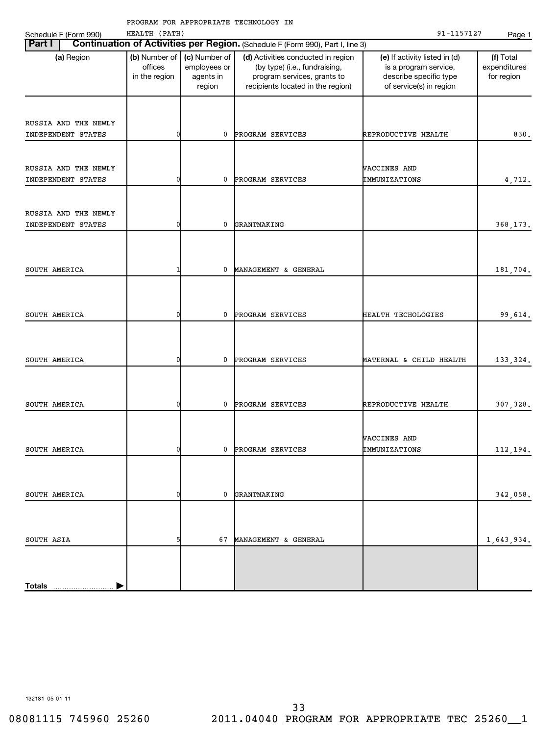| Schedule F (Form 990) | HEALTH (PATH)                                                                                     |    |                                                                                                                                         | 91-1157127                                                                                                  | Page 1                                  |
|-----------------------|---------------------------------------------------------------------------------------------------|----|-----------------------------------------------------------------------------------------------------------------------------------------|-------------------------------------------------------------------------------------------------------------|-----------------------------------------|
| Part I                |                                                                                                   |    | Continuation of Activities per Region. (Schedule F (Form 990), Part I, line 3)                                                          |                                                                                                             |                                         |
| (a) Region            | (c) Number of<br>(b) Number of<br>offices<br>employees or<br>in the region<br>agents in<br>region |    | (d) Activities conducted in region<br>(by type) (i.e., fundraising,<br>program services, grants to<br>recipients located in the region) | (e) If activity listed in (d)<br>is a program service,<br>describe specific type<br>of service(s) in region | (f) Total<br>expenditures<br>for region |
|                       |                                                                                                   |    |                                                                                                                                         |                                                                                                             |                                         |
| RUSSIA AND THE NEWLY  |                                                                                                   |    |                                                                                                                                         |                                                                                                             |                                         |
| INDEPENDENT STATES    | 0                                                                                                 | 0  | PROGRAM SERVICES                                                                                                                        | REPRODUCTIVE HEALTH                                                                                         | 830.                                    |
|                       |                                                                                                   |    |                                                                                                                                         |                                                                                                             |                                         |
| RUSSIA AND THE NEWLY  |                                                                                                   |    |                                                                                                                                         | VACCINES AND                                                                                                |                                         |
| INDEPENDENT STATES    | 0                                                                                                 | 0  | PROGRAM SERVICES                                                                                                                        | IMMUNIZATIONS                                                                                               | 4,712.                                  |
|                       |                                                                                                   |    |                                                                                                                                         |                                                                                                             |                                         |
| RUSSIA AND THE NEWLY  |                                                                                                   |    |                                                                                                                                         |                                                                                                             |                                         |
| INDEPENDENT STATES    | 0                                                                                                 | 0  | GRANTMAKING                                                                                                                             |                                                                                                             | 368,173.                                |
|                       |                                                                                                   |    |                                                                                                                                         |                                                                                                             |                                         |
|                       |                                                                                                   |    |                                                                                                                                         |                                                                                                             |                                         |
| SOUTH AMERICA         | 1                                                                                                 | 0  | MANAGEMENT & GENERAL                                                                                                                    |                                                                                                             | 181,704.                                |
|                       |                                                                                                   |    |                                                                                                                                         |                                                                                                             |                                         |
|                       |                                                                                                   |    |                                                                                                                                         |                                                                                                             |                                         |
| SOUTH AMERICA         | 0                                                                                                 | 0  | PROGRAM SERVICES                                                                                                                        | HEALTH TECHOLOGIES                                                                                          | 99,614.                                 |
|                       |                                                                                                   |    |                                                                                                                                         |                                                                                                             |                                         |
|                       |                                                                                                   |    |                                                                                                                                         |                                                                                                             |                                         |
| SOUTH AMERICA         | 0                                                                                                 | 0  | PROGRAM SERVICES                                                                                                                        | MATERNAL & CHILD HEALTH                                                                                     | 133, 324.                               |
|                       |                                                                                                   |    |                                                                                                                                         |                                                                                                             |                                         |
|                       |                                                                                                   |    |                                                                                                                                         |                                                                                                             |                                         |
| SOUTH AMERICA         | 0                                                                                                 | 0  | PROGRAM SERVICES                                                                                                                        | REPRODUCTIVE HEALTH                                                                                         | 307,328.                                |
|                       |                                                                                                   |    |                                                                                                                                         |                                                                                                             |                                         |
|                       |                                                                                                   |    |                                                                                                                                         | <b>VACCINES AND</b>                                                                                         |                                         |
| SOUTH AMERICA         | 0                                                                                                 | 0  | PROGRAM SERVICES                                                                                                                        | IMMUNIZATIONS                                                                                               | 112,194.                                |
|                       |                                                                                                   |    |                                                                                                                                         |                                                                                                             |                                         |
|                       |                                                                                                   |    |                                                                                                                                         |                                                                                                             |                                         |
| SOUTH AMERICA         | 0                                                                                                 | 0  | GRANTMAKING                                                                                                                             |                                                                                                             | 342,058.                                |
|                       |                                                                                                   |    |                                                                                                                                         |                                                                                                             |                                         |
|                       |                                                                                                   |    |                                                                                                                                         |                                                                                                             |                                         |
| SOUTH ASIA            | 5                                                                                                 | 67 | MANAGEMENT & GENERAL                                                                                                                    |                                                                                                             | 1,643,934.                              |
|                       |                                                                                                   |    |                                                                                                                                         |                                                                                                             |                                         |
|                       |                                                                                                   |    |                                                                                                                                         |                                                                                                             |                                         |
| <b>Totals</b>         |                                                                                                   |    |                                                                                                                                         |                                                                                                             |                                         |

132181 05-01-11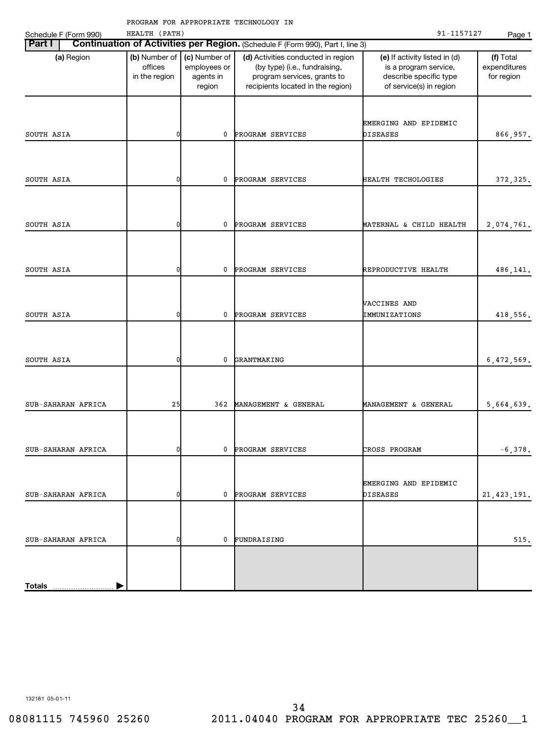| INCONIN ION INTINOINIIII IDCHNODOOI IN<br>91-1157127<br>HEALTH (PATH)<br>Schedule F (Form 990)<br>Continuation of Activities per Region. (Schedule F (Form 990), Part I, line 3) |                                                                                                   |     |                                                                                                                                         |                                                                                                             |                                         |  |  |  |
|----------------------------------------------------------------------------------------------------------------------------------------------------------------------------------|---------------------------------------------------------------------------------------------------|-----|-----------------------------------------------------------------------------------------------------------------------------------------|-------------------------------------------------------------------------------------------------------------|-----------------------------------------|--|--|--|
| Part I                                                                                                                                                                           |                                                                                                   |     |                                                                                                                                         |                                                                                                             |                                         |  |  |  |
| (a) Region                                                                                                                                                                       | (c) Number of<br>(b) Number of<br>offices<br>employees or<br>in the region<br>agents in<br>region |     | (d) Activities conducted in region<br>(by type) (i.e., fundraising,<br>program services, grants to<br>recipients located in the region) | (e) If activity listed in (d)<br>is a program service,<br>describe specific type<br>of service(s) in region | (f) Total<br>expenditures<br>for region |  |  |  |
|                                                                                                                                                                                  |                                                                                                   |     |                                                                                                                                         | EMERGING AND EPIDEMIC                                                                                       |                                         |  |  |  |
| SOUTH ASIA                                                                                                                                                                       | 0                                                                                                 | 0   | PROGRAM SERVICES                                                                                                                        | <b>DISEASES</b>                                                                                             | 866,957.                                |  |  |  |
| SOUTH ASIA                                                                                                                                                                       | 0                                                                                                 | 0   | PROGRAM SERVICES                                                                                                                        | HEALTH TECHOLOGIES                                                                                          | 372, 325.                               |  |  |  |
| SOUTH ASIA                                                                                                                                                                       | 0                                                                                                 | 0   | PROGRAM SERVICES                                                                                                                        | MATERNAL & CHILD HEALTH                                                                                     | 2,074,761.                              |  |  |  |
|                                                                                                                                                                                  |                                                                                                   |     |                                                                                                                                         |                                                                                                             |                                         |  |  |  |
| SOUTH ASIA                                                                                                                                                                       | $\overline{0}$                                                                                    | 0   | PROGRAM SERVICES                                                                                                                        | REPRODUCTIVE HEALTH                                                                                         | 486,141.                                |  |  |  |
| SOUTH ASIA                                                                                                                                                                       | 0                                                                                                 | 0   | PROGRAM SERVICES                                                                                                                        | VACCINES AND<br>IMMUNIZATIONS                                                                               | 418,556.                                |  |  |  |
|                                                                                                                                                                                  |                                                                                                   |     |                                                                                                                                         |                                                                                                             |                                         |  |  |  |
| SOUTH ASIA                                                                                                                                                                       | $\overline{0}$                                                                                    | 0   | GRANTMAKING                                                                                                                             |                                                                                                             | 6,472,569.                              |  |  |  |
| SUB-SAHARAN AFRICA                                                                                                                                                               | 25                                                                                                | 362 | MANAGEMENT & GENERAL                                                                                                                    | MANAGEMENT & GENERAL                                                                                        | 5,664,639.                              |  |  |  |
|                                                                                                                                                                                  |                                                                                                   |     |                                                                                                                                         |                                                                                                             |                                         |  |  |  |
| SUB-SAHARAN AFRICA                                                                                                                                                               | 0l                                                                                                | 0   | PROGRAM SERVICES                                                                                                                        | CROSS PROGRAM                                                                                               | $-6,378.$                               |  |  |  |
| SUB-SAHARAN AFRICA                                                                                                                                                               | 0                                                                                                 | 0   | PROGRAM SERVICES                                                                                                                        | EMERGING AND EPIDEMIC<br>DISEASES                                                                           | 21, 423, 191.                           |  |  |  |
| SUB-SAHARAN AFRICA                                                                                                                                                               | 0                                                                                                 | 0   | FUNDRAISING                                                                                                                             |                                                                                                             | 515.                                    |  |  |  |
|                                                                                                                                                                                  |                                                                                                   |     |                                                                                                                                         |                                                                                                             |                                         |  |  |  |
| Total <u>s </u>                                                                                                                                                                  |                                                                                                   |     |                                                                                                                                         |                                                                                                             |                                         |  |  |  |

132181 05-01-11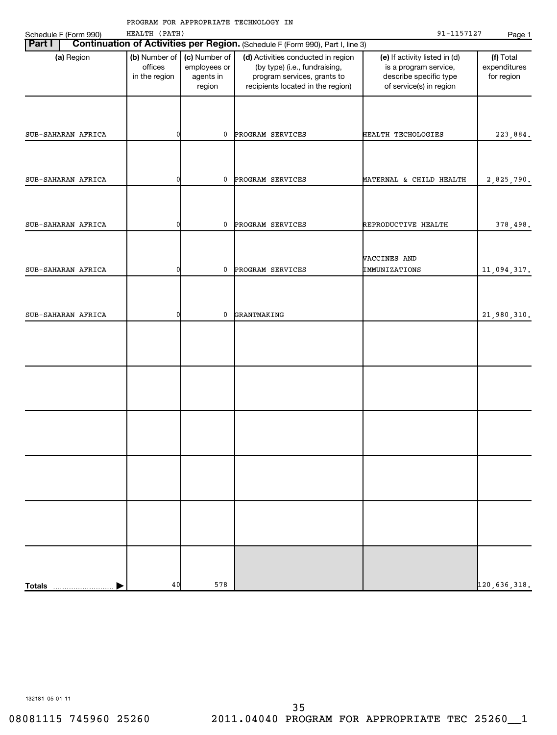|                                                        |                    | HEALTH (PATH)                             |                                                      | PROGRAM FOR APPROPRIATE TECHNOLOGY IN                                                                                                   | 91-1157127                                                                                                  | Page 1                                  |
|--------------------------------------------------------|--------------------|-------------------------------------------|------------------------------------------------------|-----------------------------------------------------------------------------------------------------------------------------------------|-------------------------------------------------------------------------------------------------------------|-----------------------------------------|
| Schedule F (Form 990)<br><b>Part I</b>   <b>Contin</b> |                    |                                           |                                                      | Continuation of Activities per Region. (Schedule F (Form 990), Part I, line 3)                                                          |                                                                                                             |                                         |
| (a) Region                                             |                    | (b) Number of<br>offices<br>in the region | (c) Number of<br>employees or<br>agents in<br>region | (d) Activities conducted in region<br>(by type) (i.e., fundraising,<br>program services, grants to<br>recipients located in the region) | (e) If activity listed in (d)<br>is a program service,<br>describe specific type<br>of service(s) in region | (f) Total<br>expenditures<br>for region |
|                                                        | SUB-SAHARAN AFRICA | 0                                         | 0                                                    | PROGRAM SERVICES                                                                                                                        | HEALTH TECHOLOGIES                                                                                          | 223,884.                                |
|                                                        | SUB-SAHARAN AFRICA | 0                                         | 0                                                    | PROGRAM SERVICES                                                                                                                        | MATERNAL & CHILD HEALTH                                                                                     | 2,825,790.                              |
|                                                        | SUB-SAHARAN AFRICA | 0                                         | 0                                                    | PROGRAM SERVICES                                                                                                                        | REPRODUCTIVE HEALTH                                                                                         | 378,498.                                |
|                                                        | SUB-SAHARAN AFRICA | 0                                         | 0                                                    | PROGRAM SERVICES                                                                                                                        | VACCINES AND<br>IMMUNIZATIONS                                                                               | 11,094,317.                             |
|                                                        |                    |                                           |                                                      |                                                                                                                                         |                                                                                                             |                                         |
|                                                        | SUB-SAHARAN AFRICA | 0                                         | 0                                                    | GRANTMAKING                                                                                                                             |                                                                                                             | 21,980,310.                             |
|                                                        |                    |                                           |                                                      |                                                                                                                                         |                                                                                                             |                                         |
|                                                        |                    |                                           |                                                      |                                                                                                                                         |                                                                                                             |                                         |
|                                                        |                    |                                           |                                                      |                                                                                                                                         |                                                                                                             |                                         |
|                                                        |                    |                                           |                                                      |                                                                                                                                         |                                                                                                             |                                         |
|                                                        |                    |                                           |                                                      |                                                                                                                                         |                                                                                                             |                                         |

132181 05-01-11

**Totals**

40 578 120,636,318.

|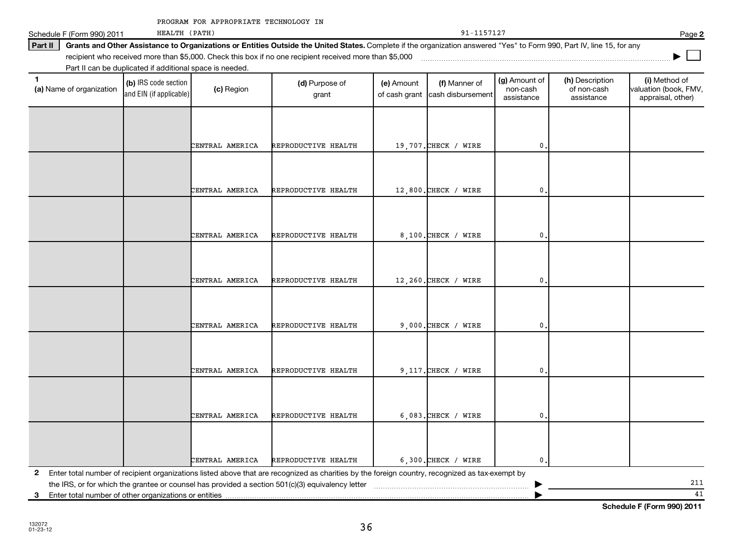| PROGRAM FOR APPROPRIATE TECHNOLOGY IN |
|---------------------------------------|
|---------------------------------------|

Schedule F (Form 990) 2011 HEALTH (PATH) 23 and 2012 11:5712

#### Part II | Grants and Other Assistance to Organizations or Entities Outside the United States. Complete if the organization answered "Yes" to Form 990, Part IV, line 15, for any

recipient who received more than \$5,000. Check this box if no one recipient received more than \$5,000 **with consumediary consumediary and the consumediary consumediary consumediary and the consumediary consumediary consume** 

Part II can be duplicated if additional space is needed.

HEALTH (PATH)

| $\mathbf{1}$ | (a) Name of organization                                                                                | (b) IRS code section<br>and EIN (if applicable) |  | (c) Region      | (d) Purpose of<br>grant                                                                                                                         | (e) Amount<br>of cash grant | (f) Manner of<br>cash disbursement | (g) Amount of<br>non-cash<br>assistance | (h) Description<br>of non-cash<br>assistance | (i) Method of<br>valuation (book, FMV,<br>appraisal, other) |
|--------------|---------------------------------------------------------------------------------------------------------|-------------------------------------------------|--|-----------------|-------------------------------------------------------------------------------------------------------------------------------------------------|-----------------------------|------------------------------------|-----------------------------------------|----------------------------------------------|-------------------------------------------------------------|
|              |                                                                                                         |                                                 |  |                 |                                                                                                                                                 |                             |                                    |                                         |                                              |                                                             |
|              |                                                                                                         |                                                 |  | CENTRAL AMERICA | REPRODUCTIVE HEALTH                                                                                                                             |                             | 19,707. CHECK / WIRE               | $\mathbf{0}$ .                          |                                              |                                                             |
|              |                                                                                                         |                                                 |  |                 |                                                                                                                                                 |                             |                                    |                                         |                                              |                                                             |
|              |                                                                                                         |                                                 |  |                 |                                                                                                                                                 |                             |                                    |                                         |                                              |                                                             |
|              |                                                                                                         |                                                 |  | CENTRAL AMERICA | REPRODUCTIVE HEALTH                                                                                                                             |                             | $12,800$ . CHECK / WIRE            | $\mathbf 0$                             |                                              |                                                             |
|              |                                                                                                         |                                                 |  |                 |                                                                                                                                                 |                             |                                    |                                         |                                              |                                                             |
|              |                                                                                                         |                                                 |  | CENTRAL AMERICA | REPRODUCTIVE HEALTH                                                                                                                             |                             | $8,100$ . CHECK / WIRE             | 0.                                      |                                              |                                                             |
|              |                                                                                                         |                                                 |  |                 |                                                                                                                                                 |                             |                                    |                                         |                                              |                                                             |
|              |                                                                                                         |                                                 |  |                 |                                                                                                                                                 |                             |                                    |                                         |                                              |                                                             |
|              |                                                                                                         |                                                 |  | CENTRAL AMERICA | REPRODUCTIVE HEALTH                                                                                                                             |                             | $12,260$ . CHECK / WIRE            | $\mathbf{0}$ .                          |                                              |                                                             |
|              |                                                                                                         |                                                 |  |                 |                                                                                                                                                 |                             |                                    |                                         |                                              |                                                             |
|              |                                                                                                         |                                                 |  | CENTRAL AMERICA | REPRODUCTIVE HEALTH                                                                                                                             |                             | $9,000$ . CHECK / WIRE             | $\mathbf 0$ .                           |                                              |                                                             |
|              |                                                                                                         |                                                 |  |                 |                                                                                                                                                 |                             |                                    |                                         |                                              |                                                             |
|              |                                                                                                         |                                                 |  |                 |                                                                                                                                                 |                             |                                    |                                         |                                              |                                                             |
|              |                                                                                                         |                                                 |  | CENTRAL AMERICA | REPRODUCTIVE HEALTH                                                                                                                             |                             | $9,117$ . CHECK / WIRE             | $\mathbf{0}$ .                          |                                              |                                                             |
|              |                                                                                                         |                                                 |  |                 |                                                                                                                                                 |                             |                                    |                                         |                                              |                                                             |
|              |                                                                                                         |                                                 |  | CENTRAL AMERICA | REPRODUCTIVE HEALTH                                                                                                                             |                             | $6,083$ . CHECK / WIRE             | 0.                                      |                                              |                                                             |
|              |                                                                                                         |                                                 |  |                 |                                                                                                                                                 |                             |                                    |                                         |                                              |                                                             |
|              |                                                                                                         |                                                 |  |                 |                                                                                                                                                 |                             |                                    |                                         |                                              |                                                             |
|              |                                                                                                         |                                                 |  | CENTRAL AMERICA | REPRODUCTIVE HEALTH                                                                                                                             |                             | $6,300$ . CHECK / WIRE             | $\mathbf 0$ .                           |                                              |                                                             |
| $\mathbf{2}$ |                                                                                                         |                                                 |  |                 | Enter total number of recipient organizations listed above that are recognized as charities by the foreign country, recognized as tax-exempt by |                             |                                    |                                         |                                              |                                                             |
|              | 211<br>the IRS, or for which the grantee or counsel has provided a section 501(c)(3) equivalency letter |                                                 |  |                 |                                                                                                                                                 |                             |                                    |                                         |                                              |                                                             |
|              | 41<br>3 Enter total number of other organizations or entities                                           |                                                 |  |                 |                                                                                                                                                 |                             |                                    |                                         |                                              |                                                             |

36

**Schedule F (Form 990) 2011**

**2**

**|**

| 91-1157127 |  |
|------------|--|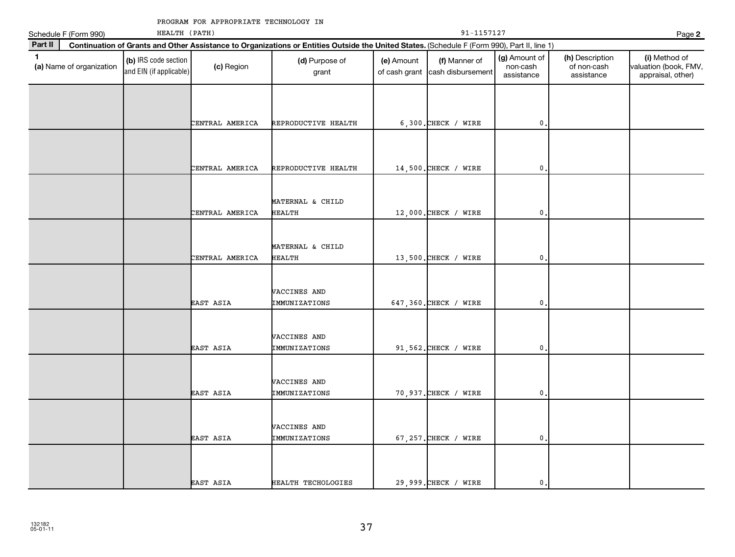|              | HEALTH (PATH)<br>Schedule F (Form 990) |                                                 |                 |                                                                                                                                              |                             |                                    | Page 2                                  |                                              |                                                             |
|--------------|----------------------------------------|-------------------------------------------------|-----------------|----------------------------------------------------------------------------------------------------------------------------------------------|-----------------------------|------------------------------------|-----------------------------------------|----------------------------------------------|-------------------------------------------------------------|
| Part II      |                                        |                                                 |                 | Continuation of Grants and Other Assistance to Organizations or Entities Outside the United States. (Schedule F (Form 990), Part II, line 1) |                             |                                    |                                         |                                              |                                                             |
| $\mathbf{1}$ | (a) Name of organization               | (b) IRS code section<br>and EIN (if applicable) | (c) Region      | (d) Purpose of<br>grant                                                                                                                      | (e) Amount<br>of cash grant | (f) Manner of<br>cash disbursement | (g) Amount of<br>non-cash<br>assistance | (h) Description<br>of non-cash<br>assistance | (i) Method of<br>valuation (book, FMV,<br>appraisal, other) |
|              |                                        |                                                 | CENTRAL AMERICA | REPRODUCTIVE HEALTH                                                                                                                          |                             | $6,300$ . CHECK / WIRE             | 0                                       |                                              |                                                             |
|              |                                        |                                                 | CENTRAL AMERICA | REPRODUCTIVE HEALTH                                                                                                                          |                             | 14,500. CHECK / WIRE               | 0                                       |                                              |                                                             |
|              |                                        |                                                 | CENTRAL AMERICA | MATERNAL & CHILD<br><b>HEALTH</b>                                                                                                            |                             | $12,000$ . CHECK / WIRE            | $\mathbf 0$                             |                                              |                                                             |
|              |                                        |                                                 | CENTRAL AMERICA | MATERNAL & CHILD<br><b>HEALTH</b>                                                                                                            |                             | 13,500. CHECK / WIRE               | 0                                       |                                              |                                                             |
|              |                                        |                                                 | EAST ASIA       | VACCINES AND<br>IMMUNIZATIONS                                                                                                                |                             | 647,360. CHECK / WIRE              | $\mathbf{0}$                            |                                              |                                                             |
|              |                                        |                                                 | EAST ASIA       | VACCINES AND<br>IMMUNIZATIONS                                                                                                                |                             | 91,562. CHECK / WIRE               | 0                                       |                                              |                                                             |
|              |                                        |                                                 | EAST ASIA       | VACCINES AND<br>IMMUNIZATIONS                                                                                                                |                             | 70,937. CHECK / WIRE               | 0                                       |                                              |                                                             |
|              |                                        |                                                 | EAST ASIA       | VACCINES AND<br>IMMUNIZATIONS                                                                                                                |                             | $67, 257$ . CHECK / WIRE           | 0                                       |                                              |                                                             |
|              |                                        |                                                 | EAST ASIA       | HEALTH TECHOLOGIES                                                                                                                           |                             | 29,999. CHECK / WIRE               | $\mathbf 0$ .                           |                                              |                                                             |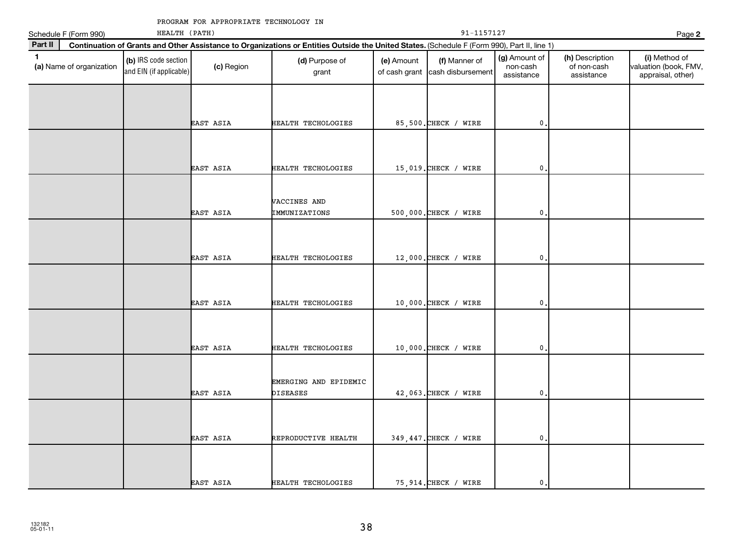|              | Schedule F (Form 990)    | HEALTH (PATH)                                   |                  |                                                                                                                                              |            | 91-1157127                                       |                                         |                                              |                                                             |  |
|--------------|--------------------------|-------------------------------------------------|------------------|----------------------------------------------------------------------------------------------------------------------------------------------|------------|--------------------------------------------------|-----------------------------------------|----------------------------------------------|-------------------------------------------------------------|--|
| Part II      |                          |                                                 |                  | Continuation of Grants and Other Assistance to Organizations or Entities Outside the United States. (Schedule F (Form 990), Part II, line 1) |            |                                                  |                                         |                                              | Page 2                                                      |  |
| $\mathbf{1}$ | (a) Name of organization | (b) IRS code section<br>and EIN (if applicable) | (c) Region       | (d) Purpose of<br>grant                                                                                                                      | (e) Amount | (f) Manner of<br>of cash grant cash disbursement | (g) Amount of<br>non-cash<br>assistance | (h) Description<br>of non-cash<br>assistance | (i) Method of<br>valuation (book, FMV,<br>appraisal, other) |  |
|              |                          |                                                 |                  |                                                                                                                                              |            |                                                  |                                         |                                              |                                                             |  |
|              |                          |                                                 | EAST ASIA        | HEALTH TECHOLOGIES                                                                                                                           |            | 85,500. CHECK / WIRE                             | $\mathbf{0}$ .                          |                                              |                                                             |  |
|              |                          |                                                 | EAST ASIA        | HEALTH TECHOLOGIES                                                                                                                           |            | 15,019. CHECK / WIRE                             | $\pmb{0}$                               |                                              |                                                             |  |
|              |                          |                                                 | <b>EAST ASIA</b> | VACCINES AND<br>IMMUNIZATIONS                                                                                                                |            | 500,000. CHECK / WIRE                            | $\mathbf 0$                             |                                              |                                                             |  |
|              |                          |                                                 |                  |                                                                                                                                              |            |                                                  |                                         |                                              |                                                             |  |
|              |                          |                                                 | EAST ASIA        | HEALTH TECHOLOGIES                                                                                                                           |            | $12,000$ . CHECK / WIRE                          | $\mathbf{0}$                            |                                              |                                                             |  |
|              |                          |                                                 | <b>EAST ASIA</b> | HEALTH TECHOLOGIES                                                                                                                           |            | 10,000. CHECK / WIRE                             | $\mathbf 0$                             |                                              |                                                             |  |
|              |                          |                                                 | EAST ASIA        | HEALTH TECHOLOGIES                                                                                                                           |            | $10,000$ . CHECK / WIRE                          | 0                                       |                                              |                                                             |  |
|              |                          |                                                 |                  | EMERGING AND EPIDEMIC                                                                                                                        |            |                                                  |                                         |                                              |                                                             |  |
|              |                          |                                                 | EAST ASIA        | <b>DISEASES</b>                                                                                                                              |            | 42,063. CHECK / WIRE                             | $\mathbf{0}$                            |                                              |                                                             |  |
|              |                          |                                                 | EAST ASIA        | REPRODUCTIVE HEALTH                                                                                                                          |            | 349, 447. CHECK / WIRE                           | $\mathsf{0}$ .                          |                                              |                                                             |  |
|              |                          |                                                 | <b>EAST ASIA</b> | HEALTH TECHOLOGIES                                                                                                                           |            | 75,914. CHECK / WIRE                             | 0.                                      |                                              |                                                             |  |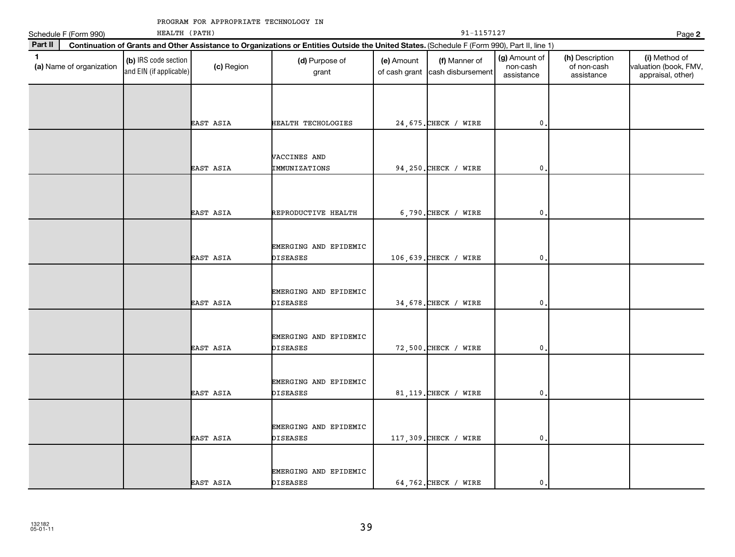|              | Schedule F (Form 990)    | HEALTH (PATH)                                   |                  |                                                                                                                                              |            |                                                  | Page 2                                  |                                              |                                                             |
|--------------|--------------------------|-------------------------------------------------|------------------|----------------------------------------------------------------------------------------------------------------------------------------------|------------|--------------------------------------------------|-----------------------------------------|----------------------------------------------|-------------------------------------------------------------|
| Part II      |                          |                                                 |                  | Continuation of Grants and Other Assistance to Organizations or Entities Outside the United States. (Schedule F (Form 990), Part II, line 1) |            |                                                  |                                         |                                              |                                                             |
| $\mathbf{1}$ | (a) Name of organization | (b) IRS code section<br>and EIN (if applicable) | (c) Region       | (d) Purpose of<br>grant                                                                                                                      | (e) Amount | (f) Manner of<br>of cash grant cash disbursement | (g) Amount of<br>non-cash<br>assistance | (h) Description<br>of non-cash<br>assistance | (i) Method of<br>valuation (book, FMV,<br>appraisal, other) |
|              |                          |                                                 |                  |                                                                                                                                              |            |                                                  |                                         |                                              |                                                             |
|              |                          |                                                 | EAST ASIA        | HEALTH TECHOLOGIES                                                                                                                           |            | 24,675. CHECK / WIRE                             | $\mathbf{0}$                            |                                              |                                                             |
|              |                          |                                                 | EAST ASIA        | VACCINES AND<br>IMMUNIZATIONS                                                                                                                |            | 94, 250. CHECK / WIRE                            | 0                                       |                                              |                                                             |
|              |                          |                                                 | EAST ASIA        | REPRODUCTIVE HEALTH                                                                                                                          |            | $6,790$ . CHECK / WIRE                           | 0                                       |                                              |                                                             |
|              |                          |                                                 | <b>EAST ASIA</b> | EMERGING AND EPIDEMIC<br><b>DISEASES</b>                                                                                                     |            | 106,639. CHECK / WIRE                            | $\mathbf{0}$                            |                                              |                                                             |
|              |                          |                                                 | <b>EAST ASIA</b> | EMERGING AND EPIDEMIC<br><b>DISEASES</b>                                                                                                     |            | 34,678. CHECK / WIRE                             | $\mathfrak o$ .                         |                                              |                                                             |
|              |                          |                                                 | EAST ASIA        | EMERGING AND EPIDEMIC<br>DISEASES                                                                                                            |            | 72,500. CHECK / WIRE                             | 0                                       |                                              |                                                             |
|              |                          |                                                 | <b>EAST ASIA</b> | EMERGING AND EPIDEMIC<br><b>DISEASES</b>                                                                                                     |            | 81, 119. CHECK / WIRE                            | $\mathbf{0}$                            |                                              |                                                             |
|              |                          |                                                 | EAST ASIA        | EMERGING AND EPIDEMIC<br><b>DISEASES</b>                                                                                                     |            | 117,309. CHECK / WIRE                            | $\mathbf{0}$                            |                                              |                                                             |
|              |                          |                                                 | <b>EAST ASIA</b> | EMERGING AND EPIDEMIC<br><b>DISEASES</b>                                                                                                     |            | 64,762. CHECK / WIRE                             | $\mathbf{0}$                            |                                              |                                                             |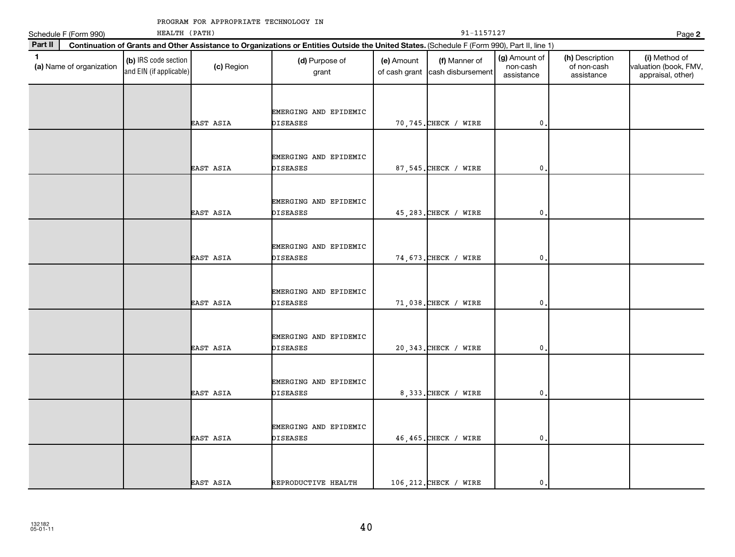|              | Schedule F (Form 990)    | HEALTH (PATH)                                   |                  | 91-1157127<br>Page 2                                                                                                                         |            |                                                  |                                         |                                              |                                                             |
|--------------|--------------------------|-------------------------------------------------|------------------|----------------------------------------------------------------------------------------------------------------------------------------------|------------|--------------------------------------------------|-----------------------------------------|----------------------------------------------|-------------------------------------------------------------|
| Part II      |                          |                                                 |                  | Continuation of Grants and Other Assistance to Organizations or Entities Outside the United States. (Schedule F (Form 990), Part II, line 1) |            |                                                  |                                         |                                              |                                                             |
| $\mathbf{1}$ | (a) Name of organization | (b) IRS code section<br>and EIN (if applicable) | (c) Region       | (d) Purpose of<br>grant                                                                                                                      | (e) Amount | (f) Manner of<br>of cash grant cash disbursement | (g) Amount of<br>non-cash<br>assistance | (h) Description<br>of non-cash<br>assistance | (i) Method of<br>valuation (book, FMV,<br>appraisal, other) |
|              |                          |                                                 | <b>EAST ASIA</b> | EMERGING AND EPIDEMIC<br><b>DISEASES</b>                                                                                                     |            | 70,745. CHECK / WIRE                             | $\mathbf{0}$                            |                                              |                                                             |
|              |                          |                                                 | EAST ASIA        | EMERGING AND EPIDEMIC<br>DISEASES                                                                                                            |            | 87,545. CHECK / WIRE                             | $\mathbf{0}$                            |                                              |                                                             |
|              |                          |                                                 | EAST ASIA        | EMERGING AND EPIDEMIC<br>DISEASES                                                                                                            |            | 45,283. CHECK / WIRE                             | 0                                       |                                              |                                                             |
|              |                          |                                                 | EAST ASIA        | EMERGING AND EPIDEMIC<br><b>DISEASES</b>                                                                                                     |            | 74,673. CHECK / WIRE                             | $\mathbf 0$                             |                                              |                                                             |
|              |                          |                                                 | EAST ASIA        | EMERGING AND EPIDEMIC<br><b>DISEASES</b>                                                                                                     |            | 71,038. CHECK / WIRE                             | $\mathbf{0}$                            |                                              |                                                             |
|              |                          |                                                 | EAST ASIA        | EMERGING AND EPIDEMIC<br><b>DISEASES</b>                                                                                                     |            | 20,343. CHECK / WIRE                             | 0                                       |                                              |                                                             |
|              |                          |                                                 | EAST ASIA        | EMERGING AND EPIDEMIC<br><b>DISEASES</b>                                                                                                     |            | 8,333. CHECK / WIRE                              | $\mathbf{0}$                            |                                              |                                                             |
|              |                          |                                                 | EAST ASIA        | EMERGING AND EPIDEMIC<br><b>DISEASES</b>                                                                                                     |            | 46,465. CHECK / WIRE                             | 0                                       |                                              |                                                             |
|              |                          |                                                 | <b>EAST ASIA</b> | REPRODUCTIVE HEALTH                                                                                                                          |            | 106, 212. CHECK / WIRE                           | $\mathbf{0}$ .                          |                                              |                                                             |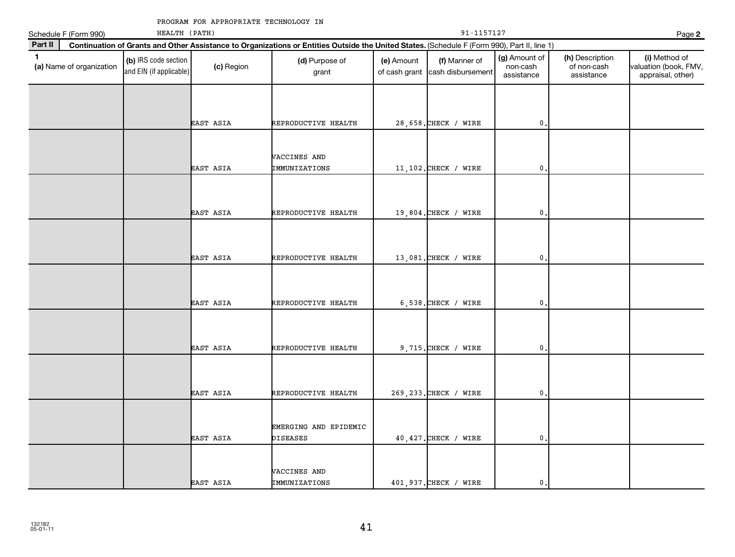|         | Schedule F (Form 990)    | HEALTH (PATH)                                   |                  |                                                                                                                                              |                             | 91-1157127                         |                                         |                                              | Page 2                                                      |
|---------|--------------------------|-------------------------------------------------|------------------|----------------------------------------------------------------------------------------------------------------------------------------------|-----------------------------|------------------------------------|-----------------------------------------|----------------------------------------------|-------------------------------------------------------------|
| Part II |                          |                                                 |                  | Continuation of Grants and Other Assistance to Organizations or Entities Outside the United States. (Schedule F (Form 990), Part II, line 1) |                             |                                    |                                         |                                              |                                                             |
| 1.      | (a) Name of organization | (b) IRS code section<br>and EIN (if applicable) | (c) Region       | (d) Purpose of<br>grant                                                                                                                      | (e) Amount<br>of cash grant | (f) Manner of<br>cash disbursement | (g) Amount of<br>non-cash<br>assistance | (h) Description<br>of non-cash<br>assistance | (i) Method of<br>valuation (book, FMV,<br>appraisal, other) |
|         |                          |                                                 |                  |                                                                                                                                              |                             |                                    |                                         |                                              |                                                             |
|         |                          |                                                 | EAST ASIA        | REPRODUCTIVE HEALTH                                                                                                                          | 28,658. CHECK / WIRE        |                                    | $\mathbf 0$ .                           |                                              |                                                             |
|         |                          |                                                 | EAST ASIA        | VACCINES AND<br>IMMUNIZATIONS                                                                                                                | $11,102$ . CHECK / WIRE     |                                    | $\mathbf{0}$                            |                                              |                                                             |
|         |                          |                                                 |                  |                                                                                                                                              |                             |                                    |                                         |                                              |                                                             |
|         |                          |                                                 | EAST ASIA        | REPRODUCTIVE HEALTH                                                                                                                          | 19,804. CHECK / WIRE        |                                    | $\mathbf{0}$                            |                                              |                                                             |
|         |                          |                                                 | EAST ASIA        | REPRODUCTIVE HEALTH                                                                                                                          | 13,081. CHECK / WIRE        |                                    | $\mathbf{0}$                            |                                              |                                                             |
|         |                          |                                                 | EAST ASIA        | REPRODUCTIVE HEALTH                                                                                                                          |                             | $6,538.$ CHECK / WIRE              | $\mathbf{0}$                            |                                              |                                                             |
|         |                          |                                                 | EAST ASIA        | REPRODUCTIVE HEALTH                                                                                                                          |                             | $9,715$ . CHECK / WIRE             | $\mathbf 0$                             |                                              |                                                             |
|         |                          |                                                 |                  |                                                                                                                                              |                             |                                    |                                         |                                              |                                                             |
|         |                          |                                                 | EAST ASIA        | REPRODUCTIVE HEALTH                                                                                                                          | 269, 233. CHECK / WIRE      |                                    | $\mathbf{0}$                            |                                              |                                                             |
|         |                          |                                                 | EAST ASIA        | EMERGING AND EPIDEMIC<br><b>DISEASES</b>                                                                                                     | 40, 427. CHECK / WIRE       |                                    | $\mathbf{0}$                            |                                              |                                                             |
|         |                          |                                                 | <b>EAST ASIA</b> | VACCINES AND<br>IMMUNIZATIONS                                                                                                                | 401,937. CHECK / WIRE       |                                    | $\mathbf{0}$ .                          |                                              |                                                             |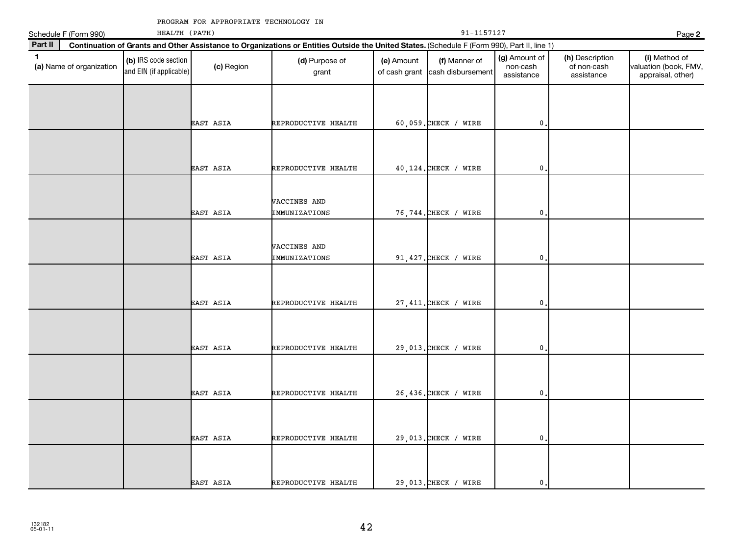| Schedule F (Form 990)                    | HEALTH (PATH)                                   |                  |                                                                                                                                              |            | 91-1157127                                       |                                         |                                              | Page 2                                                      |
|------------------------------------------|-------------------------------------------------|------------------|----------------------------------------------------------------------------------------------------------------------------------------------|------------|--------------------------------------------------|-----------------------------------------|----------------------------------------------|-------------------------------------------------------------|
| Part II                                  |                                                 |                  | Continuation of Grants and Other Assistance to Organizations or Entities Outside the United States. (Schedule F (Form 990), Part II, line 1) |            |                                                  |                                         |                                              |                                                             |
| $\mathbf{1}$<br>(a) Name of organization | (b) IRS code section<br>and EIN (if applicable) | (c) Region       | (d) Purpose of<br>grant                                                                                                                      | (e) Amount | (f) Manner of<br>of cash grant cash disbursement | (g) Amount of<br>non-cash<br>assistance | (h) Description<br>of non-cash<br>assistance | (i) Method of<br>valuation (book, FMV,<br>appraisal, other) |
|                                          |                                                 | EAST ASIA        | REPRODUCTIVE HEALTH                                                                                                                          |            | $60,059$ . CHECK / WIRE                          | $\mathbf{0}$                            |                                              |                                                             |
|                                          |                                                 | EAST ASIA        | REPRODUCTIVE HEALTH                                                                                                                          |            | 40, 124. CHECK / WIRE                            | $\mathbf{0}$                            |                                              |                                                             |
|                                          |                                                 | EAST ASIA        | VACCINES AND<br>IMMUNIZATIONS                                                                                                                |            | 76,744. CHECK / WIRE                             | $\mathbf{0}$                            |                                              |                                                             |
|                                          |                                                 | EAST ASIA        | VACCINES AND<br>IMMUNIZATIONS                                                                                                                |            | 91,427. CHECK / WIRE                             | $\mathbf 0$ .                           |                                              |                                                             |
|                                          |                                                 | EAST ASIA        | REPRODUCTIVE HEALTH                                                                                                                          |            | 27, 411. CHECK / WIRE                            | $\mathbf{0}$                            |                                              |                                                             |
|                                          |                                                 | EAST ASIA        | REPRODUCTIVE HEALTH                                                                                                                          |            | 29,013. CHECK / WIRE                             | $\mathbf 0$ .                           |                                              |                                                             |
|                                          |                                                 | EAST ASIA        | REPRODUCTIVE HEALTH                                                                                                                          |            | 26,436. CHECK / WIRE                             | $\mathbf 0$ .                           |                                              |                                                             |
|                                          |                                                 | EAST ASIA        | REPRODUCTIVE HEALTH                                                                                                                          |            | 29,013. CHECK / WIRE                             | $\mathbf{0}$ .                          |                                              |                                                             |
|                                          |                                                 | <b>EAST ASIA</b> | REPRODUCTIVE HEALTH                                                                                                                          |            | 29,013. CHECK / WIRE                             | $\mathbf{0}$ .                          |                                              |                                                             |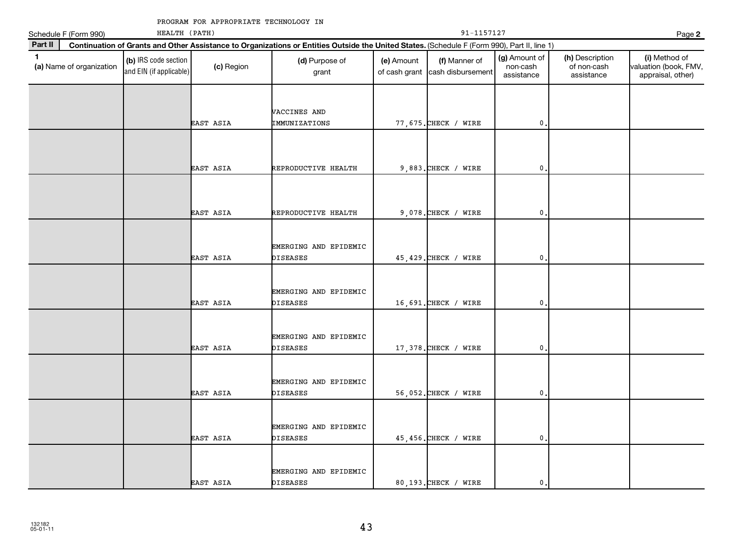|              | Schedule F (Form 990)    | HEALTH (PATH)                                   |            |                                                                                                                                              |            | 91-1157127                                       |                                         |                                              | Page 2                                                      |
|--------------|--------------------------|-------------------------------------------------|------------|----------------------------------------------------------------------------------------------------------------------------------------------|------------|--------------------------------------------------|-----------------------------------------|----------------------------------------------|-------------------------------------------------------------|
| Part II      |                          |                                                 |            | Continuation of Grants and Other Assistance to Organizations or Entities Outside the United States. (Schedule F (Form 990), Part II, line 1) |            |                                                  |                                         |                                              |                                                             |
| $\mathbf{1}$ | (a) Name of organization | (b) IRS code section<br>and EIN (if applicable) | (c) Region | (d) Purpose of<br>grant                                                                                                                      | (e) Amount | (f) Manner of<br>of cash grant cash disbursement | (g) Amount of<br>non-cash<br>assistance | (h) Description<br>of non-cash<br>assistance | (i) Method of<br>valuation (book, FMV,<br>appraisal, other) |
|              |                          |                                                 | EAST ASIA  | VACCINES AND<br>IMMUNIZATIONS                                                                                                                |            | 77,675. CHECK / WIRE                             | 0                                       |                                              |                                                             |
|              |                          |                                                 | EAST ASIA  | REPRODUCTIVE HEALTH                                                                                                                          |            | $9,883$ . CHECK / WIRE                           | $\mathbf 0$                             |                                              |                                                             |
|              |                          |                                                 | EAST ASIA  | REPRODUCTIVE HEALTH                                                                                                                          |            | $9,078$ . CHECK / WIRE                           | 0                                       |                                              |                                                             |
|              |                          |                                                 | EAST ASIA  | EMERGING AND EPIDEMIC<br><b>DISEASES</b>                                                                                                     |            | 45,429. CHECK / WIRE                             | 0                                       |                                              |                                                             |
|              |                          |                                                 | EAST ASIA  | EMERGING AND EPIDEMIC<br><b>DISEASES</b>                                                                                                     |            | 16,691. CHECK / WIRE                             | $\mathbf{0}$                            |                                              |                                                             |
|              |                          |                                                 | EAST ASIA  | EMERGING AND EPIDEMIC<br>DISEASES                                                                                                            |            | 17,378. CHECK / WIRE                             | 0                                       |                                              |                                                             |
|              |                          |                                                 | EAST ASIA  | EMERGING AND EPIDEMIC<br>DISEASES                                                                                                            |            | 56,052. CHECK / WIRE                             | 0                                       |                                              |                                                             |
|              |                          |                                                 | EAST ASIA  | EMERGING AND EPIDEMIC<br>DISEASES                                                                                                            |            | 45,456. CHECK / WIRE                             | 0                                       |                                              |                                                             |
|              |                          |                                                 | EAST ASIA  | EMERGING AND EPIDEMIC<br><b>DISEASES</b>                                                                                                     |            | 80,193. CHECK / WIRE                             | $\mathbf{0}$                            |                                              |                                                             |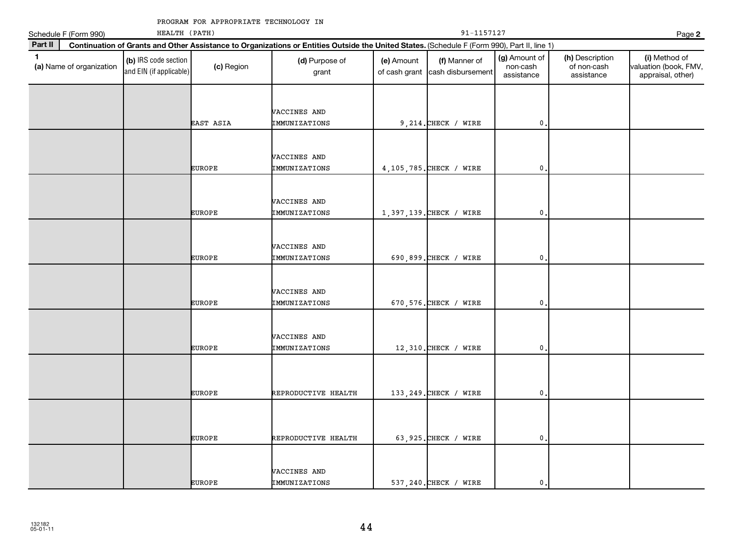| Schedule F (Form 990)                    | HEALTH (PATH)                                   |               |                                                                                                                                              |            | 91-1157127                                       |                                         |                                              | Page 2                                                      |
|------------------------------------------|-------------------------------------------------|---------------|----------------------------------------------------------------------------------------------------------------------------------------------|------------|--------------------------------------------------|-----------------------------------------|----------------------------------------------|-------------------------------------------------------------|
| Part II                                  |                                                 |               | Continuation of Grants and Other Assistance to Organizations or Entities Outside the United States. (Schedule F (Form 990), Part II, line 1) |            |                                                  |                                         |                                              |                                                             |
| $\mathbf{1}$<br>(a) Name of organization | (b) IRS code section<br>and EIN (if applicable) | (c) Region    | (d) Purpose of<br>grant                                                                                                                      | (e) Amount | (f) Manner of<br>of cash grant cash disbursement | (g) Amount of<br>non-cash<br>assistance | (h) Description<br>of non-cash<br>assistance | (i) Method of<br>valuation (book, FMV,<br>appraisal, other) |
|                                          |                                                 | EAST ASIA     | VACCINES AND<br>IMMUNIZATIONS                                                                                                                |            | $9,214.$ CHECK / WIRE                            | $\mathbf{0}$                            |                                              |                                                             |
|                                          |                                                 | <b>EUROPE</b> | VACCINES AND<br>IMMUNIZATIONS                                                                                                                |            | 4, 105, 785. CHECK / WIRE                        | $\mathbf{0}$                            |                                              |                                                             |
|                                          |                                                 | <b>EUROPE</b> | VACCINES AND<br><b>IMMUNIZATIONS</b>                                                                                                         |            | 1,397,139. CHECK / WIRE                          | $\mathbf{0}$                            |                                              |                                                             |
|                                          |                                                 | <b>EUROPE</b> | VACCINES AND<br>IMMUNIZATIONS                                                                                                                |            | 690,899. CHECK / WIRE                            | $\mathbf 0$ .                           |                                              |                                                             |
|                                          |                                                 | <b>EUROPE</b> | VACCINES AND<br>IMMUNIZATIONS                                                                                                                |            | 670, 576. CHECK / WIRE                           | $\mathbf{0}$                            |                                              |                                                             |
|                                          |                                                 | <b>EUROPE</b> | VACCINES AND<br>IMMUNIZATIONS                                                                                                                |            | 12,310. CHECK / WIRE                             | $\mathbf 0$ .                           |                                              |                                                             |
|                                          |                                                 | <b>EUROPE</b> | REPRODUCTIVE HEALTH                                                                                                                          |            | 133, 249. CHECK / WIRE                           | $\mathbf{0}$                            |                                              |                                                             |
|                                          |                                                 | <b>EUROPE</b> | REPRODUCTIVE HEALTH                                                                                                                          |            | 63,925. CHECK / WIRE                             | $\mathbf{0}$ .                          |                                              |                                                             |
|                                          |                                                 | <b>EUROPE</b> | VACCINES AND<br><b>IMMUNIZATIONS</b>                                                                                                         |            | 537, 240. CHECK / WIRE                           | $\mathbf{0}$ .                          |                                              |                                                             |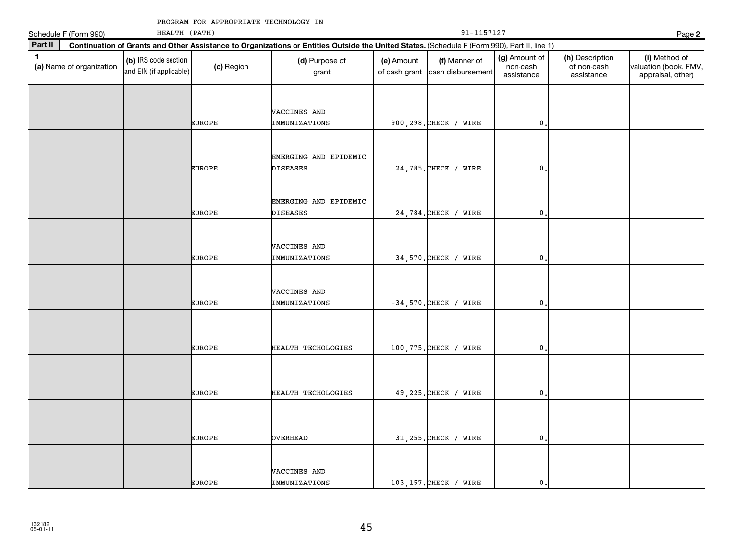| Schedule F (Form 990)                    | HEALTH (PATH)                                   |               |                                                                                                                                              |                             | 91-1157127                         |                                         |                                              | Page 2                                                      |
|------------------------------------------|-------------------------------------------------|---------------|----------------------------------------------------------------------------------------------------------------------------------------------|-----------------------------|------------------------------------|-----------------------------------------|----------------------------------------------|-------------------------------------------------------------|
| Part II                                  |                                                 |               | Continuation of Grants and Other Assistance to Organizations or Entities Outside the United States. (Schedule F (Form 990), Part II, line 1) |                             |                                    |                                         |                                              |                                                             |
| $\mathbf{1}$<br>(a) Name of organization | (b) IRS code section<br>and EIN (if applicable) | (c) Region    | (d) Purpose of<br>grant                                                                                                                      | (e) Amount<br>of cash grant | (f) Manner of<br>cash disbursement | (g) Amount of<br>non-cash<br>assistance | (h) Description<br>of non-cash<br>assistance | (i) Method of<br>valuation (book, FMV,<br>appraisal, other) |
|                                          |                                                 | <b>EUROPE</b> | VACCINES AND<br>IMMUNIZATIONS                                                                                                                |                             | 900,298. CHECK / WIRE              | $\mathbf 0$ .                           |                                              |                                                             |
|                                          |                                                 | <b>EUROPE</b> | EMERGING AND EPIDEMIC<br><b>DISEASES</b>                                                                                                     |                             | 24,785. CHECK / WIRE               | $\mathbf{0}$                            |                                              |                                                             |
|                                          |                                                 | <b>EUROPE</b> | EMERGING AND EPIDEMIC<br><b>DISEASES</b>                                                                                                     |                             | 24,784. CHECK / WIRE               | $\mathbf{0}$                            |                                              |                                                             |
|                                          |                                                 | <b>EUROPE</b> | VACCINES AND<br>IMMUNIZATIONS                                                                                                                |                             | 34,570. CHECK / WIRE               | $\mathbf{0}$                            |                                              |                                                             |
|                                          |                                                 | <b>EUROPE</b> | VACCINES AND<br>IMMUNIZATIONS                                                                                                                |                             | $-34,570$ . CHECK / WIRE           | $\mathbf{0}$                            |                                              |                                                             |
|                                          |                                                 | <b>EUROPE</b> | HEALTH TECHOLOGIES                                                                                                                           |                             | 100,775. CHECK / WIRE              | $\mathbf{0}$                            |                                              |                                                             |
|                                          |                                                 | <b>EUROPE</b> | HEALTH TECHOLOGIES                                                                                                                           |                             | 49, 225. CHECK / WIRE              | $\mathbf 0$ .                           |                                              |                                                             |
|                                          |                                                 | <b>EUROPE</b> | <b>OVERHEAD</b>                                                                                                                              |                             | 31,255. CHECK / WIRE               | $\mathsf{0}$ .                          |                                              |                                                             |
|                                          |                                                 | <b>EUROPE</b> | VACCINES AND<br>IMMUNIZATIONS                                                                                                                |                             | 103, 157. CHECK / WIRE             | $\mathbf{0}$ .                          |                                              |                                                             |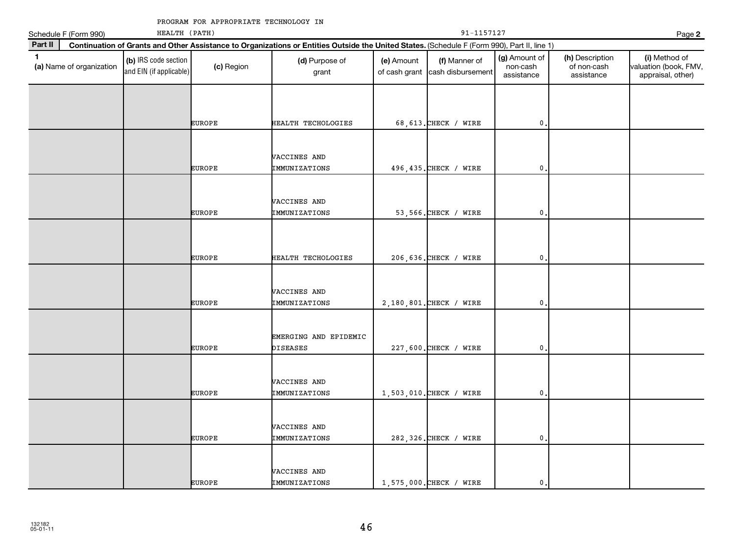|              | Schedule F (Form 990)    | HEALTH (PATH)                                   |               |                                                                                                                                              |                             | 91-1157127                         |                                         |                                              | Page 2                                                      |
|--------------|--------------------------|-------------------------------------------------|---------------|----------------------------------------------------------------------------------------------------------------------------------------------|-----------------------------|------------------------------------|-----------------------------------------|----------------------------------------------|-------------------------------------------------------------|
| Part II      |                          |                                                 |               | Continuation of Grants and Other Assistance to Organizations or Entities Outside the United States. (Schedule F (Form 990), Part II, line 1) |                             |                                    |                                         |                                              |                                                             |
| $\mathbf{1}$ | (a) Name of organization | (b) IRS code section<br>and EIN (if applicable) | (c) Region    | (d) Purpose of<br>grant                                                                                                                      | (e) Amount<br>of cash grant | (f) Manner of<br>cash disbursement | (g) Amount of<br>non-cash<br>assistance | (h) Description<br>of non-cash<br>assistance | (i) Method of<br>valuation (book, FMV,<br>appraisal, other) |
|              |                          |                                                 |               |                                                                                                                                              |                             |                                    |                                         |                                              |                                                             |
|              |                          |                                                 | <b>EUROPE</b> | HEALTH TECHOLOGIES                                                                                                                           |                             | 68, 613. CHECK / WIRE              | 0                                       |                                              |                                                             |
|              |                          |                                                 | <b>EUROPE</b> | VACCINES AND<br>IMMUNIZATIONS                                                                                                                |                             | 496, 435. CHECK / WIRE             | 0                                       |                                              |                                                             |
|              |                          |                                                 |               | VACCINES AND                                                                                                                                 |                             |                                    |                                         |                                              |                                                             |
|              |                          |                                                 | <b>EUROPE</b> | IMMUNIZATIONS                                                                                                                                |                             | 53,566. CHECK / WIRE               | 0                                       |                                              |                                                             |
|              |                          |                                                 | <b>EUROPE</b> | HEALTH TECHOLOGIES                                                                                                                           |                             | 206,636. CHECK / WIRE              | 0                                       |                                              |                                                             |
|              |                          |                                                 | <b>EUROPE</b> | VACCINES AND<br>IMMUNIZATIONS                                                                                                                |                             | 2,180,801. CHECK / WIRE            | 0                                       |                                              |                                                             |
|              |                          |                                                 | <b>EUROPE</b> | EMERGING AND EPIDEMIC<br><b>DISEASES</b>                                                                                                     |                             | 227,600. CHECK / WIRE              | 0                                       |                                              |                                                             |
|              |                          |                                                 | <b>EUROPE</b> | VACCINES AND<br>IMMUNIZATIONS                                                                                                                |                             | 1,503,010. CHECK / WIRE            | $\mathbf 0$                             |                                              |                                                             |
|              |                          |                                                 | <b>EUROPE</b> | VACCINES AND<br>IMMUNIZATIONS                                                                                                                |                             | 282, 326. CHECK / WIRE             | $\mathbf{0}$                            |                                              |                                                             |
|              |                          |                                                 | <b>EUROPE</b> | VACCINES AND<br><b>IMMUNIZATIONS</b>                                                                                                         |                             | 1,575,000. CHECK / WIRE            | 0.                                      |                                              |                                                             |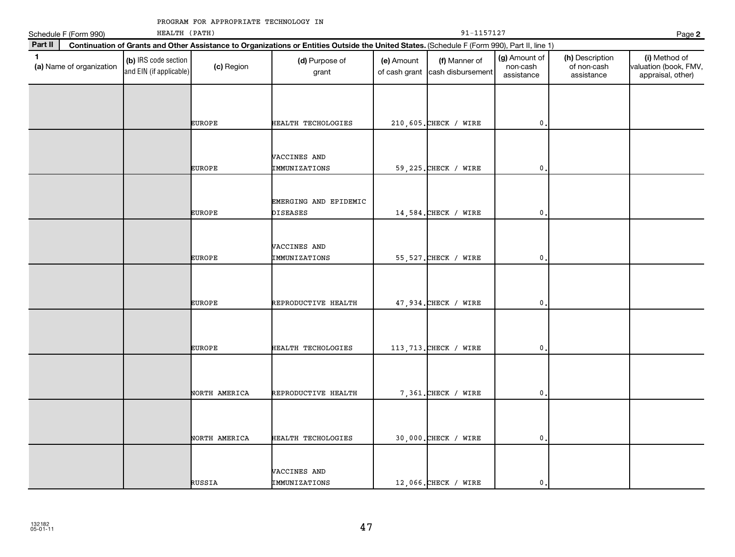|              | Schedule F (Form 990)    | HEALTH (PATH)                                   |               |                                                                                                                                              |                             | 91-1157127                         |                                         |                                              | Page 2                                                      |
|--------------|--------------------------|-------------------------------------------------|---------------|----------------------------------------------------------------------------------------------------------------------------------------------|-----------------------------|------------------------------------|-----------------------------------------|----------------------------------------------|-------------------------------------------------------------|
| Part II      |                          |                                                 |               | Continuation of Grants and Other Assistance to Organizations or Entities Outside the United States. (Schedule F (Form 990), Part II, line 1) |                             |                                    |                                         |                                              |                                                             |
| $\mathbf{1}$ | (a) Name of organization | (b) IRS code section<br>and EIN (if applicable) | (c) Region    | (d) Purpose of<br>grant                                                                                                                      | (e) Amount<br>of cash grant | (f) Manner of<br>cash disbursement | (g) Amount of<br>non-cash<br>assistance | (h) Description<br>of non-cash<br>assistance | (i) Method of<br>valuation (book, FMV,<br>appraisal, other) |
|              |                          |                                                 |               |                                                                                                                                              |                             |                                    |                                         |                                              |                                                             |
|              |                          |                                                 | <b>EUROPE</b> | HEALTH TECHOLOGIES                                                                                                                           |                             | 210,605. CHECK / WIRE              | $\mathbf{0}$                            |                                              |                                                             |
|              |                          |                                                 | <b>EUROPE</b> | VACCINES AND<br>IMMUNIZATIONS                                                                                                                |                             | 59,225. CHECK / WIRE               | $\pmb{0}$                               |                                              |                                                             |
|              |                          |                                                 | <b>EUROPE</b> | EMERGING AND EPIDEMIC<br><b>DISEASES</b>                                                                                                     |                             | 14,584. CHECK / WIRE               | 0                                       |                                              |                                                             |
|              |                          |                                                 | <b>EUROPE</b> | VACCINES AND<br>IMMUNIZATIONS                                                                                                                |                             | 55, 527. CHECK / WIRE              | 0                                       |                                              |                                                             |
|              |                          |                                                 | <b>EUROPE</b> | REPRODUCTIVE HEALTH                                                                                                                          |                             | 47,934. CHECK / WIRE               | $\mathbf{0}$                            |                                              |                                                             |
|              |                          |                                                 | <b>EUROPE</b> | HEALTH TECHOLOGIES                                                                                                                           |                             | 113, 713. CHECK / WIRE             | 0                                       |                                              |                                                             |
|              |                          |                                                 | NORTH AMERICA | REPRODUCTIVE HEALTH                                                                                                                          |                             | $7,361$ . CHECK / WIRE             | 0                                       |                                              |                                                             |
|              |                          |                                                 | NORTH AMERICA | HEALTH TECHOLOGIES                                                                                                                           |                             | 30,000. CHECK / WIRE               | $\mathbf 0$                             |                                              |                                                             |
|              |                          |                                                 | RUSSIA        | VACCINES AND<br><b>IMMUNIZATIONS</b>                                                                                                         |                             | 12,066. CHECK / WIRE               | $\mathbf 0$ .                           |                                              |                                                             |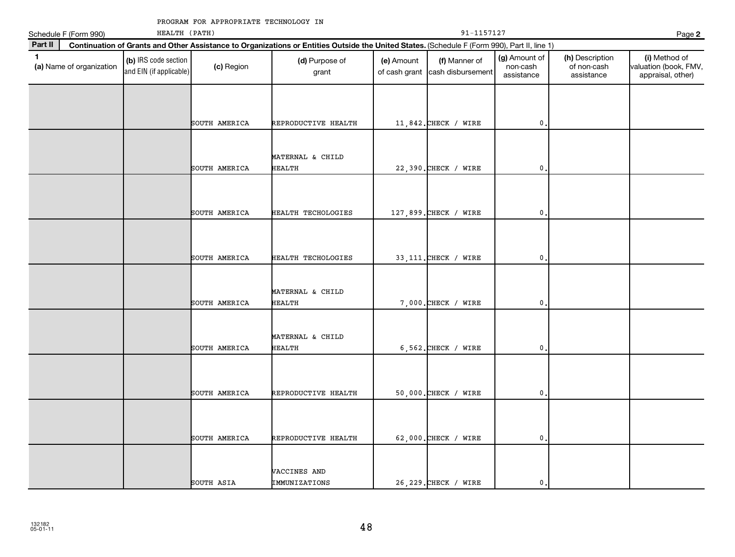|              | HEALTH (PATH)<br>Schedule F (Form 990) |                                                 |               |                                                                                                                                              | 91-1157127 |                                                  |                                         |                                              |                                                             |  |
|--------------|----------------------------------------|-------------------------------------------------|---------------|----------------------------------------------------------------------------------------------------------------------------------------------|------------|--------------------------------------------------|-----------------------------------------|----------------------------------------------|-------------------------------------------------------------|--|
| Part II      |                                        |                                                 |               | Continuation of Grants and Other Assistance to Organizations or Entities Outside the United States. (Schedule F (Form 990), Part II, line 1) |            |                                                  |                                         |                                              | Page 2                                                      |  |
| $\mathbf{1}$ | (a) Name of organization               | (b) IRS code section<br>and EIN (if applicable) | (c) Region    | (d) Purpose of<br>grant                                                                                                                      | (e) Amount | (f) Manner of<br>of cash grant cash disbursement | (g) Amount of<br>non-cash<br>assistance | (h) Description<br>of non-cash<br>assistance | (i) Method of<br>valuation (book, FMV,<br>appraisal, other) |  |
|              |                                        |                                                 |               |                                                                                                                                              |            |                                                  |                                         |                                              |                                                             |  |
|              |                                        |                                                 | SOUTH AMERICA | REPRODUCTIVE HEALTH                                                                                                                          |            | 11,842. CHECK / WIRE                             | $\mathbf{0}$                            |                                              |                                                             |  |
|              |                                        |                                                 | SOUTH AMERICA | MATERNAL & CHILD<br><b>HEALTH</b>                                                                                                            |            | 22,390. CHECK / WIRE                             | $\mathbf{0}$ .                          |                                              |                                                             |  |
|              |                                        |                                                 | SOUTH AMERICA | HEALTH TECHOLOGIES                                                                                                                           |            | 127,899. CHECK / WIRE                            | 0                                       |                                              |                                                             |  |
|              |                                        |                                                 | SOUTH AMERICA | HEALTH TECHOLOGIES                                                                                                                           |            | 33, 111. CHECK / WIRE                            | $\mathfrak o$ .                         |                                              |                                                             |  |
|              |                                        |                                                 | SOUTH AMERICA | MATERNAL & CHILD<br><b>HEALTH</b>                                                                                                            |            | $7,000$ . CHECK / WIRE                           | $\mathbf{0}$ .                          |                                              |                                                             |  |
|              |                                        |                                                 | SOUTH AMERICA | MATERNAL & CHILD<br><b>HEALTH</b>                                                                                                            |            | $6,562$ . CHECK / WIRE                           | $\mathbf{0}$                            |                                              |                                                             |  |
|              |                                        |                                                 | SOUTH AMERICA | REPRODUCTIVE HEALTH                                                                                                                          |            | 50,000. CHECK / WIRE                             | $\mathbf{0}$ .                          |                                              |                                                             |  |
|              |                                        |                                                 | SOUTH AMERICA | REPRODUCTIVE HEALTH                                                                                                                          |            | 62,000. CHECK / WIRE                             | $\mathbf{0}$                            |                                              |                                                             |  |
|              |                                        |                                                 | SOUTH ASIA    | VACCINES AND<br><b>IMMUNIZATIONS</b>                                                                                                         |            | 26, 229. CHECK / WIRE                            | $\mathbf{0}$ .                          |                                              |                                                             |  |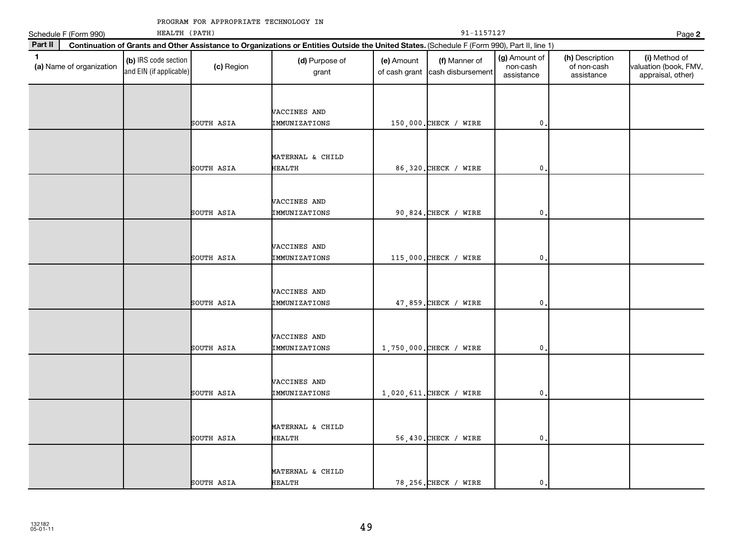|              | Schedule F (Form 990)    | HEALTH (PATH)                                   |            |                                                                                                                                              |                             | Page 2                             |                                         |                                              |                                                             |
|--------------|--------------------------|-------------------------------------------------|------------|----------------------------------------------------------------------------------------------------------------------------------------------|-----------------------------|------------------------------------|-----------------------------------------|----------------------------------------------|-------------------------------------------------------------|
| Part II      |                          |                                                 |            | Continuation of Grants and Other Assistance to Organizations or Entities Outside the United States. (Schedule F (Form 990), Part II, line 1) |                             |                                    |                                         |                                              |                                                             |
| $\mathbf{1}$ | (a) Name of organization | (b) IRS code section<br>and EIN (if applicable) | (c) Region | (d) Purpose of<br>grant                                                                                                                      | (e) Amount<br>of cash grant | (f) Manner of<br>cash disbursement | (g) Amount of<br>non-cash<br>assistance | (h) Description<br>of non-cash<br>assistance | (i) Method of<br>valuation (book, FMV,<br>appraisal, other) |
|              |                          |                                                 | SOUTH ASIA | VACCINES AND<br>IMMUNIZATIONS                                                                                                                |                             | 150,000. CHECK / WIRE              | 0                                       |                                              |                                                             |
|              |                          |                                                 | SOUTH ASIA | MATERNAL & CHILD<br><b>HEALTH</b>                                                                                                            |                             | 86,320. CHECK / WIRE               | $\pmb{0}$                               |                                              |                                                             |
|              |                          |                                                 | SOUTH ASIA | VACCINES AND<br>IMMUNIZATIONS                                                                                                                |                             | 90,824. CHECK / WIRE               | 0                                       |                                              |                                                             |
|              |                          |                                                 | SOUTH ASIA | VACCINES AND<br>IMMUNIZATIONS                                                                                                                |                             | 115,000. CHECK / WIRE              | 0                                       |                                              |                                                             |
|              |                          |                                                 | SOUTH ASIA | VACCINES AND<br>IMMUNIZATIONS                                                                                                                |                             | 47,859. CHECK / WIRE               | $\mathbf 0$                             |                                              |                                                             |
|              |                          |                                                 | SOUTH ASIA | VACCINES AND<br>IMMUNIZATIONS                                                                                                                |                             | 1,750,000. CHECK / WIRE            | $\pmb{0}$                               |                                              |                                                             |
|              |                          |                                                 | SOUTH ASIA | VACCINES AND<br>IMMUNIZATIONS                                                                                                                |                             | 1,020,611. CHECK / WIRE            | 0                                       |                                              |                                                             |
|              |                          |                                                 | SOUTH ASIA | MATERNAL & CHILD<br><b>HEALTH</b>                                                                                                            |                             | 56,430. CHECK / WIRE               | $\mathbf{0}$                            |                                              |                                                             |
|              |                          |                                                 | SOUTH ASIA | MATERNAL & CHILD<br><b>HEALTH</b>                                                                                                            |                             | 78,256. CHECK / WIRE               | $\mathbf{0}$ .                          |                                              |                                                             |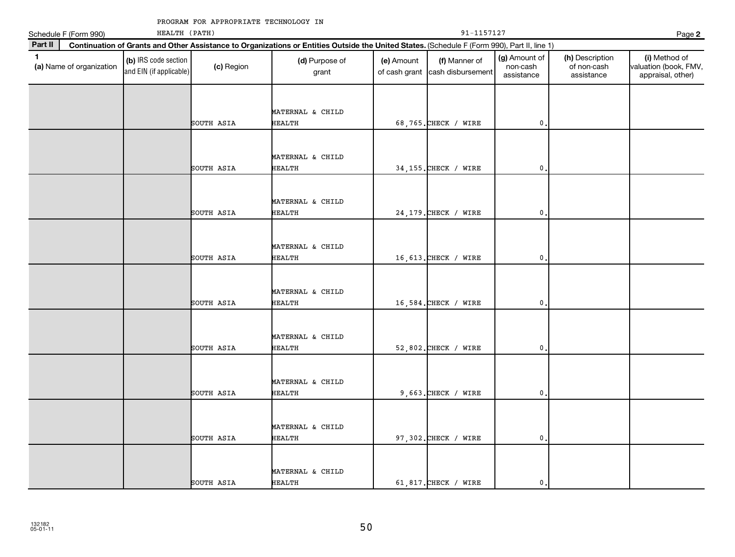| Schedule F (Form 990) |                          | HEALTH (PATH)                                   |            |                                                                                                                                              |                             | 91-1157127                         |                                         |                                              | Page 2                                                      |
|-----------------------|--------------------------|-------------------------------------------------|------------|----------------------------------------------------------------------------------------------------------------------------------------------|-----------------------------|------------------------------------|-----------------------------------------|----------------------------------------------|-------------------------------------------------------------|
| Part II               |                          |                                                 |            | Continuation of Grants and Other Assistance to Organizations or Entities Outside the United States. (Schedule F (Form 990), Part II, line 1) |                             |                                    |                                         |                                              |                                                             |
| $\mathbf{1}$          | (a) Name of organization | (b) IRS code section<br>and EIN (if applicable) | (c) Region | (d) Purpose of<br>grant                                                                                                                      | (e) Amount<br>of cash grant | (f) Manner of<br>cash disbursement | (g) Amount of<br>non-cash<br>assistance | (h) Description<br>of non-cash<br>assistance | (i) Method of<br>valuation (book, FMV,<br>appraisal, other) |
|                       |                          |                                                 | SOUTH ASIA | MATERNAL & CHILD<br>HEALTH                                                                                                                   |                             | 68,765. CHECK / WIRE               | $\mathbf{0}$                            |                                              |                                                             |
|                       |                          |                                                 | SOUTH ASIA | MATERNAL & CHILD<br>HEALTH                                                                                                                   |                             | 34, 155. CHECK / WIRE              | $\mathbf{0}$                            |                                              |                                                             |
|                       |                          |                                                 | SOUTH ASIA | MATERNAL & CHILD<br><b>HEALTH</b>                                                                                                            |                             | 24, 179. CHECK / WIRE              | 0                                       |                                              |                                                             |
|                       |                          |                                                 | SOUTH ASIA | MATERNAL & CHILD<br><b>HEALTH</b>                                                                                                            |                             | 16,613. CHECK / WIRE               | $\mathbf{0}$                            |                                              |                                                             |
|                       |                          |                                                 | SOUTH ASIA | MATERNAL & CHILD<br><b>HEALTH</b>                                                                                                            |                             | $16,584.$ CHECK / WIRE             | $\mathbf 0$                             |                                              |                                                             |
|                       |                          |                                                 | SOUTH ASIA | MATERNAL & CHILD<br>HEALTH                                                                                                                   |                             | 52,802. CHECK / WIRE               | $\mathbf 0$                             |                                              |                                                             |
|                       |                          |                                                 | SOUTH ASIA | MATERNAL & CHILD<br><b>HEALTH</b>                                                                                                            |                             | $9,663.$ CHECK / WIRE              | $\mathbf{0}$                            |                                              |                                                             |
|                       |                          |                                                 | SOUTH ASIA | MATERNAL & CHILD<br>HEALTH                                                                                                                   |                             | 97,302. CHECK / WIRE               | $\mathbf 0$ .                           |                                              |                                                             |
|                       |                          |                                                 | SOUTH ASIA | MATERNAL & CHILD<br>HEALTH                                                                                                                   |                             | 61,817. CHECK / WIRE               | 0.                                      |                                              |                                                             |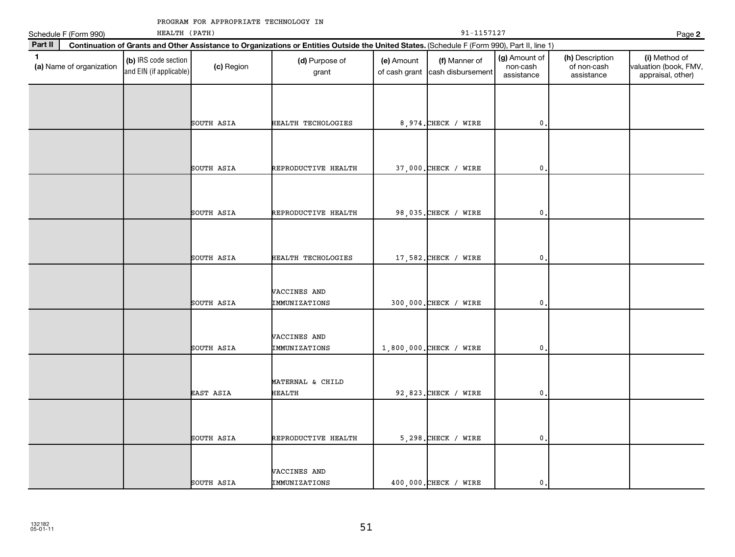|              | Schedule F (Form 990)    | HEALTH (PATH)                                   |            |                                                                                                                                              |                             | 91-1157127                         |                                         |                                              | Page 2                                                      |
|--------------|--------------------------|-------------------------------------------------|------------|----------------------------------------------------------------------------------------------------------------------------------------------|-----------------------------|------------------------------------|-----------------------------------------|----------------------------------------------|-------------------------------------------------------------|
| Part II      |                          |                                                 |            | Continuation of Grants and Other Assistance to Organizations or Entities Outside the United States. (Schedule F (Form 990), Part II, line 1) |                             |                                    |                                         |                                              |                                                             |
| $\mathbf{1}$ | (a) Name of organization | (b) IRS code section<br>and EIN (if applicable) | (c) Region | (d) Purpose of<br>grant                                                                                                                      | (e) Amount<br>of cash grant | (f) Manner of<br>cash disbursement | (g) Amount of<br>non-cash<br>assistance | (h) Description<br>of non-cash<br>assistance | (i) Method of<br>valuation (book, FMV,<br>appraisal, other) |
|              |                          |                                                 | SOUTH ASIA | HEALTH TECHOLOGIES                                                                                                                           |                             | 8,974. CHECK / WIRE                | $\mathbf{0}$                            |                                              |                                                             |
|              |                          |                                                 | SOUTH ASIA | REPRODUCTIVE HEALTH                                                                                                                          |                             | 37,000. CHECK / WIRE               | $\mathbf{0}$                            |                                              |                                                             |
|              |                          |                                                 | SOUTH ASIA | REPRODUCTIVE HEALTH                                                                                                                          |                             | 98,035. CHECK / WIRE               | $\mathbf{0}$                            |                                              |                                                             |
|              |                          |                                                 | SOUTH ASIA | HEALTH TECHOLOGIES                                                                                                                           |                             | $17,582$ . CHECK / WIRE            | $\mathbf 0$ .                           |                                              |                                                             |
|              |                          |                                                 | SOUTH ASIA | VACCINES AND<br>IMMUNIZATIONS                                                                                                                |                             | 300,000. CHECK / WIRE              | $\mathbf{0}$                            |                                              |                                                             |
|              |                          |                                                 | SOUTH ASIA | VACCINES AND<br>IMMUNIZATIONS                                                                                                                |                             | $1,800,000$ . CHECK / WIRE         | 0                                       |                                              |                                                             |
|              |                          |                                                 | EAST ASIA  | MATERNAL & CHILD<br><b>HEALTH</b>                                                                                                            |                             | 92,823. CHECK / WIRE               | $\mathbf{0}$                            |                                              |                                                             |
|              |                          |                                                 | SOUTH ASIA | REPRODUCTIVE HEALTH                                                                                                                          |                             | $5,298$ . CHECK / WIRE             | $\mathbf{0}$                            |                                              |                                                             |
|              |                          |                                                 | SOUTH ASIA | VACCINES AND<br>IMMUNIZATIONS                                                                                                                |                             | 400,000. CHECK / WIRE              | $\mathbf{0}$ .                          |                                              |                                                             |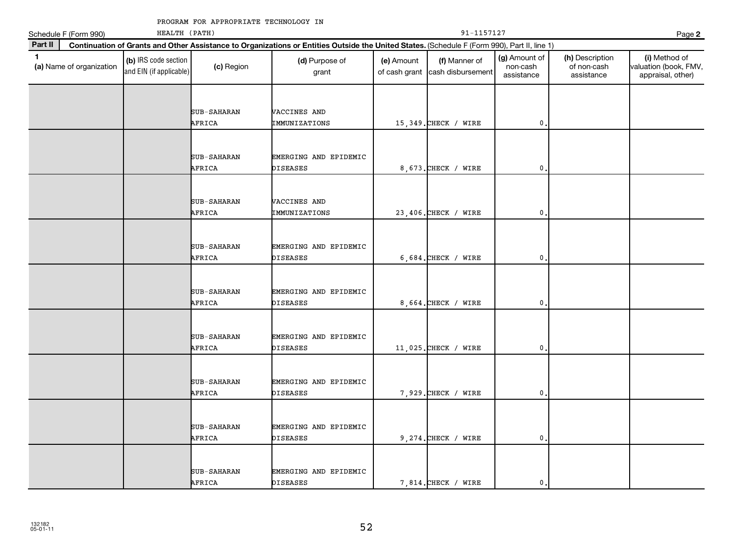| Schedule F (Form 990)                    | HEALTH (PATH)                                   |                              |                                                                                                                                              |                             | 91-1157127                         |                                         |                                              | Page 2                                                      |
|------------------------------------------|-------------------------------------------------|------------------------------|----------------------------------------------------------------------------------------------------------------------------------------------|-----------------------------|------------------------------------|-----------------------------------------|----------------------------------------------|-------------------------------------------------------------|
| Part II                                  |                                                 |                              | Continuation of Grants and Other Assistance to Organizations or Entities Outside the United States. (Schedule F (Form 990), Part II, line 1) |                             |                                    |                                         |                                              |                                                             |
| $\mathbf{1}$<br>(a) Name of organization | (b) IRS code section<br>and EIN (if applicable) | (c) Region                   | (d) Purpose of<br>grant                                                                                                                      | (e) Amount<br>of cash grant | (f) Manner of<br>cash disbursement | (g) Amount of<br>non-cash<br>assistance | (h) Description<br>of non-cash<br>assistance | (i) Method of<br>valuation (book, FMV,<br>appraisal, other) |
|                                          |                                                 | <b>SUB-SAHARAN</b><br>AFRICA | VACCINES AND<br>IMMUNIZATIONS                                                                                                                |                             | 15,349. CHECK / WIRE               | $\mathbf 0$ .                           |                                              |                                                             |
|                                          |                                                 | SUB-SAHARAN<br>AFRICA        | EMERGING AND EPIDEMIC<br><b>DISEASES</b>                                                                                                     |                             | 8,673. CHECK / WIRE                | $\mathbf{0}$                            |                                              |                                                             |
|                                          |                                                 | <b>SUB-SAHARAN</b><br>AFRICA | VACCINES AND<br>IMMUNIZATIONS                                                                                                                |                             | 23,406. CHECK / WIRE               | $\mathbf{0}$                            |                                              |                                                             |
|                                          |                                                 | SUB-SAHARAN<br>AFRICA        | EMERGING AND EPIDEMIC<br><b>DISEASES</b>                                                                                                     |                             | $6,684$ . CHECK / WIRE             | $\mathbf{0}$                            |                                              |                                                             |
|                                          |                                                 | SUB-SAHARAN<br>AFRICA        | EMERGING AND EPIDEMIC<br><b>DISEASES</b>                                                                                                     |                             | 8,664. CHECK / WIRE                | $\mathbf{0}$                            |                                              |                                                             |
|                                          |                                                 | SUB-SAHARAN<br>AFRICA        | EMERGING AND EPIDEMIC<br><b>DISEASES</b>                                                                                                     |                             | $11,025$ . CHECK / WIRE            | $\mathbf{0}$                            |                                              |                                                             |
|                                          |                                                 | SUB-SAHARAN<br>AFRICA        | EMERGING AND EPIDEMIC<br><b>DISEASES</b>                                                                                                     |                             | $7,929$ . CHECK / WIRE             | $\mathbf 0$ .                           |                                              |                                                             |
|                                          |                                                 | SUB-SAHARAN<br>AFRICA        | EMERGING AND EPIDEMIC<br><b>DISEASES</b>                                                                                                     |                             | $9,274.$ CHECK / WIRE              | $\mathbf{0}$ .                          |                                              |                                                             |
|                                          |                                                 | <b>SUB-SAHARAN</b><br>AFRICA | EMERGING AND EPIDEMIC<br><b>DISEASES</b>                                                                                                     |                             | 7,814. CHECK / WIRE                | $\mathbf{0}$ .                          |                                              |                                                             |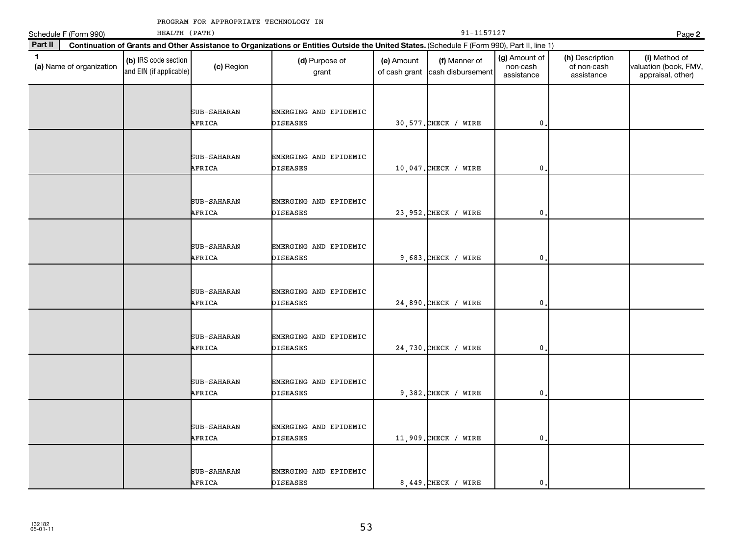|              | Schedule F (Form 990)    | HEALTH (PATH)                                   |                       |                                                                                                                                              |                             | Page 2                             |                                         |                                              |                                                             |
|--------------|--------------------------|-------------------------------------------------|-----------------------|----------------------------------------------------------------------------------------------------------------------------------------------|-----------------------------|------------------------------------|-----------------------------------------|----------------------------------------------|-------------------------------------------------------------|
| Part II      |                          |                                                 |                       | Continuation of Grants and Other Assistance to Organizations or Entities Outside the United States. (Schedule F (Form 990), Part II, line 1) |                             |                                    |                                         |                                              |                                                             |
| $\mathbf{1}$ | (a) Name of organization | (b) IRS code section<br>and EIN (if applicable) | (c) Region            | (d) Purpose of<br>grant                                                                                                                      | (e) Amount<br>of cash grant | (f) Manner of<br>cash disbursement | (g) Amount of<br>non-cash<br>assistance | (h) Description<br>of non-cash<br>assistance | (i) Method of<br>valuation (book, FMV,<br>appraisal, other) |
|              |                          |                                                 | SUB-SAHARAN           | EMERGING AND EPIDEMIC                                                                                                                        |                             |                                    |                                         |                                              |                                                             |
|              |                          |                                                 | AFRICA                | <b>DISEASES</b>                                                                                                                              |                             | 30,577. CHECK / WIRE               | 0                                       |                                              |                                                             |
|              |                          |                                                 | SUB-SAHARAN<br>AFRICA | EMERGING AND EPIDEMIC<br><b>DISEASES</b>                                                                                                     |                             | 10,047. CHECK / WIRE               | $\mathbf 0$                             |                                              |                                                             |
|              |                          |                                                 | SUB-SAHARAN<br>AFRICA | EMERGING AND EPIDEMIC<br><b>DISEASES</b>                                                                                                     |                             | 23,952. CHECK / WIRE               | 0                                       |                                              |                                                             |
|              |                          |                                                 | SUB-SAHARAN           | EMERGING AND EPIDEMIC                                                                                                                        |                             |                                    |                                         |                                              |                                                             |
|              |                          |                                                 | AFRICA                | <b>DISEASES</b>                                                                                                                              |                             | $9,683.$ CHECK / WIRE              | 0                                       |                                              |                                                             |
|              |                          |                                                 | SUB-SAHARAN<br>AFRICA | EMERGING AND EPIDEMIC<br><b>DISEASES</b>                                                                                                     |                             | 24,890. CHECK / WIRE               | $\mathbf{0}$                            |                                              |                                                             |
|              |                          |                                                 | SUB-SAHARAN<br>AFRICA | EMERGING AND EPIDEMIC<br><b>DISEASES</b>                                                                                                     |                             | 24,730. CHECK / WIRE               | 0                                       |                                              |                                                             |
|              |                          |                                                 | SUB-SAHARAN<br>AFRICA | EMERGING AND EPIDEMIC<br><b>DISEASES</b>                                                                                                     |                             | $9,382$ . CHECK / WIRE             | 0                                       |                                              |                                                             |
|              |                          |                                                 | SUB-SAHARAN<br>AFRICA | EMERGING AND EPIDEMIC<br><b>DISEASES</b>                                                                                                     |                             | 11,909. CHECK / WIRE               | $\mathbf 0$                             |                                              |                                                             |
|              |                          |                                                 | SUB-SAHARAN<br>AFRICA | EMERGING AND EPIDEMIC<br><b>DISEASES</b>                                                                                                     |                             | 8.449. CHECK / WIRE                | $\mathbf{0}$ .                          |                                              |                                                             |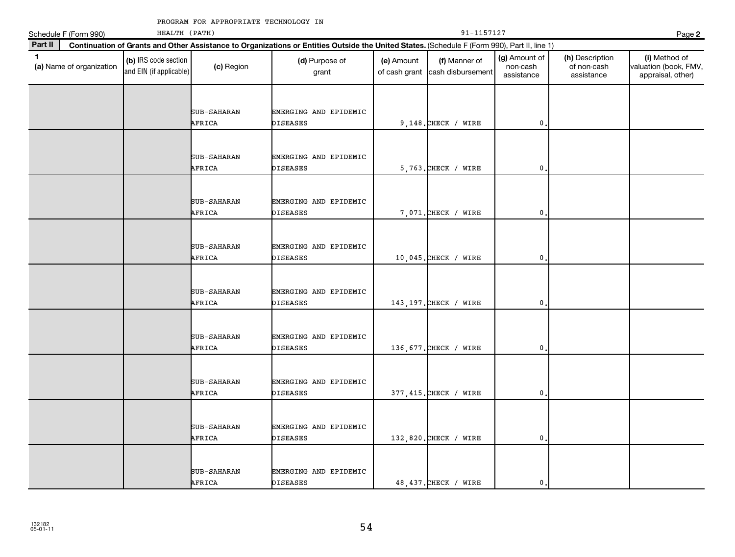|              | Schedule F (Form 990)    | HEALTH (PATH)                                   |                              |                                                                                                                                              | 91-1157127<br>Page 2        |                                    |                                         |                                              |                                                             |  |
|--------------|--------------------------|-------------------------------------------------|------------------------------|----------------------------------------------------------------------------------------------------------------------------------------------|-----------------------------|------------------------------------|-----------------------------------------|----------------------------------------------|-------------------------------------------------------------|--|
| Part II      |                          |                                                 |                              | Continuation of Grants and Other Assistance to Organizations or Entities Outside the United States. (Schedule F (Form 990), Part II, line 1) |                             |                                    |                                         |                                              |                                                             |  |
| $\mathbf{1}$ | (a) Name of organization | (b) IRS code section<br>and EIN (if applicable) | (c) Region                   | (d) Purpose of<br>grant                                                                                                                      | (e) Amount<br>of cash grant | (f) Manner of<br>cash disbursement | (g) Amount of<br>non-cash<br>assistance | (h) Description<br>of non-cash<br>assistance | (i) Method of<br>valuation (book, FMV,<br>appraisal, other) |  |
|              |                          |                                                 | <b>SUB-SAHARAN</b><br>AFRICA | EMERGING AND EPIDEMIC<br><b>DISEASES</b>                                                                                                     |                             | 9,148. CHECK / WIRE                | $\mathbf 0$ .                           |                                              |                                                             |  |
|              |                          |                                                 | SUB-SAHARAN<br>AFRICA        | EMERGING AND EPIDEMIC<br><b>DISEASES</b>                                                                                                     |                             | $5,763$ . CHECK / WIRE             | $\mathbf{0}$                            |                                              |                                                             |  |
|              |                          |                                                 | SUB-SAHARAN<br>AFRICA        | EMERGING AND EPIDEMIC<br>DISEASES                                                                                                            |                             | 7,071. CHECK / WIRE                | $\mathbf{0}$                            |                                              |                                                             |  |
|              |                          |                                                 | SUB-SAHARAN<br>AFRICA        | EMERGING AND EPIDEMIC<br><b>DISEASES</b>                                                                                                     |                             | 10,045. CHECK / WIRE               | $\mathbf{0}$                            |                                              |                                                             |  |
|              |                          |                                                 | SUB-SAHARAN<br>AFRICA        | EMERGING AND EPIDEMIC<br>DISEASES                                                                                                            |                             | 143, 197. CHECK / WIRE             | $\mathbf{0}$                            |                                              |                                                             |  |
|              |                          |                                                 | <b>SUB-SAHARAN</b><br>AFRICA | EMERGING AND EPIDEMIC<br>DISEASES                                                                                                            |                             | 136, 677. CHECK / WIRE             | $\mathbf{0}$                            |                                              |                                                             |  |
|              |                          |                                                 | <b>SUB-SAHARAN</b><br>AFRICA | EMERGING AND EPIDEMIC<br><b>DISEASES</b>                                                                                                     |                             | 377, 415. CHECK / WIRE             | $\mathbf 0$ .                           |                                              |                                                             |  |
|              |                          |                                                 | SUB-SAHARAN<br>AFRICA        | EMERGING AND EPIDEMIC<br><b>DISEASES</b>                                                                                                     |                             | 132,820. CHECK / WIRE              | $\mathbf 0$ .                           |                                              |                                                             |  |
|              |                          |                                                 | SUB-SAHARAN<br>AFRICA        | EMERGING AND EPIDEMIC<br><b>DISEASES</b>                                                                                                     |                             | 48, 437. CHECK / WIRE              | $\mathbf{0}$ .                          |                                              |                                                             |  |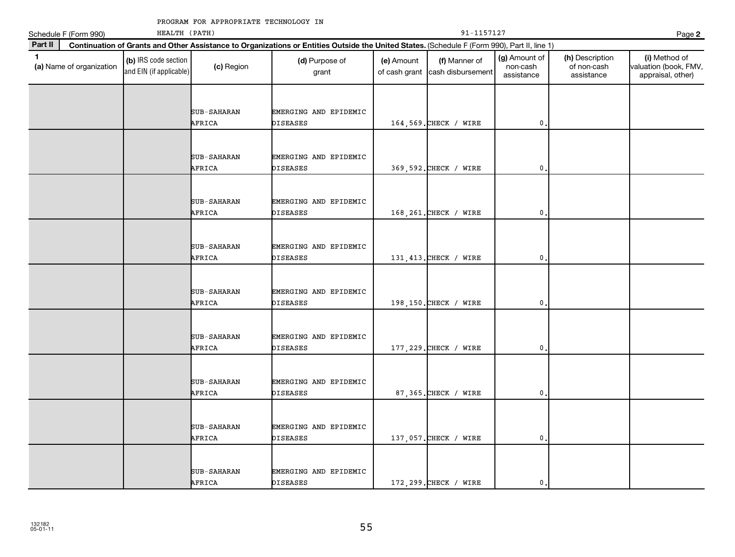|              | Schedule F (Form 990)    | HEALTH (PATH)                                   |                              |                                                                                                                                              |                             | Page 2                             |                                         |                                              |                                                             |
|--------------|--------------------------|-------------------------------------------------|------------------------------|----------------------------------------------------------------------------------------------------------------------------------------------|-----------------------------|------------------------------------|-----------------------------------------|----------------------------------------------|-------------------------------------------------------------|
| Part II      |                          |                                                 |                              | Continuation of Grants and Other Assistance to Organizations or Entities Outside the United States. (Schedule F (Form 990), Part II, line 1) |                             |                                    |                                         |                                              |                                                             |
| $\mathbf{1}$ | (a) Name of organization | (b) IRS code section<br>and EIN (if applicable) | (c) Region                   | (d) Purpose of<br>grant                                                                                                                      | (e) Amount<br>of cash grant | (f) Manner of<br>cash disbursement | (g) Amount of<br>non-cash<br>assistance | (h) Description<br>of non-cash<br>assistance | (i) Method of<br>valuation (book, FMV,<br>appraisal, other) |
|              |                          |                                                 | SUB-SAHARAN<br>AFRICA        | EMERGING AND EPIDEMIC<br>DISEASES                                                                                                            |                             | 164,569. CHECK / WIRE              | $\mathbf{0}$                            |                                              |                                                             |
|              |                          |                                                 | SUB-SAHARAN<br>AFRICA        | EMERGING AND EPIDEMIC<br><b>DISEASES</b>                                                                                                     |                             | 369,592. CHECK / WIRE              | $\mathbf{0}$                            |                                              |                                                             |
|              |                          |                                                 | SUB-SAHARAN<br>AFRICA        | EMERGING AND EPIDEMIC<br>DISEASES                                                                                                            |                             | 168, 261. CHECK / WIRE             | $\mathbf 0$ .                           |                                              |                                                             |
|              |                          |                                                 | SUB-SAHARAN<br>AFRICA        | EMERGING AND EPIDEMIC<br><b>DISEASES</b>                                                                                                     |                             | 131, 413. CHECK / WIRE             | $\mathbf{0}$                            |                                              |                                                             |
|              |                          |                                                 | SUB-SAHARAN<br>AFRICA        | EMERGING AND EPIDEMIC<br><b>DISEASES</b>                                                                                                     |                             | 198,150. CHECK / WIRE              | $\mathbf{0}$                            |                                              |                                                             |
|              |                          |                                                 | <b>SUB-SAHARAN</b><br>AFRICA | EMERGING AND EPIDEMIC<br>DISEASES                                                                                                            |                             | 177, 229. CHECK / WIRE             | $\mathbf{0}$                            |                                              |                                                             |
|              |                          |                                                 | SUB-SAHARAN<br>AFRICA        | EMERGING AND EPIDEMIC<br><b>DISEASES</b>                                                                                                     |                             | 87,365. CHECK / WIRE               | $\mathbf 0$ .                           |                                              |                                                             |
|              |                          |                                                 | SUB-SAHARAN<br>AFRICA        | EMERGING AND EPIDEMIC<br><b>DISEASES</b>                                                                                                     |                             | 137,057. CHECK / WIRE              | $\mathbf 0$ .                           |                                              |                                                             |
|              |                          |                                                 | SUB-SAHARAN<br>AFRICA        | EMERGING AND EPIDEMIC<br><b>DISEASES</b>                                                                                                     |                             | 172, 299. CHECK / WIRE             | $\mathbf{0}$ .                          |                                              |                                                             |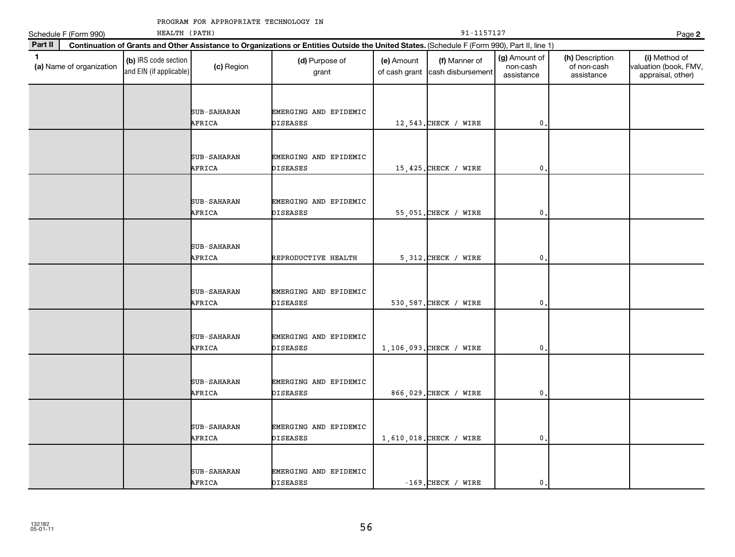|              | HEALTH (PATH)<br>Schedule F (Form 990) |                                                 |                       | 91-1157127<br>Page 2                                                                                                                         |                             |                                    |                                         |                                              |                                                             |  |  |
|--------------|----------------------------------------|-------------------------------------------------|-----------------------|----------------------------------------------------------------------------------------------------------------------------------------------|-----------------------------|------------------------------------|-----------------------------------------|----------------------------------------------|-------------------------------------------------------------|--|--|
| Part II      |                                        |                                                 |                       | Continuation of Grants and Other Assistance to Organizations or Entities Outside the United States. (Schedule F (Form 990), Part II, line 1) |                             |                                    |                                         |                                              |                                                             |  |  |
| $\mathbf{1}$ | (a) Name of organization               | (b) IRS code section<br>and EIN (if applicable) | (c) Region            | (d) Purpose of<br>grant                                                                                                                      | (e) Amount<br>of cash grant | (f) Manner of<br>cash disbursement | (g) Amount of<br>non-cash<br>assistance | (h) Description<br>of non-cash<br>assistance | (i) Method of<br>valuation (book, FMV,<br>appraisal, other) |  |  |
|              |                                        |                                                 | SUB-SAHARAN<br>AFRICA | EMERGING AND EPIDEMIC<br>DISEASES                                                                                                            |                             | $12,543.$ CHECK / WIRE             | $\mathbf{0}$                            |                                              |                                                             |  |  |
|              |                                        |                                                 | SUB-SAHARAN<br>AFRICA | EMERGING AND EPIDEMIC<br>DISEASES                                                                                                            |                             | 15,425. CHECK / WIRE               | $\mathbf 0$                             |                                              |                                                             |  |  |
|              |                                        |                                                 | SUB-SAHARAN<br>AFRICA | EMERGING AND EPIDEMIC<br>DISEASES                                                                                                            |                             | 55,051. CHECK / WIRE               | $\mathbf{0}$                            |                                              |                                                             |  |  |
|              |                                        |                                                 | SUB-SAHARAN<br>AFRICA | REPRODUCTIVE HEALTH                                                                                                                          |                             | $5,312$ . CHECK / WIRE             | $\mathbf{0}$                            |                                              |                                                             |  |  |
|              |                                        |                                                 | SUB-SAHARAN<br>AFRICA | EMERGING AND EPIDEMIC<br>DISEASES                                                                                                            |                             | 530, 587. CHECK / WIRE             | $\mathbf{0}$                            |                                              |                                                             |  |  |
|              |                                        |                                                 | SUB-SAHARAN<br>AFRICA | EMERGING AND EPIDEMIC<br>DISEASES                                                                                                            |                             | 1,106,093. CHECK / WIRE            | 0                                       |                                              |                                                             |  |  |
|              |                                        |                                                 | SUB-SAHARAN<br>AFRICA | EMERGING AND EPIDEMIC<br>DISEASES                                                                                                            |                             | 866,029. CHECK / WIRE              | $\mathbf{0}$                            |                                              |                                                             |  |  |
|              |                                        |                                                 | SUB-SAHARAN<br>AFRICA | EMERGING AND EPIDEMIC<br>DISEASES                                                                                                            |                             | 1,610,018. CHECK / WIRE            | $\mathbf 0$ .                           |                                              |                                                             |  |  |
|              |                                        |                                                 | SUB-SAHARAN<br>AFRICA | EMERGING AND EPIDEMIC<br><b>DISEASES</b>                                                                                                     |                             | $-169$ . CHECK / WIRE              | $\mathbf{0}$ .                          |                                              |                                                             |  |  |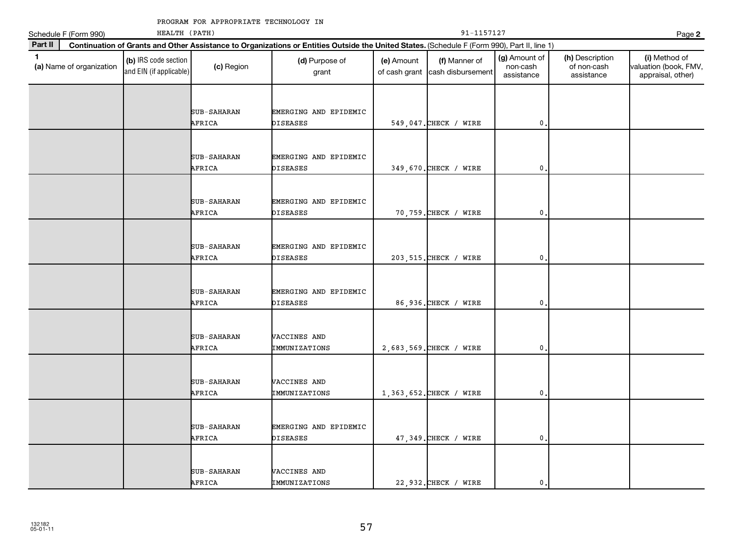|              | Schedule F (Form 990)    |                                                 | 91-1157127                   |                                                                                                                                              |                             |                                    |                                         |                                              |                                                             |
|--------------|--------------------------|-------------------------------------------------|------------------------------|----------------------------------------------------------------------------------------------------------------------------------------------|-----------------------------|------------------------------------|-----------------------------------------|----------------------------------------------|-------------------------------------------------------------|
| Part II      |                          |                                                 |                              | Continuation of Grants and Other Assistance to Organizations or Entities Outside the United States. (Schedule F (Form 990), Part II, line 1) |                             |                                    |                                         |                                              | Page 2                                                      |
| $\mathbf{1}$ | (a) Name of organization | (b) IRS code section<br>and EIN (if applicable) | (c) Region                   | (d) Purpose of<br>grant                                                                                                                      | (e) Amount<br>of cash grant | (f) Manner of<br>cash disbursement | (g) Amount of<br>non-cash<br>assistance | (h) Description<br>of non-cash<br>assistance | (i) Method of<br>valuation (book, FMV,<br>appraisal, other) |
|              |                          |                                                 | SUB-SAHARAN<br>AFRICA        | EMERGING AND EPIDEMIC<br>DISEASES                                                                                                            |                             | 549,047. CHECK / WIRE              | $\mathbf{0}$                            |                                              |                                                             |
|              |                          |                                                 | SUB-SAHARAN<br>AFRICA        | EMERGING AND EPIDEMIC<br><b>DISEASES</b>                                                                                                     |                             | 349,670. CHECK / WIRE              | $\mathbf{0}$                            |                                              |                                                             |
|              |                          |                                                 | SUB-SAHARAN<br>AFRICA        | EMERGING AND EPIDEMIC<br>DISEASES                                                                                                            |                             | 70,759. CHECK / WIRE               | $\mathbf{0}$                            |                                              |                                                             |
|              |                          |                                                 | SUB-SAHARAN<br>AFRICA        | EMERGING AND EPIDEMIC<br><b>DISEASES</b>                                                                                                     |                             | 203, 515. CHECK / WIRE             | $\mathbf{0}$                            |                                              |                                                             |
|              |                          |                                                 | SUB-SAHARAN<br>AFRICA        | EMERGING AND EPIDEMIC<br>DISEASES                                                                                                            |                             | 86,936. CHECK / WIRE               | $\mathbf{0}$ .                          |                                              |                                                             |
|              |                          |                                                 | SUB-SAHARAN<br>AFRICA        | VACCINES AND<br>IMMUNIZATIONS                                                                                                                |                             | 2,683,569. CHECK / WIRE            | $\mathbf{0}$                            |                                              |                                                             |
|              |                          |                                                 | <b>SUB-SAHARAN</b><br>AFRICA | VACCINES AND<br>IMMUNIZATIONS                                                                                                                |                             | 1,363,652. CHECK / WIRE            | $\mathbf 0$ .                           |                                              |                                                             |
|              |                          |                                                 | SUB-SAHARAN<br>AFRICA        | EMERGING AND EPIDEMIC<br><b>DISEASES</b>                                                                                                     |                             | 47,349. CHECK / WIRE               | $\mathbf{0}$                            |                                              |                                                             |
|              |                          |                                                 | SUB-SAHARAN<br>AFRICA        | VACCINES AND<br>IMMUNIZATIONS                                                                                                                |                             | 22,932. CHECK / WIRE               | $\mathbf{0}$ .                          |                                              |                                                             |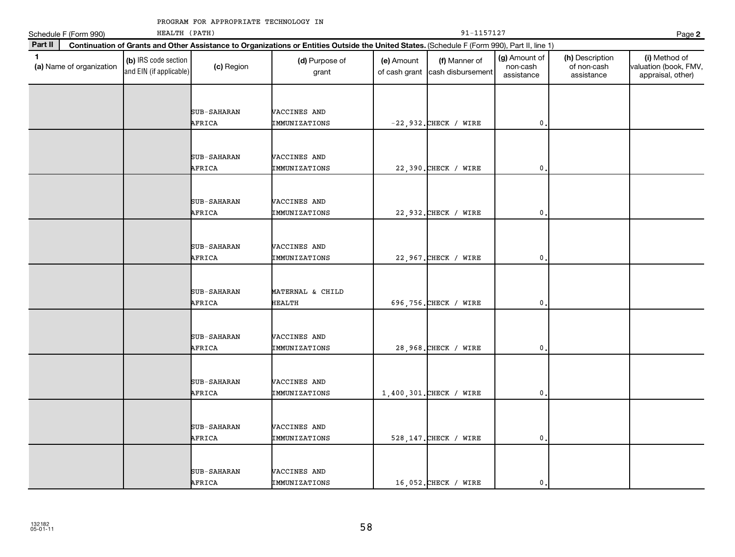|              | Schedule F (Form 990)    | HEALTH (PATH)                                   |                              |                                                                                                                                              |                             | 91-1157127                         |                                         |                                              | Page 2                                                      |
|--------------|--------------------------|-------------------------------------------------|------------------------------|----------------------------------------------------------------------------------------------------------------------------------------------|-----------------------------|------------------------------------|-----------------------------------------|----------------------------------------------|-------------------------------------------------------------|
| Part II      |                          |                                                 |                              | Continuation of Grants and Other Assistance to Organizations or Entities Outside the United States. (Schedule F (Form 990), Part II, line 1) |                             |                                    |                                         |                                              |                                                             |
| $\mathbf{1}$ | (a) Name of organization | (b) IRS code section<br>and EIN (if applicable) | (c) Region                   | (d) Purpose of<br>grant                                                                                                                      | (e) Amount<br>of cash grant | (f) Manner of<br>cash disbursement | (g) Amount of<br>non-cash<br>assistance | (h) Description<br>of non-cash<br>assistance | (i) Method of<br>valuation (book, FMV,<br>appraisal, other) |
|              |                          |                                                 | SUB-SAHARAN<br>AFRICA        | VACCINES AND<br>IMMUNIZATIONS                                                                                                                |                             | $-22,932$ . CHECK / WIRE           | $\mathbf 0$ .                           |                                              |                                                             |
|              |                          |                                                 | SUB-SAHARAN<br>AFRICA        | VACCINES AND<br>IMMUNIZATIONS                                                                                                                |                             | 22,390. CHECK / WIRE               | 0                                       |                                              |                                                             |
|              |                          |                                                 | SUB-SAHARAN<br>AFRICA        | VACCINES AND<br>IMMUNIZATIONS                                                                                                                |                             | 22,932. CHECK / WIRE               | 0                                       |                                              |                                                             |
|              |                          |                                                 | <b>SUB-SAHARAN</b><br>AFRICA | VACCINES AND<br>IMMUNIZATIONS                                                                                                                |                             | 22,967. CHECK / WIRE               | $\mathbf 0$ .                           |                                              |                                                             |
|              |                          |                                                 | SUB-SAHARAN<br>AFRICA        | MATERNAL & CHILD<br><b>HEALTH</b>                                                                                                            |                             | 696,756. CHECK / WIRE              | 0                                       |                                              |                                                             |
|              |                          |                                                 | SUB-SAHARAN<br>AFRICA        | VACCINES AND<br>IMMUNIZATIONS                                                                                                                |                             | 28,968. CHECK / WIRE               | $\mathbf{0}$                            |                                              |                                                             |
|              |                          |                                                 | SUB-SAHARAN<br>AFRICA        | VACCINES AND<br>IMMUNIZATIONS                                                                                                                |                             | 1,400,301. CHECK / WIRE            | $\mathbf{0}$                            |                                              |                                                             |
|              |                          |                                                 | SUB-SAHARAN<br>AFRICA        | VACCINES AND<br>IMMUNIZATIONS                                                                                                                |                             | 528, 147. CHECK / WIRE             | $\mathbf{0}$ .                          |                                              |                                                             |
|              |                          |                                                 | SUB-SAHARAN<br>AFRICA        | VACCINES AND<br>IMMUNIZATIONS                                                                                                                |                             | 16,052. CHECK / WIRE               | $\mathbf{0}$ .                          |                                              |                                                             |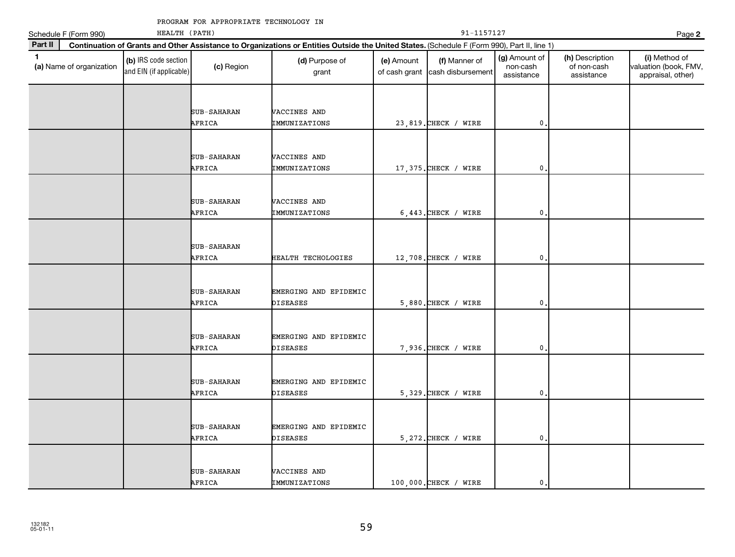|              | Schedule F (Form 990)    | HEALTH (PATH)                                   |                              |                                                                                                                                              |            | 91-1157127                                       |                                         |                                              | Page 2                                                      |
|--------------|--------------------------|-------------------------------------------------|------------------------------|----------------------------------------------------------------------------------------------------------------------------------------------|------------|--------------------------------------------------|-----------------------------------------|----------------------------------------------|-------------------------------------------------------------|
| Part II      |                          |                                                 |                              | Continuation of Grants and Other Assistance to Organizations or Entities Outside the United States. (Schedule F (Form 990), Part II, line 1) |            |                                                  |                                         |                                              |                                                             |
| $\mathbf{1}$ | (a) Name of organization | (b) IRS code section<br>and EIN (if applicable) | (c) Region                   | (d) Purpose of<br>grant                                                                                                                      | (e) Amount | (f) Manner of<br>of cash grant cash disbursement | (g) Amount of<br>non-cash<br>assistance | (h) Description<br>of non-cash<br>assistance | (i) Method of<br>valuation (book, FMV,<br>appraisal, other) |
|              |                          |                                                 | <b>SUB-SAHARAN</b><br>AFRICA | VACCINES AND<br>IMMUNIZATIONS                                                                                                                |            | 23,819. CHECK / WIRE                             | $\mathbf 0$ .                           |                                              |                                                             |
|              |                          |                                                 | SUB-SAHARAN<br>AFRICA        | VACCINES AND<br>IMMUNIZATIONS                                                                                                                |            | 17,375. CHECK / WIRE                             | $\mathbf{0}$                            |                                              |                                                             |
|              |                          |                                                 | SUB-SAHARAN<br>AFRICA        | VACCINES AND<br>IMMUNIZATIONS                                                                                                                |            | $6,443.$ CHECK / WIRE                            | $\mathbf{0}$                            |                                              |                                                             |
|              |                          |                                                 | SUB-SAHARAN<br>AFRICA        | HEALTH TECHOLOGIES                                                                                                                           |            | 12,708. CHECK / WIRE                             | $\mathbf{0}$                            |                                              |                                                             |
|              |                          |                                                 | SUB-SAHARAN<br>AFRICA        | EMERGING AND EPIDEMIC<br><b>DISEASES</b>                                                                                                     |            | 5,880. CHECK / WIRE                              | $\mathbf{0}$                            |                                              |                                                             |
|              |                          |                                                 | SUB-SAHARAN<br>AFRICA        | EMERGING AND EPIDEMIC<br><b>DISEASES</b>                                                                                                     |            | 7,936. CHECK / WIRE                              | $\mathbf{0}$                            |                                              |                                                             |
|              |                          |                                                 | <b>SUB-SAHARAN</b><br>AFRICA | EMERGING AND EPIDEMIC<br><b>DISEASES</b>                                                                                                     |            | 5,329. CHECK / WIRE                              | $\mathbf 0$ .                           |                                              |                                                             |
|              |                          |                                                 | SUB-SAHARAN<br>AFRICA        | EMERGING AND EPIDEMIC<br><b>DISEASES</b>                                                                                                     |            | 5, 272. CHECK / WIRE                             | $\mathbf{0}$                            |                                              |                                                             |
|              |                          |                                                 | SUB-SAHARAN<br>AFRICA        | VACCINES AND<br>IMMUNIZATIONS                                                                                                                |            | 100,000. CHECK / WIRE                            | $\mathbf{0}$ .                          |                                              |                                                             |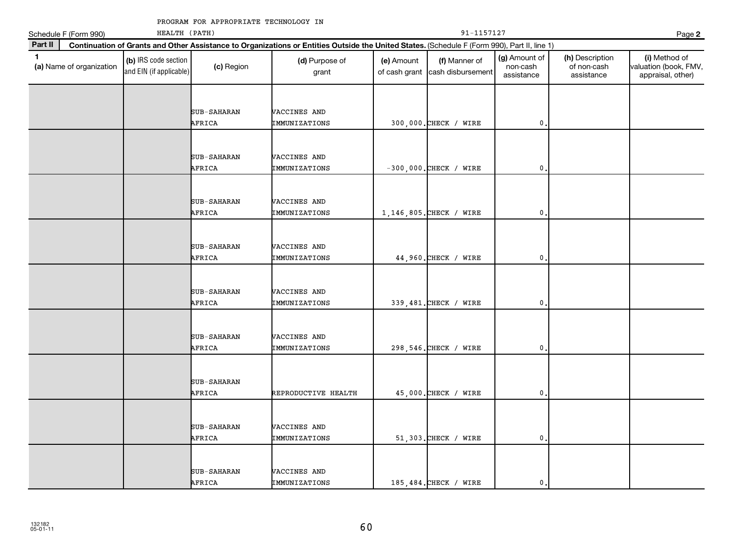| Schedule F (Form 990)                    | HEALTH (PATH)                                   |                              |                                                                                                                                              |                             | 91-1157127                         |                                         |                                              | Page 2                                                      |
|------------------------------------------|-------------------------------------------------|------------------------------|----------------------------------------------------------------------------------------------------------------------------------------------|-----------------------------|------------------------------------|-----------------------------------------|----------------------------------------------|-------------------------------------------------------------|
| Part II                                  |                                                 |                              | Continuation of Grants and Other Assistance to Organizations or Entities Outside the United States. (Schedule F (Form 990), Part II, line 1) |                             |                                    |                                         |                                              |                                                             |
| $\mathbf{1}$<br>(a) Name of organization | (b) IRS code section<br>and EIN (if applicable) | (c) Region                   | (d) Purpose of<br>grant                                                                                                                      | (e) Amount<br>of cash grant | (f) Manner of<br>cash disbursement | (g) Amount of<br>non-cash<br>assistance | (h) Description<br>of non-cash<br>assistance | (i) Method of<br>valuation (book, FMV,<br>appraisal, other) |
|                                          |                                                 | SUB-SAHARAN<br>AFRICA        | VACCINES AND<br>IMMUNIZATIONS                                                                                                                |                             | 300,000. CHECK / WIRE              | 0,                                      |                                              |                                                             |
|                                          |                                                 | SUB-SAHARAN<br>AFRICA        | VACCINES AND<br>IMMUNIZATIONS                                                                                                                |                             | $-300,000$ . CHECK / WIRE          | 0                                       |                                              |                                                             |
|                                          |                                                 | SUB-SAHARAN<br>AFRICA        | VACCINES AND<br>IMMUNIZATIONS                                                                                                                |                             | 1, 146, 805. CHECK / WIRE          | 0                                       |                                              |                                                             |
|                                          |                                                 | <b>SUB-SAHARAN</b><br>AFRICA | VACCINES AND<br>IMMUNIZATIONS                                                                                                                |                             | 44,960. CHECK / WIRE               | 0                                       |                                              |                                                             |
|                                          |                                                 | SUB-SAHARAN<br>AFRICA        | <b>VACCINES AND</b><br>IMMUNIZATIONS                                                                                                         |                             | 339,481. CHECK / WIRE              | $\mathbf{0}$                            |                                              |                                                             |
|                                          |                                                 | SUB-SAHARAN<br>AFRICA        | VACCINES AND<br>IMMUNIZATIONS                                                                                                                |                             | 298, 546. CHECK / WIRE             | 0                                       |                                              |                                                             |
|                                          |                                                 | SUB-SAHARAN<br>AFRICA        | REPRODUCTIVE HEALTH                                                                                                                          |                             | 45,000. CHECK / WIRE               | $\mathbf{0}$                            |                                              |                                                             |
|                                          |                                                 | SUB-SAHARAN<br>AFRICA        | VACCINES AND<br>IMMUNIZATIONS                                                                                                                |                             | 51,303. CHECK / WIRE               | $\mathbf 0$ .                           |                                              |                                                             |
|                                          |                                                 | SUB-SAHARAN<br>AFRICA        | VACCINES AND<br>IMMUNIZATIONS                                                                                                                |                             | 185,484. CHECK / WIRE              | $\mathbf{0}$                            |                                              |                                                             |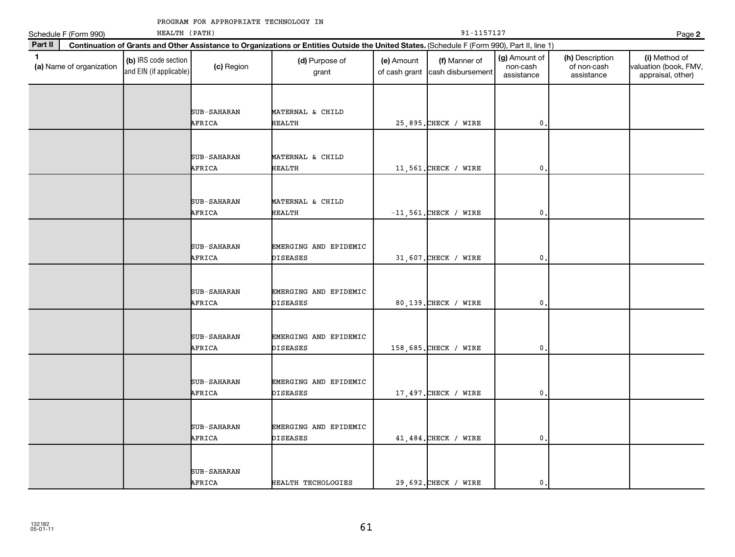|              | Schedule F (Form 990)    | HEALTH (PATH)                                   |                       |                                                                                                                                              |                             | 91-1157127                         |                                         |                                              |                                                             |  |  |
|--------------|--------------------------|-------------------------------------------------|-----------------------|----------------------------------------------------------------------------------------------------------------------------------------------|-----------------------------|------------------------------------|-----------------------------------------|----------------------------------------------|-------------------------------------------------------------|--|--|
| Part II      |                          |                                                 |                       | Continuation of Grants and Other Assistance to Organizations or Entities Outside the United States. (Schedule F (Form 990), Part II, line 1) |                             |                                    |                                         |                                              |                                                             |  |  |
| $\mathbf{1}$ | (a) Name of organization | (b) IRS code section<br>and EIN (if applicable) | (c) Region            | (d) Purpose of<br>grant                                                                                                                      | (e) Amount<br>of cash grant | (f) Manner of<br>cash disbursement | (g) Amount of<br>non-cash<br>assistance | (h) Description<br>of non-cash<br>assistance | (i) Method of<br>valuation (book, FMV,<br>appraisal, other) |  |  |
|              |                          |                                                 | SUB-SAHARAN<br>AFRICA | MATERNAL & CHILD<br><b>HEALTH</b>                                                                                                            |                             | 25,895. CHECK / WIRE               | 0.                                      |                                              |                                                             |  |  |
|              |                          |                                                 | SUB-SAHARAN<br>AFRICA | MATERNAL & CHILD<br><b>HEALTH</b>                                                                                                            |                             | 11,561. CHECK / WIRE               | $\mathbf 0$                             |                                              |                                                             |  |  |
|              |                          |                                                 | SUB-SAHARAN<br>AFRICA | MATERNAL & CHILD<br>HEALTH                                                                                                                   |                             | $-11, 561$ . CHECK / WIRE          | $\mathbf{0}$                            |                                              |                                                             |  |  |
|              |                          |                                                 | SUB-SAHARAN<br>AFRICA | EMERGING AND EPIDEMIC<br>DISEASES                                                                                                            |                             | 31,607. CHECK / WIRE               | $\mathbf{0}$                            |                                              |                                                             |  |  |
|              |                          |                                                 | SUB-SAHARAN<br>AFRICA | EMERGING AND EPIDEMIC<br>DISEASES                                                                                                            |                             | 80,139. CHECK / WIRE               | $\mathbf{0}$                            |                                              |                                                             |  |  |
|              |                          |                                                 | SUB-SAHARAN<br>AFRICA | EMERGING AND EPIDEMIC<br>DISEASES                                                                                                            |                             | 158,685. CHECK / WIRE              | 0                                       |                                              |                                                             |  |  |
|              |                          |                                                 | SUB-SAHARAN<br>AFRICA | EMERGING AND EPIDEMIC<br>DISEASES                                                                                                            |                             | 17,497. CHECK / WIRE               | $\mathbf{0}$                            |                                              |                                                             |  |  |
|              |                          |                                                 | SUB-SAHARAN<br>AFRICA | EMERGING AND EPIDEMIC<br>DISEASES                                                                                                            |                             | 41, 484. CHECK / WIRE              | $\mathbf 0$ .                           |                                              |                                                             |  |  |
|              |                          |                                                 | SUB-SAHARAN<br>AFRICA | HEALTH TECHOLOGIES                                                                                                                           |                             | 29,692. CHECK / WIRE               | $\mathbf{0}$ .                          |                                              |                                                             |  |  |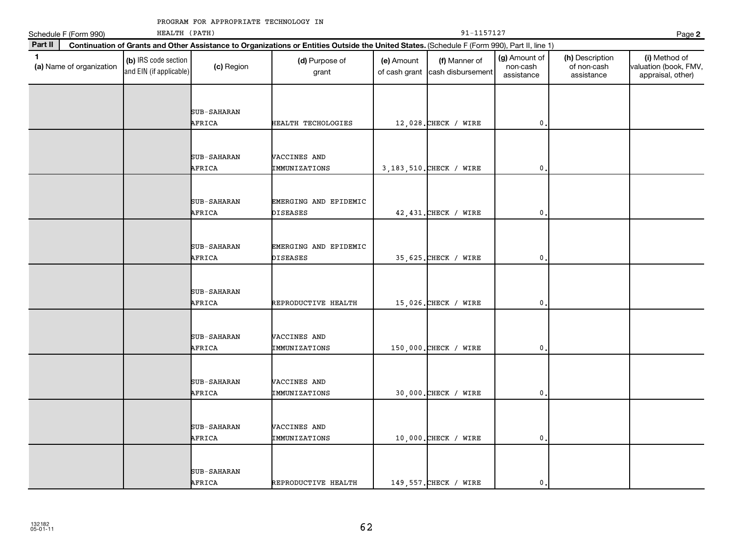|              | Schedule F (Form 990)    | HEALTH (PATH)                                   |                              |                                                                                                                                              |                             | 91-1157127                         |                                         |                                              | Page 2                                                      |
|--------------|--------------------------|-------------------------------------------------|------------------------------|----------------------------------------------------------------------------------------------------------------------------------------------|-----------------------------|------------------------------------|-----------------------------------------|----------------------------------------------|-------------------------------------------------------------|
| Part II      |                          |                                                 |                              | Continuation of Grants and Other Assistance to Organizations or Entities Outside the United States. (Schedule F (Form 990), Part II, line 1) |                             |                                    |                                         |                                              |                                                             |
| $\mathbf{1}$ | (a) Name of organization | (b) IRS code section<br>and EIN (if applicable) | (c) Region                   | (d) Purpose of<br>grant                                                                                                                      | (e) Amount<br>of cash grant | (f) Manner of<br>cash disbursement | (g) Amount of<br>non-cash<br>assistance | (h) Description<br>of non-cash<br>assistance | (i) Method of<br>valuation (book, FMV,<br>appraisal, other) |
|              |                          |                                                 |                              |                                                                                                                                              |                             |                                    |                                         |                                              |                                                             |
|              |                          |                                                 | SUB-SAHARAN                  |                                                                                                                                              |                             |                                    |                                         |                                              |                                                             |
|              |                          |                                                 | AFRICA                       | HEALTH TECHOLOGIES                                                                                                                           |                             | $12,028$ . CHECK / WIRE            | 0                                       |                                              |                                                             |
|              |                          |                                                 |                              |                                                                                                                                              |                             |                                    |                                         |                                              |                                                             |
|              |                          |                                                 | SUB-SAHARAN<br>AFRICA        | VACCINES AND<br>IMMUNIZATIONS                                                                                                                |                             | 3, 183, 510. CHECK / WIRE          | $\pmb{0}$                               |                                              |                                                             |
|              |                          |                                                 |                              |                                                                                                                                              |                             |                                    |                                         |                                              |                                                             |
|              |                          |                                                 | SUB-SAHARAN                  | EMERGING AND EPIDEMIC                                                                                                                        |                             |                                    |                                         |                                              |                                                             |
|              |                          |                                                 | AFRICA                       | DISEASES                                                                                                                                     |                             | 42, 431. CHECK / WIRE              | $\mathbf 0$                             |                                              |                                                             |
|              |                          |                                                 |                              |                                                                                                                                              |                             |                                    |                                         |                                              |                                                             |
|              |                          |                                                 | SUB-SAHARAN                  | EMERGING AND EPIDEMIC                                                                                                                        |                             |                                    |                                         |                                              |                                                             |
|              |                          |                                                 | AFRICA                       | DISEASES                                                                                                                                     |                             | 35,625. CHECK / WIRE               | 0                                       |                                              |                                                             |
|              |                          |                                                 |                              |                                                                                                                                              |                             |                                    |                                         |                                              |                                                             |
|              |                          |                                                 | SUB-SAHARAN                  |                                                                                                                                              |                             |                                    |                                         |                                              |                                                             |
|              |                          |                                                 | AFRICA                       | REPRODUCTIVE HEALTH                                                                                                                          |                             | 15,026. CHECK / WIRE               | $\pmb{0}$                               |                                              |                                                             |
|              |                          |                                                 |                              |                                                                                                                                              |                             |                                    |                                         |                                              |                                                             |
|              |                          |                                                 | <b>SUB-SAHARAN</b><br>AFRICA | VACCINES AND<br>IMMUNIZATIONS                                                                                                                |                             | 150,000. CHECK / WIRE              | 0                                       |                                              |                                                             |
|              |                          |                                                 |                              |                                                                                                                                              |                             |                                    |                                         |                                              |                                                             |
|              |                          |                                                 |                              |                                                                                                                                              |                             |                                    |                                         |                                              |                                                             |
|              |                          |                                                 | SUB-SAHARAN<br>AFRICA        | VACCINES AND<br>IMMUNIZATIONS                                                                                                                |                             | 30,000. CHECK / WIRE               | 0                                       |                                              |                                                             |
|              |                          |                                                 |                              |                                                                                                                                              |                             |                                    |                                         |                                              |                                                             |
|              |                          |                                                 | SUB-SAHARAN                  | VACCINES AND                                                                                                                                 |                             |                                    |                                         |                                              |                                                             |
|              |                          |                                                 | AFRICA                       | IMMUNIZATIONS                                                                                                                                |                             | $10,000$ . CHECK / WIRE            | $\mathbf{0}$                            |                                              |                                                             |
|              |                          |                                                 |                              |                                                                                                                                              |                             |                                    |                                         |                                              |                                                             |
|              |                          |                                                 | SUB-SAHARAN                  |                                                                                                                                              |                             |                                    |                                         |                                              |                                                             |
|              |                          |                                                 | AFRICA                       | REPRODUCTIVE HEALTH                                                                                                                          |                             | 149,557. CHECK / WIRE              | $\mathbf{0}$ .                          |                                              |                                                             |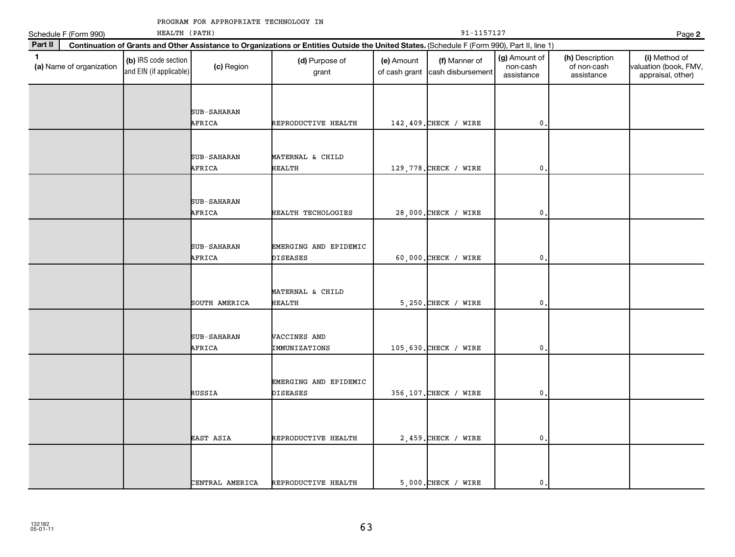|              | Schedule F (Form 990)    | HEALTH (PATH)                                   |                       |                                                                                                                                              |                             | 91-1157127                         |                                         |                                              | Page 2                                                      |
|--------------|--------------------------|-------------------------------------------------|-----------------------|----------------------------------------------------------------------------------------------------------------------------------------------|-----------------------------|------------------------------------|-----------------------------------------|----------------------------------------------|-------------------------------------------------------------|
| Part II      |                          |                                                 |                       | Continuation of Grants and Other Assistance to Organizations or Entities Outside the United States. (Schedule F (Form 990), Part II, line 1) |                             |                                    |                                         |                                              |                                                             |
| $\mathbf{1}$ | (a) Name of organization | (b) IRS code section<br>and EIN (if applicable) | (c) Region            | (d) Purpose of<br>grant                                                                                                                      | (e) Amount<br>of cash grant | (f) Manner of<br>cash disbursement | (g) Amount of<br>non-cash<br>assistance | (h) Description<br>of non-cash<br>assistance | (i) Method of<br>valuation (book, FMV,<br>appraisal, other) |
|              |                          |                                                 |                       |                                                                                                                                              |                             |                                    |                                         |                                              |                                                             |
|              |                          |                                                 | SUB-SAHARAN<br>AFRICA | REPRODUCTIVE HEALTH                                                                                                                          |                             | 142,409. CHECK / WIRE              | 0                                       |                                              |                                                             |
|              |                          |                                                 |                       |                                                                                                                                              |                             |                                    |                                         |                                              |                                                             |
|              |                          |                                                 | SUB-SAHARAN<br>AFRICA | MATERNAL & CHILD<br>HEALTH                                                                                                                   |                             | 129,778. CHECK / WIRE              | $\mathbf 0$                             |                                              |                                                             |
|              |                          |                                                 |                       |                                                                                                                                              |                             |                                    |                                         |                                              |                                                             |
|              |                          |                                                 | SUB-SAHARAN<br>AFRICA | HEALTH TECHOLOGIES                                                                                                                           |                             | 28,000. CHECK / WIRE               | 0                                       |                                              |                                                             |
|              |                          |                                                 |                       |                                                                                                                                              |                             |                                    |                                         |                                              |                                                             |
|              |                          |                                                 | SUB-SAHARAN<br>AFRICA | EMERGING AND EPIDEMIC<br><b>DISEASES</b>                                                                                                     |                             | 60,000. CHECK / WIRE               | 0                                       |                                              |                                                             |
|              |                          |                                                 |                       |                                                                                                                                              |                             |                                    |                                         |                                              |                                                             |
|              |                          |                                                 | SOUTH AMERICA         | MATERNAL & CHILD<br>HEALTH                                                                                                                   |                             | $5,250$ . CHECK / WIRE             | 0                                       |                                              |                                                             |
|              |                          |                                                 |                       |                                                                                                                                              |                             |                                    |                                         |                                              |                                                             |
|              |                          |                                                 | SUB-SAHARAN<br>AFRICA | VACCINES AND<br>IMMUNIZATIONS                                                                                                                |                             | 105,630. CHECK / WIRE              | $\pmb{0}$                               |                                              |                                                             |
|              |                          |                                                 |                       |                                                                                                                                              |                             |                                    |                                         |                                              |                                                             |
|              |                          |                                                 | RUSSIA                | EMERGING AND EPIDEMIC<br><b>DISEASES</b>                                                                                                     |                             | 356,107. CHECK / WIRE              | 0                                       |                                              |                                                             |
|              |                          |                                                 |                       |                                                                                                                                              |                             |                                    |                                         |                                              |                                                             |
|              |                          |                                                 | EAST ASIA             | REPRODUCTIVE HEALTH                                                                                                                          |                             | $2,459$ . CHECK / WIRE             | 0                                       |                                              |                                                             |
|              |                          |                                                 |                       |                                                                                                                                              |                             |                                    |                                         |                                              |                                                             |
|              |                          |                                                 | CENTRAL AMERICA       | REPRODUCTIVE HEALTH                                                                                                                          |                             | $5,000$ . CHECK / WIRE             | 0.                                      |                                              |                                                             |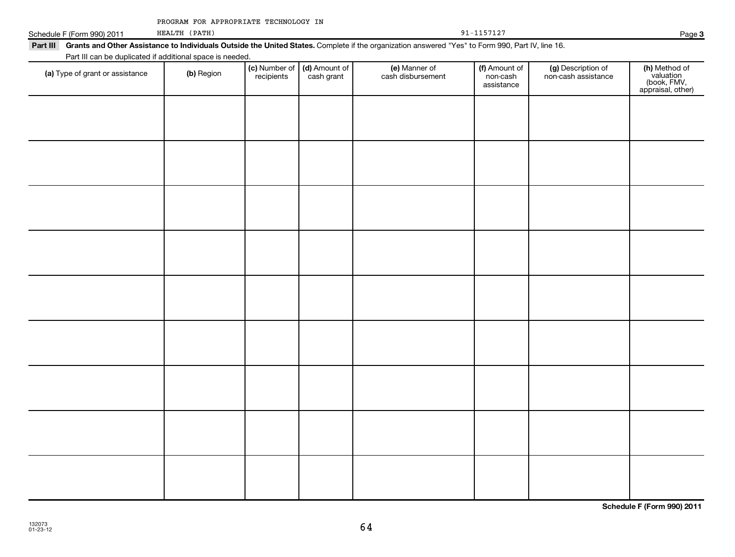|  | PROGRAM FOR APPROPRIATE TECHNOLOGY IN |  |
|--|---------------------------------------|--|
|  |                                       |  |

| Schedule<br>., 2011<br>∙orm         | PATH<br>ᄑᇢᅐ                                           |                                                                                                                            | Paɑe |
|-------------------------------------|-------------------------------------------------------|----------------------------------------------------------------------------------------------------------------------------|------|
| Part III<br><b>Grants and Other</b> | h Individuals Outside the د م<br><b>Assistance to</b> | <b>United States (</b><br>16 Aine<br>. Form 990<br>Part IV<br>"Yes∵<br>" to .<br>heهht the if<br>" ממזמאצמר ממוזדדומרממת י |      |

## Part III Grants and Other Assistance to Individuals Outside the United States. Complete if the organization answered "Yes" to Form 990, Part IV, line 16.

Part III can be duplicated if additional space is needed.

| -------------<br>(a) Type of grant or assistance | (b) Region | (c) Number of<br>recipients | (d) Amount of<br>cash grant | (e) Manner of<br>cash disbursement | (f) Amount of<br>non-cash<br>assistance | (g) Description of<br>non-cash assistance | (h) Method of<br>valuation<br>(book, FMV,<br>appraisal, other) |
|--------------------------------------------------|------------|-----------------------------|-----------------------------|------------------------------------|-----------------------------------------|-------------------------------------------|----------------------------------------------------------------|
|                                                  |            |                             |                             |                                    |                                         |                                           |                                                                |
|                                                  |            |                             |                             |                                    |                                         |                                           |                                                                |
|                                                  |            |                             |                             |                                    |                                         |                                           |                                                                |
|                                                  |            |                             |                             |                                    |                                         |                                           |                                                                |
|                                                  |            |                             |                             |                                    |                                         |                                           |                                                                |
|                                                  |            |                             |                             |                                    |                                         |                                           |                                                                |
|                                                  |            |                             |                             |                                    |                                         |                                           |                                                                |
|                                                  |            |                             |                             |                                    |                                         |                                           |                                                                |
|                                                  |            |                             |                             |                                    |                                         |                                           |                                                                |
|                                                  |            |                             |                             |                                    |                                         |                                           |                                                                |

64

**3**

|  |  | 1157127 |  |  |
|--|--|---------|--|--|
|  |  |         |  |  |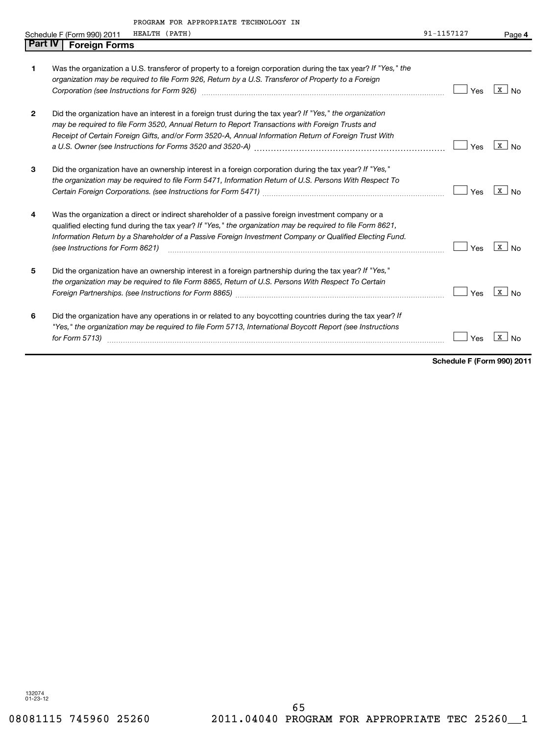|                | PROGRAM FOR APPROPRIATE TECHNOLOGY IN                                                                          |            |                                |
|----------------|----------------------------------------------------------------------------------------------------------------|------------|--------------------------------|
|                | HEALTH (PATH)<br>Schedule F (Form 990) 2011                                                                    | 91-1157127 | Page 4                         |
| <b>Part IV</b> | <b>Foreign Forms</b>                                                                                           |            |                                |
|                |                                                                                                                |            |                                |
| 1              | Was the organization a U.S. transferor of property to a foreign corporation during the tax year? If "Yes," the |            |                                |
|                | organization may be required to file Form 926, Return by a U.S. Transferor of Property to a Foreign            |            |                                |
|                | Corporation (see Instructions for Form 926)                                                                    | Yes        | X<br>N <sub>0</sub>            |
| $\mathbf{2}$   | Did the organization have an interest in a foreign trust during the tax year? If "Yes," the organization       |            |                                |
|                | may be required to file Form 3520, Annual Return to Report Transactions with Foreign Trusts and                |            |                                |
|                | Receipt of Certain Foreign Gifts, and/or Form 3520-A, Annual Information Return of Foreign Trust With          |            |                                |
|                |                                                                                                                | Yes        | X<br>No                        |
| 3              | Did the organization have an ownership interest in a foreign corporation during the tax year? If "Yes,"        |            |                                |
|                | the organization may be required to file Form 5471, Information Return of U.S. Persons With Respect To         |            |                                |
|                |                                                                                                                | Yes        | $\mathbf{x}$<br>No             |
| 4              | Was the organization a direct or indirect shareholder of a passive foreign investment company or a             |            |                                |
|                | qualified electing fund during the tax year? If "Yes," the organization may be required to file Form 8621,     |            |                                |
|                | Information Return by a Shareholder of a Passive Foreign Investment Company or Qualified Electing Fund.        |            |                                |
|                | (see Instructions for Form 8621)                                                                               | Yes        | $\mathbf{X}$<br>N <sub>0</sub> |
| 5              | Did the organization have an ownership interest in a foreign partnership during the tax year? If "Yes,"        |            |                                |
|                | the organization may be required to file Form 8865, Return of U.S. Persons With Respect To Certain             |            |                                |
|                |                                                                                                                | Yes        | $\mathbf{x}$<br>N <sub>0</sub> |
| 6              | Did the organization have any operations in or related to any boycotting countries during the tax year? If     |            |                                |
|                | "Yes," the organization may be required to file Form 5713, International Boycott Report (see Instructions      |            |                                |
|                | for Form 5713)                                                                                                 | Yes        | X                              |
|                |                                                                                                                |            |                                |

**Schedule F (Form 990) 2011**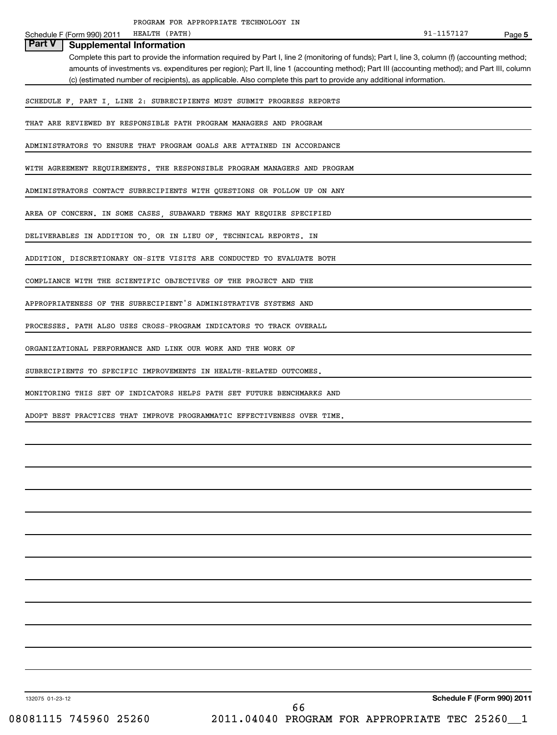|                            | PROGRAM FOR APPROPRIATE TECHNOLOGY IN                                     |                                                                                                                                                |            |        |
|----------------------------|---------------------------------------------------------------------------|------------------------------------------------------------------------------------------------------------------------------------------------|------------|--------|
| Schedule F (Form 990) 2011 | HEALTH (PATH)                                                             |                                                                                                                                                | 91-1157127 | Page 5 |
| Part V                     | <b>Supplemental Information</b>                                           |                                                                                                                                                |            |        |
|                            |                                                                           | Complete this part to provide the information required by Part I, line 2 (monitoring of funds); Part I, line 3, column (f) (accounting method; |            |        |
|                            |                                                                           | amounts of investments vs. expenditures per region); Part II, line 1 (accounting method); Part III (accounting method); and Part III, column   |            |        |
|                            |                                                                           | (c) (estimated number of recipients), as applicable. Also complete this part to provide any additional information.                            |            |        |
|                            | SCHEDULE F, PART I, LINE 2: SUBRECIPIENTS MUST SUBMIT PROGRESS REPORTS    |                                                                                                                                                |            |        |
|                            | THAT ARE REVIEWED BY RESPONSIBLE PATH PROGRAM MANAGERS AND PROGRAM        |                                                                                                                                                |            |        |
|                            | ADMINISTRATORS TO ENSURE THAT PROGRAM GOALS ARE ATTAINED IN ACCORDANCE    |                                                                                                                                                |            |        |
|                            | WITH AGREEMENT REOUIREMENTS. THE RESPONSIBLE PROGRAM MANAGERS AND PROGRAM |                                                                                                                                                |            |        |
|                            | ADMINISTRATORS CONTACT SUBRECIPIENTS WITH QUESTIONS OR FOLLOW UP ON ANY   |                                                                                                                                                |            |        |
|                            | AREA OF CONCERN. IN SOME CASES, SUBAWARD TERMS MAY REQUIRE SPECIFIED      |                                                                                                                                                |            |        |
|                            | DELIVERABLES IN ADDITION TO, OR IN LIEU OF, TECHNICAL REPORTS. IN         |                                                                                                                                                |            |        |
|                            | ADDITION, DISCRETIONARY ON-SITE VISITS ARE CONDUCTED TO EVALUATE BOTH     |                                                                                                                                                |            |        |
|                            | COMPLIANCE WITH THE SCIENTIFIC OBJECTIVES OF THE PROJECT AND THE          |                                                                                                                                                |            |        |
|                            | APPROPRIATENESS OF THE SUBRECIPIENT'S ADMINISTRATIVE SYSTEMS AND          |                                                                                                                                                |            |        |
|                            | PROCESSES. PATH ALSO USES CROSS-PROGRAM INDICATORS TO TRACK OVERALL       |                                                                                                                                                |            |        |
|                            | ORGANIZATIONAL PERFORMANCE AND LINK OUR WORK AND THE WORK OF              |                                                                                                                                                |            |        |
|                            | SUBRECIPIENTS TO SPECIFIC IMPROVEMENTS IN HEALTH-RELATED OUTCOMES.        |                                                                                                                                                |            |        |
|                            | MONITORING THIS SET OF INDICATORS HELPS PATH SET FUTURE BENCHMARKS AND    |                                                                                                                                                |            |        |
|                            | ADOPT BEST PRACTICES THAT IMPROVE PROGRAMMATIC EFFECTIVENESS OVER TIME.   |                                                                                                                                                |            |        |
|                            |                                                                           |                                                                                                                                                |            |        |
|                            |                                                                           |                                                                                                                                                |            |        |

132075 01-23-12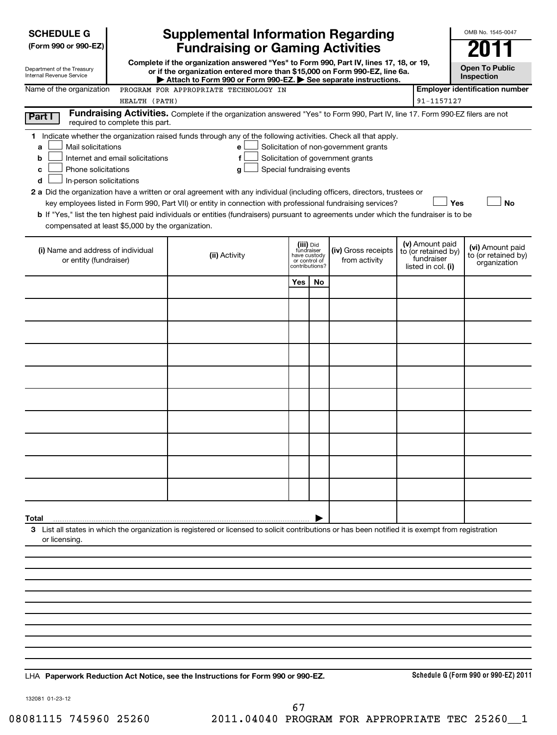| <b>SCHEDULE G</b>                                                                                                            |               | <b>Supplemental Information Regarding</b>                                                                                                                                                                                                                                                                                                                                                                                                                                                                                                          |            |                                                                            |                                                                            |                                                                            | OMB No. 1545-0047                                       |
|------------------------------------------------------------------------------------------------------------------------------|---------------|----------------------------------------------------------------------------------------------------------------------------------------------------------------------------------------------------------------------------------------------------------------------------------------------------------------------------------------------------------------------------------------------------------------------------------------------------------------------------------------------------------------------------------------------------|------------|----------------------------------------------------------------------------|----------------------------------------------------------------------------|----------------------------------------------------------------------------|---------------------------------------------------------|
| (Form 990 or 990-EZ)                                                                                                         |               | <b>Fundraising or Gaming Activities</b>                                                                                                                                                                                                                                                                                                                                                                                                                                                                                                            |            |                                                                            |                                                                            |                                                                            |                                                         |
| Department of the Treasury<br><b>Internal Revenue Service</b>                                                                |               | Complete if the organization answered "Yes" to Form 990, Part IV, lines 17, 18, or 19,<br>or if the organization entered more than \$15,000 on Form 990-EZ, line 6a.<br>Attach to Form 990 or Form 990-EZ. See separate instructions.                                                                                                                                                                                                                                                                                                              |            |                                                                            |                                                                            |                                                                            | <b>Open To Public</b><br>Inspection                     |
| Name of the organization                                                                                                     |               | PROGRAM FOR APPROPRIATE TECHNOLOGY IN                                                                                                                                                                                                                                                                                                                                                                                                                                                                                                              |            |                                                                            |                                                                            |                                                                            | <b>Employer identification number</b>                   |
|                                                                                                                              | HEALTH (PATH) |                                                                                                                                                                                                                                                                                                                                                                                                                                                                                                                                                    |            |                                                                            |                                                                            | 91-1157127                                                                 |                                                         |
| Part I<br>required to complete this part.                                                                                    |               | Fundraising Activities. Complete if the organization answered "Yes" to Form 990, Part IV, line 17. Form 990-EZ filers are not                                                                                                                                                                                                                                                                                                                                                                                                                      |            |                                                                            |                                                                            |                                                                            |                                                         |
| Mail solicitations<br>a<br>Internet and email solicitations<br>b<br>Phone solicitations<br>c<br>In-person solicitations<br>d |               | 1 Indicate whether the organization raised funds through any of the following activities. Check all that apply.<br>e<br>f<br>Special fundraising events<br>g<br>2 a Did the organization have a written or oral agreement with any individual (including officers, directors, trustees or<br>key employees listed in Form 990, Part VII) or entity in connection with professional fundraising services?<br>b If "Yes," list the ten highest paid individuals or entities (fundraisers) pursuant to agreements under which the fundraiser is to be |            |                                                                            | Solicitation of non-government grants<br>Solicitation of government grants | Yes                                                                        | Nο                                                      |
| compensated at least \$5,000 by the organization.                                                                            |               |                                                                                                                                                                                                                                                                                                                                                                                                                                                                                                                                                    |            |                                                                            |                                                                            |                                                                            |                                                         |
| (i) Name and address of individual<br>or entity (fundraiser)                                                                 |               | (ii) Activity                                                                                                                                                                                                                                                                                                                                                                                                                                                                                                                                      |            | (iii) Did<br>fundraiser<br>have custody<br>or control of<br>contributions? | (iv) Gross receipts<br>from activity                                       | (v) Amount paid<br>to (or retained by)<br>fundraiser<br>listed in col. (i) | (vi) Amount paid<br>to (or retained by)<br>organization |
|                                                                                                                              |               |                                                                                                                                                                                                                                                                                                                                                                                                                                                                                                                                                    | <b>Yes</b> | No                                                                         |                                                                            |                                                                            |                                                         |
|                                                                                                                              |               |                                                                                                                                                                                                                                                                                                                                                                                                                                                                                                                                                    |            |                                                                            |                                                                            |                                                                            |                                                         |
|                                                                                                                              |               |                                                                                                                                                                                                                                                                                                                                                                                                                                                                                                                                                    |            |                                                                            |                                                                            |                                                                            |                                                         |
|                                                                                                                              |               |                                                                                                                                                                                                                                                                                                                                                                                                                                                                                                                                                    |            |                                                                            |                                                                            |                                                                            |                                                         |
|                                                                                                                              |               |                                                                                                                                                                                                                                                                                                                                                                                                                                                                                                                                                    |            |                                                                            |                                                                            |                                                                            |                                                         |
|                                                                                                                              |               |                                                                                                                                                                                                                                                                                                                                                                                                                                                                                                                                                    |            |                                                                            |                                                                            |                                                                            |                                                         |
|                                                                                                                              |               |                                                                                                                                                                                                                                                                                                                                                                                                                                                                                                                                                    |            |                                                                            |                                                                            |                                                                            |                                                         |
|                                                                                                                              |               |                                                                                                                                                                                                                                                                                                                                                                                                                                                                                                                                                    |            |                                                                            |                                                                            |                                                                            |                                                         |
|                                                                                                                              |               |                                                                                                                                                                                                                                                                                                                                                                                                                                                                                                                                                    |            |                                                                            |                                                                            |                                                                            |                                                         |
|                                                                                                                              |               |                                                                                                                                                                                                                                                                                                                                                                                                                                                                                                                                                    |            |                                                                            |                                                                            |                                                                            |                                                         |
| Total                                                                                                                        |               |                                                                                                                                                                                                                                                                                                                                                                                                                                                                                                                                                    |            |                                                                            |                                                                            |                                                                            |                                                         |
| or licensing.                                                                                                                |               | 3 List all states in which the organization is registered or licensed to solicit contributions or has been notified it is exempt from registration                                                                                                                                                                                                                                                                                                                                                                                                 |            |                                                                            |                                                                            |                                                                            |                                                         |
|                                                                                                                              |               |                                                                                                                                                                                                                                                                                                                                                                                                                                                                                                                                                    |            |                                                                            |                                                                            |                                                                            |                                                         |
|                                                                                                                              |               |                                                                                                                                                                                                                                                                                                                                                                                                                                                                                                                                                    |            |                                                                            |                                                                            |                                                                            |                                                         |
|                                                                                                                              |               |                                                                                                                                                                                                                                                                                                                                                                                                                                                                                                                                                    |            |                                                                            |                                                                            |                                                                            |                                                         |
|                                                                                                                              |               |                                                                                                                                                                                                                                                                                                                                                                                                                                                                                                                                                    |            |                                                                            |                                                                            |                                                                            |                                                         |
|                                                                                                                              |               |                                                                                                                                                                                                                                                                                                                                                                                                                                                                                                                                                    |            |                                                                            |                                                                            |                                                                            |                                                         |
|                                                                                                                              |               |                                                                                                                                                                                                                                                                                                                                                                                                                                                                                                                                                    |            |                                                                            |                                                                            |                                                                            |                                                         |
|                                                                                                                              |               |                                                                                                                                                                                                                                                                                                                                                                                                                                                                                                                                                    |            |                                                                            |                                                                            |                                                                            |                                                         |
|                                                                                                                              |               |                                                                                                                                                                                                                                                                                                                                                                                                                                                                                                                                                    |            |                                                                            |                                                                            |                                                                            |                                                         |
|                                                                                                                              |               |                                                                                                                                                                                                                                                                                                                                                                                                                                                                                                                                                    |            |                                                                            |                                                                            |                                                                            |                                                         |

**Paperwork Reduction Act Notice, see the Instructions for Form 990 or 990-EZ.** LHA

**Schedule G (Form 990 or 990-EZ) 2011**

132081 01-23-12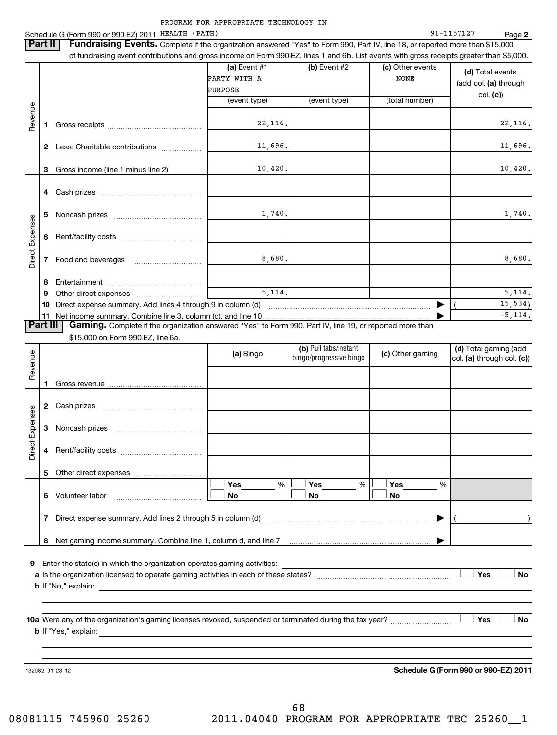|  | Schedule G (Form 990 or 990-EZ) 2011 | HEALTH ( | (PATH) | 0 1<br>، ت ۲۳ ب | Page |  |
|--|--------------------------------------|----------|--------|-----------------|------|--|
|--|--------------------------------------|----------|--------|-----------------|------|--|

**2** 91-1157127

| Part II         |        | Fundraising Events. Complete if the organization answered "Yes" to Form 990, Part IV, line 18, or reported more than \$15,000<br>of fundraising event contributions and gross income on Form 990-EZ, lines 1 and 6b. List events with gross receipts greater than \$5,000. |                                           |                                                  |                                 |                                                     |
|-----------------|--------|----------------------------------------------------------------------------------------------------------------------------------------------------------------------------------------------------------------------------------------------------------------------------|-------------------------------------------|--------------------------------------------------|---------------------------------|-----------------------------------------------------|
|                 |        |                                                                                                                                                                                                                                                                            | (a) Event $#1$<br>PARTY WITH A<br>PURPOSE | (b) Event #2                                     | (c) Other events<br><b>NONE</b> | (d) Total events<br>(add col. (a) through           |
|                 |        |                                                                                                                                                                                                                                                                            | (event type)                              | (event type)                                     | (total number)                  | col. (c))                                           |
| Revenue         | 1      |                                                                                                                                                                                                                                                                            | 22,116.                                   |                                                  |                                 | 22,116.                                             |
|                 |        | 2 Less: Charitable contributions                                                                                                                                                                                                                                           | 11,696.                                   |                                                  |                                 | 11,696.                                             |
|                 | 3      | Gross income (line 1 minus line 2)                                                                                                                                                                                                                                         | 10,420.                                   |                                                  |                                 | 10,420.                                             |
|                 | 4      |                                                                                                                                                                                                                                                                            |                                           |                                                  |                                 |                                                     |
|                 | 5      |                                                                                                                                                                                                                                                                            | 1,740.                                    |                                                  |                                 | 1,740.                                              |
| Direct Expenses | 6      |                                                                                                                                                                                                                                                                            |                                           |                                                  |                                 |                                                     |
|                 | 7      |                                                                                                                                                                                                                                                                            | 8,680.                                    |                                                  |                                 | 8,680.                                              |
|                 | 8<br>9 |                                                                                                                                                                                                                                                                            | 5,114.                                    |                                                  |                                 | 5,114.                                              |
|                 | 10     |                                                                                                                                                                                                                                                                            |                                           |                                                  | ▶                               | 15, 534                                             |
|                 | 11     |                                                                                                                                                                                                                                                                            |                                           |                                                  |                                 | $-5, 114.$                                          |
| Part III        |        | Gaming. Complete if the organization answered "Yes" to Form 990, Part IV, line 19, or reported more than                                                                                                                                                                   |                                           |                                                  |                                 |                                                     |
|                 |        | \$15,000 on Form 990-EZ, line 6a.                                                                                                                                                                                                                                          |                                           |                                                  |                                 |                                                     |
| Revenue         |        |                                                                                                                                                                                                                                                                            | (a) Bingo                                 | (b) Pull tabs/instant<br>bingo/progressive bingo | (c) Other gaming                | (d) Total gaming (add<br>col. (a) through col. (c)) |
|                 | 1      |                                                                                                                                                                                                                                                                            |                                           |                                                  |                                 |                                                     |
|                 | 2      |                                                                                                                                                                                                                                                                            |                                           |                                                  |                                 |                                                     |
| Direct Expenses | 3      |                                                                                                                                                                                                                                                                            |                                           |                                                  |                                 |                                                     |
|                 | 4      |                                                                                                                                                                                                                                                                            |                                           |                                                  |                                 |                                                     |
|                 | 5      |                                                                                                                                                                                                                                                                            |                                           |                                                  |                                 |                                                     |
|                 |        |                                                                                                                                                                                                                                                                            | Yes<br>%                                  | Yes                                              | Yes<br>%<br>%                   |                                                     |
|                 | 6.     | Volunteer labor                                                                                                                                                                                                                                                            | No.                                       | No                                               | No                              |                                                     |
|                 |        | 7 Direct expense summary. Add lines 2 through 5 in column (d) [11] matter contracts are summary and the summary. Add lines 2 through 5 in column (d)                                                                                                                       |                                           |                                                  | ▶                               |                                                     |
|                 | 8      | Net gaming income summary. Combine line 1, column d, and line 7 [11] www.community.community.com                                                                                                                                                                           |                                           |                                                  |                                 |                                                     |
|                 |        | 9 Enter the state(s) in which the organization operates gaming activities:                                                                                                                                                                                                 |                                           |                                                  |                                 | Yes<br><b>No</b>                                    |
|                 |        |                                                                                                                                                                                                                                                                            |                                           |                                                  |                                 | <b>No</b><br><b>Yes</b>                             |
|                 |        |                                                                                                                                                                                                                                                                            |                                           |                                                  |                                 |                                                     |
|                 |        | 132082 01-23-12                                                                                                                                                                                                                                                            |                                           |                                                  |                                 | Schedule G (Form 990 or 990-EZ) 2011                |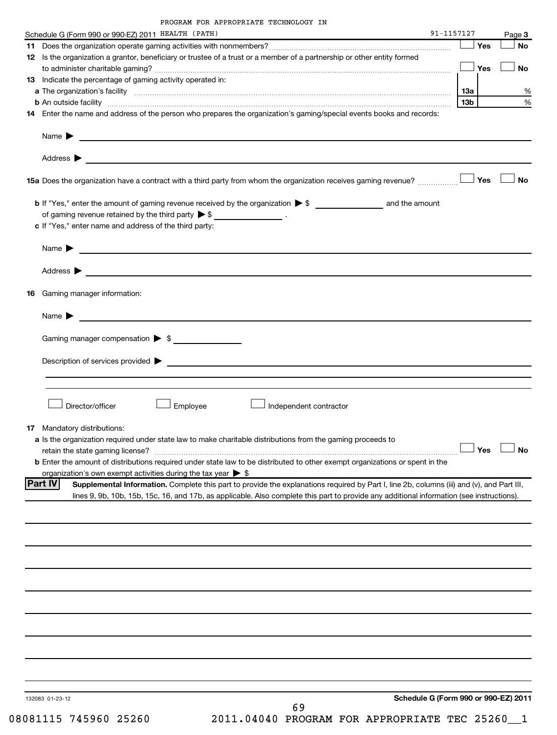| Schedule G (Form 990 or 990-EZ) 2011 HEALTH (PATH)                                                                                                                                                                                                                                      | 91-1157127 |            | Page 3               |
|-----------------------------------------------------------------------------------------------------------------------------------------------------------------------------------------------------------------------------------------------------------------------------------------|------------|------------|----------------------|
|                                                                                                                                                                                                                                                                                         |            | $\Box$ Yes | <b>No</b>            |
| 12 Is the organization a grantor, beneficiary or trustee of a trust or a member of a partnership or other entity formed                                                                                                                                                                 |            |            |                      |
|                                                                                                                                                                                                                                                                                         | $\Box$ Yes |            | No                   |
| 13 Indicate the percentage of gaming activity operated in:                                                                                                                                                                                                                              |            |            |                      |
|                                                                                                                                                                                                                                                                                         | 13a        |            | %                    |
| <b>b</b> An outside facility <i>www.communicality www.communicality.communicality www.communicality www.communicality.communicality www.communicality.com</i>                                                                                                                           | 13b        |            | %                    |
| 14 Enter the name and address of the person who prepares the organization's gaming/special events books and records:                                                                                                                                                                    |            |            |                      |
| Name $\sum_{n=1}^{\infty}$                                                                                                                                                                                                                                                              |            |            |                      |
|                                                                                                                                                                                                                                                                                         |            |            |                      |
| 15a Does the organization have a contract with a third party from whom the organization receives gaming revenue?                                                                                                                                                                        |            | Yes        | No                   |
| of gaming revenue retained by the third party $\triangleright$ \$ $\_\_\_\_\_\_\_\_\_\_\_\_\_$ .                                                                                                                                                                                        |            |            |                      |
| c If "Yes," enter name and address of the third party:                                                                                                                                                                                                                                  |            |            |                      |
|                                                                                                                                                                                                                                                                                         |            |            |                      |
|                                                                                                                                                                                                                                                                                         |            |            |                      |
|                                                                                                                                                                                                                                                                                         |            |            |                      |
|                                                                                                                                                                                                                                                                                         |            |            |                      |
|                                                                                                                                                                                                                                                                                         |            |            |                      |
| <b>16</b> Gaming manager information:                                                                                                                                                                                                                                                   |            |            |                      |
|                                                                                                                                                                                                                                                                                         |            |            |                      |
|                                                                                                                                                                                                                                                                                         |            |            |                      |
| Gaming manager compensation > \$                                                                                                                                                                                                                                                        |            |            |                      |
|                                                                                                                                                                                                                                                                                         |            |            |                      |
|                                                                                                                                                                                                                                                                                         |            |            |                      |
|                                                                                                                                                                                                                                                                                         |            |            |                      |
|                                                                                                                                                                                                                                                                                         |            |            |                      |
| Director/officer<br>Employee<br>Independent contractor                                                                                                                                                                                                                                  |            |            |                      |
|                                                                                                                                                                                                                                                                                         |            |            |                      |
| 17 Mandatory distributions:                                                                                                                                                                                                                                                             |            |            |                      |
| a Is the organization required under state law to make charitable distributions from the gaming proceeds to                                                                                                                                                                             |            |            |                      |
|                                                                                                                                                                                                                                                                                         |            |            | $\Box$ Yes $\Box$ No |
| <b>b</b> Enter the amount of distributions required under state law to be distributed to other exempt organizations or spent in the                                                                                                                                                     |            |            |                      |
| organization's own exempt activities during the tax year $\triangleright$ \$<br><b>Part IV</b>                                                                                                                                                                                          |            |            |                      |
| Supplemental Information. Complete this part to provide the explanations required by Part I, line 2b, columns (iii) and (v), and Part III,<br>lines 9, 9b, 10b, 15b, 15c, 16, and 17b, as applicable. Also complete this part to provide any additional information (see instructions). |            |            |                      |
|                                                                                                                                                                                                                                                                                         |            |            |                      |
|                                                                                                                                                                                                                                                                                         |            |            |                      |
|                                                                                                                                                                                                                                                                                         |            |            |                      |
|                                                                                                                                                                                                                                                                                         |            |            |                      |
|                                                                                                                                                                                                                                                                                         |            |            |                      |
|                                                                                                                                                                                                                                                                                         |            |            |                      |
|                                                                                                                                                                                                                                                                                         |            |            |                      |
|                                                                                                                                                                                                                                                                                         |            |            |                      |
|                                                                                                                                                                                                                                                                                         |            |            |                      |
|                                                                                                                                                                                                                                                                                         |            |            |                      |
|                                                                                                                                                                                                                                                                                         |            |            |                      |
|                                                                                                                                                                                                                                                                                         |            |            |                      |
|                                                                                                                                                                                                                                                                                         |            |            |                      |
|                                                                                                                                                                                                                                                                                         |            |            |                      |
|                                                                                                                                                                                                                                                                                         |            |            |                      |
| Schedule G (Form 990 or 990-EZ) 2011<br>132083 01-23-12                                                                                                                                                                                                                                 |            |            |                      |
| 69                                                                                                                                                                                                                                                                                      |            |            |                      |

08081115 745960 25260 2011.04040 PROGRAM FOR APPROPRIATE TEC 25260\_\_1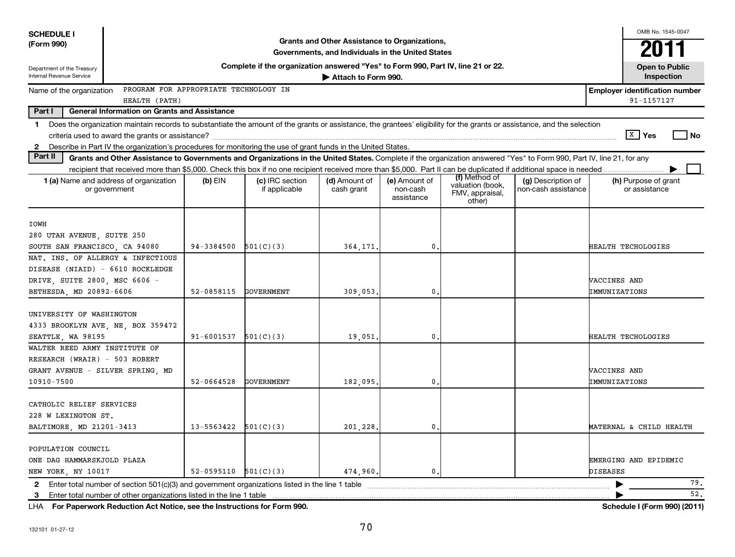| <b>SCHEDULE I</b>                                                                                                                                                                       |                                                                                                                                                                       |                          |                                  |                             |                                         |                                               |                                           | OMB No. 1545-0047                     |  |  |
|-----------------------------------------------------------------------------------------------------------------------------------------------------------------------------------------|-----------------------------------------------------------------------------------------------------------------------------------------------------------------------|--------------------------|----------------------------------|-----------------------------|-----------------------------------------|-----------------------------------------------|-------------------------------------------|---------------------------------------|--|--|
| Grants and Other Assistance to Organizations,<br>(Form 990)<br>Governments, and Individuals in the United States                                                                        |                                                                                                                                                                       |                          |                                  |                             |                                         |                                               |                                           | 201                                   |  |  |
| Department of the Treasury                                                                                                                                                              | Complete if the organization answered "Yes" to Form 990, Part IV, line 21 or 22.                                                                                      |                          |                                  |                             |                                         |                                               |                                           |                                       |  |  |
| Internal Revenue Service                                                                                                                                                                | <b>Open to Public</b><br>Attach to Form 990.                                                                                                                          |                          |                                  |                             |                                         |                                               |                                           |                                       |  |  |
| PROGRAM FOR APPROPRIATE TECHNOLOGY IN<br>Name of the organization<br><b>Employer identification number</b>                                                                              |                                                                                                                                                                       |                          |                                  |                             |                                         |                                               |                                           |                                       |  |  |
| 91-1157127<br>HEALTH (PATH)                                                                                                                                                             |                                                                                                                                                                       |                          |                                  |                             |                                         |                                               |                                           |                                       |  |  |
| Part I<br><b>General Information on Grants and Assistance</b>                                                                                                                           |                                                                                                                                                                       |                          |                                  |                             |                                         |                                               |                                           |                                       |  |  |
| Does the organization maintain records to substantiate the amount of the grants or assistance, the grantees' eligibility for the grants or assistance, and the selection<br>$\mathbf 1$ |                                                                                                                                                                       |                          |                                  |                             |                                         |                                               |                                           |                                       |  |  |
| ∣ <sup>χ</sup> ∣ γ <sub>es</sub><br>l No                                                                                                                                                |                                                                                                                                                                       |                          |                                  |                             |                                         |                                               |                                           |                                       |  |  |
| $\mathbf{2}$<br>Part II                                                                                                                                                                 | Describe in Part IV the organization's procedures for monitoring the use of grant funds in the United States.                                                         |                          |                                  |                             |                                         |                                               |                                           |                                       |  |  |
|                                                                                                                                                                                         | Grants and Other Assistance to Governments and Organizations in the United States. Complete if the organization answered "Yes" to Form 990, Part IV, line 21, for any |                          |                                  |                             |                                         |                                               |                                           |                                       |  |  |
|                                                                                                                                                                                         | recipient that received more than \$5,000. Check this box if no one recipient received more than \$5,000. Part II can be duplicated if additional space is needed     |                          |                                  |                             |                                         | (f) Method of                                 |                                           |                                       |  |  |
|                                                                                                                                                                                         | <b>1 (a)</b> Name and address of organization<br>or government                                                                                                        | (b) $EIN$                | (c) IRC section<br>if applicable | (d) Amount of<br>cash grant | (e) Amount of<br>non-cash<br>assistance | valuation (book,<br>FMV, appraisal,<br>other) | (g) Description of<br>non-cash assistance | (h) Purpose of grant<br>or assistance |  |  |
|                                                                                                                                                                                         |                                                                                                                                                                       |                          |                                  |                             |                                         |                                               |                                           |                                       |  |  |
| <b>IOWH</b>                                                                                                                                                                             |                                                                                                                                                                       |                          |                                  |                             |                                         |                                               |                                           |                                       |  |  |
| 280 UTAH AVENUE, SUITE 250                                                                                                                                                              |                                                                                                                                                                       |                          |                                  |                             |                                         |                                               |                                           |                                       |  |  |
| SOUTH SAN FRANCISCO, CA 94080                                                                                                                                                           |                                                                                                                                                                       | 94-3384500               | 501(C)(3)                        | 364.171                     | $\mathbf{0}$ .                          |                                               |                                           | HEALTH TECHOLOGIES                    |  |  |
| NAT. INS. OF ALLERGY & INFECTIOUS                                                                                                                                                       |                                                                                                                                                                       |                          |                                  |                             |                                         |                                               |                                           |                                       |  |  |
| DISEASE (NIAID) - 6610 ROCKLEDGE                                                                                                                                                        |                                                                                                                                                                       |                          |                                  |                             |                                         |                                               |                                           |                                       |  |  |
| DRIVE, SUITE 2800, MSC 6606 -                                                                                                                                                           |                                                                                                                                                                       |                          |                                  |                             |                                         |                                               |                                           | VACCINES AND                          |  |  |
|                                                                                                                                                                                         | BETHESDA, MD 20892-6606<br>52-0858115<br><b>GOVERNMENT</b><br>309,053<br>$\mathbf{0}$ .                                                                               |                          |                                  |                             |                                         | IMMUNIZATIONS                                 |                                           |                                       |  |  |
| UNIVERSITY OF WASHINGTON                                                                                                                                                                |                                                                                                                                                                       |                          |                                  |                             |                                         |                                               |                                           |                                       |  |  |
| 4333 BROOKLYN AVE, NE, BOX 359472                                                                                                                                                       |                                                                                                                                                                       |                          |                                  |                             |                                         |                                               |                                           |                                       |  |  |
| SEATTLE, WA 98195                                                                                                                                                                       |                                                                                                                                                                       | 91-6001537               | 501(C)(3)                        | 19,051                      | $\mathbf{0}$ .                          |                                               |                                           | HEALTH TECHOLOGIES                    |  |  |
| WALTER REED ARMY INSTITUTE OF                                                                                                                                                           |                                                                                                                                                                       |                          |                                  |                             |                                         |                                               |                                           |                                       |  |  |
| RESEARCH (WRAIR) - 503 ROBERT                                                                                                                                                           |                                                                                                                                                                       |                          |                                  |                             |                                         |                                               |                                           |                                       |  |  |
| GRANT AVENUE - SILVER SPRING, MD                                                                                                                                                        |                                                                                                                                                                       |                          |                                  |                             |                                         |                                               |                                           | VACCINES AND                          |  |  |
| 10910-7500                                                                                                                                                                              |                                                                                                                                                                       | $52 - 0664528$           | GOVERNMENT                       | 182,095                     | $\mathbf 0$                             |                                               |                                           | IMMUNIZATIONS                         |  |  |
|                                                                                                                                                                                         |                                                                                                                                                                       |                          |                                  |                             |                                         |                                               |                                           |                                       |  |  |
| CATHOLIC RELIEF SERVICES                                                                                                                                                                |                                                                                                                                                                       |                          |                                  |                             |                                         |                                               |                                           |                                       |  |  |
| 228 W LEXINGTON ST.                                                                                                                                                                     |                                                                                                                                                                       |                          |                                  |                             |                                         |                                               |                                           |                                       |  |  |
| BALTIMORE, MD 21201-3413                                                                                                                                                                |                                                                                                                                                                       | 13-5563422               | 501(C)(3)                        | 201,228                     | 0.                                      |                                               |                                           | MATERNAL & CHILD HEALTH               |  |  |
|                                                                                                                                                                                         |                                                                                                                                                                       |                          |                                  |                             |                                         |                                               |                                           |                                       |  |  |
| POPULATION COUNCIL                                                                                                                                                                      |                                                                                                                                                                       |                          |                                  |                             |                                         |                                               |                                           |                                       |  |  |
| ONE DAG HAMMARSKJOLD PLAZA                                                                                                                                                              |                                                                                                                                                                       |                          |                                  |                             |                                         |                                               |                                           | EMERGING AND EPIDEMIC                 |  |  |
| NEW YORK, NY 10017                                                                                                                                                                      |                                                                                                                                                                       | $52-0595110$ $501(C)(3)$ |                                  | 474.960.                    | $\mathbf{0}$ .                          |                                               |                                           | <b>DISEASES</b>                       |  |  |
| $\mathbf{2}$                                                                                                                                                                            | Enter total number of section 501(c)(3) and government organizations listed in the line 1 table                                                                       |                          |                                  |                             |                                         |                                               |                                           | 79.                                   |  |  |
| 3                                                                                                                                                                                       | Enter total number of other organizations listed in the line 1 table                                                                                                  |                          |                                  |                             |                                         |                                               |                                           | 52.                                   |  |  |
| LHA For Paperwork Reduction Act Notice, see the Instructions for Form 990.<br>Schedule I (Form 990) (2011)                                                                              |                                                                                                                                                                       |                          |                                  |                             |                                         |                                               |                                           |                                       |  |  |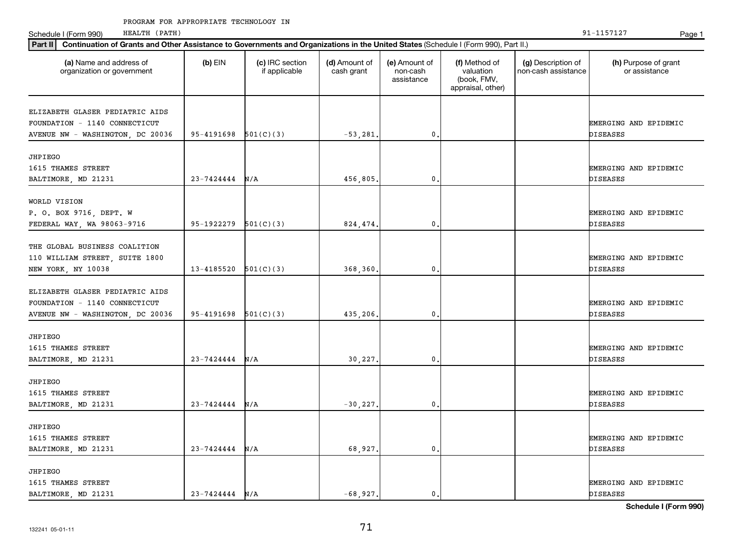Schedule I (Form 990) HEALTH (PATH) Page 1 HEALTH (PATH)

| Part II   Continuation of Grants and Other Assistance to Governments and Organizations in the United States (Schedule I (Form 990), Part II.) |                            |                                  |                             |                                         |                                                                |                                           |                                       |  |
|-----------------------------------------------------------------------------------------------------------------------------------------------|----------------------------|----------------------------------|-----------------------------|-----------------------------------------|----------------------------------------------------------------|-------------------------------------------|---------------------------------------|--|
| (a) Name and address of<br>organization or government                                                                                         | $(b)$ EIN                  | (c) IRC section<br>if applicable | (d) Amount of<br>cash grant | (e) Amount of<br>non-cash<br>assistance | (f) Method of<br>valuation<br>(book, FMV,<br>appraisal, other) | (g) Description of<br>non-cash assistance | (h) Purpose of grant<br>or assistance |  |
| ELIZABETH GLASER PEDIATRIC AIDS                                                                                                               |                            |                                  |                             |                                         |                                                                |                                           |                                       |  |
| FOUNDATION - 1140 CONNECTICUT                                                                                                                 |                            |                                  |                             |                                         |                                                                |                                           | EMERGING AND EPIDEMIC                 |  |
| AVENUE NW - WASHINGTON, DC 20036                                                                                                              | $95 - 4191698$ $501(C)(3)$ |                                  | $-53,281.$                  | 0                                       |                                                                |                                           | <b>DISEASES</b>                       |  |
|                                                                                                                                               |                            |                                  |                             |                                         |                                                                |                                           |                                       |  |
| JHPIEGO                                                                                                                                       |                            |                                  |                             |                                         |                                                                |                                           |                                       |  |
| 1615 THAMES STREET                                                                                                                            |                            |                                  |                             |                                         |                                                                |                                           | EMERGING AND EPIDEMIC                 |  |
| BALTIMORE, MD 21231                                                                                                                           | $23 - 7424444$             | N/A                              | 456.805.                    | $\mathbf 0$ .                           |                                                                |                                           | <b>DISEASES</b>                       |  |
|                                                                                                                                               |                            |                                  |                             |                                         |                                                                |                                           |                                       |  |
| WORLD VISION                                                                                                                                  |                            |                                  |                             |                                         |                                                                |                                           |                                       |  |
| P. O. BOX 9716, DEPT. W                                                                                                                       |                            |                                  |                             |                                         |                                                                |                                           | EMERGING AND EPIDEMIC                 |  |
| FEDERAL WAY, WA 98063-9716                                                                                                                    | $95-1922279$ $501(C)(3)$   |                                  | 824,474.                    | 0                                       |                                                                |                                           | <b>DISEASES</b>                       |  |
|                                                                                                                                               |                            |                                  |                             |                                         |                                                                |                                           |                                       |  |
| THE GLOBAL BUSINESS COALITION                                                                                                                 |                            |                                  |                             |                                         |                                                                |                                           |                                       |  |
| 110 WILLIAM STREET, SUITE 1800                                                                                                                |                            |                                  |                             |                                         |                                                                |                                           | EMERGING AND EPIDEMIC                 |  |
| NEW YORK, NY 10038                                                                                                                            | 13-4185520                 | 501(C)(3)                        | 368,360.                    | 0                                       |                                                                |                                           | <b>DISEASES</b>                       |  |
|                                                                                                                                               |                            |                                  |                             |                                         |                                                                |                                           |                                       |  |
| ELIZABETH GLASER PEDIATRIC AIDS                                                                                                               |                            |                                  |                             |                                         |                                                                |                                           |                                       |  |
| FOUNDATION - 1140 CONNECTICUT                                                                                                                 |                            |                                  |                             |                                         |                                                                |                                           | EMERGING AND EPIDEMIC                 |  |
| AVENUE NW - WASHINGTON, DC 20036                                                                                                              | 95-4191698                 | 501(C)(3)                        | 435,206.                    | 0                                       |                                                                |                                           | <b>DISEASES</b>                       |  |
| JHPIEGO                                                                                                                                       |                            |                                  |                             |                                         |                                                                |                                           |                                       |  |
| 1615 THAMES STREET                                                                                                                            |                            |                                  |                             |                                         |                                                                |                                           | EMERGING AND EPIDEMIC                 |  |
| BALTIMORE, MD 21231                                                                                                                           | $23 - 7424444$             | N/A                              | 30,227.                     | $\mathbf 0$ .                           |                                                                |                                           | <b>DISEASES</b>                       |  |
|                                                                                                                                               |                            |                                  |                             |                                         |                                                                |                                           |                                       |  |
| JHPIEGO                                                                                                                                       |                            |                                  |                             |                                         |                                                                |                                           |                                       |  |
| 1615 THAMES STREET                                                                                                                            |                            |                                  |                             |                                         |                                                                |                                           | EMERGING AND EPIDEMIC                 |  |
| BALTIMORE, MD 21231                                                                                                                           | 23-7424444                 | N/A                              | $-30,227.$                  | 0                                       |                                                                |                                           | <b>DISEASES</b>                       |  |
|                                                                                                                                               |                            |                                  |                             |                                         |                                                                |                                           |                                       |  |
| JHPIEGO                                                                                                                                       |                            |                                  |                             |                                         |                                                                |                                           |                                       |  |
| 1615 THAMES STREET                                                                                                                            |                            |                                  |                             |                                         |                                                                |                                           | EMERGING AND EPIDEMIC                 |  |
| BALTIMORE, MD 21231                                                                                                                           | $23 - 7424444$             | N/A                              | 68,927.                     | 0                                       |                                                                |                                           | <b>DISEASES</b>                       |  |
|                                                                                                                                               |                            |                                  |                             |                                         |                                                                |                                           |                                       |  |
| JHPIEGO                                                                                                                                       |                            |                                  |                             |                                         |                                                                |                                           |                                       |  |
| 1615 THAMES STREET                                                                                                                            |                            |                                  |                             |                                         |                                                                |                                           | EMERGING AND EPIDEMIC                 |  |
| BALTIMORE, MD 21231                                                                                                                           | $23 - 7424444$ N/A         |                                  | $-68,927.$                  | 0.                                      |                                                                |                                           | <b>DISEASES</b>                       |  |

**Schedule I (Form 990)**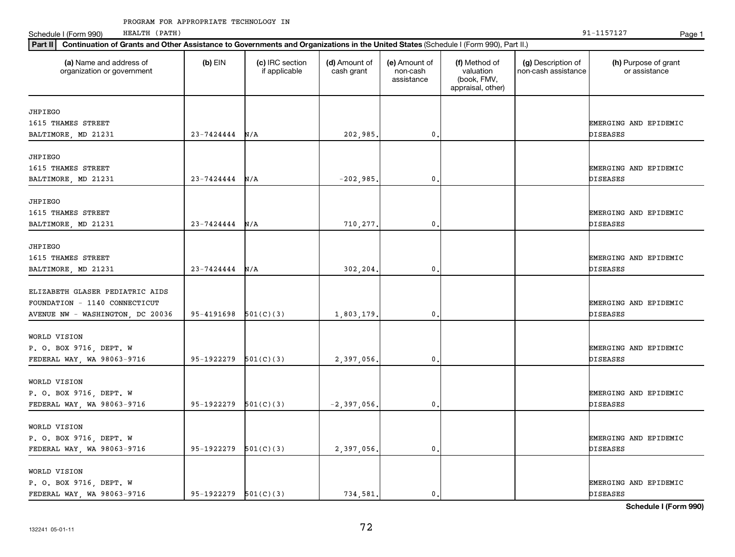Schedule I (Form 990) HEALTH (PATH) Page 1 HEALTH (PATH)

| Part II   Continuation of Grants and Other Assistance to Governments and Organizations in the United States (Schedule I (Form 990), Part II.) |                          |                                  |                             |                                         |                                                                |                                           |                                          |
|-----------------------------------------------------------------------------------------------------------------------------------------------|--------------------------|----------------------------------|-----------------------------|-----------------------------------------|----------------------------------------------------------------|-------------------------------------------|------------------------------------------|
| (a) Name and address of<br>organization or government                                                                                         | $(b)$ EIN                | (c) IRC section<br>if applicable | (d) Amount of<br>cash grant | (e) Amount of<br>non-cash<br>assistance | (f) Method of<br>valuation<br>(book, FMV,<br>appraisal, other) | (g) Description of<br>non-cash assistance | (h) Purpose of grant<br>or assistance    |
| JHPIEGO                                                                                                                                       |                          |                                  |                             |                                         |                                                                |                                           |                                          |
| 1615 THAMES STREET                                                                                                                            |                          |                                  |                             |                                         |                                                                |                                           | EMERGING AND EPIDEMIC                    |
| BALTIMORE, MD 21231                                                                                                                           | 23-7424444               | N/A                              | 202,985                     | 0                                       |                                                                |                                           | <b>DISEASES</b>                          |
| JHPIEGO                                                                                                                                       |                          |                                  |                             |                                         |                                                                |                                           |                                          |
| 1615 THAMES STREET                                                                                                                            |                          |                                  |                             |                                         |                                                                |                                           | EMERGING AND EPIDEMIC                    |
| BALTIMORE, MD 21231                                                                                                                           | 23-7424444               | N/A                              | $-202,985.$                 | 0                                       |                                                                |                                           | <b>DISEASES</b>                          |
|                                                                                                                                               |                          |                                  |                             |                                         |                                                                |                                           |                                          |
| JHPIEGO                                                                                                                                       |                          |                                  |                             |                                         |                                                                |                                           |                                          |
| 1615 THAMES STREET                                                                                                                            |                          |                                  |                             |                                         |                                                                |                                           | EMERGING AND EPIDEMIC                    |
| BALTIMORE, MD 21231                                                                                                                           | 23-7424444               | N/A                              | 710,277.                    | 0.                                      |                                                                |                                           | <b>DISEASES</b>                          |
| JHPIEGO                                                                                                                                       |                          |                                  |                             |                                         |                                                                |                                           |                                          |
| 1615 THAMES STREET                                                                                                                            |                          |                                  |                             |                                         |                                                                |                                           | EMERGING AND EPIDEMIC                    |
| BALTIMORE, MD 21231                                                                                                                           | 23-7424444               | N/A                              | 302,204                     | 0                                       |                                                                |                                           | <b>DISEASES</b>                          |
|                                                                                                                                               |                          |                                  |                             |                                         |                                                                |                                           |                                          |
| ELIZABETH GLASER PEDIATRIC AIDS                                                                                                               |                          |                                  |                             |                                         |                                                                |                                           |                                          |
| FOUNDATION - 1140 CONNECTICUT                                                                                                                 |                          |                                  |                             |                                         |                                                                |                                           | EMERGING AND EPIDEMIC                    |
| AVENUE NW - WASHINGTON, DC 20036                                                                                                              | 95-4191698               | 501(C)(3)                        | 1,803,179.                  | 0                                       |                                                                |                                           | <b>DISEASES</b>                          |
| WORLD VISION                                                                                                                                  |                          |                                  |                             |                                         |                                                                |                                           |                                          |
| P. O. BOX 9716, DEPT. W                                                                                                                       |                          |                                  |                             |                                         |                                                                |                                           | EMERGING AND EPIDEMIC                    |
| FEDERAL WAY, WA 98063-9716                                                                                                                    | 95-1922279               | 501(C)(3)                        | 2,397,056                   | 0.                                      |                                                                |                                           | DISEASES                                 |
|                                                                                                                                               |                          |                                  |                             |                                         |                                                                |                                           |                                          |
| WORLD VISION                                                                                                                                  |                          |                                  |                             |                                         |                                                                |                                           |                                          |
| P. O. BOX 9716, DEPT. W<br>FEDERAL WAY, WA 98063-9716                                                                                         | 95-1922279               | 501(C)(3)                        | $-2,397,056$                | 0                                       |                                                                |                                           | EMERGING AND EPIDEMIC<br><b>DISEASES</b> |
|                                                                                                                                               |                          |                                  |                             |                                         |                                                                |                                           |                                          |
| WORLD VISION                                                                                                                                  |                          |                                  |                             |                                         |                                                                |                                           |                                          |
| P. O. BOX 9716, DEPT. W                                                                                                                       |                          |                                  |                             |                                         |                                                                |                                           | EMERGING AND EPIDEMIC                    |
| FEDERAL WAY, WA 98063-9716                                                                                                                    | 95-1922279               | 501(C)(3)                        | 2,397,056.                  | 0.                                      |                                                                |                                           | <b>DISEASES</b>                          |
| WORLD VISION                                                                                                                                  |                          |                                  |                             |                                         |                                                                |                                           |                                          |
| P. O. BOX 9716, DEPT. W                                                                                                                       |                          |                                  |                             |                                         |                                                                |                                           | EMERGING AND EPIDEMIC                    |
| FEDERAL WAY, WA 98063-9716                                                                                                                    | $95-1922279$ $501(C)(3)$ |                                  | 734,581.                    | 0.                                      |                                                                |                                           | <b>DISEASES</b>                          |
|                                                                                                                                               |                          |                                  |                             |                                         |                                                                |                                           |                                          |

**Schedule I (Form 990)**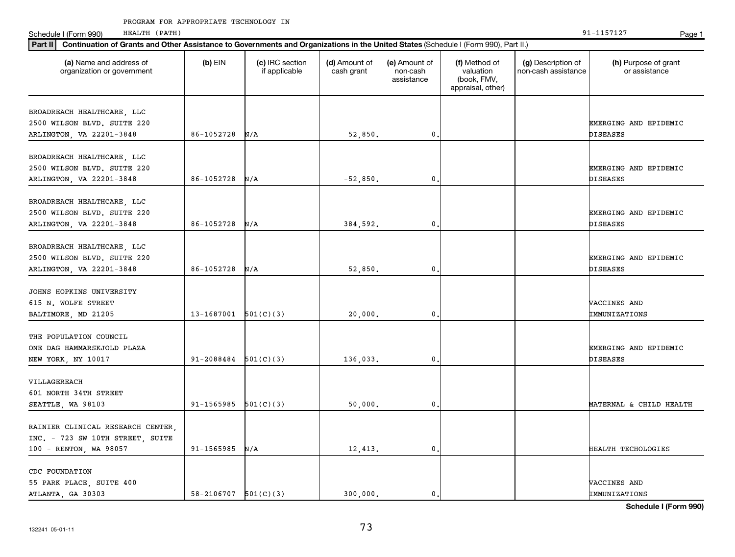| Continuation of Grants and Other Assistance to Governments and Organizations in the United States (Schedule I (Form 990), Part II.)<br>Part II |                            |                                  |                             |                                         |                                                                |                                           |                                          |  |  |  |
|------------------------------------------------------------------------------------------------------------------------------------------------|----------------------------|----------------------------------|-----------------------------|-----------------------------------------|----------------------------------------------------------------|-------------------------------------------|------------------------------------------|--|--|--|
| (a) Name and address of<br>organization or government                                                                                          | $(b)$ EIN                  | (c) IRC section<br>if applicable | (d) Amount of<br>cash grant | (e) Amount of<br>non-cash<br>assistance | (f) Method of<br>valuation<br>(book, FMV,<br>appraisal, other) | (g) Description of<br>non-cash assistance | (h) Purpose of grant<br>or assistance    |  |  |  |
| BROADREACH HEALTHCARE, LLC<br>2500 WILSON BLVD. SUITE 220<br>ARLINGTON, VA 22201-3848                                                          | 86-1052728                 | N/A                              | 52,850                      | 0                                       |                                                                |                                           | EMERGING AND EPIDEMIC<br><b>DISEASES</b> |  |  |  |
| BROADREACH HEALTHCARE, LLC<br>2500 WILSON BLVD. SUITE 220<br>ARLINGTON, VA 22201-3848                                                          | 86-1052728                 | N/A                              | $-52,850,$                  | 0                                       |                                                                |                                           | EMERGING AND EPIDEMIC<br><b>DISEASES</b> |  |  |  |
| BROADREACH HEALTHCARE, LLC<br>2500 WILSON BLVD. SUITE 220<br>ARLINGTON, VA 22201-3848                                                          | 86-1052728                 | N/A                              | 384,592.                    | 0                                       |                                                                |                                           | EMERGING AND EPIDEMIC<br>DISEASES        |  |  |  |
| BROADREACH HEALTHCARE, LLC<br>2500 WILSON BLVD. SUITE 220<br>ARLINGTON, VA 22201-3848                                                          | 86-1052728                 | N/A                              | 52,850                      | $\mathbf{0}$                            |                                                                |                                           | EMERGING AND EPIDEMIC<br><b>DISEASES</b> |  |  |  |
| JOHNS HOPKINS UNIVERSITY<br>615 N. WOLFE STREET<br>BALTIMORE, MD 21205                                                                         | $13-1687001$ $501(C)(3)$   |                                  | 20,000                      | 0                                       |                                                                |                                           | VACCINES AND<br>IMMUNIZATIONS            |  |  |  |
| THE POPULATION COUNCIL<br>ONE DAG HAMMARSKJOLD PLAZA<br>NEW YORK, NY 10017                                                                     | 91-2088484                 | 501(C)(3)                        | 136,033                     | 0                                       |                                                                |                                           | EMERGING AND EPIDEMIC<br><b>DISEASES</b> |  |  |  |
| VILLAGEREACH<br>601 NORTH 34TH STREET<br>SEATTLE, WA 98103                                                                                     | 91-1565985                 | 501(C)(3)                        | 50,000                      | 0                                       |                                                                |                                           | MATERNAL & CHILD HEALTH                  |  |  |  |
| RAINIER CLINICAL RESEARCH CENTER,<br>INC. - 723 SW 10TH STREET, SUITE<br>100 - RENTON, WA 98057                                                | 91-1565985                 | N/A                              | 12,413.                     | 0                                       |                                                                |                                           | HEALTH TECHOLOGIES                       |  |  |  |
| CDC FOUNDATION<br>55 PARK PLACE, SUITE 400<br>ATLANTA, GA 30303                                                                                | $58 - 2106707$ $501(C)(3)$ |                                  | 300.000.                    | $\mathbf{0}$ .                          |                                                                |                                           | VACCINES AND<br>IMMUNIZATIONS            |  |  |  |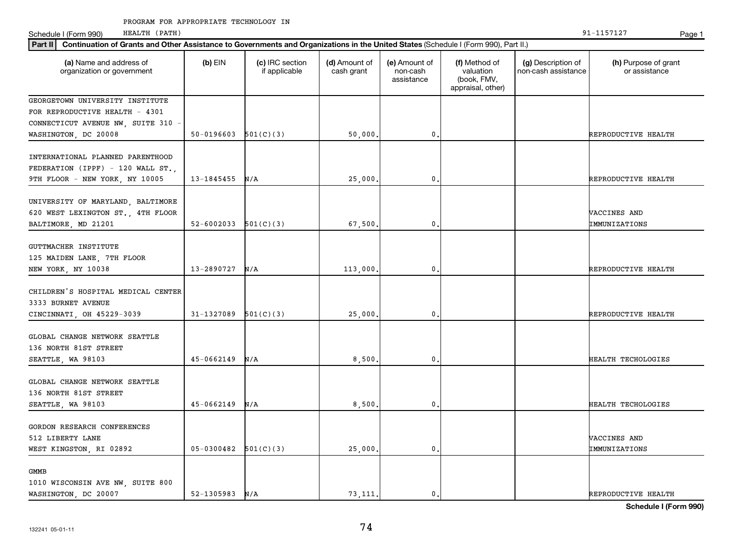| Part II   Continuation of Grants and Other Assistance to Governments and Organizations in the United States (Schedule I (Form 990), Part II.) |            |                                  |                             |                                         |                                                                |                                           |                                       |
|-----------------------------------------------------------------------------------------------------------------------------------------------|------------|----------------------------------|-----------------------------|-----------------------------------------|----------------------------------------------------------------|-------------------------------------------|---------------------------------------|
| (a) Name and address of<br>organization or government                                                                                         | $(b)$ EIN  | (c) IRC section<br>if applicable | (d) Amount of<br>cash grant | (e) Amount of<br>non-cash<br>assistance | (f) Method of<br>valuation<br>(book, FMV,<br>appraisal, other) | (g) Description of<br>non-cash assistance | (h) Purpose of grant<br>or assistance |
| GEORGETOWN UNIVERSITY INSTITUTE                                                                                                               |            |                                  |                             |                                         |                                                                |                                           |                                       |
| FOR REPRODUCTIVE HEALTH - 4301                                                                                                                |            |                                  |                             |                                         |                                                                |                                           |                                       |
| CONNECTICUT AVENUE NW, SUITE 310 -                                                                                                            |            |                                  |                             |                                         |                                                                |                                           |                                       |
| WASHINGTON, DC 20008                                                                                                                          | 50-0196603 | 501(C)(3)                        | 50,000.                     | $\mathbf 0$ .                           |                                                                |                                           | REPRODUCTIVE HEALTH                   |
| INTERNATIONAL PLANNED PARENTHOOD<br>FEDERATION (IPPF) - 120 WALL ST.,<br>9TH FLOOR - NEW YORK, NY 10005                                       | 13-1845455 | N/A                              | 25,000.                     | 0                                       |                                                                |                                           | REPRODUCTIVE HEALTH                   |
|                                                                                                                                               |            |                                  |                             |                                         |                                                                |                                           |                                       |
| UNIVERSITY OF MARYLAND, BALTIMORE<br>620 WEST LEXINGTON ST., 4TH FLOOR<br>BALTIMORE, MD 21201                                                 | 52-6002033 | 501(C)(3)                        | 67,500.                     | $\mathbf 0$ .                           |                                                                |                                           | VACCINES AND<br>IMMUNIZATIONS         |
|                                                                                                                                               |            |                                  |                             |                                         |                                                                |                                           |                                       |
| GUTTMACHER INSTITUTE                                                                                                                          |            |                                  |                             |                                         |                                                                |                                           |                                       |
| 125 MAIDEN LANE, 7TH FLOOR                                                                                                                    |            |                                  |                             |                                         |                                                                |                                           |                                       |
| NEW YORK, NY 10038                                                                                                                            | 13-2890727 | N/A                              | 113,000.                    | 0                                       |                                                                |                                           | REPRODUCTIVE HEALTH                   |
| CHILDREN'S HOSPITAL MEDICAL CENTER<br>3333 BURNET AVENUE                                                                                      |            |                                  |                             |                                         |                                                                |                                           |                                       |
| CINCINNATI, OH 45229-3039                                                                                                                     | 31-1327089 | 501(C)(3)                        | 25,000.                     | $\mathsf 0$ .                           |                                                                |                                           | REPRODUCTIVE HEALTH                   |
| GLOBAL CHANGE NETWORK SEATTLE<br>136 NORTH 81ST STREET<br>SEATTLE, WA 98103                                                                   | 45-0662149 | N/A                              | 8,500.                      | $\mathbf 0$                             |                                                                |                                           | HEALTH TECHOLOGIES                    |
|                                                                                                                                               |            |                                  |                             |                                         |                                                                |                                           |                                       |
| GLOBAL CHANGE NETWORK SEATTLE                                                                                                                 |            |                                  |                             |                                         |                                                                |                                           |                                       |
| 136 NORTH 81ST STREET                                                                                                                         |            |                                  |                             |                                         |                                                                |                                           |                                       |
| SEATTLE, WA 98103                                                                                                                             | 45-0662149 | N/A                              | 8,500.                      | $\mathbf 0$ .                           |                                                                |                                           | HEALTH TECHOLOGIES                    |
| GORDON RESEARCH CONFERENCES                                                                                                                   |            |                                  |                             |                                         |                                                                |                                           |                                       |
| 512 LIBERTY LANE                                                                                                                              |            |                                  |                             |                                         |                                                                |                                           | VACCINES AND                          |
| WEST KINGSTON, RI 02892                                                                                                                       | 05-0300482 | 501(C)(3)                        | 25,000.                     | 0                                       |                                                                |                                           | IMMUNIZATIONS                         |
|                                                                                                                                               |            |                                  |                             |                                         |                                                                |                                           |                                       |
| <b>GMMB</b>                                                                                                                                   |            |                                  |                             |                                         |                                                                |                                           |                                       |
| 1010 WISCONSIN AVE NW, SUITE 800                                                                                                              |            |                                  |                             |                                         |                                                                |                                           |                                       |
| WASHINGTON, DC 20007                                                                                                                          | 52-1305983 | N/A                              | 73.111.                     | $\mathbf{0}$ .                          |                                                                |                                           | REPRODUCTIVE HEALTH                   |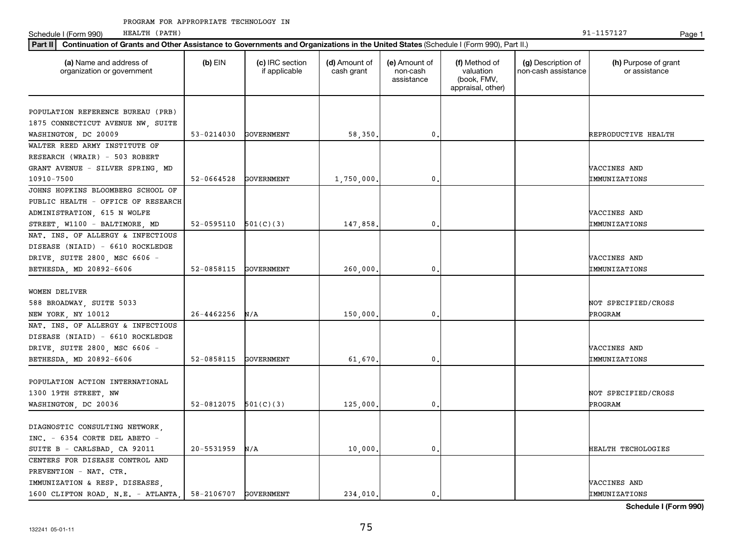HEALTH (PATH) 91-1157127

#### **Part II Continuation of Grants and Other Assistance to Governments and Organizations in the United States**  (Schedule I (Form 990), Part II.) **(a) (b) (c) (d) (e) (f) (g) (h)** Name and address of organization or government  $(b)$  EIN  $(c)$  IRC section if applicable (d) Amount of cash grant (e) Amount of non-cash assistance (f) Method of valuation (book, FMV, appraisal, other) (g) Description of non-cash assistance (h) Purpose of grant or assistance POPULATION REFERENCE BUREAU (PRB) 1875 CONNECTICUT AVENUE NW, SUITE WASHINGTON, DC 20009 SOURROUGHT 53-0214030 GOVERNMENT | 58,350. 0. 0. | REPRODUCTIVE HEALTH WALTER REED ARMY INSTITUTE OF RESEARCH (WRAIR) - 503 ROBERT GRANT AVENUE - SILVER SPRING, MD VACCINES AND 10910-7500 52-0664528 GOVERNMENT 1,750,000. 0. IMMUNIZATIONS JOHNS HOPKINS BLOOMBERG SCHOOL OF PUBLIC HEALTH - OFFICE OF RESEARCH ADMINISTRATION, 615 N WOLFE VACCINES AND STREET, W1100 - BALTIMORE, MD 52-0595110 501(C)(3) 147,858. 0. IMMUNIZATIONS NAT. INS. OF ALLERGY & INFECTIOUS DISEASE (NIAID) - 6610 ROCKLEDGE DRIVE, SUITE 2800, MSC 6606 - VACCINES AND BETHESDA, MD 20892-6606 | 52-0858115 GOVERNMENT | 260,000. 0. 0. | CHEMUNIZATIONS WOMEN DELIVER 588 BROADWAY, SUITE 5033 Noted to the contract of the contract of the contract of the contract of the contract of the contract of the contract of the contract of the contract of the contract of the contract of the contract NEW YORK, NY 10012 26-4462256 N/A 150,000. 0. 0. PROGRAM NAT. INS. OF ALLERGY & INFECTIOUS DISEASE (NIAID) - 6610 ROCKLEDGE DRIVE, SUITE 2800, MSC 6606 - VACCINES AND BETHESDA, MD 20892-6606 | 52-0858115 GOVERNMENT | 61,670. 0. 0. | TMMUNIZATIONS POPULATION ACTION INTERNATIONAL 1300 19TH STREET, NW NOT SPECIFIED/CROSS WASHINGTON, DC 20036  $\begin{vmatrix} 52-0812075 & 501(C)(3) \end{vmatrix}$  125,000. 0. 0. DIAGNOSTIC CONSULTING NETWORK, INC. - 6354 CORTE DEL ABETO - SUITE B - CARLSBAD, CA 92011 | 20-5531959 N/A 10,000. | 0. 0. | CARLSBAD, CA 92011 | 20-5531959 N/A CENTERS FOR DISEASE CONTROL AND PREVENTION - NAT. CTR. IMMUNIZATION & RESP. DISEASES, (NACCINES AND RESP. 2001) [2002] [2002] [2002] [2002] [2002] [2002] [2002] [200 1600 CLIFTON ROAD, N.E. - ATLANTA, 58-2106707 GOVERNMENT | 234,010. 0. 0. | TMMUNIZATIONS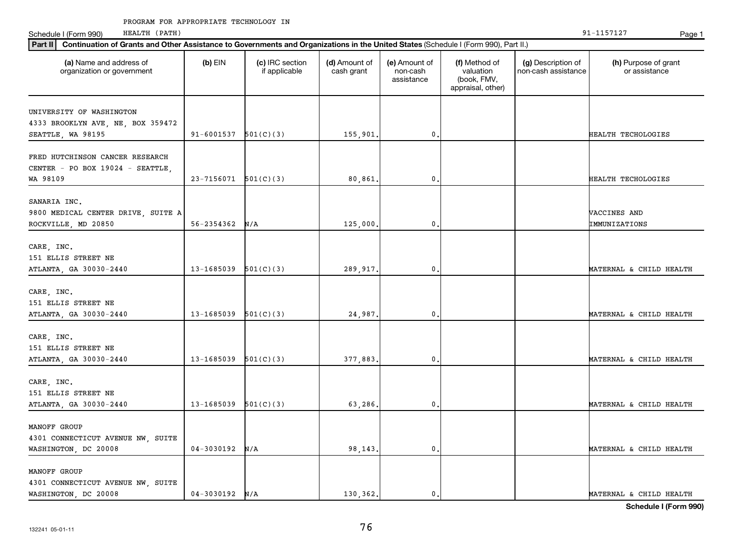|                                                                           | Part II   Continuation of Grants and Other Assistance to Governments and Organizations in the United States (Schedule I (Form 990), Part II.) |                                  |                             |                                         |                                                                |                                           |                                       |  |  |  |
|---------------------------------------------------------------------------|-----------------------------------------------------------------------------------------------------------------------------------------------|----------------------------------|-----------------------------|-----------------------------------------|----------------------------------------------------------------|-------------------------------------------|---------------------------------------|--|--|--|
| (a) Name and address of<br>organization or government                     | $(b)$ EIN                                                                                                                                     | (c) IRC section<br>if applicable | (d) Amount of<br>cash grant | (e) Amount of<br>non-cash<br>assistance | (f) Method of<br>valuation<br>(book, FMV,<br>appraisal, other) | (g) Description of<br>non-cash assistance | (h) Purpose of grant<br>or assistance |  |  |  |
| UNIVERSITY OF WASHINGTON                                                  |                                                                                                                                               |                                  |                             |                                         |                                                                |                                           |                                       |  |  |  |
| 4333 BROOKLYN AVE, NE, BOX 359472                                         |                                                                                                                                               |                                  |                             |                                         |                                                                |                                           |                                       |  |  |  |
| SEATTLE, WA 98195                                                         | 91-6001537                                                                                                                                    | 501(C)(3)                        | 155,901.                    | 0                                       |                                                                |                                           | HEALTH TECHOLOGIES                    |  |  |  |
| FRED HUTCHINSON CANCER RESEARCH<br>CENTER - PO BOX 19024 - SEATTLE,       |                                                                                                                                               |                                  |                             |                                         |                                                                |                                           |                                       |  |  |  |
| WA 98109                                                                  | 23-7156071                                                                                                                                    | 501(C)(3)                        | 80,861                      | 0                                       |                                                                |                                           | <b>HEALTH TECHOLOGIES</b>             |  |  |  |
| SANARIA INC.<br>9800 MEDICAL CENTER DRIVE, SUITE A<br>ROCKVILLE, MD 20850 | 56-2354362                                                                                                                                    | N/A                              | 125,000.                    | 0                                       |                                                                |                                           | VACCINES AND<br>IMMUNIZATIONS         |  |  |  |
|                                                                           |                                                                                                                                               |                                  |                             |                                         |                                                                |                                           |                                       |  |  |  |
| CARE, INC.                                                                |                                                                                                                                               |                                  |                             |                                         |                                                                |                                           |                                       |  |  |  |
| 151 ELLIS STREET NE                                                       |                                                                                                                                               |                                  |                             |                                         |                                                                |                                           |                                       |  |  |  |
| ATLANTA, GA 30030-2440                                                    | 13-1685039                                                                                                                                    | 501(C)(3)                        | 289,917                     | 0                                       |                                                                |                                           | MATERNAL & CHILD HEALTH               |  |  |  |
| CARE, INC.                                                                |                                                                                                                                               |                                  |                             |                                         |                                                                |                                           |                                       |  |  |  |
| 151 ELLIS STREET NE                                                       |                                                                                                                                               |                                  |                             |                                         |                                                                |                                           |                                       |  |  |  |
| ATLANTA, GA 30030-2440                                                    | 13-1685039                                                                                                                                    | 501(C)(3)                        | 24,987                      | 0                                       |                                                                |                                           | MATERNAL & CHILD HEALTH               |  |  |  |
|                                                                           |                                                                                                                                               |                                  |                             |                                         |                                                                |                                           |                                       |  |  |  |
| CARE, INC.                                                                |                                                                                                                                               |                                  |                             |                                         |                                                                |                                           |                                       |  |  |  |
| 151 ELLIS STREET NE<br>ATLANTA, GA 30030-2440                             | 13-1685039                                                                                                                                    | 501(C)(3)                        | 377,883                     | 0                                       |                                                                |                                           | MATERNAL & CHILD HEALTH               |  |  |  |
|                                                                           |                                                                                                                                               |                                  |                             |                                         |                                                                |                                           |                                       |  |  |  |
| CARE, INC.                                                                |                                                                                                                                               |                                  |                             |                                         |                                                                |                                           |                                       |  |  |  |
| 151 ELLIS STREET NE                                                       |                                                                                                                                               |                                  |                             |                                         |                                                                |                                           |                                       |  |  |  |
| ATLANTA, GA 30030-2440                                                    | 13-1685039                                                                                                                                    | 501(C)(3)                        | 63,286                      | 0                                       |                                                                |                                           | MATERNAL & CHILD HEALTH               |  |  |  |
| MANOFF GROUP                                                              |                                                                                                                                               |                                  |                             |                                         |                                                                |                                           |                                       |  |  |  |
| 4301 CONNECTICUT AVENUE NW, SUITE                                         |                                                                                                                                               |                                  |                             |                                         |                                                                |                                           |                                       |  |  |  |
| WASHINGTON, DC 20008                                                      | $04 - 3030192$                                                                                                                                | N/A                              | 98,143                      | 0                                       |                                                                |                                           | MATERNAL & CHILD HEALTH               |  |  |  |
|                                                                           |                                                                                                                                               |                                  |                             |                                         |                                                                |                                           |                                       |  |  |  |
| MANOFF GROUP                                                              |                                                                                                                                               |                                  |                             |                                         |                                                                |                                           |                                       |  |  |  |
| 4301 CONNECTICUT AVENUE NW, SUITE                                         |                                                                                                                                               |                                  |                             |                                         |                                                                |                                           |                                       |  |  |  |
| WASHINGTON, DC 20008                                                      | $04 - 3030192$ N/A                                                                                                                            |                                  | 130,362.                    | $\mathbf{0}$ .                          |                                                                |                                           | MATERNAL & CHILD HEALTH               |  |  |  |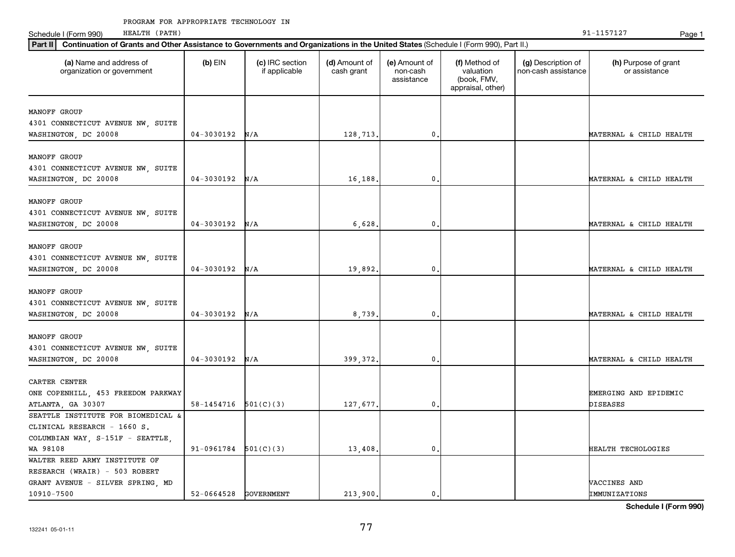Schedule I (Form 990) HEALTH (PATH) Page 1 HEALTH (PATH)

| Part II   Continuation of Grants and Other Assistance to Governments and Organizations in the United States (Schedule I (Form 990), Part II.) |                          |                                  |                             |                                         |                                                                |                                           |                                       |  |  |
|-----------------------------------------------------------------------------------------------------------------------------------------------|--------------------------|----------------------------------|-----------------------------|-----------------------------------------|----------------------------------------------------------------|-------------------------------------------|---------------------------------------|--|--|
| (a) Name and address of<br>organization or government                                                                                         | $(b)$ EIN                | (c) IRC section<br>if applicable | (d) Amount of<br>cash grant | (e) Amount of<br>non-cash<br>assistance | (f) Method of<br>valuation<br>(book, FMV,<br>appraisal, other) | (g) Description of<br>non-cash assistance | (h) Purpose of grant<br>or assistance |  |  |
|                                                                                                                                               |                          |                                  |                             |                                         |                                                                |                                           |                                       |  |  |
| MANOFF GROUP                                                                                                                                  |                          |                                  |                             |                                         |                                                                |                                           |                                       |  |  |
| 4301 CONNECTICUT AVENUE NW, SUITE                                                                                                             |                          |                                  |                             | $\mathbf{0}$                            |                                                                |                                           |                                       |  |  |
| WASHINGTON, DC 20008                                                                                                                          | 04-3030192               | N/A                              | 128,713                     |                                         |                                                                |                                           | MATERNAL & CHILD HEALTH               |  |  |
| MANOFF GROUP                                                                                                                                  |                          |                                  |                             |                                         |                                                                |                                           |                                       |  |  |
| 4301 CONNECTICUT AVENUE NW, SUITE                                                                                                             |                          |                                  |                             |                                         |                                                                |                                           |                                       |  |  |
| WASHINGTON, DC 20008                                                                                                                          | 04-3030192               | N/A                              | 16,188                      | $\mathbf{0}$                            |                                                                |                                           | MATERNAL & CHILD HEALTH               |  |  |
|                                                                                                                                               |                          |                                  |                             |                                         |                                                                |                                           |                                       |  |  |
| MANOFF GROUP                                                                                                                                  |                          |                                  |                             |                                         |                                                                |                                           |                                       |  |  |
| 4301 CONNECTICUT AVENUE NW, SUITE                                                                                                             |                          |                                  |                             |                                         |                                                                |                                           |                                       |  |  |
| WASHINGTON, DC 20008                                                                                                                          | $04 - 3030192$           | N/A                              | 6,628                       | $\mathbf{0}$                            |                                                                |                                           | MATERNAL & CHILD HEALTH               |  |  |
|                                                                                                                                               |                          |                                  |                             |                                         |                                                                |                                           |                                       |  |  |
| MANOFF GROUP                                                                                                                                  |                          |                                  |                             |                                         |                                                                |                                           |                                       |  |  |
| 4301 CONNECTICUT AVENUE NW, SUITE                                                                                                             |                          |                                  |                             |                                         |                                                                |                                           |                                       |  |  |
| WASHINGTON, DC 20008                                                                                                                          | 04-3030192               | N/A                              | 19,892                      | $\mathbf{0}$                            |                                                                |                                           | MATERNAL & CHILD HEALTH               |  |  |
|                                                                                                                                               |                          |                                  |                             |                                         |                                                                |                                           |                                       |  |  |
| MANOFF GROUP                                                                                                                                  |                          |                                  |                             |                                         |                                                                |                                           |                                       |  |  |
| 4301 CONNECTICUT AVENUE NW, SUITE                                                                                                             |                          |                                  |                             |                                         |                                                                |                                           |                                       |  |  |
| WASHINGTON, DC 20008                                                                                                                          | $04 - 3030192$           | N/A                              | 8,739                       | $\mathbf{0}$                            |                                                                |                                           | MATERNAL & CHILD HEALTH               |  |  |
|                                                                                                                                               |                          |                                  |                             |                                         |                                                                |                                           |                                       |  |  |
| MANOFF GROUP                                                                                                                                  |                          |                                  |                             |                                         |                                                                |                                           |                                       |  |  |
| 4301 CONNECTICUT AVENUE NW, SUITE                                                                                                             |                          |                                  |                             |                                         |                                                                |                                           |                                       |  |  |
| WASHINGTON, DC 20008                                                                                                                          | 04-3030192               | N/A                              | 399,372                     | $\mathbf{0}$                            |                                                                |                                           | MATERNAL & CHILD HEALTH               |  |  |
|                                                                                                                                               |                          |                                  |                             |                                         |                                                                |                                           |                                       |  |  |
| CARTER CENTER                                                                                                                                 |                          |                                  |                             |                                         |                                                                |                                           |                                       |  |  |
| ONE COPENHILL, 453 FREEDOM PARKWAY                                                                                                            |                          |                                  |                             |                                         |                                                                |                                           | EMERGING AND EPIDEMIC                 |  |  |
| ATLANTA, GA 30307                                                                                                                             | $58-1454716$ $501(C)(3)$ |                                  | 127,677.                    | $\mathbf{0}$                            |                                                                |                                           | <b>DISEASES</b>                       |  |  |
| SEATTLE INSTITUTE FOR BIOMEDICAL &                                                                                                            |                          |                                  |                             |                                         |                                                                |                                           |                                       |  |  |
| CLINICAL RESEARCH - 1660 S.                                                                                                                   |                          |                                  |                             |                                         |                                                                |                                           |                                       |  |  |
| COLUMBIAN WAY, S-151F - SEATTLE,                                                                                                              |                          |                                  |                             |                                         |                                                                |                                           |                                       |  |  |
| WA 98108                                                                                                                                      | 91-0961784               | 501(C)(3)                        | 13,408                      | $\mathbf{0}$                            |                                                                |                                           | HEALTH TECHOLOGIES                    |  |  |
| WALTER REED ARMY INSTITUTE OF                                                                                                                 |                          |                                  |                             |                                         |                                                                |                                           |                                       |  |  |
| RESEARCH (WRAIR) - 503 ROBERT                                                                                                                 |                          |                                  |                             |                                         |                                                                |                                           |                                       |  |  |
| GRANT AVENUE - SILVER SPRING, MD                                                                                                              |                          |                                  |                             |                                         |                                                                |                                           | VACCINES AND                          |  |  |
| 10910-7500                                                                                                                                    | 52-0664528               | <b>GOVERNMENT</b>                | 213,900.                    | 0.                                      |                                                                |                                           | IMMUNIZATIONS                         |  |  |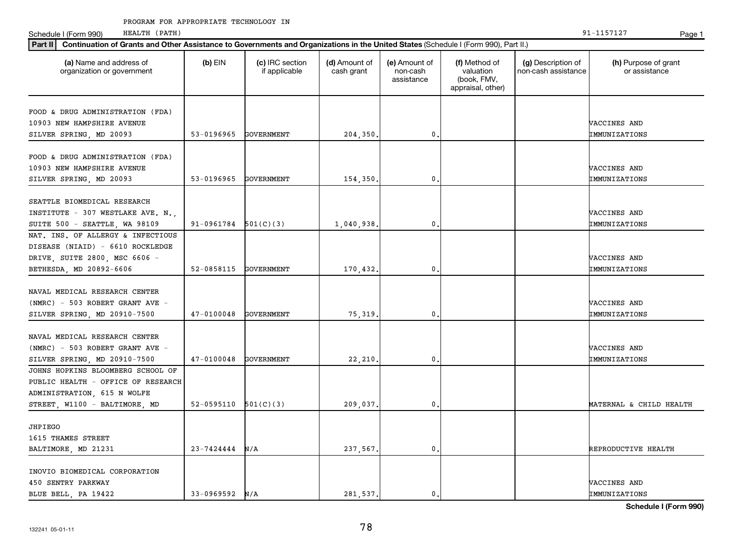Schedule I (Form 990) HEALTH (PATH) Page 1 HEALTH (PATH)

|                                                       | Part II   Continuation of Grants and Other Assistance to Governments and Organizations in the United States (Schedule I (Form 990), Part II.) |                                  |                             |                                         |                                                                |                                           |                                       |  |  |  |
|-------------------------------------------------------|-----------------------------------------------------------------------------------------------------------------------------------------------|----------------------------------|-----------------------------|-----------------------------------------|----------------------------------------------------------------|-------------------------------------------|---------------------------------------|--|--|--|
| (a) Name and address of<br>organization or government | $(b)$ EIN                                                                                                                                     | (c) IRC section<br>if applicable | (d) Amount of<br>cash grant | (e) Amount of<br>non-cash<br>assistance | (f) Method of<br>valuation<br>(book, FMV,<br>appraisal, other) | (g) Description of<br>non-cash assistance | (h) Purpose of grant<br>or assistance |  |  |  |
| FOOD & DRUG ADMINISTRATION (FDA)                      |                                                                                                                                               |                                  |                             |                                         |                                                                |                                           |                                       |  |  |  |
| 10903 NEW HAMPSHIRE AVENUE                            |                                                                                                                                               |                                  |                             |                                         |                                                                |                                           | VACCINES AND                          |  |  |  |
| SILVER SPRING, MD 20093                               | 53-0196965                                                                                                                                    | GOVERNMENT                       | 204,350                     | $\mathbf{0}$                            |                                                                |                                           | IMMUNIZATIONS                         |  |  |  |
|                                                       |                                                                                                                                               |                                  |                             |                                         |                                                                |                                           |                                       |  |  |  |
| FOOD & DRUG ADMINISTRATION (FDA)                      |                                                                                                                                               |                                  |                             |                                         |                                                                |                                           |                                       |  |  |  |
| 10903 NEW HAMPSHIRE AVENUE                            |                                                                                                                                               |                                  |                             |                                         |                                                                |                                           | VACCINES AND                          |  |  |  |
| SILVER SPRING, MD 20093                               | 53-0196965                                                                                                                                    | <b>GOVERNMENT</b>                | 154,350                     | $\mathbf{0}$                            |                                                                |                                           | IMMUNIZATIONS                         |  |  |  |
|                                                       |                                                                                                                                               |                                  |                             |                                         |                                                                |                                           |                                       |  |  |  |
| SEATTLE BIOMEDICAL RESEARCH                           |                                                                                                                                               |                                  |                             |                                         |                                                                |                                           |                                       |  |  |  |
| INSTITUTE - 307 WESTLAKE AVE. N.,                     |                                                                                                                                               |                                  |                             |                                         |                                                                |                                           | VACCINES AND                          |  |  |  |
| SUITE 500 - SEATTLE, WA 98109                         | $91-0961784$ $501(C)(3)$                                                                                                                      |                                  | 1,040,938                   | $\mathbf 0$ .                           |                                                                |                                           | IMMUNIZATIONS                         |  |  |  |
| NAT. INS. OF ALLERGY & INFECTIOUS                     |                                                                                                                                               |                                  |                             |                                         |                                                                |                                           |                                       |  |  |  |
| DISEASE (NIAID) - 6610 ROCKLEDGE                      |                                                                                                                                               |                                  |                             |                                         |                                                                |                                           |                                       |  |  |  |
| DRIVE, SUITE 2800, MSC 6606 -                         |                                                                                                                                               |                                  |                             |                                         |                                                                |                                           | VACCINES AND                          |  |  |  |
| BETHESDA, MD 20892-6606                               | 52-0858115                                                                                                                                    | GOVERNMENT                       | 170,432.                    | $\mathbf{0}$                            |                                                                |                                           | IMMUNIZATIONS                         |  |  |  |
|                                                       |                                                                                                                                               |                                  |                             |                                         |                                                                |                                           |                                       |  |  |  |
| NAVAL MEDICAL RESEARCH CENTER                         |                                                                                                                                               |                                  |                             |                                         |                                                                |                                           |                                       |  |  |  |
| (NMRC) - 503 ROBERT GRANT AVE -                       |                                                                                                                                               |                                  |                             |                                         |                                                                |                                           | VACCINES AND                          |  |  |  |
| SILVER SPRING, MD 20910-7500                          | $47 - 0100048$                                                                                                                                | <b>GOVERNMENT</b>                | 75,319                      | 0.                                      |                                                                |                                           | IMMUNIZATIONS                         |  |  |  |
|                                                       |                                                                                                                                               |                                  |                             |                                         |                                                                |                                           |                                       |  |  |  |
| NAVAL MEDICAL RESEARCH CENTER                         |                                                                                                                                               |                                  |                             |                                         |                                                                |                                           |                                       |  |  |  |
| (NMRC) - 503 ROBERT GRANT AVE -                       |                                                                                                                                               |                                  |                             |                                         |                                                                |                                           | VACCINES AND                          |  |  |  |
| SILVER SPRING, MD 20910-7500                          | $47 - 0100048$                                                                                                                                | <b>GOVERNMENT</b>                | 22,210                      | $\mathbf{0}$                            |                                                                |                                           | IMMUNIZATIONS                         |  |  |  |
| JOHNS HOPKINS BLOOMBERG SCHOOL OF                     |                                                                                                                                               |                                  |                             |                                         |                                                                |                                           |                                       |  |  |  |
| PUBLIC HEALTH - OFFICE OF RESEARCH                    |                                                                                                                                               |                                  |                             |                                         |                                                                |                                           |                                       |  |  |  |
| ADMINISTRATION, 615 N WOLFE                           |                                                                                                                                               |                                  |                             |                                         |                                                                |                                           |                                       |  |  |  |
| STREET, W1100 - BALTIMORE, MD                         | $52-0595110$ $501(C)(3)$                                                                                                                      |                                  | 209,037                     | 0.                                      |                                                                |                                           | MATERNAL & CHILD HEALTH               |  |  |  |
|                                                       |                                                                                                                                               |                                  |                             |                                         |                                                                |                                           |                                       |  |  |  |
| JHPIEGO                                               |                                                                                                                                               |                                  |                             |                                         |                                                                |                                           |                                       |  |  |  |
| 1615 THAMES STREET                                    |                                                                                                                                               |                                  |                             |                                         |                                                                |                                           |                                       |  |  |  |
| BALTIMORE, MD 21231                                   | $23 - 7424444$ N/A                                                                                                                            |                                  | 237,567.                    | 0.                                      |                                                                |                                           | REPRODUCTIVE HEALTH                   |  |  |  |
|                                                       |                                                                                                                                               |                                  |                             |                                         |                                                                |                                           |                                       |  |  |  |
| INOVIO BIOMEDICAL CORPORATION                         |                                                                                                                                               |                                  |                             |                                         |                                                                |                                           |                                       |  |  |  |
| 450 SENTRY PARKWAY                                    |                                                                                                                                               |                                  |                             |                                         |                                                                |                                           | VACCINES AND                          |  |  |  |
| BLUE BELL, PA 19422                                   | $33-0969592$ N/A                                                                                                                              |                                  | 281,537.                    | 0.                                      |                                                                |                                           | IMMUNIZATIONS                         |  |  |  |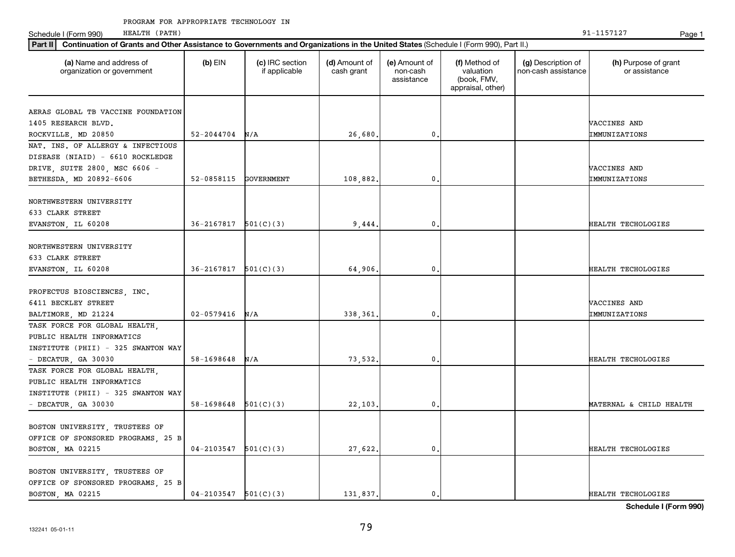Schedule I (Form 990) HEALTH (PATH)<br>Dept II Continuation of Create and Other Assistance to Covernments and Organizations in the United States (Schedule I (Form 000), Dart II) 91-1157127 Page 1 HEALTH (PATH)

| Part II   Continuation of Grants and Other Assistance to Governments and Organizations in the United States (Schedule I (Form 990), Part II.) |                            |                                  |                             |                                         |                                                                |                                           |                                       |
|-----------------------------------------------------------------------------------------------------------------------------------------------|----------------------------|----------------------------------|-----------------------------|-----------------------------------------|----------------------------------------------------------------|-------------------------------------------|---------------------------------------|
| (a) Name and address of<br>organization or government                                                                                         | $(b)$ EIN                  | (c) IRC section<br>if applicable | (d) Amount of<br>cash grant | (e) Amount of<br>non-cash<br>assistance | (f) Method of<br>valuation<br>(book, FMV,<br>appraisal, other) | (g) Description of<br>non-cash assistance | (h) Purpose of grant<br>or assistance |
| AERAS GLOBAL TB VACCINE FOUNDATION                                                                                                            |                            |                                  |                             |                                         |                                                                |                                           |                                       |
| 1405 RESEARCH BLVD.                                                                                                                           |                            |                                  |                             |                                         |                                                                |                                           | VACCINES AND                          |
| ROCKVILLE, MD 20850                                                                                                                           | $52 - 2044704$             | N/A                              | 26,680.                     | $\mathbf{0}$                            |                                                                |                                           | IMMUNIZATIONS                         |
| NAT. INS. OF ALLERGY & INFECTIOUS                                                                                                             |                            |                                  |                             |                                         |                                                                |                                           |                                       |
| DISEASE (NIAID) - 6610 ROCKLEDGE                                                                                                              |                            |                                  |                             |                                         |                                                                |                                           |                                       |
| DRIVE, SUITE 2800, MSC 6606 -                                                                                                                 |                            |                                  |                             |                                         |                                                                |                                           | VACCINES AND                          |
| BETHESDA, MD 20892-6606                                                                                                                       | 52-0858115                 | <b>GOVERNMENT</b>                | 108,882.                    | $\mathbf{0}$                            |                                                                |                                           | IMMUNIZATIONS                         |
|                                                                                                                                               |                            |                                  |                             |                                         |                                                                |                                           |                                       |
| NORTHWESTERN UNIVERSITY                                                                                                                       |                            |                                  |                             |                                         |                                                                |                                           |                                       |
| 633 CLARK STREET                                                                                                                              |                            |                                  |                             |                                         |                                                                |                                           |                                       |
| EVANSTON, IL 60208                                                                                                                            | $36 - 2167817$             | 501(C)(3)                        | 9,444.                      | $\mathbf 0$ .                           |                                                                |                                           | HEALTH TECHOLOGIES                    |
|                                                                                                                                               |                            |                                  |                             |                                         |                                                                |                                           |                                       |
| NORTHWESTERN UNIVERSITY                                                                                                                       |                            |                                  |                             |                                         |                                                                |                                           |                                       |
| 633 CLARK STREET                                                                                                                              |                            |                                  |                             |                                         |                                                                |                                           |                                       |
| EVANSTON, IL 60208                                                                                                                            | 36-2167817                 | 501(C)(3)                        | 64,906.                     | $\mathbf{0}$                            |                                                                |                                           | HEALTH TECHOLOGIES                    |
|                                                                                                                                               |                            |                                  |                             |                                         |                                                                |                                           |                                       |
| PROFECTUS BIOSCIENCES, INC.                                                                                                                   |                            |                                  |                             |                                         |                                                                |                                           |                                       |
| 6411 BECKLEY STREET                                                                                                                           |                            |                                  |                             |                                         |                                                                |                                           | VACCINES AND                          |
| BALTIMORE, MD 21224                                                                                                                           | $02 - 0579416$             | N/A                              | 338,361.                    | $\mathbf 0$ .                           |                                                                |                                           | IMMUNIZATIONS                         |
| TASK FORCE FOR GLOBAL HEALTH,                                                                                                                 |                            |                                  |                             |                                         |                                                                |                                           |                                       |
| PUBLIC HEALTH INFORMATICS                                                                                                                     |                            |                                  |                             |                                         |                                                                |                                           |                                       |
| INSTITUTE (PHII) - 325 SWANTON WAY                                                                                                            |                            |                                  |                             |                                         |                                                                |                                           |                                       |
| $-$ DECATUR, GA 30030                                                                                                                         | 58-1698648                 | N/A                              | 73,532.                     | $\mathbf{0}$                            |                                                                |                                           | HEALTH TECHOLOGIES                    |
| TASK FORCE FOR GLOBAL HEALTH,                                                                                                                 |                            |                                  |                             |                                         |                                                                |                                           |                                       |
| PUBLIC HEALTH INFORMATICS                                                                                                                     |                            |                                  |                             |                                         |                                                                |                                           |                                       |
| INSTITUTE (PHII) - 325 SWANTON WAY                                                                                                            |                            |                                  |                             |                                         |                                                                |                                           |                                       |
| $-$ DECATUR, GA 30030                                                                                                                         | 58-1698648                 | 501(C)(3)                        | 22,103.                     | $\mathbf 0$ .                           |                                                                |                                           | MATERNAL & CHILD HEALTH               |
|                                                                                                                                               |                            |                                  |                             |                                         |                                                                |                                           |                                       |
| BOSTON UNIVERSITY, TRUSTEES OF                                                                                                                |                            |                                  |                             |                                         |                                                                |                                           |                                       |
| OFFICE OF SPONSORED PROGRAMS, 25 B                                                                                                            |                            |                                  |                             |                                         |                                                                |                                           |                                       |
| BOSTON, MA 02215                                                                                                                              | $04-2103547$ $501(C)(3)$   |                                  | 27,622.                     | $\mathbf{0}$                            |                                                                |                                           | HEALTH TECHOLOGIES                    |
|                                                                                                                                               |                            |                                  |                             |                                         |                                                                |                                           |                                       |
| BOSTON UNIVERSITY, TRUSTEES OF                                                                                                                |                            |                                  |                             |                                         |                                                                |                                           |                                       |
| OFFICE OF SPONSORED PROGRAMS, 25 B                                                                                                            |                            |                                  |                             |                                         |                                                                |                                           |                                       |
| BOSTON, MA 02215                                                                                                                              | $04 - 2103547$ $501(C)(3)$ |                                  | 131,837.                    | $\mathfrak{o}$ .                        |                                                                |                                           | HEALTH TECHOLOGIES                    |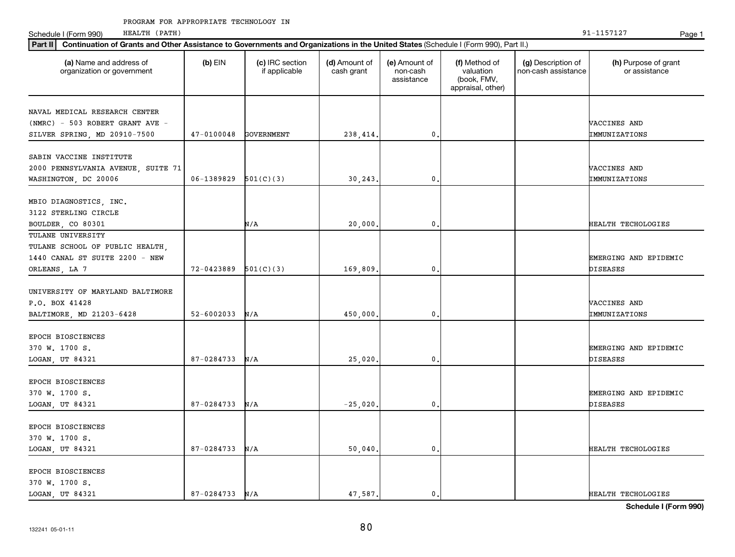Schedule I (Form 990) HEALTH (PATH) Page 1 HEALTH (PATH)

| Part II   Continuation of Grants and Other Assistance to Governments and Organizations in the United States (Schedule I (Form 990), Part II.) |                    |                                  |                             |                                         |                                                                |                                           |                                          |
|-----------------------------------------------------------------------------------------------------------------------------------------------|--------------------|----------------------------------|-----------------------------|-----------------------------------------|----------------------------------------------------------------|-------------------------------------------|------------------------------------------|
| (a) Name and address of<br>organization or government                                                                                         | $(b)$ EIN          | (c) IRC section<br>if applicable | (d) Amount of<br>cash grant | (e) Amount of<br>non-cash<br>assistance | (f) Method of<br>valuation<br>(book, FMV,<br>appraisal, other) | (g) Description of<br>non-cash assistance | (h) Purpose of grant<br>or assistance    |
| NAVAL MEDICAL RESEARCH CENTER<br>(NMRC) - 503 ROBERT GRANT AVE -                                                                              |                    |                                  |                             |                                         |                                                                |                                           | VACCINES AND                             |
| SILVER SPRING, MD 20910-7500                                                                                                                  | $47 - 0100048$     | <b>GOVERNMENT</b>                | 238,414.                    | $\mathbf{0}$                            |                                                                |                                           | IMMUNIZATIONS                            |
| SABIN VACCINE INSTITUTE<br>2000 PENNSYLVANIA AVENUE, SUITE 71<br>WASHINGTON, DC 20006                                                         | 06-1389829         | 501(C)(3)                        | 30,243                      | $\mathbf{0}$                            |                                                                |                                           | VACCINES AND<br>IMMUNIZATIONS            |
| MBIO DIAGNOSTICS, INC.<br>3122 STERLING CIRCLE<br>BOULDER, CO 80301                                                                           |                    | N/A                              | 20,000                      | 0.                                      |                                                                |                                           | HEALTH TECHOLOGIES                       |
| TULANE UNIVERSITY<br>TULANE SCHOOL OF PUBLIC HEALTH,<br>1440 CANAL ST SUITE 2200 - NEW<br>ORLEANS, LA 7                                       | 72-0423889         | 501(C)(3)                        | 169,809                     | $\mathbf{0}$                            |                                                                |                                           | EMERGING AND EPIDEMIC<br>DISEASES        |
| UNIVERSITY OF MARYLAND BALTIMORE<br>P.O. BOX 41428<br>BALTIMORE, MD 21203-6428                                                                | $52 - 6002033$     | N/A                              | 450,000                     | $\mathbf{0}$ .                          |                                                                |                                           | VACCINES AND<br>IMMUNIZATIONS            |
| EPOCH BIOSCIENCES<br>370 W. 1700 S.<br>LOGAN, UT 84321                                                                                        | 87-0284733         | N/A                              | 25,020                      | $\mathbf{0}$                            |                                                                |                                           | EMERGING AND EPIDEMIC<br><b>DISEASES</b> |
| EPOCH BIOSCIENCES<br>370 W. 1700 S.<br>LOGAN, UT 84321                                                                                        | 87-0284733         | N/A                              | $-25,020$                   | 0.                                      |                                                                |                                           | EMERGING AND EPIDEMIC<br><b>DISEASES</b> |
| EPOCH BIOSCIENCES<br>370 W. 1700 S.<br>LOGAN, UT 84321                                                                                        | 87-0284733         | N/A                              | 50,040                      | $\mathbf 0$ .                           |                                                                |                                           | HEALTH TECHOLOGIES                       |
| EPOCH BIOSCIENCES<br>370 W. 1700 S.<br>LOGAN, UT 84321                                                                                        | $87 - 0284733$ N/A |                                  | 47.587.                     | $\mathfrak{o}$ .                        |                                                                |                                           | HEALTH TECHOLOGIES                       |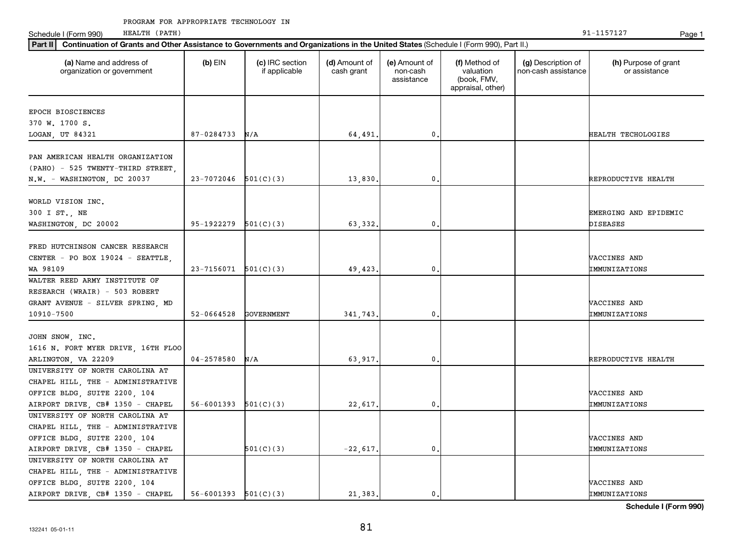| Part II                                               | Continuation of Grants and Other Assistance to Governments and Organizations in the United States (Schedule I (Form 990), Part II.) |                                  |                             |                                         |                                                                |                                           |                                       |  |  |  |
|-------------------------------------------------------|-------------------------------------------------------------------------------------------------------------------------------------|----------------------------------|-----------------------------|-----------------------------------------|----------------------------------------------------------------|-------------------------------------------|---------------------------------------|--|--|--|
| (a) Name and address of<br>organization or government | $(b)$ EIN                                                                                                                           | (c) IRC section<br>if applicable | (d) Amount of<br>cash grant | (e) Amount of<br>non-cash<br>assistance | (f) Method of<br>valuation<br>(book, FMV,<br>appraisal, other) | (g) Description of<br>non-cash assistance | (h) Purpose of grant<br>or assistance |  |  |  |
| EPOCH BIOSCIENCES                                     |                                                                                                                                     |                                  |                             |                                         |                                                                |                                           |                                       |  |  |  |
| 370 W. 1700 S.                                        |                                                                                                                                     |                                  |                             |                                         |                                                                |                                           |                                       |  |  |  |
| LOGAN, UT 84321                                       | 87-0284733                                                                                                                          | N/A                              | 64,491.                     | $\mathbf{0}$                            |                                                                |                                           | HEALTH TECHOLOGIES                    |  |  |  |
|                                                       |                                                                                                                                     |                                  |                             |                                         |                                                                |                                           |                                       |  |  |  |
| PAN AMERICAN HEALTH ORGANIZATION                      |                                                                                                                                     |                                  |                             |                                         |                                                                |                                           |                                       |  |  |  |
| (PAHO) - 525 TWENTY-THIRD STREET,                     |                                                                                                                                     |                                  |                             |                                         |                                                                |                                           |                                       |  |  |  |
| N.W. - WASHINGTON, DC 20037                           | 23-7072046                                                                                                                          | 501(C)(3)                        | 13,830,                     | $\mathbf{0}$                            |                                                                |                                           | REPRODUCTIVE HEALTH                   |  |  |  |
|                                                       |                                                                                                                                     |                                  |                             |                                         |                                                                |                                           |                                       |  |  |  |
| WORLD VISION INC.                                     |                                                                                                                                     |                                  |                             |                                         |                                                                |                                           |                                       |  |  |  |
| 300 I ST., NE                                         |                                                                                                                                     |                                  |                             |                                         |                                                                |                                           | EMERGING AND EPIDEMIC                 |  |  |  |
| WASHINGTON, DC 20002                                  | 95-1922279                                                                                                                          | 501(C)(3)                        | 63,332.                     | 0                                       |                                                                |                                           | <b>DISEASES</b>                       |  |  |  |
|                                                       |                                                                                                                                     |                                  |                             |                                         |                                                                |                                           |                                       |  |  |  |
| FRED HUTCHINSON CANCER RESEARCH                       |                                                                                                                                     |                                  |                             |                                         |                                                                |                                           |                                       |  |  |  |
| CENTER - PO BOX 19024 - SEATTLE,                      |                                                                                                                                     |                                  |                             |                                         |                                                                |                                           | VACCINES AND                          |  |  |  |
| WA 98109                                              | $23-7156071$ $501(C)(3)$                                                                                                            |                                  | 49,423.                     | $\mathbf{0}$                            |                                                                |                                           | IMMUNIZATIONS                         |  |  |  |
| WALTER REED ARMY INSTITUTE OF                         |                                                                                                                                     |                                  |                             |                                         |                                                                |                                           |                                       |  |  |  |
| RESEARCH (WRAIR) - 503 ROBERT                         |                                                                                                                                     |                                  |                             |                                         |                                                                |                                           |                                       |  |  |  |
| GRANT AVENUE - SILVER SPRING, MD                      |                                                                                                                                     |                                  |                             |                                         |                                                                |                                           | VACCINES AND                          |  |  |  |
| 10910-7500                                            | 52-0664528                                                                                                                          | <b>GOVERNMENT</b>                | 341,743.                    | 0                                       |                                                                |                                           | IMMUNIZATIONS                         |  |  |  |
|                                                       |                                                                                                                                     |                                  |                             |                                         |                                                                |                                           |                                       |  |  |  |
| JOHN SNOW, INC.                                       |                                                                                                                                     |                                  |                             |                                         |                                                                |                                           |                                       |  |  |  |
| 1616 N. FORT MYER DRIVE, 16TH FLOO                    |                                                                                                                                     |                                  |                             |                                         |                                                                |                                           |                                       |  |  |  |
| ARLINGTON, VA 22209                                   | $04 - 2578580$                                                                                                                      | N/A                              | 63,917.                     | 0                                       |                                                                |                                           | REPRODUCTIVE HEALTH                   |  |  |  |
| UNIVERSITY OF NORTH CAROLINA AT                       |                                                                                                                                     |                                  |                             |                                         |                                                                |                                           |                                       |  |  |  |
| CHAPEL HILL, THE - ADMINISTRATIVE                     |                                                                                                                                     |                                  |                             |                                         |                                                                |                                           |                                       |  |  |  |
| OFFICE BLDG, SUITE 2200, 104                          |                                                                                                                                     |                                  |                             |                                         |                                                                |                                           | VACCINES AND                          |  |  |  |
| AIRPORT DRIVE, CB# 1350 - CHAPEL                      | $56 - 6001393$ $501(C)(3)$                                                                                                          |                                  | 22,617.                     | $\mathbf{0}$                            |                                                                |                                           | IMMUNIZATIONS                         |  |  |  |
| UNIVERSITY OF NORTH CAROLINA AT                       |                                                                                                                                     |                                  |                             |                                         |                                                                |                                           |                                       |  |  |  |
| CHAPEL HILL, THE - ADMINISTRATIVE                     |                                                                                                                                     |                                  |                             |                                         |                                                                |                                           |                                       |  |  |  |
| OFFICE BLDG, SUITE 2200, 104                          |                                                                                                                                     |                                  |                             |                                         |                                                                |                                           | VACCINES AND                          |  |  |  |
| AIRPORT DRIVE, CB# 1350 - CHAPEL                      |                                                                                                                                     | 501(C)(3)                        | $-22,617.$                  | $\mathbf{0}$                            |                                                                |                                           | IMMUNIZATIONS                         |  |  |  |
| UNIVERSITY OF NORTH CAROLINA AT                       |                                                                                                                                     |                                  |                             |                                         |                                                                |                                           |                                       |  |  |  |
| CHAPEL HILL, THE - ADMINISTRATIVE                     |                                                                                                                                     |                                  |                             |                                         |                                                                |                                           |                                       |  |  |  |
| OFFICE BLDG, SUITE 2200, 104                          |                                                                                                                                     |                                  |                             |                                         |                                                                |                                           | VACCINES AND                          |  |  |  |
| AIRPORT DRIVE, CB# 1350 - CHAPEL                      | $56 - 6001393$ $501(C)(3)$                                                                                                          |                                  | 21,383.                     | 0.                                      |                                                                |                                           | IMMUNIZATIONS                         |  |  |  |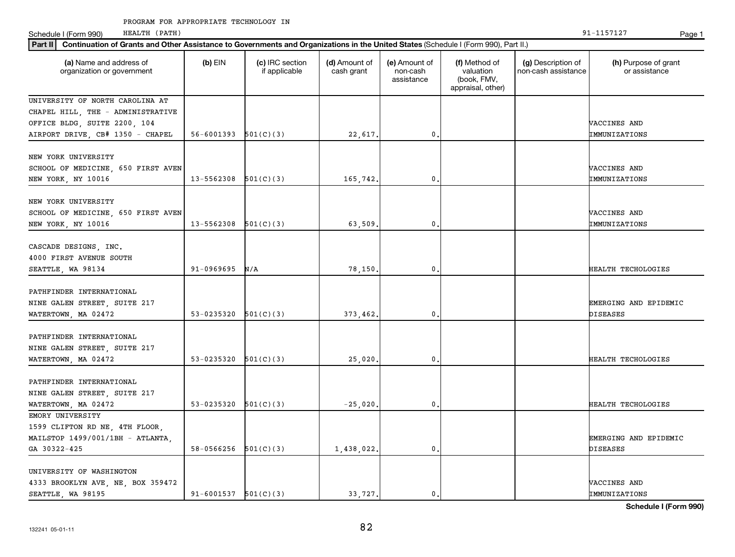| Part II                                                                                                | Continuation of Grants and Other Assistance to Governments and Organizations in the United States (Schedule I (Form 990), Part II.) |                                  |                             |                                         |                                                                |                                           |                                          |  |  |  |
|--------------------------------------------------------------------------------------------------------|-------------------------------------------------------------------------------------------------------------------------------------|----------------------------------|-----------------------------|-----------------------------------------|----------------------------------------------------------------|-------------------------------------------|------------------------------------------|--|--|--|
| (a) Name and address of<br>organization or government                                                  | $(b)$ EIN                                                                                                                           | (c) IRC section<br>if applicable | (d) Amount of<br>cash grant | (e) Amount of<br>non-cash<br>assistance | (f) Method of<br>valuation<br>(book, FMV,<br>appraisal, other) | (g) Description of<br>non-cash assistance | (h) Purpose of grant<br>or assistance    |  |  |  |
| UNIVERSITY OF NORTH CAROLINA AT                                                                        |                                                                                                                                     |                                  |                             |                                         |                                                                |                                           |                                          |  |  |  |
| CHAPEL HILL, THE - ADMINISTRATIVE                                                                      |                                                                                                                                     |                                  |                             |                                         |                                                                |                                           |                                          |  |  |  |
| OFFICE BLDG, SUITE 2200, 104                                                                           |                                                                                                                                     |                                  |                             |                                         |                                                                |                                           | VACCINES AND                             |  |  |  |
| AIRPORT DRIVE, CB# 1350 - CHAPEL                                                                       | $56 - 6001393$ $501(C)(3)$                                                                                                          |                                  | 22,617.                     | 0.                                      |                                                                |                                           | IMMUNIZATIONS                            |  |  |  |
| NEW YORK UNIVERSITY<br>SCHOOL OF MEDICINE, 650 FIRST AVEN<br>NEW YORK, NY 10016                        | 13-5562308                                                                                                                          | 501(C)(3)                        | 165,742.                    | $\mathbf{0}$                            |                                                                |                                           | VACCINES AND<br>IMMUNIZATIONS            |  |  |  |
|                                                                                                        |                                                                                                                                     |                                  |                             |                                         |                                                                |                                           |                                          |  |  |  |
| NEW YORK UNIVERSITY<br>SCHOOL OF MEDICINE, 650 FIRST AVEN<br>NEW YORK, NY 10016                        | 13-5562308                                                                                                                          | 501(C)(3)                        | 63,509                      | $\mathbf 0$ .                           |                                                                |                                           | VACCINES AND<br>IMMUNIZATIONS            |  |  |  |
| CASCADE DESIGNS, INC.<br>4000 FIRST AVENUE SOUTH<br>SEATTLE, WA 98134                                  | 91-0969695                                                                                                                          | N/A                              | 78,150                      | 0.                                      |                                                                |                                           | HEALTH TECHOLOGIES                       |  |  |  |
| PATHFINDER INTERNATIONAL<br>NINE GALEN STREET, SUITE 217<br>WATERTOWN, MA 02472                        | 53-0235320                                                                                                                          | 501(C)(3)                        | 373,462.                    | $\mathbf 0$ .                           |                                                                |                                           | EMERGING AND EPIDEMIC<br><b>DISEASES</b> |  |  |  |
| PATHFINDER INTERNATIONAL<br>NINE GALEN STREET, SUITE 217<br>WATERTOWN, MA 02472                        | 53-0235320                                                                                                                          | 501(C)(3)                        | 25,020                      | $\mathbf{0}$                            |                                                                |                                           | HEALTH TECHOLOGIES                       |  |  |  |
| PATHFINDER INTERNATIONAL<br>NINE GALEN STREET, SUITE 217<br>WATERTOWN, MA 02472                        | 53-0235320                                                                                                                          | 501(C)(3)                        | $-25,020$                   | 0.                                      |                                                                |                                           | HEALTH TECHOLOGIES                       |  |  |  |
| EMORY UNIVERSITY<br>1599 CLIFTON RD NE, 4TH FLOOR,<br>MAILSTOP 1499/001/1BH - ATLANTA,<br>GA 30322-425 | $58-0566256$ $501(C)(3)$                                                                                                            |                                  | 1,438,022.                  | 0.                                      |                                                                |                                           | EMERGING AND EPIDEMIC<br><b>DISEASES</b> |  |  |  |
| UNIVERSITY OF WASHINGTON<br>4333 BROOKLYN AVE, NE, BOX 359472<br>SEATTLE, WA 98195                     | $91 - 6001537$ $501(C)(3)$                                                                                                          |                                  | 33.727.                     | 0.                                      |                                                                |                                           | VACCINES AND<br>IMMUNIZATIONS            |  |  |  |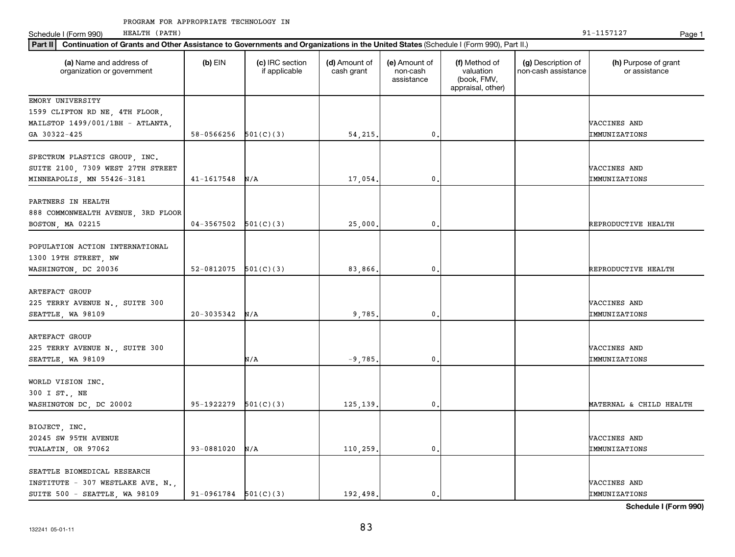HEALTH (PATH) 91-1157127

| Part II                                                                                           | Continuation of Grants and Other Assistance to Governments and Organizations in the United States (Schedule I (Form 990), Part II.) |                                  |                             |                                         |                                                                |                                           |                                       |  |  |  |
|---------------------------------------------------------------------------------------------------|-------------------------------------------------------------------------------------------------------------------------------------|----------------------------------|-----------------------------|-----------------------------------------|----------------------------------------------------------------|-------------------------------------------|---------------------------------------|--|--|--|
| (a) Name and address of<br>organization or government                                             | $(b)$ EIN                                                                                                                           | (c) IRC section<br>if applicable | (d) Amount of<br>cash grant | (e) Amount of<br>non-cash<br>assistance | (f) Method of<br>valuation<br>(book, FMV,<br>appraisal, other) | (g) Description of<br>non-cash assistance | (h) Purpose of grant<br>or assistance |  |  |  |
| EMORY UNIVERSITY                                                                                  |                                                                                                                                     |                                  |                             |                                         |                                                                |                                           |                                       |  |  |  |
| 1599 CLIFTON RD NE, 4TH FLOOR,                                                                    |                                                                                                                                     |                                  |                             |                                         |                                                                |                                           |                                       |  |  |  |
| MAILSTOP 1499/001/1BH - ATLANTA,<br>GA 30322-425                                                  | 58-0566256                                                                                                                          | 501(C)(3)                        | 54,215.                     | $\mathbf 0$ .                           |                                                                |                                           | VACCINES AND<br>IMMUNIZATIONS         |  |  |  |
| SPECTRUM PLASTICS GROUP, INC.<br>SUITE 2100, 7309 WEST 27TH STREET<br>MINNEAPOLIS, MN 55426-3181  | $41 - 1617548$                                                                                                                      | N/A                              | 17,054.                     | 0                                       |                                                                |                                           | VACCINES AND<br>IMMUNIZATIONS         |  |  |  |
| PARTNERS IN HEALTH                                                                                |                                                                                                                                     |                                  |                             |                                         |                                                                |                                           |                                       |  |  |  |
| 888 COMMONWEALTH AVENUE, 3RD FLOOR                                                                |                                                                                                                                     |                                  |                             |                                         |                                                                |                                           |                                       |  |  |  |
| BOSTON, MA 02215                                                                                  | 04-3567502                                                                                                                          | 501(C)(3)                        | 25,000.                     | 0                                       |                                                                |                                           | REPRODUCTIVE HEALTH                   |  |  |  |
| POPULATION ACTION INTERNATIONAL<br>1300 19TH STREET, NW<br>WASHINGTON, DC 20036                   | $52-0812075$ $501(C)(3)$                                                                                                            |                                  | 83,866.                     | $\mathbf 0$ .                           |                                                                |                                           | REPRODUCTIVE HEALTH                   |  |  |  |
|                                                                                                   |                                                                                                                                     |                                  |                             |                                         |                                                                |                                           |                                       |  |  |  |
| ARTEFACT GROUP<br>225 TERRY AVENUE N., SUITE 300                                                  |                                                                                                                                     |                                  |                             |                                         |                                                                |                                           | VACCINES AND                          |  |  |  |
| SEATTLE, WA 98109                                                                                 | 20-3035342                                                                                                                          | N/A                              | 9,785.                      | 0                                       |                                                                |                                           | IMMUNIZATIONS                         |  |  |  |
| ARTEFACT GROUP<br>225 TERRY AVENUE N., SUITE 300<br>SEATTLE, WA 98109                             |                                                                                                                                     | N/A                              | $-9,785.$                   | 0                                       |                                                                |                                           | VACCINES AND<br>IMMUNIZATIONS         |  |  |  |
| WORLD VISION INC.                                                                                 |                                                                                                                                     |                                  |                             |                                         |                                                                |                                           |                                       |  |  |  |
| 300 I ST., NE                                                                                     |                                                                                                                                     |                                  |                             |                                         |                                                                |                                           |                                       |  |  |  |
| WASHINGTON DC, DC 20002                                                                           | 95-1922279                                                                                                                          | 501(C)(3)                        | 125,139.                    | $\mathbf 0$ .                           |                                                                |                                           | MATERNAL & CHILD HEALTH               |  |  |  |
| BIOJECT, INC.<br>20245 SW 95TH AVENUE                                                             |                                                                                                                                     |                                  |                             |                                         |                                                                |                                           | VACCINES AND                          |  |  |  |
| TUALATIN, OR 97062                                                                                | 93-0881020                                                                                                                          | N/A                              | 110,259.                    | $\mathbf 0$ .                           |                                                                |                                           | IMMUNIZATIONS                         |  |  |  |
| SEATTLE BIOMEDICAL RESEARCH<br>INSTITUTE - 307 WESTLAKE AVE. N.,<br>SUITE 500 - SEATTLE, WA 98109 | $91-0961784$ $501(C)(3)$                                                                                                            |                                  | 192,498.                    | $\mathbf{0}$ .                          |                                                                |                                           | VACCINES AND<br>IMMUNIZATIONS         |  |  |  |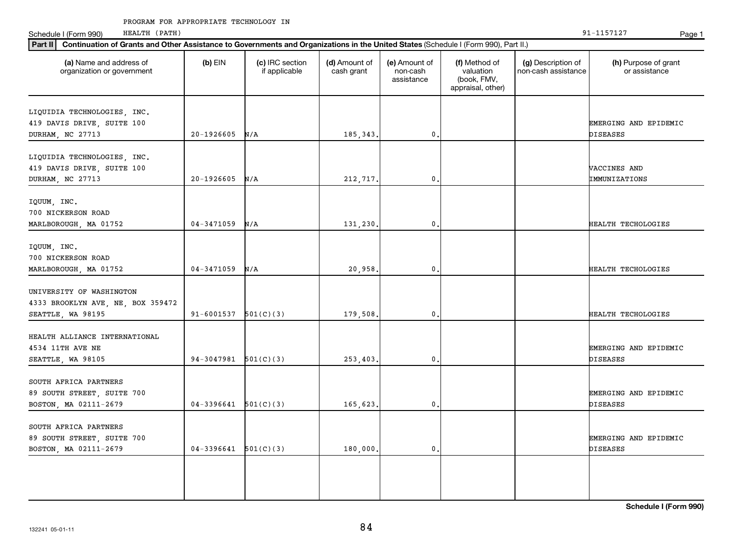| (a) Name and address of<br>organization or government                              | $(b)$ EIN                | (c) IRC section<br>if applicable | (d) Amount of<br>cash grant | (e) Amount of<br>non-cash<br>assistance | (f) Method of<br>valuation<br>(book, FMV,<br>appraisal, other) | (g) Description of<br>non-cash assistance | (h) Purpose of grant<br>or assistance    |
|------------------------------------------------------------------------------------|--------------------------|----------------------------------|-----------------------------|-----------------------------------------|----------------------------------------------------------------|-------------------------------------------|------------------------------------------|
| LIQUIDIA TECHNOLOGIES, INC.<br>419 DAVIS DRIVE, SUITE 100<br>DURHAM, NC 27713      | $20 - 1926605$           | N/A                              | 185, 343.                   | $\mathbf 0$ .                           |                                                                |                                           | EMERGING AND EPIDEMIC<br><b>DISEASES</b> |
| LIQUIDIA TECHNOLOGIES, INC.<br>419 DAVIS DRIVE, SUITE 100<br>DURHAM, NC 27713      | $20 - 1926605$           | N/A                              | 212,717.                    | 0                                       |                                                                |                                           | VACCINES AND<br>IMMUNIZATIONS            |
| IQUUM, INC.<br>700 NICKERSON ROAD<br>MARLBOROUGH, MA 01752                         | $04 - 3471059$           | N/A                              | 131,230.                    | 0                                       |                                                                |                                           | HEALTH TECHOLOGIES                       |
| IQUUM, INC.<br>700 NICKERSON ROAD<br>MARLBOROUGH, MA 01752                         | $04 - 3471059$           | N/A                              | 20,958.                     | $\mathbf 0$ .                           |                                                                |                                           | HEALTH TECHOLOGIES                       |
| UNIVERSITY OF WASHINGTON<br>4333 BROOKLYN AVE, NE, BOX 359472<br>SEATTLE, WA 98195 | 91-6001537               | 501(C)(3)                        | 179,508.                    | 0                                       |                                                                |                                           | HEALTH TECHOLOGIES                       |
| HEALTH ALLIANCE INTERNATIONAL<br>4534 11TH AVE NE<br>SEATTLE, WA 98105             | 94-3047981               | 501(C)(3)                        | 253,403.                    | $\mathbf{0}$                            |                                                                |                                           | EMERGING AND EPIDEMIC<br><b>DISEASES</b> |
| SOUTH AFRICA PARTNERS<br>89 SOUTH STREET, SUITE 700<br>BOSTON, MA 02111-2679       | $04-3396641$ $501(C)(3)$ |                                  | 165,623.                    | $\mathbf 0$ .                           |                                                                |                                           | EMERGING AND EPIDEMIC<br>DISEASES        |
| SOUTH AFRICA PARTNERS<br>89 SOUTH STREET, SUITE 700<br>BOSTON, MA 02111-2679       | $04-3396641$ $501(C)(3)$ |                                  | 180,000.                    | $\mathbf 0$ .                           |                                                                |                                           | EMERGING AND EPIDEMIC<br><b>DISEASES</b> |
|                                                                                    |                          |                                  |                             |                                         |                                                                |                                           |                                          |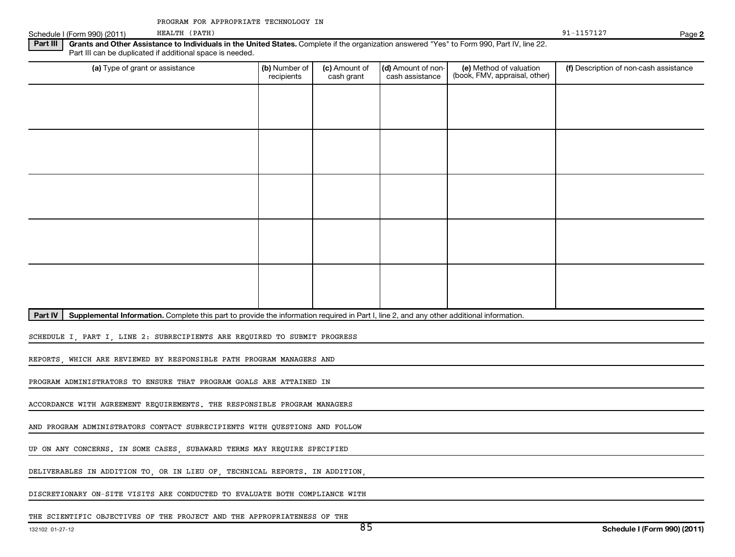Schedule I (Form 990) (2011) HEALTH (PATH) PARTH (PATH) PAGE 2014 PAGE 2014 1157127

### Part III | Grants and Other Assistance to Individuals in the United States. Complete if the organization answered "Yes" to Form 990, Part IV, line 22. Part III can be duplicated if additional space is needed. HEALTH (PATH) 91-1157127

| . .<br>. .                      |                             |                             |                                       |                                                          |                                        |
|---------------------------------|-----------------------------|-----------------------------|---------------------------------------|----------------------------------------------------------|----------------------------------------|
| (a) Type of grant or assistance | (b) Number of<br>recipients | (c) Amount of<br>cash grant | (d) Amount of non-<br>cash assistance | (e) Method of valuation<br>(book, FMV, appraisal, other) | (f) Description of non-cash assistance |
|                                 |                             |                             |                                       |                                                          |                                        |
|                                 |                             |                             |                                       |                                                          |                                        |
|                                 |                             |                             |                                       |                                                          |                                        |
|                                 |                             |                             |                                       |                                                          |                                        |
|                                 |                             |                             |                                       |                                                          |                                        |
|                                 |                             |                             |                                       |                                                          |                                        |
|                                 |                             |                             |                                       |                                                          |                                        |
|                                 |                             |                             |                                       |                                                          |                                        |
|                                 |                             |                             |                                       |                                                          |                                        |
|                                 |                             |                             |                                       |                                                          |                                        |

Part IV | Supplemental Information. Complete this part to provide the information required in Part I, line 2, and any other additional information.

SCHEDULE I, PART I, LINE 2: SUBRECIPIENTS ARE REQUIRED TO SUBMIT PROGRESS

REPORTS, WHICH ARE REVIEWED BY RESPONSIBLE PATH PROGRAM MANAGERS AND

PROGRAM ADMINISTRATORS TO ENSURE THAT PROGRAM GOALS ARE ATTAINED IN

ACCORDANCE WITH AGREEMENT REQUIREMENTS. THE RESPONSIBLE PROGRAM MANAGERS

AND PROGRAM ADMINISTRATORS CONTACT SUBRECIPIENTS WITH QUESTIONS AND FOLLOW

UP ON ANY CONCERNS. IN SOME CASES, SUBAWARD TERMS MAY REQUIRE SPECIFIED

DELIVERABLES IN ADDITION TO, OR IN LIEU OF, TECHNICAL REPORTS. IN ADDITION,

DISCRETIONARY ON-SITE VISITS ARE CONDUCTED TO EVALUATE BOTH COMPLIANCE WITH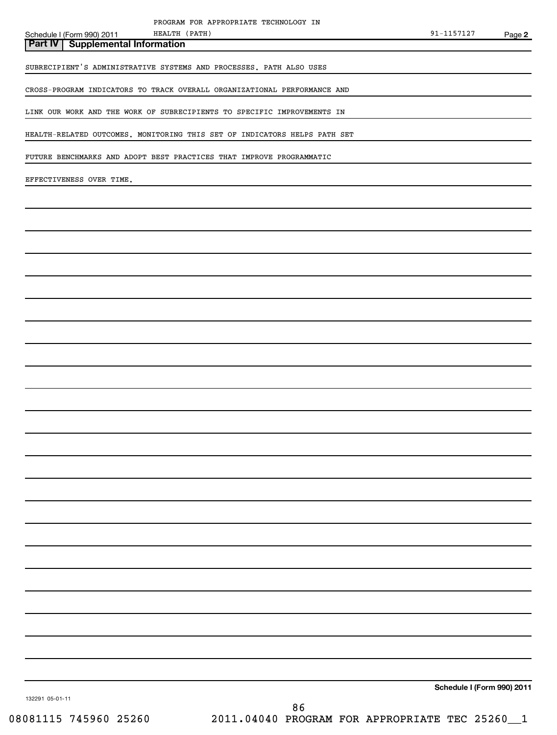**Part IV Supplemental Information**

SUBRECIPIENT'S ADMINISTRATIVE SYSTEMS AND PROCESSES. PATH ALSO USES

HEALTH (PATH)

CROSS-PROGRAM INDICATORS TO TRACK OVERALL ORGANIZATIONAL PERFORMANCE AND

LINK OUR WORK AND THE WORK OF SUBRECIPIENTS TO SPECIFIC IMPROVEMENTS IN

HEALTH-RELATED OUTCOMES. MONITORING THIS SET OF INDICATORS HELPS PATH SET

FUTURE BENCHMARKS AND ADOPT BEST PRACTICES THAT IMPROVE PROGRAMMATIC

EFFECTIVENESS OVER TIME.

**Schedule I (Form 990) 2011**

132291 05-01-11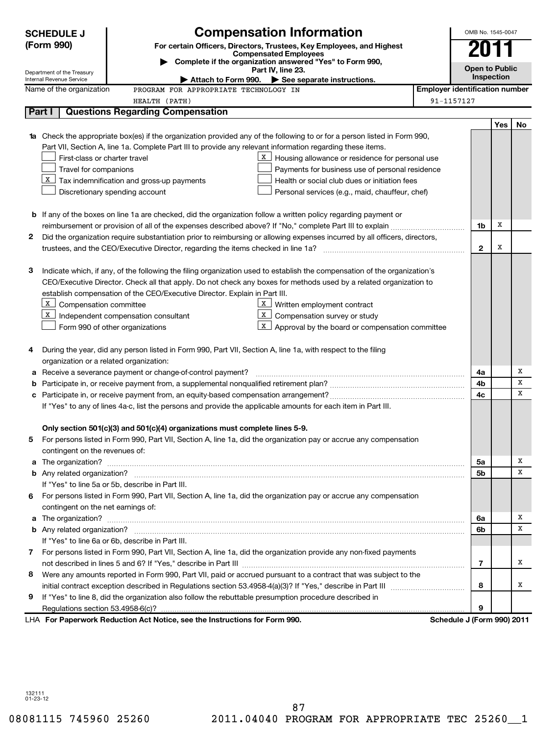|   | <b>Compensation Information</b><br><b>SCHEDULE J</b>                                                               |                                                                                                                                                                                                  |                                       | OMB No. 1545-0047     |     |    |
|---|--------------------------------------------------------------------------------------------------------------------|--------------------------------------------------------------------------------------------------------------------------------------------------------------------------------------------------|---------------------------------------|-----------------------|-----|----|
|   | (Form 990)                                                                                                         | For certain Officers, Directors, Trustees, Key Employees, and Highest                                                                                                                            |                                       |                       |     |    |
|   |                                                                                                                    | <b>Compensated Employees</b><br>Complete if the organization answered "Yes" to Form 990,                                                                                                         |                                       |                       |     |    |
|   | Department of the Treasury                                                                                         | Part IV, line 23.                                                                                                                                                                                |                                       | <b>Open to Public</b> |     |    |
|   | Internal Revenue Service                                                                                           | See separate instructions.<br>► Attach to Form 990.                                                                                                                                              |                                       | Inspection            |     |    |
|   | Name of the organization                                                                                           | PROGRAM FOR APPROPRIATE TECHNOLOGY IN                                                                                                                                                            | <b>Employer identification number</b> |                       |     |    |
|   |                                                                                                                    | HEALTH (PATH)                                                                                                                                                                                    | 91-1157127                            |                       |     |    |
|   | Part I                                                                                                             | <b>Questions Regarding Compensation</b>                                                                                                                                                          |                                       |                       |     |    |
|   |                                                                                                                    |                                                                                                                                                                                                  |                                       |                       | Yes | No |
|   |                                                                                                                    | 1a Check the appropriate box(es) if the organization provided any of the following to or for a person listed in Form 990,                                                                        |                                       |                       |     |    |
|   |                                                                                                                    | Part VII, Section A, line 1a. Complete Part III to provide any relevant information regarding these items.                                                                                       |                                       |                       |     |    |
|   | $\mathbf{X}$<br>First-class or charter travel<br>Housing allowance or residence for personal use                   |                                                                                                                                                                                                  |                                       |                       |     |    |
|   | Travel for companions<br>Payments for business use of personal residence                                           |                                                                                                                                                                                                  |                                       |                       |     |    |
|   |                                                                                                                    | $X$ Tax indemnification and gross-up payments<br>Health or social club dues or initiation fees                                                                                                   |                                       |                       |     |    |
|   |                                                                                                                    | Discretionary spending account<br>Personal services (e.g., maid, chauffeur, chef)                                                                                                                |                                       |                       |     |    |
|   |                                                                                                                    |                                                                                                                                                                                                  |                                       |                       |     |    |
|   |                                                                                                                    | <b>b</b> If any of the boxes on line 1a are checked, did the organization follow a written policy regarding payment or                                                                           |                                       |                       |     |    |
|   |                                                                                                                    |                                                                                                                                                                                                  |                                       | 1b                    | х   |    |
| 2 |                                                                                                                    | Did the organization require substantiation prior to reimbursing or allowing expenses incurred by all officers, directors,                                                                       |                                       |                       |     |    |
|   |                                                                                                                    |                                                                                                                                                                                                  |                                       | $\mathbf{2}$          | х   |    |
|   |                                                                                                                    |                                                                                                                                                                                                  |                                       |                       |     |    |
| З |                                                                                                                    | Indicate which, if any, of the following the filing organization used to establish the compensation of the organization's                                                                        |                                       |                       |     |    |
|   | CEO/Executive Director. Check all that apply. Do not check any boxes for methods used by a related organization to |                                                                                                                                                                                                  |                                       |                       |     |    |
|   | establish compensation of the CEO/Executive Director. Explain in Part III.                                         |                                                                                                                                                                                                  |                                       |                       |     |    |
|   | X Compensation committee<br>X <sub>1</sub><br>Written employment contract                                          |                                                                                                                                                                                                  |                                       |                       |     |    |
|   | $X$ Independent compensation consultant<br>X<br>Compensation survey or study                                       |                                                                                                                                                                                                  |                                       |                       |     |    |
|   |                                                                                                                    | X<br>Approval by the board or compensation committee<br>Form 990 of other organizations                                                                                                          |                                       |                       |     |    |
|   |                                                                                                                    |                                                                                                                                                                                                  |                                       |                       |     |    |
| 4 |                                                                                                                    | During the year, did any person listed in Form 990, Part VII, Section A, line 1a, with respect to the filing                                                                                     |                                       |                       |     |    |
|   | organization or a related organization:                                                                            |                                                                                                                                                                                                  |                                       |                       |     | х  |
| а |                                                                                                                    | Receive a severance payment or change-of-control payment?                                                                                                                                        |                                       | 4a                    |     | х  |
| b |                                                                                                                    |                                                                                                                                                                                                  |                                       | 4b                    |     | х  |
| с |                                                                                                                    |                                                                                                                                                                                                  |                                       | 4c                    |     |    |
|   | If "Yes" to any of lines 4a-c, list the persons and provide the applicable amounts for each item in Part III.      |                                                                                                                                                                                                  |                                       |                       |     |    |
|   |                                                                                                                    |                                                                                                                                                                                                  |                                       |                       |     |    |
|   |                                                                                                                    | Only section 501(c)(3) and 501(c)(4) organizations must complete lines 5-9.<br>For persons listed in Form 990, Part VII, Section A, line 1a, did the organization pay or accrue any compensation |                                       |                       |     |    |
|   | contingent on the revenues of:                                                                                     |                                                                                                                                                                                                  |                                       |                       |     |    |
|   |                                                                                                                    |                                                                                                                                                                                                  |                                       |                       |     | х  |
| a |                                                                                                                    |                                                                                                                                                                                                  |                                       | 5a<br>5b              |     | x  |
|   |                                                                                                                    | If "Yes" to line 5a or 5b, describe in Part III.                                                                                                                                                 |                                       |                       |     |    |
|   |                                                                                                                    | For persons listed in Form 990, Part VII, Section A, line 1a, did the organization pay or accrue any compensation                                                                                |                                       |                       |     |    |
| 6 | contingent on the net earnings of:                                                                                 |                                                                                                                                                                                                  |                                       |                       |     |    |
| a |                                                                                                                    |                                                                                                                                                                                                  |                                       | 6а                    |     | х  |
|   |                                                                                                                    |                                                                                                                                                                                                  |                                       | 6b                    |     | х  |
|   |                                                                                                                    | If "Yes" to line 6a or 6b, describe in Part III.                                                                                                                                                 |                                       |                       |     |    |
|   |                                                                                                                    | 7 For persons listed in Form 990, Part VII, Section A, line 1a, did the organization provide any non-fixed payments                                                                              |                                       |                       |     |    |
|   |                                                                                                                    |                                                                                                                                                                                                  |                                       | $\overline{7}$        |     | х  |
| 8 |                                                                                                                    | Were any amounts reported in Form 990, Part VII, paid or accrued pursuant to a contract that was subject to the                                                                                  |                                       |                       |     |    |
|   |                                                                                                                    |                                                                                                                                                                                                  |                                       | 8                     |     | x  |
| 9 |                                                                                                                    | If "Yes" to line 8, did the organization also follow the rebuttable presumption procedure described in                                                                                           |                                       |                       |     |    |
|   |                                                                                                                    |                                                                                                                                                                                                  |                                       | 9                     |     |    |
|   |                                                                                                                    | LHA For Paperwork Reduction Act Notice, see the Instructions for Form 990.                                                                                                                       | Schedule J (Form 990) 2011            |                       |     |    |
|   |                                                                                                                    |                                                                                                                                                                                                  |                                       |                       |     |    |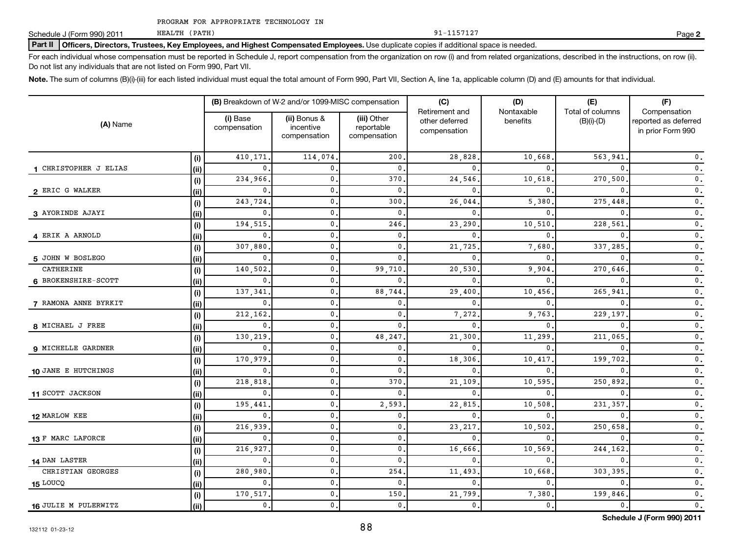HEALTH (PATH)

Schedule J (Form 990) 2011 HEALTH (PATH) 27 (PATH)

#### Part II | Officers, Directors, Trustees, Key Employees, and Highest Compensated Employees. Use duplicate copies if additional space is needed.

For each individual whose compensation must be reported in Schedule J, report compensation from the organization on row (i) and from related organizations, described in the instructions, on row (ii). Do not list any individuals that are not listed on Form 990, Part VII.

Note. The sum of columns (B)(i)-(iii) for each listed individual must equal the total amount of Form 990, Part VII, Section A, line 1a, applicable column (D) and (E) amounts for that individual.

| (A) Name              |      | (B) Breakdown of W-2 and/or 1099-MISC compensation |                                           |                                           | (C)                                              | (D)<br>Nontaxable | (E)                              | (F)                                                       |  |
|-----------------------|------|----------------------------------------------------|-------------------------------------------|-------------------------------------------|--------------------------------------------------|-------------------|----------------------------------|-----------------------------------------------------------|--|
|                       |      | (i) Base<br>compensation                           | (ii) Bonus &<br>incentive<br>compensation | (iii) Other<br>reportable<br>compensation | Retirement and<br>other deferred<br>compensation | benefits          | Total of columns<br>$(B)(i)-(D)$ | Compensation<br>reported as deferred<br>in prior Form 990 |  |
|                       | (i)  | 410,171                                            | 114,074                                   | 200                                       | 28,828                                           | 10,668            | 563,941                          | 0.                                                        |  |
| 1 CHRISTOPHER J ELIAS | (ii) | $\mathbf{0}$                                       | $\mathbf{0}$                              | $\mathbf 0$ .                             | 0                                                | 0                 | 0                                | $\mathbf 0$ .                                             |  |
|                       | (i)  | 234,966                                            | $\mathbf{0}$                              | 370.                                      | 24,546                                           | 10,618            | 270,500                          | $\mathbf 0$ .                                             |  |
| 2 ERIC G WALKER       | (ii) | $\mathbf{0}$                                       | $\mathbf 0$ .                             | 0.                                        | 0                                                | 0                 | 0                                | $\mathsf{0}$ .                                            |  |
|                       | (i)  | 243,724                                            | $\mathbf{0}$ .                            | 300,                                      | 26,044                                           | 5,380             | 275,448                          | $\mathfrak o$ .                                           |  |
| 3 AYORINDE AJAYI      | (ii) | $\mathbf{0}$ .                                     | $\mathbf{0}$ .                            | 0.                                        | $\mathbf{0}$                                     | $^{\circ}$        | 0                                | $\mathfrak o$ .                                           |  |
|                       | (i)  | 194,515                                            | $\mathbf 0$ .                             | 246.                                      | 23,290                                           | 10,510            | 228,561                          | $\mathfrak o$ .                                           |  |
| 4 ERIK A ARNOLD       | (ii) | $\mathbf{0}$                                       | $\mathbf{0}$ .                            | 0.                                        | $\mathbf{0}$                                     | $^{\circ}$        | 0                                | $\mathfrak o$ .                                           |  |
|                       | (i)  | 307,880                                            | $\mathbf{0}$ .                            | 0.                                        | 21,725                                           | 7,680             | 337,285                          | $\mathfrak o$ .                                           |  |
| 5 JOHN W BOSLEGO      | (ii) | $\mathbf{0}$                                       | $\mathbf 0$ .                             | 0.                                        | 0                                                | $^{\circ}$        | 0                                | $\mathfrak o$ .                                           |  |
| CATHERINE             | (i)  | 140,502                                            | $\mathbf 0$ .                             | 99,710.                                   | 20,530                                           | 9,904             | 270,646                          | $\mathfrak o$ .                                           |  |
| 6 BROKENSHIRE-SCOTT   | (ii) | $\mathbf{0}$                                       | 0.                                        | 0.                                        | $\mathbf{0}$                                     | 0 <sup>1</sup>    | 0                                | 0.                                                        |  |
|                       | (i)  | 137,341                                            | $\mathbf 0$ .                             | 88,744.                                   | 29,400                                           | 10,456            | 265,941                          | $\mathsf{0}$ .                                            |  |
| 7 RAMONA ANNE BYRKIT  | (ii) | $\mathbf{0}$                                       | $\mathbf{0}$                              | 0.                                        | $\mathbf{0}$                                     | 0 <sup>1</sup>    | 0                                | 0.                                                        |  |
|                       | (i)  | 212,162                                            | $\mathbf{0}$                              | $\mathbf 0$ .                             | 7,272                                            | 9,763             | 229,197                          | $\mathfrak o$ .                                           |  |
| 8 MICHAEL J FREE      | (ii) | $\mathbf{0}$                                       | $\mathbf{0}$                              | 0.                                        | $\mathbf{0}$                                     | $\mathbf{0}$      | 0                                | $\mathfrak o$ .                                           |  |
|                       | (i)  | 130,219                                            | $\mathbf{0}$                              | 48, 247.                                  | 21,300                                           | 11,299            | 211,065                          | $\mathbf 0$ .                                             |  |
| 9 MICHELLE GARDNER    | (ii) | $\mathbf{0}$                                       | $\mathbf{0}$                              | 0.                                        | 0                                                | $\mathbf{0}$      | 0                                | $\mathbf 0$ .                                             |  |
|                       | (i)  | 170,979                                            | $\mathbf{0}$                              | 0.                                        | 18,306                                           | 10,417            | 199,702                          | $\mathbf 0$ .                                             |  |
| 10 JANE E HUTCHINGS   | (ii) | $\mathbf{0}$                                       | $\mathbf{0}$                              | 0.                                        | 0                                                | $^{\circ}$        | 0                                | $\mathbf 0$ .                                             |  |
|                       | (i)  | 218,818                                            | $\mathbf{0}$                              | 370                                       | 21,109                                           | 10,595            | 250,892                          | $\mathbf 0$ .                                             |  |
| 11 SCOTT JACKSON      | (ii) | 0                                                  | $\mathbf{0}$                              | 0.                                        | 0                                                | $^{\circ}$        |                                  | $\mathfrak o$ .                                           |  |
|                       | (i)  | 195,441                                            | $\mathbf{0}$                              | 2,593                                     | 22,815                                           | 10,508            | 231,357                          | $\mathbf 0$ .                                             |  |
| 12 MARLOW KEE         | (ii) | 0                                                  | $\mathbf{0}$                              | $\mathbf{0}$ .                            | $\mathbf{0}$                                     | $\Omega$          |                                  | $\mathfrak o$ .                                           |  |
|                       | (i)  | 216,939                                            | $\mathbf{0}$                              | $\mathbf 0$ .                             | 23, 217                                          | 10,502            | 250,658                          | $\mathfrak o$ .                                           |  |
| 13 F MARC LAFORCE     | (ii) | $\mathbf{0}$                                       | $\mathbf{0}$                              | 0.                                        | $\mathbf 0$                                      | $\mathbf{0}$      |                                  | $\mathfrak o$ .                                           |  |
|                       | (i)  | 216,927                                            | $\mathbf{0}$                              | $\mathbf 0$ .                             | 16,666                                           | 10,569            | 244,162                          | $\mathbf 0$ .                                             |  |
| 14 DAN LASTER         | (ii) | $\mathbf{0}$                                       | $\mathbf{0}$                              | 0.                                        | 0                                                | $^{\circ}$        |                                  | $\mathbf 0$ .                                             |  |
| CHRISTIAN GEORGES     | (i)  | 280,980                                            | 0.                                        | 254                                       | 11,493                                           | 10,668            | 303,395                          | $\mathbf 0$ .                                             |  |
| <b>15 LOUCQ</b>       | (ii) | $\mathbf{0}$                                       | 0.                                        | 0.                                        | 0                                                | $\mathbf{0}$      | 0                                | $\mathbf 0$ .                                             |  |
|                       | (i)  | 170,517                                            | 0.                                        | 150                                       | 21,799                                           | 7,380             | 199,846                          | $\mathbf 0$ .                                             |  |
| 16 JULIE M PULERWITZ  | (ii) | 0.                                                 | 0.                                        | 0.                                        | $\mathbf{0}$                                     | $\mathbf{0}$ .    | $\mathbf 0$ .                    | $\mathbf 0$ .                                             |  |

**Schedule J (Form 990) 2011**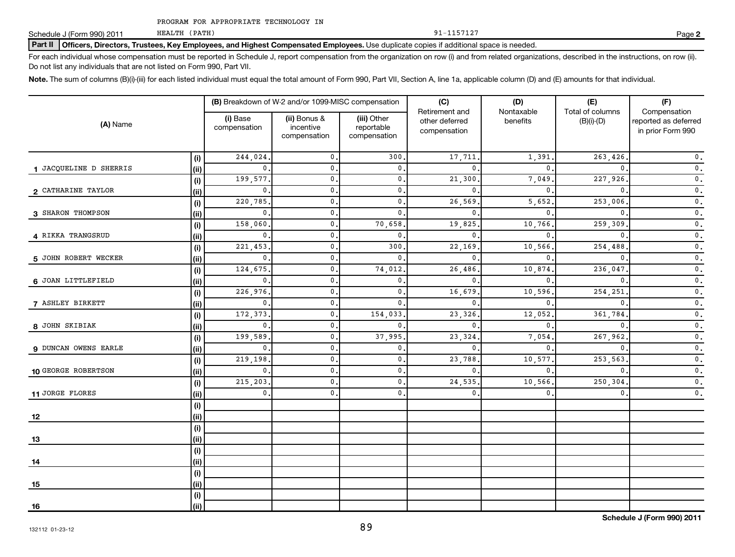HEALTH (PATH)

Schedule J (Form 990) 2011 HEALTH (PATH) 27 (PATH)

### Part II | Officers, Directors, Trustees, Key Employees, and Highest Compensated Employees. Use duplicate copies if additional space is needed.

For each individual whose compensation must be reported in Schedule J, report compensation from the organization on row (i) and from related organizations, described in the instructions, on row (ii). Do not list any individuals that are not listed on Form 990, Part VII.

Note. The sum of columns (B)(i)-(iii) for each listed individual must equal the total amount of Form 990, Part VII, Section A, line 1a, applicable column (D) and (E) amounts for that individual.

| (A) Name               |       |                          | (B) Breakdown of W-2 and/or 1099-MISC compensation |                                           | (C)<br>Retirement and          | (D)<br>Nontaxable | (E)<br>Total of columns | (F)                                                       |  |
|------------------------|-------|--------------------------|----------------------------------------------------|-------------------------------------------|--------------------------------|-------------------|-------------------------|-----------------------------------------------------------|--|
|                        |       | (i) Base<br>compensation | (ii) Bonus &<br>incentive<br>compensation          | (iii) Other<br>reportable<br>compensation | other deferred<br>compensation | benefits          | $(B)(i)-(D)$            | Compensation<br>reported as deferred<br>in prior Form 990 |  |
|                        | (i)   | 244,024.                 | $\mathbf{0}$ .                                     | 300                                       | 17,711                         | 1,391.            | 263,426                 | $\mathfrak o$ .                                           |  |
| 1 JACQUELINE D SHERRIS | (ii)  | 0.                       | $\mathbf{0}$ .                                     | 0.                                        | $\mathbf{0}$                   | $\mathbf{0}$ .    | $\mathbf{0}$            | $\mathfrak o$ .                                           |  |
|                        | (i)   | 199,577                  | $\mathbf{0}$ .                                     | 0.                                        | 21,300                         | 7,049             | 227,926                 | $\mathfrak o$ .                                           |  |
| 2 CATHARINE TAYLOR     | (ii)  | 0.                       | $\mathbf{0}$ .                                     | 0.                                        | $\mathbf{0}$                   | $\mathbf{0}$ .    | $\mathbf{0}$            | $\mathfrak o$ .                                           |  |
|                        | (i)   | 220,785                  | $\mathbf{0}$ .                                     | $\mathbf{0}$ .                            | 26,569                         | 5,652.            | 253,006                 | $\mathfrak o$ .                                           |  |
| 3 SHARON THOMPSON      | (ii)  | $\mathbf 0$ .            | $\mathbf{0}$ .                                     | $\mathbf{0}$ .                            | $\mathbf{0}$                   | $\Omega$          | $\Omega$                | $\mathfrak o$ .                                           |  |
|                        | (i)   | 158,060                  | $\mathbf{0}$ .                                     | 70,658                                    | 19,825                         | 10,766.           | 259,309                 | $\overline{\mathbf{0}}$ .                                 |  |
| 4 RIKKA TRANGSRUD      | (ii)  | $\mathbf 0$ .            | $\mathbf{0}$ .                                     | $\mathbf{0}$                              | $\mathbf{0}$                   | $\Omega$          | $\Omega$                | $\overline{\mathbf{0}}$ .                                 |  |
|                        | (i)   | 221,453                  | $\mathbf{0}$ .                                     | 300                                       | 22,169                         | 10,566.           | 254,488                 | $\mathfrak o$ .                                           |  |
| 5 JOHN ROBERT WECKER   | (ii)  | 0.                       | $\mathbf{0}$ .                                     | 0.                                        | $\mathbf{0}$                   | $\Omega$          |                         | $\mathbf 0$ .                                             |  |
|                        | (i)   | 124,675                  | $\mathbf{0}$ .                                     | 74,012                                    | 26,486                         | 10,874            | 236,047                 | $\mathfrak o$ .                                           |  |
| 6 JOAN LITTLEFIELD     | (ii)  | 0.                       | $\mathbf{0}$ .                                     | $\mathbf{0}$ .                            | $\mathbf{0}$                   | $\Omega$          | $\Omega$                | $\mathfrak o$ .                                           |  |
|                        | (i)   | 226,976                  | $\mathbf{0}$ .                                     | 0.                                        | 16,679                         | 10,596.           | 254,251                 | $\mathbf 0$ .                                             |  |
| 7 ASHLEY BIRKETT       | (ii)  | 0.                       | $\mathbf{0}$ .                                     | 0.                                        | $\mathbf{0}$                   | $\Omega$          | $\Omega$                | $\mathbf 0$ .                                             |  |
|                        | (i)   | 172,373                  | $\mathbf{0}$ .                                     | 154,033                                   | 23,326                         | 12,052.           | 361,784                 | $\mathbf 0$ .                                             |  |
| 8 JOHN SKIBIAK         | (ii)  | $\mathbf{0}$             | $\mathbf{0}$ .                                     | 0.                                        | $\mathbf{0}$                   | $\mathbf 0$       | $\Omega$                | $\mathbf 0$ .                                             |  |
|                        | (i)   | 199,589                  | $\mathbf{0}$ .                                     | 37,995                                    | 23,324                         | 7,054             | 267,962                 | $\mathfrak o$ .                                           |  |
| 9 DUNCAN OWENS EARLE   | (ii)  | $\mathbf{0}$             | 0                                                  | $\mathbf{0}$ .                            | $\mathbf{0}$                   | $\mathbf{0}$      | $\Omega$                | $\mathfrak o$ .                                           |  |
|                        | (i)   | 219,198                  | 0                                                  | 0.                                        | 23,788                         | 10,577            | 253,563                 | $\mathfrak o$ .                                           |  |
| 10 GEORGE ROBERTSON    | (ii)  | $\mathbf 0$ .            | 0                                                  | 0.                                        | $\mathbf{0}$                   | $\mathbf{0}$      | $\mathbf{0}$            | $\mathfrak o$ .                                           |  |
|                        | (i)   | 215,203                  | 0                                                  | 0.                                        | 24,535                         | 10,566.           | 250,304                 | $\mathfrak o$ .                                           |  |
| 11 JORGE FLORES        | (iii) | 0.                       | $\mathbf{0}$ .                                     | 0.                                        | $\mathbf 0$ .                  | $\mathbf 0$ .     | $\mathbf{0}$            | 0.                                                        |  |
|                        | (i)   |                          |                                                    |                                           |                                |                   |                         |                                                           |  |
| <u> 12</u>             | (ii)  |                          |                                                    |                                           |                                |                   |                         |                                                           |  |
|                        | (i)   |                          |                                                    |                                           |                                |                   |                         |                                                           |  |
| 13                     | (ii)  |                          |                                                    |                                           |                                |                   |                         |                                                           |  |
|                        | (i)   |                          |                                                    |                                           |                                |                   |                         |                                                           |  |
| 14                     | (ii)  |                          |                                                    |                                           |                                |                   |                         |                                                           |  |
|                        | (i)   |                          |                                                    |                                           |                                |                   |                         |                                                           |  |
| 15                     | (ii)  |                          |                                                    |                                           |                                |                   |                         |                                                           |  |
|                        | (i)   |                          |                                                    |                                           |                                |                   |                         |                                                           |  |
| <u>16</u>              | (ii)  |                          |                                                    |                                           |                                |                   |                         |                                                           |  |

89

**Schedule J (Form 990) 2011**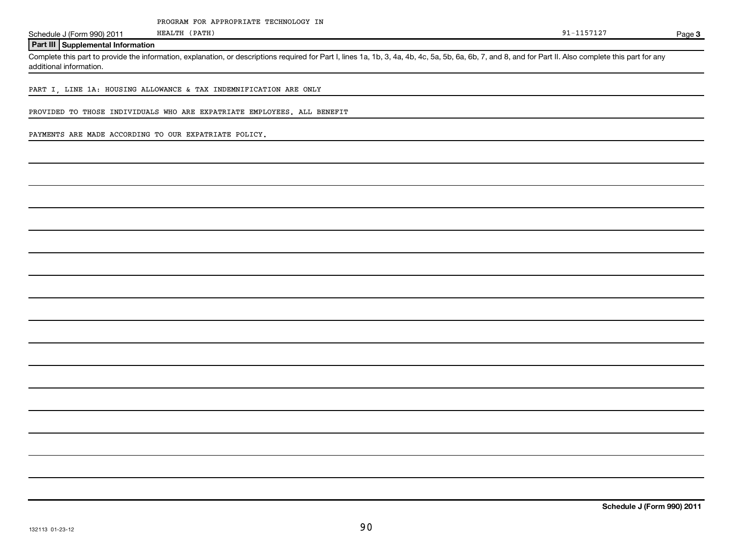Schedule J (Form 990) 2011 HEALTH (PATH) 31-1157127

### **Part III Supplemental Information**

Complete this part to provide the information, explanation, or descriptions required for Part I, lines 1a, 1b, 3, 4a, 4b, 4c, 5a, 5b, 6a, 6b, 7, and 8, and for Part II. Also complete this part for any additional information.

PART I, LINE 1A: HOUSING ALLOWANCE & TAX INDEMNIFICATION ARE ONLY

PROVIDED TO THOSE INDIVIDUALS WHO ARE EXPATRIATE EMPLOYEES. ALL BENEFIT

HEALTH (PATH)

PAYMENTS ARE MADE ACCORDING TO OUR EXPATRIATE POLICY.

Page 3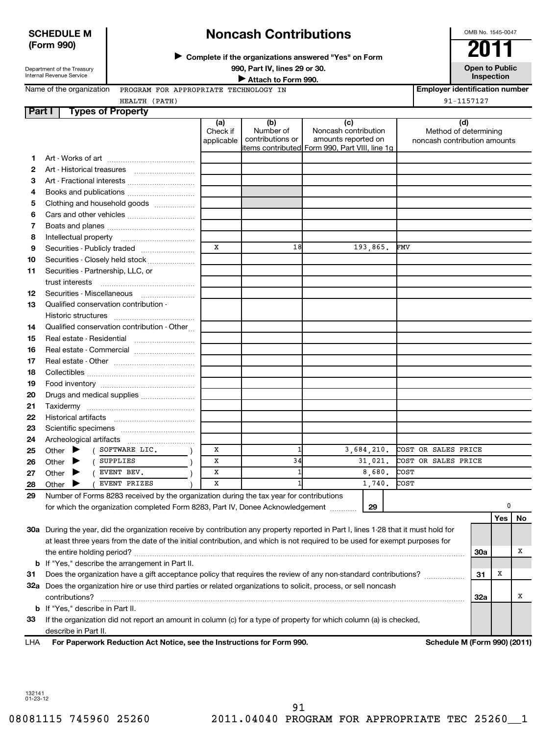# **SCHEDULE M (Form 990)**

# **Noncash Contributions**

**Complete if the organizations answered "Yes" on Form** <sup>J</sup>**2011**

Department of the Treasury Internal Revenue Service

## **990, Part IV, lines 29 or 30. Open to Public Unspection**<br> **■** Attach to Form 990 **Inspection Inspection Inspection Inspection Inspection**

OMB No. 1545-0047

Name of the organization PROGRAM FOR APPROPRIATE TECHNOLOGY IN

**Employer identification number** HEALTH (PATH) 91-1157127

|  | nsayın train      |  |
|--|-------------------|--|
|  | Tynes of Pronerty |  |

| Part I |                             | <b>Types of Property</b>                                                                                                            |            |                               |                                                |                                                       |            |     |    |
|--------|-----------------------------|-------------------------------------------------------------------------------------------------------------------------------------|------------|-------------------------------|------------------------------------------------|-------------------------------------------------------|------------|-----|----|
|        |                             |                                                                                                                                     | (a)        | (b)                           | (c)                                            | (d)                                                   |            |     |    |
|        |                             |                                                                                                                                     | Check if   | Number of<br>contributions or | Noncash contribution<br>amounts reported on    | Method of determining<br>noncash contribution amounts |            |     |    |
|        |                             |                                                                                                                                     | applicable |                               | items contributed Form 990, Part VIII, line 1g |                                                       |            |     |    |
| 1.     |                             |                                                                                                                                     |            |                               |                                                |                                                       |            |     |    |
| 2      |                             |                                                                                                                                     |            |                               |                                                |                                                       |            |     |    |
| 3      |                             | Art - Fractional interests                                                                                                          |            |                               |                                                |                                                       |            |     |    |
| 4      |                             |                                                                                                                                     |            |                               |                                                |                                                       |            |     |    |
| 5      |                             | Clothing and household goods                                                                                                        |            |                               |                                                |                                                       |            |     |    |
| 6      |                             |                                                                                                                                     |            |                               |                                                |                                                       |            |     |    |
| 7      |                             |                                                                                                                                     |            |                               |                                                |                                                       |            |     |    |
| 8      | Intellectual property       |                                                                                                                                     |            |                               |                                                |                                                       |            |     |    |
| 9      |                             | Securities - Publicly traded                                                                                                        | X          | 18                            | 193,865.                                       | FMV                                                   |            |     |    |
| 10     |                             | Securities - Closely held stock                                                                                                     |            |                               |                                                |                                                       |            |     |    |
| 11     |                             | Securities - Partnership, LLC, or                                                                                                   |            |                               |                                                |                                                       |            |     |    |
|        | trust interests             |                                                                                                                                     |            |                               |                                                |                                                       |            |     |    |
| 12     |                             |                                                                                                                                     |            |                               |                                                |                                                       |            |     |    |
| 13     |                             | Qualified conservation contribution -                                                                                               |            |                               |                                                |                                                       |            |     |    |
|        |                             |                                                                                                                                     |            |                               |                                                |                                                       |            |     |    |
| 14     |                             | Qualified conservation contribution - Other                                                                                         |            |                               |                                                |                                                       |            |     |    |
| 15     |                             | Real estate - Residential                                                                                                           |            |                               |                                                |                                                       |            |     |    |
| 16     |                             | Real estate - Commercial                                                                                                            |            |                               |                                                |                                                       |            |     |    |
| 17     |                             |                                                                                                                                     |            |                               |                                                |                                                       |            |     |    |
| 18     |                             |                                                                                                                                     |            |                               |                                                |                                                       |            |     |    |
| 19     |                             |                                                                                                                                     |            |                               |                                                |                                                       |            |     |    |
| 20     |                             | Drugs and medical supplies                                                                                                          |            |                               |                                                |                                                       |            |     |    |
| 21     | Taxidermy                   |                                                                                                                                     |            |                               |                                                |                                                       |            |     |    |
| 22     |                             |                                                                                                                                     |            |                               |                                                |                                                       |            |     |    |
| 23     |                             |                                                                                                                                     |            |                               |                                                |                                                       |            |     |    |
| 24     |                             |                                                                                                                                     |            |                               |                                                |                                                       |            |     |    |
| 25     | Other $\blacktriangleright$ | ( SOFTWARE LIC.                                                                                                                     | x          |                               | 3,684,210.                                     | COST OR SALES PRICE                                   |            |     |    |
| 26     | Other $\blacktriangleright$ | ( SUPPLIES                                                                                                                          | x          | 34                            | 31,021.                                        | COST OR SALES PRICE                                   |            |     |    |
| 27     | Other $\blacktriangleright$ | EVENT BEV.                                                                                                                          | X          | $1\overline{1}$               | 8,680.                                         | COST                                                  |            |     |    |
| 28     | Other $\blacktriangleright$ | EVENT PRIZES                                                                                                                        | x          |                               | 1,740.                                         | COST                                                  |            |     |    |
| 29     |                             | Number of Forms 8283 received by the organization during the tax year for contributions                                             |            |                               |                                                |                                                       |            |     |    |
|        |                             | for which the organization completed Form 8283, Part IV, Donee Acknowledgement                                                      |            |                               | 29                                             |                                                       |            | 0   |    |
|        |                             |                                                                                                                                     |            |                               |                                                |                                                       |            | Yes | No |
|        |                             | 30a During the year, did the organization receive by contribution any property reported in Part I, lines 1-28 that it must hold for |            |                               |                                                |                                                       |            |     |    |
|        |                             | at least three years from the date of the initial contribution, and which is not required to be used for exempt purposes for        |            |                               |                                                |                                                       |            |     |    |
|        |                             |                                                                                                                                     |            |                               |                                                |                                                       | <b>30a</b> |     | х  |
|        |                             | <b>b</b> If "Yes," describe the arrangement in Part II.                                                                             |            |                               |                                                |                                                       |            |     |    |
| 31     |                             | Does the organization have a gift acceptance policy that requires the review of any non-standard contributions?                     |            |                               |                                                |                                                       | 31         | х   |    |
|        |                             | 32a Does the organization hire or use third parties or related organizations to solicit, process, or sell noncash                   |            |                               |                                                |                                                       |            |     |    |
|        | contributions?              |                                                                                                                                     |            |                               |                                                |                                                       | 32a        |     | х  |
|        |                             | <b>b</b> If "Yes," describe in Part II.                                                                                             |            |                               |                                                |                                                       |            |     |    |
| 33     |                             | If the organization did not report an amount in column (c) for a type of property for which column (a) is checked,                  |            |                               |                                                |                                                       |            |     |    |
|        | describe in Part II.        |                                                                                                                                     |            |                               |                                                |                                                       |            |     |    |

**For Paperwork Reduction Act Notice, see the Instructions for Form 990. Schedule M (Form 990) (2011)** LHA

132141 01-23-12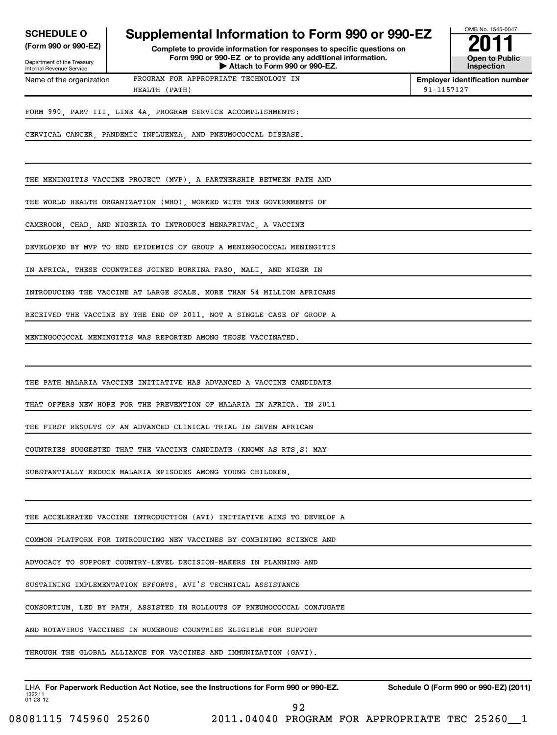| <b>SCHEDULE O</b>                                                              | <b>Supplemental Information to Form 990 or 990-EZ</b>                                                                                                                   | OMB No. 1545-0047                                   |
|--------------------------------------------------------------------------------|-------------------------------------------------------------------------------------------------------------------------------------------------------------------------|-----------------------------------------------------|
| (Form 990 or 990-EZ)<br>Department of the Treasury<br>Internal Revenue Service | Complete to provide information for responses to specific questions on<br>Form 990 or 990-EZ or to provide any additional information.<br>Attach to Form 990 or 990-EZ. | <b>Open to Public</b><br>Inspection                 |
| Name of the organization                                                       | PROGRAM FOR APPROPRIATE TECHNOLOGY IN<br>HEALTH (PATH)                                                                                                                  | <b>Employer identification number</b><br>91-1157127 |
|                                                                                | FORM 990, PART III, LINE 4A, PROGRAM SERVICE ACCOMPLISHMENTS:                                                                                                           |                                                     |
|                                                                                | CERVICAL CANCER PANDEMIC INFLUENZA AND PNEUMOCOCCAL DISEASE.                                                                                                            |                                                     |
|                                                                                | THE MENINGITIS VACCINE PROJECT (MVP), A PARTNERSHIP BETWEEN PATH AND                                                                                                    |                                                     |
|                                                                                | THE WORLD HEALTH ORGANIZATION (WHO), WORKED WITH THE GOVERNMENTS OF                                                                                                     |                                                     |
|                                                                                | CAMEROON CHAD AND NIGERIA TO INTRODUCE MENAFRIVAC A VACCINE                                                                                                             |                                                     |
|                                                                                | DEVELOPED BY MVP TO END EPIDEMICS OF GROUP A MENINGOCOCCAL MENINGITIS                                                                                                   |                                                     |
|                                                                                | IN AFRICA. THESE COUNTRIES JOINED BURKINA FASO, MALI, AND NIGER IN                                                                                                      |                                                     |
|                                                                                | INTRODUCING THE VACCINE AT LARGE SCALE. MORE THAN 54 MILLION AFRICANS                                                                                                   |                                                     |
|                                                                                | RECEIVED THE VACCINE BY THE END OF 2011. NOT A SINGLE CASE OF GROUP A                                                                                                   |                                                     |
|                                                                                | MENINGOCOCCAL MENINGITIS WAS REPORTED AMONG THOSE VACCINATED.                                                                                                           |                                                     |
|                                                                                | THE PATH MALARIA VACCINE INITIATIVE HAS ADVANCED A VACCINE CANDIDATE                                                                                                    |                                                     |
|                                                                                | THAT OFFERS NEW HOPE FOR THE PREVENTION OF MALARIA IN AFRICA. IN 2011                                                                                                   |                                                     |
|                                                                                | THE FIRST RESULTS OF AN ADVANCED CLINICAL TRIAL IN SEVEN AFRICAN                                                                                                        |                                                     |
|                                                                                | COUNTRIES SUGGESTED THAT THE VACCINE CANDIDATE (KNOWN AS RTS S) MAY                                                                                                     |                                                     |
|                                                                                | SUBSTANTIALLY REDUCE MALARIA EPISODES AMONG YOUNG CHILDREN.                                                                                                             |                                                     |
|                                                                                | THE ACCELERATED VACCINE INTRODUCTION (AVI) INITIATIVE AIMS TO DEVELOP A                                                                                                 |                                                     |
|                                                                                | COMMON PLATFORM FOR INTRODUCING NEW VACCINES BY COMBINING SCIENCE AND                                                                                                   |                                                     |
|                                                                                | ADVOCACY TO SUPPORT COUNTRY-LEVEL DECISION-MAKERS IN PLANNING AND                                                                                                       |                                                     |
|                                                                                | SUSTAINING IMPLEMENTATION EFFORTS. AVI'S TECHNICAL ASSISTANCE                                                                                                           |                                                     |
|                                                                                | CONSORTIUM, LED BY PATH, ASSISTED IN ROLLOUTS OF PNEUMOCOCCAL CONJUGATE                                                                                                 |                                                     |
|                                                                                | AND ROTAVIRUS VACCINES IN NUMEROUS COUNTRIES ELIGIBLE FOR SUPPORT                                                                                                       |                                                     |
|                                                                                | THROUGH THE GLOBAL ALLIANCE FOR VACCINES AND IMMUNIZATION (GAVI).                                                                                                       |                                                     |
| 132211<br>01-23-12                                                             | LHA For Paperwork Reduction Act Notice, see the Instructions for Form 990 or 990-EZ.                                                                                    | Schedule O (Form 990 or 990-EZ) (2011)              |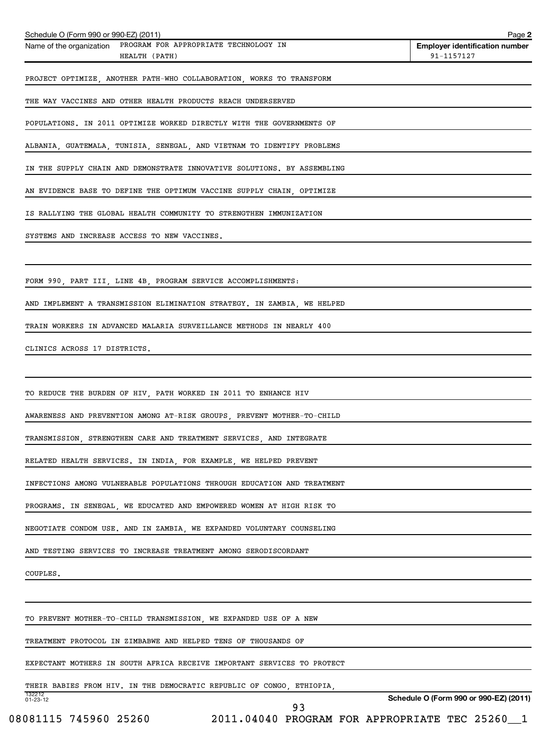| Schedule O (Form 990 or 990-EZ) (2011)                                             | Page 2                                              |
|------------------------------------------------------------------------------------|-----------------------------------------------------|
| PROGRAM FOR APPROPRIATE TECHNOLOGY IN<br>Name of the organization<br>HEALTH (PATH) | <b>Employer identification number</b><br>91-1157127 |
| PROJECT OPTIMIZE, ANOTHER PATH-WHO COLLABORATION, WORKS TO TRANSFORM               |                                                     |
| THE WAY VACCINES AND OTHER HEALTH PRODUCTS REACH UNDERSERVED                       |                                                     |
| POPULATIONS. IN 2011 OPTIMIZE WORKED DIRECTLY WITH THE GOVERNMENTS OF              |                                                     |
| ALBANIA, GUATEMALA, TUNISIA, SENEGAL, AND VIETNAM TO IDENTIFY PROBLEMS             |                                                     |
| IN THE SUPPLY CHAIN AND DEMONSTRATE INNOVATIVE SOLUTIONS. BY ASSEMBLING            |                                                     |
| AN EVIDENCE BASE TO DEFINE THE OPTIMUM VACCINE SUPPLY CHAIN, OPTIMIZE              |                                                     |
| IS RALLYING THE GLOBAL HEALTH COMMUNITY TO STRENGTHEN IMMUNIZATION                 |                                                     |
| SYSTEMS AND INCREASE ACCESS TO NEW VACCINES.                                       |                                                     |
|                                                                                    |                                                     |
| FORM 990, PART III, LINE 4B, PROGRAM SERVICE ACCOMPLISHMENTS:                      |                                                     |
| AND IMPLEMENT A TRANSMISSION ELIMINATION STRATEGY. IN ZAMBIA, WE HELPED            |                                                     |
| TRAIN WORKERS IN ADVANCED MALARIA SURVEILLANCE METHODS IN NEARLY 400               |                                                     |
| CLINICS ACROSS 17 DISTRICTS.                                                       |                                                     |
|                                                                                    |                                                     |
| TO REDUCE THE BURDEN OF HIV, PATH WORKED IN 2011 TO ENHANCE HIV                    |                                                     |
| AWARENESS AND PREVENTION AMONG AT-RISK GROUPS, PREVENT MOTHER-TO-CHILD             |                                                     |
| TRANSMISSION, STRENGTHEN CARE AND TREATMENT SERVICES, AND INTEGRATE                |                                                     |
| RELATED HEALTH SERVICES. IN INDIA, FOR EXAMPLE, WE HELPED PREVENT                  |                                                     |
| INFECTIONS AMONG VULNERABLE POPULATIONS THROUGH EDUCATION AND TREATMENT            |                                                     |
| PROGRAMS. IN SENEGAL, WE EDUCATED AND EMPOWERED WOMEN AT HIGH RISK TO              |                                                     |
| NEGOTIATE CONDOM USE. AND IN ZAMBIA, WE EXPANDED VOLUNTARY COUNSELING              |                                                     |
| AND TESTING SERVICES TO INCREASE TREATMENT AMONG SERODISCORDANT                    |                                                     |
| COUPLES.                                                                           |                                                     |
|                                                                                    |                                                     |
| TO PREVENT MOTHER-TO-CHILD TRANSMISSION, WE EXPANDED USE OF A NEW                  |                                                     |
| TREATMENT PROTOCOL IN ZIMBABWE AND HELPED TENS OF THOUSANDS OF                     |                                                     |
| EXPECTANT MOTHERS IN SOUTH AFRICA RECEIVE IMPORTANT SERVICES TO PROTECT            |                                                     |
| THEIR BABIES FROM HIV. IN THE DEMOCRATIC REPUBLIC OF CONGO, ETHIOPIA,              |                                                     |
| 132212<br>$01 - 23 - 12$<br>93                                                     | Schedule O (Form 990 or 990-EZ) (2011)              |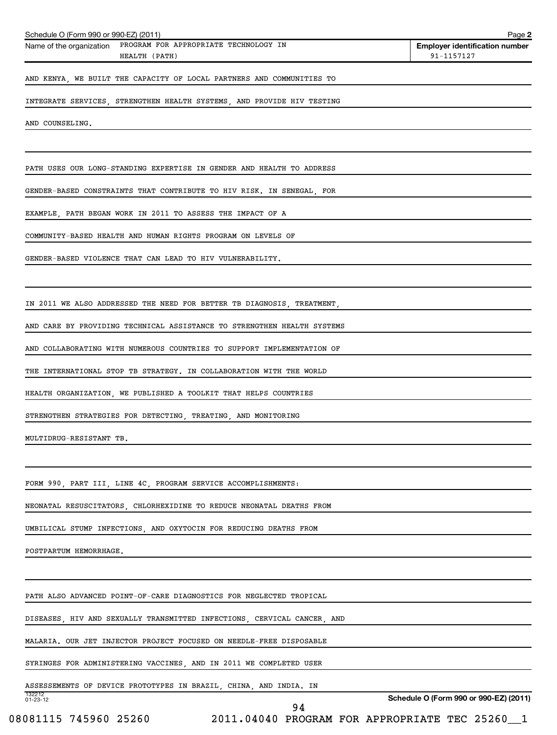| Schedule O (Form 990 or 990-EZ) (2011)                                                        |                                                      | Page 2                                              |
|-----------------------------------------------------------------------------------------------|------------------------------------------------------|-----------------------------------------------------|
| Name of the organization PROGRAM FOR APPROPRIATE TECHNOLOGY IN<br>HEALTH (PATH)               |                                                      | <b>Employer identification number</b><br>91-1157127 |
| AND KENYA, WE BUILT THE CAPACITY OF LOCAL PARTNERS AND COMMUNITIES TO                         |                                                      |                                                     |
| INTEGRATE SERVICES, STRENGTHEN HEALTH SYSTEMS, AND PROVIDE HIV TESTING                        |                                                      |                                                     |
| AND COUNSELING.                                                                               |                                                      |                                                     |
| PATH USES OUR LONG-STANDING EXPERTISE IN GENDER AND HEALTH TO ADDRESS                         |                                                      |                                                     |
| GENDER-BASED CONSTRAINTS THAT CONTRIBUTE TO HIV RISK. IN SENEGAL, FOR                         |                                                      |                                                     |
| EXAMPLE, PATH BEGAN WORK IN 2011 TO ASSESS THE IMPACT OF A                                    |                                                      |                                                     |
| COMMUNITY-BASED HEALTH AND HUMAN RIGHTS PROGRAM ON LEVELS OF                                  |                                                      |                                                     |
| GENDER-BASED VIOLENCE THAT CAN LEAD TO HIV VULNERABILITY.                                     |                                                      |                                                     |
| IN 2011 WE ALSO ADDRESSED THE NEED FOR BETTER TB DIAGNOSIS, TREATMENT,                        |                                                      |                                                     |
| AND CARE BY PROVIDING TECHNICAL ASSISTANCE TO STRENGTHEN HEALTH SYSTEMS                       |                                                      |                                                     |
| AND COLLABORATING WITH NUMEROUS COUNTRIES TO SUPPORT IMPLEMENTATION OF                        |                                                      |                                                     |
| THE INTERNATIONAL STOP TB STRATEGY. IN COLLABORATION WITH THE WORLD                           |                                                      |                                                     |
| HEALTH ORGANIZATION, WE PUBLISHED A TOOLKIT THAT HELPS COUNTRIES                              |                                                      |                                                     |
| STRENGTHEN STRATEGIES FOR DETECTING, TREATING, AND MONITORING                                 |                                                      |                                                     |
| MULTIDRUG-RESISTANT TB.                                                                       |                                                      |                                                     |
| FORM 990, PART III, LINE 4C, PROGRAM SERVICE ACCOMPLISHMENTS:                                 |                                                      |                                                     |
| NEONATAL RESUSCITATORS, CHLORHEXIDINE TO REDUCE NEONATAL DEATHS FROM                          |                                                      |                                                     |
| UMBILICAL STUMP INFECTIONS, AND OXYTOCIN FOR REDUCING DEATHS FROM                             |                                                      |                                                     |
| POSTPARTUM HEMORRHAGE.                                                                        |                                                      |                                                     |
| PATH ALSO ADVANCED POINT-OF-CARE DIAGNOSTICS FOR NEGLECTED TROPICAL                           |                                                      |                                                     |
| DISEASES, HIV AND SEXUALLY TRANSMITTED INFECTIONS, CERVICAL CANCER, AND                       |                                                      |                                                     |
| MALARIA. OUR JET INJECTOR PROJECT FOCUSED ON NEEDLE-FREE DISPOSABLE                           |                                                      |                                                     |
| SYRINGES FOR ADMINISTERING VACCINES, AND IN 2011 WE COMPLETED USER                            |                                                      |                                                     |
| ASSESSEMENTS OF DEVICE PROTOTYPES IN BRAZIL, CHINA, AND INDIA. IN<br>132212<br>$01 - 23 - 12$ |                                                      | Schedule O (Form 990 or 990-EZ) (2011)              |
| 08081115 745960 25260                                                                         | 94<br>2011.04040 PROGRAM FOR APPROPRIATE TEC 25260_1 |                                                     |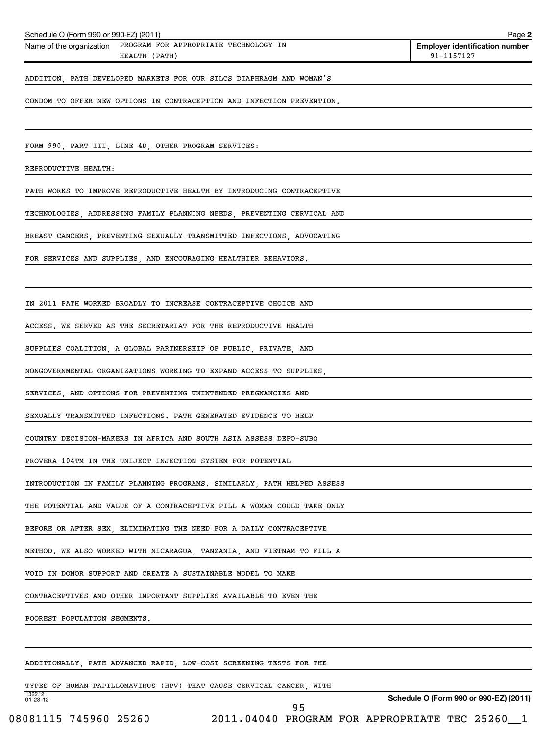| Schedule O (Form 990 or 990-EZ) (2011)                                          | Page 2                                              |
|---------------------------------------------------------------------------------|-----------------------------------------------------|
| Name of the organization PROGRAM FOR APPROPRIATE TECHNOLOGY IN<br>HEALTH (PATH) | <b>Employer identification number</b><br>91-1157127 |
|                                                                                 |                                                     |
| ADDITION, PATH DEVELOPED MARKETS FOR OUR SILCS DIAPHRAGM AND WOMAN'S            |                                                     |
| CONDOM TO OFFER NEW OPTIONS IN CONTRACEPTION AND INFECTION PREVENTION.          |                                                     |
|                                                                                 |                                                     |
| FORM 990, PART III, LINE 4D, OTHER PROGRAM SERVICES:                            |                                                     |
| REPRODUCTIVE HEALTH:                                                            |                                                     |
| PATH WORKS TO IMPROVE REPRODUCTIVE HEALTH BY INTRODUCING CONTRACEPTIVE          |                                                     |
| TECHNOLOGIES, ADDRESSING FAMILY PLANNING NEEDS, PREVENTING CERVICAL AND         |                                                     |
| BREAST CANCERS, PREVENTING SEXUALLY TRANSMITTED INFECTIONS, ADVOCATING          |                                                     |
| FOR SERVICES AND SUPPLIES, AND ENCOURAGING HEALTHIER BEHAVIORS.                 |                                                     |
|                                                                                 |                                                     |
| IN 2011 PATH WORKED BROADLY TO INCREASE CONTRACEPTIVE CHOICE AND                |                                                     |
| ACCESS. WE SERVED AS THE SECRETARIAT FOR THE REPRODUCTIVE HEALTH                |                                                     |
| SUPPLIES COALITION, A GLOBAL PARTNERSHIP OF PUBLIC, PRIVATE, AND                |                                                     |
| NONGOVERNMENTAL ORGANIZATIONS WORKING TO EXPAND ACCESS TO SUPPLIES,             |                                                     |
| SERVICES, AND OPTIONS FOR PREVENTING UNINTENDED PREGNANCIES AND                 |                                                     |
| SEXUALLY TRANSMITTED INFECTIONS. PATH GENERATED EVIDENCE TO HELP                |                                                     |
| COUNTRY DECISION-MAKERS IN AFRICA AND SOUTH ASIA ASSESS DEPO-SUBQ               |                                                     |
| PROVERA 104TM IN THE UNIJECT INJECTION SYSTEM FOR POTENTIAL                     |                                                     |
| INTRODUCTION IN FAMILY PLANNING PROGRAMS. SIMILARLY, PATH HELPED ASSESS         |                                                     |
| THE POTENTIAL AND VALUE OF A CONTRACEPTIVE PILL A WOMAN COULD TAKE ONLY         |                                                     |
| BEFORE OR AFTER SEX, ELIMINATING THE NEED FOR A DAILY CONTRACEPTIVE             |                                                     |
| METHOD. WE ALSO WORKED WITH NICARAGUA, TANZANIA, AND VIETNAM TO FILL A          |                                                     |
| VOID IN DONOR SUPPORT AND CREATE A SUSTAINABLE MODEL TO MAKE                    |                                                     |
| CONTRACEPTIVES AND OTHER IMPORTANT SUPPLIES AVAILABLE TO EVEN THE               |                                                     |
| POOREST POPULATION SEGMENTS.                                                    |                                                     |
|                                                                                 |                                                     |
| ADDITIONALLY, PATH ADVANCED RAPID, LOW-COST SCREENING TESTS FOR THE             |                                                     |
| TYPES OF HUMAN PAPILLOMAVIRUS (HPV) THAT CAUSE CERVICAL CANCER, WITH            |                                                     |
| 132212<br>01-23-12<br>95                                                        | Schedule O (Form 990 or 990-EZ) (2011)              |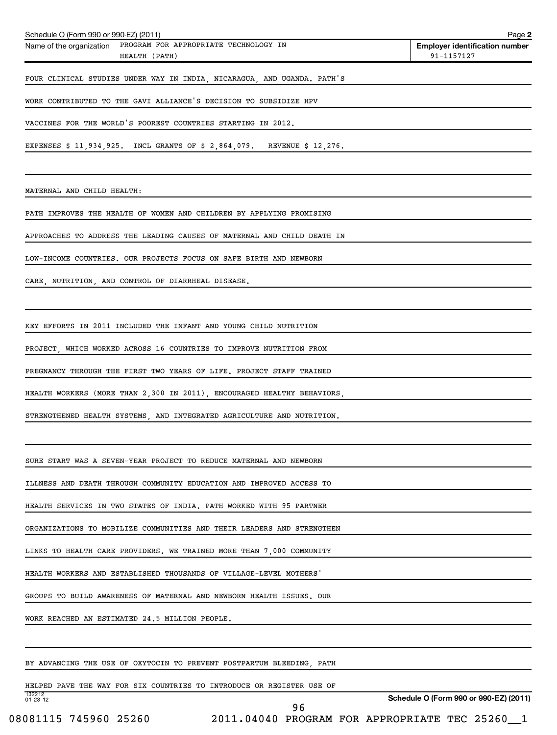| Schedule O (Form 990 or 990-EZ) (2011)                                          | Page 2                                              |
|---------------------------------------------------------------------------------|-----------------------------------------------------|
| Name of the organization PROGRAM FOR APPROPRIATE TECHNOLOGY IN<br>HEALTH (PATH) | <b>Employer identification number</b><br>91-1157127 |
|                                                                                 |                                                     |
| FOUR CLINICAL STUDIES UNDER WAY IN INDIA, NICARAGUA, AND UGANDA. PATH'S         |                                                     |
| WORK CONTRIBUTED TO THE GAVI ALLIANCE'S DECISION TO SUBSIDIZE HPV               |                                                     |
| VACCINES FOR THE WORLD'S POOREST COUNTRIES STARTING IN 2012.                    |                                                     |
|                                                                                 |                                                     |
| EXPENSES \$ 11,934,925. INCL GRANTS OF \$ 2,864,079. REVENUE \$ 12,276.         |                                                     |
|                                                                                 |                                                     |
|                                                                                 |                                                     |
| MATERNAL AND CHILD HEALTH:                                                      |                                                     |
| PATH IMPROVES THE HEALTH OF WOMEN AND CHILDREN BY APPLYING PROMISING            |                                                     |
| APPROACHES TO ADDRESS THE LEADING CAUSES OF MATERNAL AND CHILD DEATH IN         |                                                     |
|                                                                                 |                                                     |
| LOW-INCOME COUNTRIES. OUR PROJECTS FOCUS ON SAFE BIRTH AND NEWBORN              |                                                     |
| CARE, NUTRITION, AND CONTROL OF DIARRHEAL DISEASE.                              |                                                     |
|                                                                                 |                                                     |
|                                                                                 |                                                     |
| KEY EFFORTS IN 2011 INCLUDED THE INFANT AND YOUNG CHILD NUTRITION               |                                                     |
| PROJECT, WHICH WORKED ACROSS 16 COUNTRIES TO IMPROVE NUTRITION FROM             |                                                     |
|                                                                                 |                                                     |
| PREGNANCY THROUGH THE FIRST TWO YEARS OF LIFE. PROJECT STAFF TRAINED            |                                                     |
| HEALTH WORKERS (MORE THAN 2,300 IN 2011), ENCOURAGED HEALTHY BEHAVIORS,         |                                                     |
|                                                                                 |                                                     |
| STRENGTHENED HEALTH SYSTEMS, AND INTEGRATED AGRICULTURE AND NUTRITION.          |                                                     |
|                                                                                 |                                                     |
| SURE START WAS A SEVEN-YEAR PROJECT TO REDUCE MATERNAL AND NEWBORN              |                                                     |
|                                                                                 |                                                     |
| ILLNESS AND DEATH THROUGH COMMUNITY EDUCATION AND IMPROVED ACCESS TO            |                                                     |
| HEALTH SERVICES IN TWO STATES OF INDIA. PATH WORKED WITH 95 PARTNER             |                                                     |
| ORGANIZATIONS TO MOBILIZE COMMUNITIES AND THEIR LEADERS AND STRENGTHEN          |                                                     |
|                                                                                 |                                                     |
| LINKS TO HEALTH CARE PROVIDERS. WE TRAINED MORE THAN 7,000 COMMUNITY            |                                                     |
| HEALTH WORKERS AND ESTABLISHED THOUSANDS OF VILLAGE-LEVEL MOTHERS               |                                                     |
| GROUPS TO BUILD AWARENESS OF MATERNAL AND NEWBORN HEALTH ISSUES. OUR            |                                                     |
|                                                                                 |                                                     |
| WORK REACHED AN ESTIMATED 24.5 MILLION PEOPLE.                                  |                                                     |
|                                                                                 |                                                     |
| BY ADVANCING THE USE OF OXYTOCIN TO PREVENT POSTPARTUM BLEEDING, PATH           |                                                     |
|                                                                                 |                                                     |
| HELPED PAVE THE WAY FOR SIX COUNTRIES TO INTRODUCE OR REGISTER USE OF<br>132212 |                                                     |
| $01 - 23 - 12$<br>96                                                            | Schedule O (Form 990 or 990-EZ) (2011)              |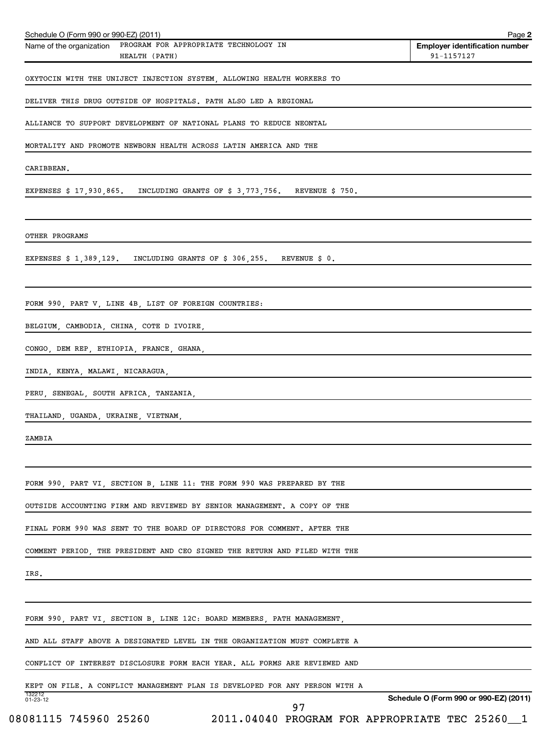| Schedule O (Form 990 or 990-EZ) (2011)                                                                                                                                                                                         | Page 2                                              |
|--------------------------------------------------------------------------------------------------------------------------------------------------------------------------------------------------------------------------------|-----------------------------------------------------|
| PROGRAM FOR APPROPRIATE TECHNOLOGY IN<br>Name of the organization<br>HEALTH (PATH)                                                                                                                                             | <b>Employer identification number</b><br>91-1157127 |
| OXYTOCIN WITH THE UNIJECT INJECTION SYSTEM, ALLOWING HEALTH WORKERS TO                                                                                                                                                         |                                                     |
| DELIVER THIS DRUG OUTSIDE OF HOSPITALS. PATH ALSO LED A REGIONAL                                                                                                                                                               |                                                     |
| ALLIANCE TO SUPPORT DEVELOPMENT OF NATIONAL PLANS TO REDUCE NEONTAL                                                                                                                                                            |                                                     |
| MORTALITY AND PROMOTE NEWBORN HEALTH ACROSS LATIN AMERICA AND THE                                                                                                                                                              |                                                     |
| CARIBBEAN.                                                                                                                                                                                                                     |                                                     |
| EXPENSES $$17,930,865$ . INCLUDING GRANTS OF $$3,773,756$ . REVENUE $$750$ .                                                                                                                                                   |                                                     |
| OTHER PROGRAMS                                                                                                                                                                                                                 |                                                     |
| EXPENSES $$1,389,129$ . INCLUDING GRANTS OF $$306,255$ . REVENUE $$0$ .                                                                                                                                                        |                                                     |
|                                                                                                                                                                                                                                |                                                     |
| FORM 990, PART V, LINE 4B, LIST OF FOREIGN COUNTRIES:                                                                                                                                                                          |                                                     |
| BELGIUM, CAMBODIA, CHINA, COTE D IVOIRE,<br><u> 1989 - Andrea State Barbara, amerikan per</u>                                                                                                                                  |                                                     |
| CONGO, DEM REP, ETHIOPIA, FRANCE, GHANA, NARRA CONGO, DEM REP, ETHIOPIA, FRANCE, GHANA,                                                                                                                                        |                                                     |
| INDIA, KENYA, MALAWI, NICARAGUA,                                                                                                                                                                                               |                                                     |
| PERU, SENEGAL, SOUTH AFRICA, TANZANIA, AND ANNO AN ARREST AND A CHARGE AND A CHARGE AND A CHARGE ASSESSMENT AND A CHARGE AND A CHARGE ASSESSMENT AND A CHARGE ASSESSMENT AND A CHARGE ASSESSMENT ASSESSMENT ASSESSMENT AND A C |                                                     |
| THAILAND, UGANDA, UKRAINE, VIETNAM, WARD AND AND ANNOUNCED AND A CHARGE AND A CHARGE AND A CHARGE AND THE CHARGE AND THE CHARGE AND A CHARGE AND A CHARGE AND A CHARGE AND A CHARGE AND A CHARGE AND A CHARGE AND A CHARGE AND |                                                     |
| ZAMBIA                                                                                                                                                                                                                         |                                                     |
|                                                                                                                                                                                                                                |                                                     |
| FORM 990, PART VI, SECTION B, LINE 11: THE FORM 990 WAS PREPARED BY THE                                                                                                                                                        |                                                     |
| OUTSIDE ACCOUNTING FIRM AND REVIEWED BY SENIOR MANAGEMENT. A COPY OF THE                                                                                                                                                       |                                                     |
| FINAL FORM 990 WAS SENT TO THE BOARD OF DIRECTORS FOR COMMENT. AFTER THE                                                                                                                                                       |                                                     |
| COMMENT PERIOD, THE PRESIDENT AND CEO SIGNED THE RETURN AND FILED WITH THE                                                                                                                                                     |                                                     |
| IRS.                                                                                                                                                                                                                           |                                                     |
|                                                                                                                                                                                                                                |                                                     |
| FORM 990, PART VI, SECTION B, LINE 12C: BOARD MEMBERS, PATH MANAGEMENT                                                                                                                                                         |                                                     |
| AND ALL STAFF ABOVE A DESIGNATED LEVEL IN THE ORGANIZATION MUST COMPLETE A                                                                                                                                                     |                                                     |
| CONFLICT OF INTEREST DISCLOSURE FORM EACH YEAR. ALL FORMS ARE REVIEWED AND                                                                                                                                                     |                                                     |
| KEPT ON FILE. A CONFLICT MANAGEMENT PLAN IS DEVELOPED FOR ANY PERSON WITH A                                                                                                                                                    |                                                     |
| 132212<br>01-23-12<br>97                                                                                                                                                                                                       | Schedule O (Form 990 or 990-EZ) (2011)              |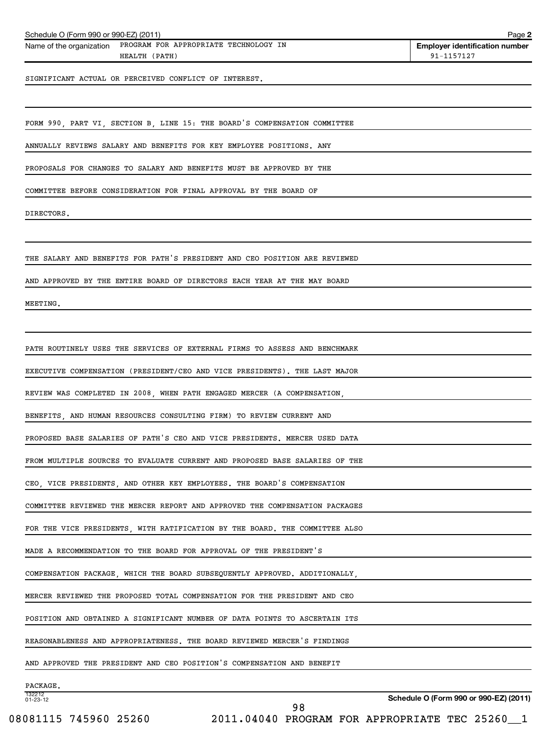| Schedule O (Form 990 or 990-EZ) (2011)                                          | Page 2                                              |
|---------------------------------------------------------------------------------|-----------------------------------------------------|
| Name of the organization PROGRAM FOR APPROPRIATE TECHNOLOGY IN<br>HEALTH (PATH) | <b>Employer identification number</b><br>91-1157127 |
| SIGNIFICANT ACTUAL OR PERCEIVED CONFLICT OF INTEREST.                           |                                                     |
|                                                                                 |                                                     |
| FORM 990, PART VI, SECTION B, LINE 15: THE BOARD'S COMPENSATION COMMITTEE       |                                                     |
| ANNUALLY REVIEWS SALARY AND BENEFITS FOR KEY EMPLOYEE POSITIONS. ANY            |                                                     |
| PROPOSALS FOR CHANGES TO SALARY AND BENEFITS MUST BE APPROVED BY THE            |                                                     |
| COMMITTEE BEFORE CONSIDERATION FOR FINAL APPROVAL BY THE BOARD OF               |                                                     |
| DIRECTORS.                                                                      |                                                     |
|                                                                                 |                                                     |
| THE SALARY AND BENEFITS FOR PATH'S PRESIDENT AND CEO POSITION ARE REVIEWED      |                                                     |
| AND APPROVED BY THE ENTIRE BOARD OF DIRECTORS EACH YEAR AT THE MAY BOARD        |                                                     |
| MEETING.                                                                        |                                                     |
|                                                                                 |                                                     |
| PATH ROUTINELY USES THE SERVICES OF EXTERNAL FIRMS TO ASSESS AND BENCHMARK      |                                                     |
| EXECUTIVE COMPENSATION (PRESIDENT/CEO AND VICE PRESIDENTS). THE LAST MAJOR      |                                                     |
| REVIEW WAS COMPLETED IN 2008, WHEN PATH ENGAGED MERCER (A COMPENSATION,         |                                                     |
| BENEFITS, AND HUMAN RESOURCES CONSULTING FIRM) TO REVIEW CURRENT AND            |                                                     |
| PROPOSED BASE SALARIES OF PATH'S CEO AND VICE PRESIDENTS. MERCER USED DATA      |                                                     |
| FROM MULTIPLE SOURCES TO EVALUATE CURRENT AND PROPOSED BASE SALARIES OF THE     |                                                     |
| CEO, VICE PRESIDENTS, AND OTHER KEY EMPLOYEES. THE BOARD'S COMPENSATION         |                                                     |
| COMMITTEE REVIEWED THE MERCER REPORT AND APPROVED THE COMPENSATION PACKAGES     |                                                     |
| FOR THE VICE PRESIDENTS, WITH RATIFICATION BY THE BOARD. THE COMMITTEE ALSO     |                                                     |
| MADE A RECOMMENDATION TO THE BOARD FOR APPROVAL OF THE PRESIDENT'S              |                                                     |
| COMPENSATION PACKAGE, WHICH THE BOARD SUBSEQUENTLY APPROVED. ADDITIONALLY,      |                                                     |
| MERCER REVIEWED THE PROPOSED TOTAL COMPENSATION FOR THE PRESIDENT AND CEO       |                                                     |
| POSITION AND OBTAINED A SIGNIFICANT NUMBER OF DATA POINTS TO ASCERTAIN ITS      |                                                     |
| REASONABLENESS AND APPROPRIATENESS. THE BOARD REVIEWED MERCER'S FINDINGS        |                                                     |
| AND APPROVED THE PRESIDENT AND CEO POSITION'S COMPENSATION AND BENEFIT          |                                                     |
| PACKAGE.                                                                        |                                                     |
| 132212<br>01-23-12<br>98                                                        | Schedule O (Form 990 or 990-EZ) (2011)              |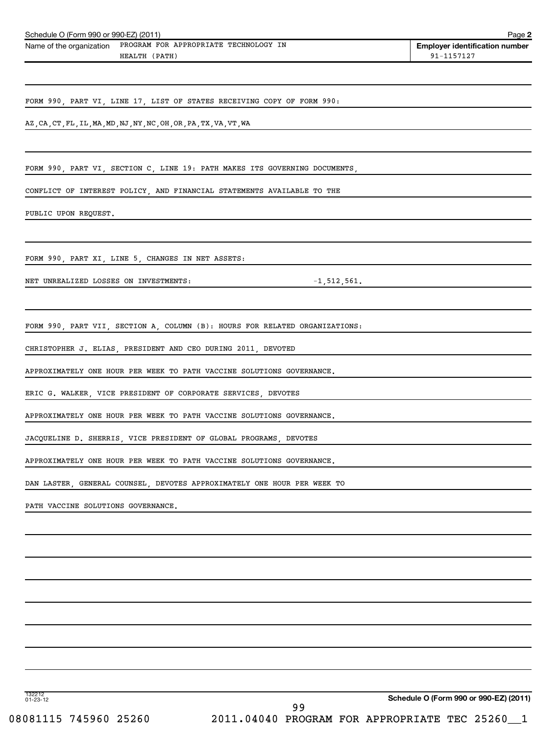| Schedule O (Form 990 or 990-EZ) (2011)                                            |               | Page 2                                              |
|-----------------------------------------------------------------------------------|---------------|-----------------------------------------------------|
| Name of the organization PROGRAM FOR APPROPRIATE TECHNOLOGY IN                    |               | <b>Employer identification number</b><br>91-1157127 |
| HEALTH (PATH)                                                                     |               |                                                     |
| FORM 990, PART VI, LINE 17, LIST OF STATES RECEIVING COPY OF FORM 990:            |               |                                                     |
| $\underline{A}Z$ , CA, CT, FL, IL, MA, MD, NJ, NY, NC, OH, OR, PA, TX, VA, VT, WA |               |                                                     |
|                                                                                   |               |                                                     |
| FORM 990, PART VI, SECTION C, LINE 19: PATH MAKES ITS GOVERNING DOCUMENTS,        |               |                                                     |
| CONFLICT OF INTEREST POLICY, AND FINANCIAL STATEMENTS AVAILABLE TO THE            |               |                                                     |
| PUBLIC UPON REQUEST.                                                              |               |                                                     |
|                                                                                   |               |                                                     |
| FORM 990, PART XI, LINE 5, CHANGES IN NET ASSETS:                                 |               |                                                     |
| NET UNREALIZED LOSSES ON INVESTMENTS:                                             | $-1,512,561.$ |                                                     |
|                                                                                   |               |                                                     |
| FORM 990, PART VII, SECTION A, COLUMN (B): HOURS FOR RELATED ORGANIZATIONS:       |               |                                                     |
| CHRISTOPHER J. ELIAS, PRESIDENT AND CEO DURING 2011, DEVOTED                      |               |                                                     |
| APPROXIMATELY ONE HOUR PER WEEK TO PATH VACCINE SOLUTIONS GOVERNANCE.             |               |                                                     |
| ERIC G. WALKER, VICE PRESIDENT OF CORPORATE SERVICES, DEVOTES                     |               |                                                     |
| APPROXIMATELY ONE HOUR PER WEEK TO PATH VACCINE SOLUTIONS GOVERNANCE.             |               |                                                     |
| JACQUELINE D. SHERRIS, VICE PRESIDENT OF GLOBAL PROGRAMS, DEVOTES                 |               |                                                     |
| APPROXIMATELY ONE HOUR PER WEEK TO PATH VACCINE SOLUTIONS GOVERNANCE.             |               |                                                     |
| DAN LASTER, GENERAL COUNSEL, DEVOTES APPROXIMATELY ONE HOUR PER WEEK TO           |               |                                                     |
| PATH VACCINE SOLUTIONS GOVERNANCE.                                                |               |                                                     |
|                                                                                   |               |                                                     |
|                                                                                   |               |                                                     |
|                                                                                   |               |                                                     |
|                                                                                   |               |                                                     |
|                                                                                   |               |                                                     |
|                                                                                   |               |                                                     |

132212 01-23-12

**Schedule O (Form 990 or 990-EZ) (2011)**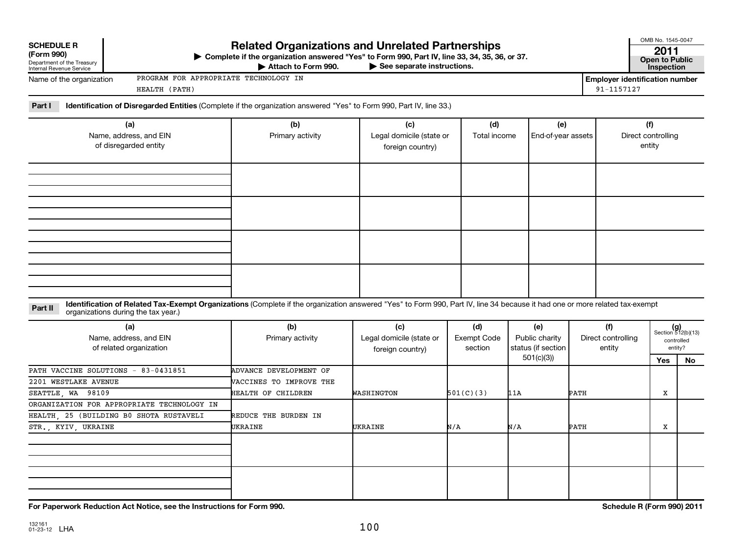| <b>SCHEDULE R</b><br>(Form 990)<br>Department of the Treasury<br>Internal Revenue Service                                                                                                                                     | <b>Related Organizations and Unrelated Partnerships</b><br>Complete if the organization answered "Yes" to Form 990, Part IV, line 33, 34, 35, 36, or 37.<br>Attach to Form 990. | $\blacktriangleright$ See separate instructions.    |                                      |                                             |      |                                                     | OMB No. 1545-0047<br>2011<br><b>Open to Public</b><br>Inspection |                                     |     |                                                            |
|-------------------------------------------------------------------------------------------------------------------------------------------------------------------------------------------------------------------------------|---------------------------------------------------------------------------------------------------------------------------------------------------------------------------------|-----------------------------------------------------|--------------------------------------|---------------------------------------------|------|-----------------------------------------------------|------------------------------------------------------------------|-------------------------------------|-----|------------------------------------------------------------|
| PROGRAM FOR APPROPRIATE TECHNOLOGY IN<br>Name of the organization<br>HEALTH (PATH)                                                                                                                                            |                                                                                                                                                                                 |                                                     |                                      |                                             |      | <b>Employer identification number</b><br>91-1157127 |                                                                  |                                     |     |                                                            |
| Part I<br>Identification of Disregarded Entities (Complete if the organization answered "Yes" to Form 990, Part IV, line 33.)                                                                                                 |                                                                                                                                                                                 |                                                     |                                      |                                             |      |                                                     |                                                                  |                                     |     |                                                            |
| (a)<br>Name, address, and EIN<br>of disregarded entity                                                                                                                                                                        | (b)<br>Primary activity                                                                                                                                                         | (c)<br>Legal domicile (state or<br>foreign country) | (d)<br>Total income                  | (e)<br>End-of-year assets                   |      |                                                     | (f)<br>Direct controlling<br>entity                              |                                     |     |                                                            |
|                                                                                                                                                                                                                               |                                                                                                                                                                                 |                                                     |                                      |                                             |      |                                                     |                                                                  |                                     |     |                                                            |
|                                                                                                                                                                                                                               |                                                                                                                                                                                 |                                                     |                                      |                                             |      |                                                     |                                                                  |                                     |     |                                                            |
| Identification of Related Tax-Exempt Organizations (Complete if the organization answered "Yes" to Form 990, Part IV, line 34 because it had one or more related tax-exempt<br>Part II<br>organizations during the tax year.) |                                                                                                                                                                                 |                                                     |                                      |                                             |      |                                                     |                                                                  |                                     |     |                                                            |
| (a)<br>Name, address, and EIN<br>of related organization                                                                                                                                                                      | (b)<br>Primary activity                                                                                                                                                         | (c)<br>Legal domicile (state or<br>foreign country) | (d)<br><b>Exempt Code</b><br>section | (e)<br>Public charity<br>status (if section |      | 501(c)(3)                                           |                                                                  | (f)<br>Direct controlling<br>entity | Yes | $(g)$<br>Section 512(b)(13)<br>controlled<br>entity?<br>No |
| PATH VACCINE SOLUTIONS<br>$-83 - 0431851$<br>2201 WESTLAKE AVENUE<br>SEATTLE, WA 98109                                                                                                                                        | <b>ADVANCE DEVELOPMENT OF</b><br>VACCINES TO IMPROVE THE<br><b>HEALTH OF CHILDREN</b>                                                                                           | WASHINGTON                                          | 501(C)(3)                            | 11A                                         | РАТН |                                                     | х                                                                |                                     |     |                                                            |
| ORGANIZATION FOR APPROPRIATE TECHNOLOGY IN<br>HEALTH 25 (BUILDING B0 SHOTA RUSTAVELI<br>STR. KYIV UKRAINE                                                                                                                     | REDUCE THE BURDEN IN<br>UKRAINE                                                                                                                                                 | UKRAINE                                             | N/A                                  | N/A                                         | РАТН |                                                     | X                                                                |                                     |     |                                                            |
|                                                                                                                                                                                                                               |                                                                                                                                                                                 |                                                     |                                      |                                             |      |                                                     |                                                                  |                                     |     |                                                            |
|                                                                                                                                                                                                                               |                                                                                                                                                                                 |                                                     |                                      |                                             |      |                                                     |                                                                  |                                     |     |                                                            |

**For Paperwork Reduction Act Notice, see the Instructions for Form 990. Schedule R (Form 990) 2011**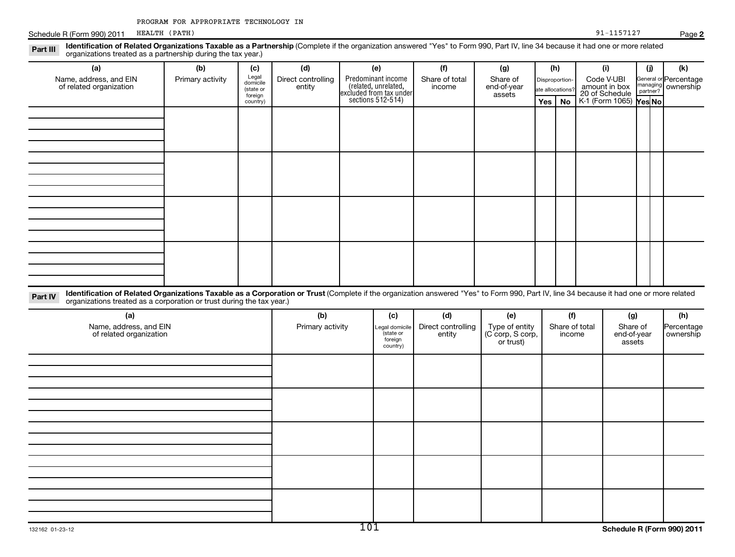Schedule R (Form 990) 2011 REALTH (PATH) Page Page 191-1157127

| (a)                                                                                                                                                                                                                                                                         | (b)              | (c)                  | (d)                          |                                            | (e)                                          | (f)                      |                                    |                  |                            |                             |                       |                                             |  |  |  |  |  |  |  |  |  |  |  |  | (g) |  | (h) | (i) | (j) | (k) |
|-----------------------------------------------------------------------------------------------------------------------------------------------------------------------------------------------------------------------------------------------------------------------------|------------------|----------------------|------------------------------|--------------------------------------------|----------------------------------------------|--------------------------|------------------------------------|------------------|----------------------------|-----------------------------|-----------------------|---------------------------------------------|--|--|--|--|--|--|--|--|--|--|--|--|-----|--|-----|-----|-----|-----|
| Name, address, and EIN<br>of related organization                                                                                                                                                                                                                           | Primary activity | Legal<br>domicile    | Direct controlling<br>entity | Predominant income<br>(related, unrelated, |                                              | Share of total<br>income | Share of<br>end-of-year            | Disproportion-   |                            | Code V-UBI<br>amount in box |                       | General or Percentage<br>nanaging ownership |  |  |  |  |  |  |  |  |  |  |  |  |     |  |     |     |     |     |
|                                                                                                                                                                                                                                                                             |                  | (state or<br>foreign |                              |                                            | excluded from tax under<br>sections 512-514) |                          | assets                             | ate allocations? |                            | 20 of Schedule              | partner?              |                                             |  |  |  |  |  |  |  |  |  |  |  |  |     |  |     |     |     |     |
|                                                                                                                                                                                                                                                                             |                  | country)             |                              |                                            |                                              |                          |                                    |                  | Yes   No                   | K-1 (Form 1065) Yes No      |                       |                                             |  |  |  |  |  |  |  |  |  |  |  |  |     |  |     |     |     |     |
|                                                                                                                                                                                                                                                                             |                  |                      |                              |                                            |                                              |                          |                                    |                  |                            |                             |                       |                                             |  |  |  |  |  |  |  |  |  |  |  |  |     |  |     |     |     |     |
|                                                                                                                                                                                                                                                                             |                  |                      |                              |                                            |                                              |                          |                                    |                  |                            |                             |                       |                                             |  |  |  |  |  |  |  |  |  |  |  |  |     |  |     |     |     |     |
|                                                                                                                                                                                                                                                                             |                  |                      |                              |                                            |                                              |                          |                                    |                  |                            |                             |                       |                                             |  |  |  |  |  |  |  |  |  |  |  |  |     |  |     |     |     |     |
|                                                                                                                                                                                                                                                                             |                  |                      |                              |                                            |                                              |                          |                                    |                  |                            |                             |                       |                                             |  |  |  |  |  |  |  |  |  |  |  |  |     |  |     |     |     |     |
|                                                                                                                                                                                                                                                                             |                  |                      |                              |                                            |                                              |                          |                                    |                  |                            |                             |                       |                                             |  |  |  |  |  |  |  |  |  |  |  |  |     |  |     |     |     |     |
|                                                                                                                                                                                                                                                                             |                  |                      |                              |                                            |                                              |                          |                                    |                  |                            |                             |                       |                                             |  |  |  |  |  |  |  |  |  |  |  |  |     |  |     |     |     |     |
|                                                                                                                                                                                                                                                                             |                  |                      |                              |                                            |                                              |                          |                                    |                  |                            |                             |                       |                                             |  |  |  |  |  |  |  |  |  |  |  |  |     |  |     |     |     |     |
|                                                                                                                                                                                                                                                                             |                  |                      |                              |                                            |                                              |                          |                                    |                  |                            |                             |                       |                                             |  |  |  |  |  |  |  |  |  |  |  |  |     |  |     |     |     |     |
|                                                                                                                                                                                                                                                                             |                  |                      |                              |                                            |                                              |                          |                                    |                  |                            |                             |                       |                                             |  |  |  |  |  |  |  |  |  |  |  |  |     |  |     |     |     |     |
|                                                                                                                                                                                                                                                                             |                  |                      |                              |                                            |                                              |                          |                                    |                  |                            |                             |                       |                                             |  |  |  |  |  |  |  |  |  |  |  |  |     |  |     |     |     |     |
|                                                                                                                                                                                                                                                                             |                  |                      |                              |                                            |                                              |                          |                                    |                  |                            |                             |                       |                                             |  |  |  |  |  |  |  |  |  |  |  |  |     |  |     |     |     |     |
|                                                                                                                                                                                                                                                                             |                  |                      |                              |                                            |                                              |                          |                                    |                  |                            |                             |                       |                                             |  |  |  |  |  |  |  |  |  |  |  |  |     |  |     |     |     |     |
|                                                                                                                                                                                                                                                                             |                  |                      |                              |                                            |                                              |                          |                                    |                  |                            |                             |                       |                                             |  |  |  |  |  |  |  |  |  |  |  |  |     |  |     |     |     |     |
| Identification of Related Organizations Taxable as a Corporation or Trust (Complete if the organization answered "Yes" to Form 990, Part IV, line 34 because it had one or more related<br>Part IV<br>organizations treated as a corporation or trust during the tax year.) |                  |                      |                              |                                            |                                              |                          |                                    |                  |                            |                             |                       |                                             |  |  |  |  |  |  |  |  |  |  |  |  |     |  |     |     |     |     |
| (a)                                                                                                                                                                                                                                                                         |                  |                      | (b)                          |                                            | (c)                                          | (d)                      | (e)                                |                  | (f)                        |                             | (g)                   | (h)                                         |  |  |  |  |  |  |  |  |  |  |  |  |     |  |     |     |     |     |
| Name, address, and EIN                                                                                                                                                                                                                                                      |                  |                      | Primary activity             |                                            | Legal domicile                               | Direct controlling       | Type of entity<br>(C corp, S corp, |                  | Share of total<br>Share of |                             | Percentage            |                                             |  |  |  |  |  |  |  |  |  |  |  |  |     |  |     |     |     |     |
| of related organization                                                                                                                                                                                                                                                     |                  |                      |                              |                                            | (state or<br>foreign                         | entity                   | or trust)                          |                  | income                     |                             | end-of-year<br>assets | ownership                                   |  |  |  |  |  |  |  |  |  |  |  |  |     |  |     |     |     |     |
|                                                                                                                                                                                                                                                                             |                  |                      |                              |                                            | country)                                     |                          |                                    |                  |                            |                             |                       |                                             |  |  |  |  |  |  |  |  |  |  |  |  |     |  |     |     |     |     |
|                                                                                                                                                                                                                                                                             |                  |                      |                              |                                            |                                              |                          |                                    |                  |                            |                             |                       |                                             |  |  |  |  |  |  |  |  |  |  |  |  |     |  |     |     |     |     |
|                                                                                                                                                                                                                                                                             |                  |                      |                              |                                            |                                              |                          |                                    |                  |                            |                             |                       |                                             |  |  |  |  |  |  |  |  |  |  |  |  |     |  |     |     |     |     |
|                                                                                                                                                                                                                                                                             |                  |                      |                              |                                            |                                              |                          |                                    |                  |                            |                             |                       |                                             |  |  |  |  |  |  |  |  |  |  |  |  |     |  |     |     |     |     |
|                                                                                                                                                                                                                                                                             |                  |                      |                              |                                            |                                              |                          |                                    |                  |                            |                             |                       |                                             |  |  |  |  |  |  |  |  |  |  |  |  |     |  |     |     |     |     |
|                                                                                                                                                                                                                                                                             |                  |                      |                              |                                            |                                              |                          |                                    |                  |                            |                             |                       |                                             |  |  |  |  |  |  |  |  |  |  |  |  |     |  |     |     |     |     |
|                                                                                                                                                                                                                                                                             |                  |                      |                              |                                            |                                              |                          |                                    |                  |                            |                             |                       |                                             |  |  |  |  |  |  |  |  |  |  |  |  |     |  |     |     |     |     |
|                                                                                                                                                                                                                                                                             |                  |                      |                              |                                            |                                              |                          |                                    |                  |                            |                             |                       |                                             |  |  |  |  |  |  |  |  |  |  |  |  |     |  |     |     |     |     |
|                                                                                                                                                                                                                                                                             |                  |                      |                              |                                            |                                              |                          |                                    |                  |                            |                             |                       |                                             |  |  |  |  |  |  |  |  |  |  |  |  |     |  |     |     |     |     |
|                                                                                                                                                                                                                                                                             |                  |                      |                              |                                            |                                              |                          |                                    |                  |                            |                             |                       |                                             |  |  |  |  |  |  |  |  |  |  |  |  |     |  |     |     |     |     |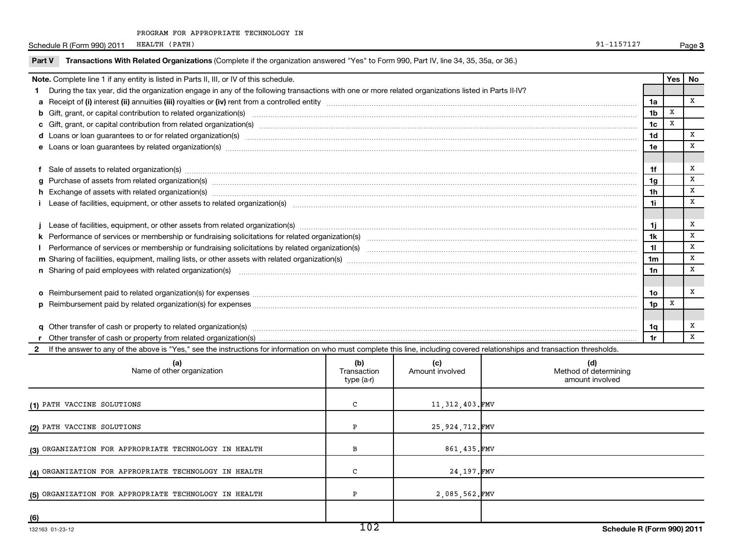Schedule R (Form 990) 2011 REALTH (PATH) Page Page 191-1157127

| Note. Complete line 1 if any entity is listed in Parts II, III, or IV of this schedule.                                                                                                                                        |                           |                        |                                                 |                | Yes         | No           |
|--------------------------------------------------------------------------------------------------------------------------------------------------------------------------------------------------------------------------------|---------------------------|------------------------|-------------------------------------------------|----------------|-------------|--------------|
| During the tax year, did the organization engage in any of the following transactions with one or more related organizations listed in Parts II-IV?<br>1.                                                                      |                           |                        |                                                 |                |             |              |
|                                                                                                                                                                                                                                |                           |                        |                                                 | 1a             |             | x            |
|                                                                                                                                                                                                                                |                           |                        |                                                 | 1 <sub>b</sub> | $\mathbf x$ |              |
|                                                                                                                                                                                                                                |                           |                        |                                                 | 1c             | $\mathbf X$ |              |
| d Loans or loan guarantees to or for related organization(s) encourance contains and contains a container and container and container and container and container and container and container and container and container and  |                           |                        |                                                 | 1 <sub>d</sub> |             | x            |
| e Loans or loan guarantees by related organization(s) www.array.com/www.array.com/www.array.com/www.array.com/www.array.com/www.array.com/www.array.com/www.array.com/www.array.com/www.array.com/www.array.com/www.array.com/ |                           |                        |                                                 | 1e             |             | $\, {\rm x}$ |
| f Sale of assets to related organization(s) www.assettion.com/www.assettion.com/www.assettion.com/www.assettion.com/www.assettion.com/www.assettion.com/www.assettion.com/www.assettion.com/www.assettion.com/www.assettion.co |                           |                        |                                                 | 1f             |             | x            |
| g Purchase of assets from related organization(s) manufactured content to the content of the content of the content of the content of the content of the content of the content of the content of the content of the content o |                           |                        |                                                 | 1g             |             | X            |
|                                                                                                                                                                                                                                |                           |                        |                                                 | 1h             |             | x            |
| i Lease of facilities, equipment, or other assets to related organization(s) manufaction content and content to the assets to related organization(s) manufaction content and content and content and content and content and  |                           |                        |                                                 | 1i.            |             | X            |
|                                                                                                                                                                                                                                |                           |                        |                                                 |                |             | x            |
|                                                                                                                                                                                                                                |                           |                        |                                                 | 1j             |             | x            |
|                                                                                                                                                                                                                                |                           |                        |                                                 | 1k             |             | X            |
|                                                                                                                                                                                                                                |                           |                        |                                                 | 11             |             | X            |
|                                                                                                                                                                                                                                |                           |                        |                                                 | 1 <sub>m</sub> |             | X            |
| n Sharing of paid employees with related organization(s) manufactured and content to the content of the content of the content of the content of the content of the content of the content of the content of the content of th |                           |                        |                                                 | 1n             |             |              |
|                                                                                                                                                                                                                                |                           |                        |                                                 | 10             |             | x            |
|                                                                                                                                                                                                                                |                           |                        |                                                 | 1 <sub>p</sub> | $\mathbf X$ |              |
|                                                                                                                                                                                                                                |                           |                        |                                                 | 1q             |             | х            |
|                                                                                                                                                                                                                                |                           |                        |                                                 | 1r             |             | X            |
| If the answer to any of the above is "Yes," see the instructions for information on who must complete this line, including covered relationships and transaction thresholds.                                                   |                           |                        |                                                 |                |             |              |
|                                                                                                                                                                                                                                | (b)                       |                        |                                                 |                |             |              |
| (a)<br>Name of other organization                                                                                                                                                                                              | Transaction<br>type (a-r) | (c)<br>Amount involved | (d)<br>Method of determining<br>amount involved |                |             |              |
| (1) PATH VACCINE SOLUTIONS                                                                                                                                                                                                     | С                         | 11, 312, 403. FMV      |                                                 |                |             |              |
| (2) PATH VACCINE SOLUTIONS                                                                                                                                                                                                     | P                         | 25,924,712.FMV         |                                                 |                |             |              |
| (3) ORGANIZATION FOR APPROPRIATE TECHNOLOGY IN HEALTH                                                                                                                                                                          | в                         | 861,435.FMV            |                                                 |                |             |              |
| (4) ORGANIZATION FOR APPROPRIATE TECHNOLOGY IN HEALTH                                                                                                                                                                          | C                         | 24,197.FMV             |                                                 |                |             |              |
| (5) ORGANIZATION FOR APPROPRIATE TECHNOLOGY IN HEALTH                                                                                                                                                                          | Ρ                         | 2,085,562.FMV          |                                                 |                |             |              |
| (6)                                                                                                                                                                                                                            |                           |                        |                                                 |                |             |              |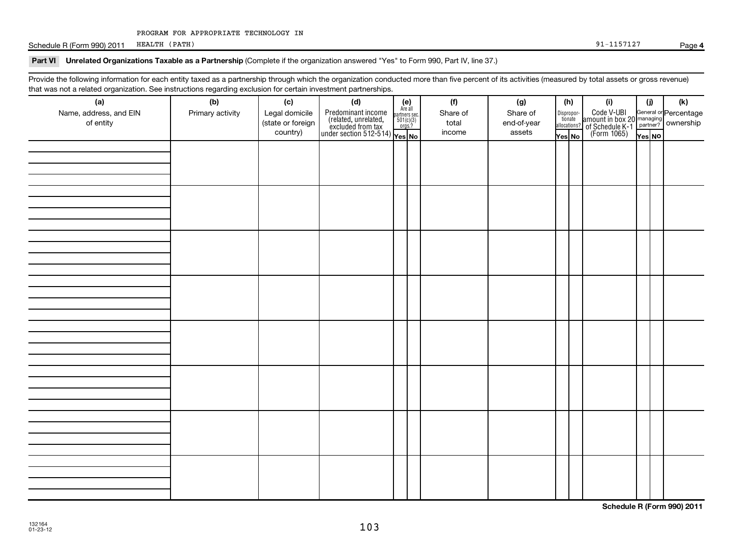Schedule R (Form 990) 2011 HEALTH (PATH) 31-1157127 HEALTH (PATH) 91-1157127

**4**

#### Part VI Unrelated Organizations Taxable as a Partnership (Complete if the organization answered "Yes" to Form 990, Part IV, line 37.)

Provide the following information for each entity taxed as a partnership through which the organization conducted more than five percent of its activities (measured by total assets or gross revenue) that was not a related organization. See instructions regarding exclusion for certain investment partnerships.

| (a)<br>Name, address, and EIN<br>of entity | (b)<br>Primary activity | (c)<br>Legal domicile<br>(state or foreign<br>country) | (d)<br>Predominant income<br>(related, unrelated, and the security of the security of the security of the security of the security of the security of the security of the security of the security of the security of the security of t | $(e)$<br>Are all | (f)<br>Share of<br>total<br>income | (g)<br>Share of<br>end-of-year<br>assets | (h)<br>Disproportionate<br>allocations?<br>Yes No | (i)<br>Code V-UBI<br>amount in box 20<br>of Schedule K-1<br>(Form 1065) | (i)<br>Yes NO | $(\mathsf{k})$<br>General or Percentage<br>managing ownership |
|--------------------------------------------|-------------------------|--------------------------------------------------------|-----------------------------------------------------------------------------------------------------------------------------------------------------------------------------------------------------------------------------------------|------------------|------------------------------------|------------------------------------------|---------------------------------------------------|-------------------------------------------------------------------------|---------------|---------------------------------------------------------------|
|                                            |                         |                                                        |                                                                                                                                                                                                                                         |                  |                                    |                                          |                                                   |                                                                         |               |                                                               |
|                                            |                         |                                                        |                                                                                                                                                                                                                                         |                  |                                    |                                          |                                                   |                                                                         |               |                                                               |
|                                            |                         |                                                        |                                                                                                                                                                                                                                         |                  |                                    |                                          |                                                   |                                                                         |               |                                                               |
|                                            |                         |                                                        |                                                                                                                                                                                                                                         |                  |                                    |                                          |                                                   |                                                                         |               |                                                               |
|                                            |                         |                                                        |                                                                                                                                                                                                                                         |                  |                                    |                                          |                                                   |                                                                         |               |                                                               |
|                                            |                         |                                                        |                                                                                                                                                                                                                                         |                  |                                    |                                          |                                                   |                                                                         |               |                                                               |
|                                            |                         |                                                        |                                                                                                                                                                                                                                         |                  |                                    |                                          |                                                   |                                                                         |               |                                                               |
|                                            |                         |                                                        |                                                                                                                                                                                                                                         |                  |                                    |                                          |                                                   |                                                                         |               |                                                               |
|                                            |                         |                                                        |                                                                                                                                                                                                                                         |                  |                                    |                                          |                                                   |                                                                         |               |                                                               |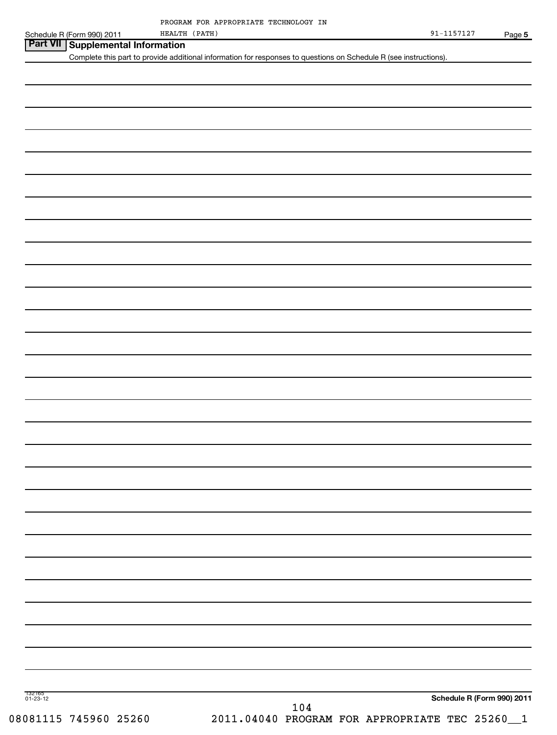| <b>Part VII   Supplemental Information</b> |  | Complete this part to provide additional information for responses to questions on Schedule R (see instructions). |                            |
|--------------------------------------------|--|-------------------------------------------------------------------------------------------------------------------|----------------------------|
|                                            |  |                                                                                                                   |                            |
|                                            |  |                                                                                                                   |                            |
|                                            |  |                                                                                                                   |                            |
|                                            |  |                                                                                                                   |                            |
|                                            |  |                                                                                                                   |                            |
|                                            |  |                                                                                                                   |                            |
|                                            |  |                                                                                                                   |                            |
|                                            |  |                                                                                                                   |                            |
|                                            |  |                                                                                                                   |                            |
|                                            |  |                                                                                                                   |                            |
|                                            |  |                                                                                                                   |                            |
|                                            |  |                                                                                                                   |                            |
|                                            |  |                                                                                                                   |                            |
|                                            |  |                                                                                                                   |                            |
|                                            |  |                                                                                                                   |                            |
|                                            |  |                                                                                                                   |                            |
|                                            |  |                                                                                                                   |                            |
|                                            |  |                                                                                                                   |                            |
|                                            |  |                                                                                                                   |                            |
|                                            |  |                                                                                                                   |                            |
|                                            |  |                                                                                                                   |                            |
|                                            |  |                                                                                                                   |                            |
|                                            |  |                                                                                                                   |                            |
|                                            |  |                                                                                                                   |                            |
|                                            |  |                                                                                                                   |                            |
|                                            |  |                                                                                                                   |                            |
|                                            |  |                                                                                                                   |                            |
|                                            |  |                                                                                                                   |                            |
|                                            |  |                                                                                                                   |                            |
|                                            |  |                                                                                                                   |                            |
|                                            |  |                                                                                                                   |                            |
|                                            |  |                                                                                                                   |                            |
|                                            |  |                                                                                                                   |                            |
|                                            |  |                                                                                                                   |                            |
|                                            |  |                                                                                                                   |                            |
|                                            |  |                                                                                                                   |                            |
|                                            |  |                                                                                                                   |                            |
|                                            |  |                                                                                                                   |                            |
|                                            |  |                                                                                                                   |                            |
|                                            |  |                                                                                                                   |                            |
|                                            |  |                                                                                                                   |                            |
|                                            |  |                                                                                                                   |                            |
|                                            |  |                                                                                                                   |                            |
|                                            |  |                                                                                                                   |                            |
|                                            |  |                                                                                                                   |                            |
|                                            |  |                                                                                                                   |                            |
|                                            |  |                                                                                                                   |                            |
|                                            |  |                                                                                                                   |                            |
|                                            |  |                                                                                                                   |                            |
|                                            |  |                                                                                                                   |                            |
|                                            |  |                                                                                                                   |                            |
|                                            |  |                                                                                                                   |                            |
|                                            |  |                                                                                                                   |                            |
|                                            |  |                                                                                                                   |                            |
|                                            |  |                                                                                                                   |                            |
|                                            |  |                                                                                                                   |                            |
|                                            |  | 104<br>2011.04040 PROGRAM FOR APPROPRIATE TEC 25260_1<br>08081115 745960 25260                                    | Schedule R (Form 990) 2011 |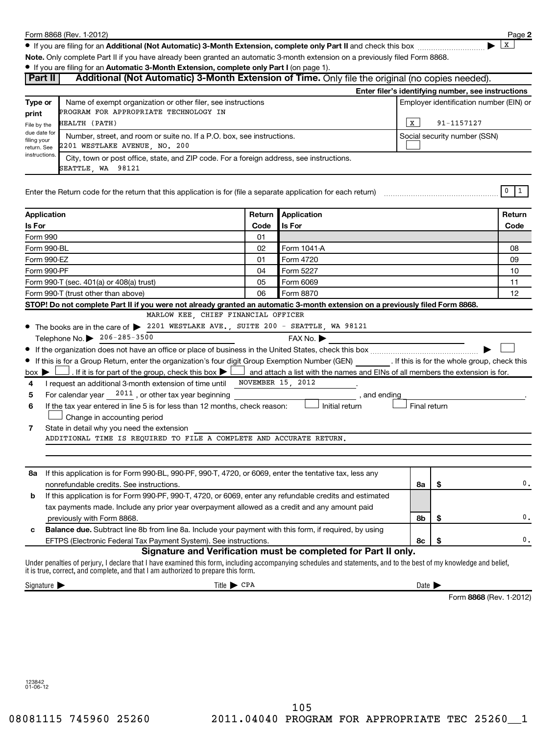● If you are filing for an Additional (Not Automatic) 3-Month Extension, complete only Part II and check this box <sub>……………………</sub>………

**Note.**  Only complete Part II if you have already been granted an automatic 3-month extension on a previously filed Form 8868.

|                                                                                                                                                       | . If you are filing for an Automatic 3-Month Extension, complete only Part I (on page 1).                                                                                                                                                               |                                         |                                                                |                            |    |                              |                          |
|-------------------------------------------------------------------------------------------------------------------------------------------------------|---------------------------------------------------------------------------------------------------------------------------------------------------------------------------------------------------------------------------------------------------------|-----------------------------------------|----------------------------------------------------------------|----------------------------|----|------------------------------|--------------------------|
| <b>Part II</b>                                                                                                                                        | Additional (Not Automatic) 3-Month Extension of Time. Only file the original (no copies needed).                                                                                                                                                        |                                         |                                                                |                            |    |                              |                          |
|                                                                                                                                                       |                                                                                                                                                                                                                                                         |                                         | Enter filer's identifying number, see instructions             |                            |    |                              |                          |
| Type or<br>print                                                                                                                                      | Name of exempt organization or other filer, see instructions<br>PROGRAM FOR APPROPRIATE TECHNOLOGY IN                                                                                                                                                   | Employer identification number (EIN) or |                                                                |                            |    |                              |                          |
| File by the                                                                                                                                           | HEALTH (PATH)                                                                                                                                                                                                                                           | 91-1157127                              |                                                                |                            |    |                              |                          |
| due date for<br>Number, street, and room or suite no. If a P.O. box, see instructions.<br>filing your<br>2201 WESTLAKE AVENUE, NO. 200<br>return. See |                                                                                                                                                                                                                                                         |                                         |                                                                |                            |    | Social security number (SSN) |                          |
| instructions.                                                                                                                                         | City, town or post office, state, and ZIP code. For a foreign address, see instructions.<br>SEATTLE, WA 98121                                                                                                                                           |                                         |                                                                |                            |    |                              |                          |
|                                                                                                                                                       | Enter the Return code for the return that this application is for (file a separate application for each return)                                                                                                                                         |                                         |                                                                |                            |    |                              | $0 \mid 1$               |
|                                                                                                                                                       | Application                                                                                                                                                                                                                                             | Return                                  | Application                                                    |                            |    |                              | Return                   |
| Is For                                                                                                                                                |                                                                                                                                                                                                                                                         | Code                                    | Is For                                                         |                            |    |                              | Code                     |
| Form 990                                                                                                                                              |                                                                                                                                                                                                                                                         | 01                                      |                                                                |                            |    |                              |                          |
|                                                                                                                                                       | Form 990-BL                                                                                                                                                                                                                                             | 02                                      | Form 1041-A                                                    |                            |    |                              | 08                       |
|                                                                                                                                                       | Form 990-EZ                                                                                                                                                                                                                                             | 01                                      | Form 4720                                                      |                            |    |                              | 09                       |
|                                                                                                                                                       | Form 990-PF                                                                                                                                                                                                                                             | 04                                      | Form 5227                                                      |                            |    |                              | 10                       |
|                                                                                                                                                       | Form 6069<br>05<br>Form 990-T (sec. 401(a) or 408(a) trust)                                                                                                                                                                                             |                                         |                                                                |                            |    |                              | 11                       |
| 06<br>Form 8870<br>Form 990-T (trust other than above)                                                                                                |                                                                                                                                                                                                                                                         |                                         |                                                                |                            |    |                              | 12                       |
|                                                                                                                                                       | STOP! Do not complete Part II if you were not already granted an automatic 3-month extension on a previously filed Form 8868.                                                                                                                           |                                         |                                                                |                            |    |                              |                          |
|                                                                                                                                                       | MARLOW KEE, CHIEF FINANCIAL OFFICER<br>• The books are in the care of > 2201 WESTLAKE AVE., SUITE 200 - SEATTLE, WA 98121<br>Telephone No. 206-285-3500                                                                                                 |                                         | FAX No. ▶                                                      |                            |    |                              |                          |
|                                                                                                                                                       |                                                                                                                                                                                                                                                         |                                         |                                                                |                            |    |                              |                          |
|                                                                                                                                                       | • If this is for a Group Return, enter the organization's four digit Group Exemption Number (GEN) [167]. If this is for the whole group, check this                                                                                                     |                                         |                                                                |                            |    |                              |                          |
| $box \triangleright$                                                                                                                                  | . If it is for part of t <u>he group, check this box <math>\blacktriangleright\Box</math> and attach a list with the names and EINs of all members the extension is for.</u>                                                                            |                                         |                                                                |                            |    |                              |                          |
| 4                                                                                                                                                     | I request an additional 3-month extension of time until                                                                                                                                                                                                 |                                         | NOVEMBER 15, 2012                                              |                            |    |                              |                          |
| 5                                                                                                                                                     | For calendar year 2011, or other tax year beginning ________________                                                                                                                                                                                    |                                         | , and ending                                                   |                            |    |                              |                          |
| 6                                                                                                                                                     | If the tax year entered in line 5 is for less than 12 months, check reason: $\Box$<br>Change in accounting period                                                                                                                                       |                                         | Initial return                                                 | Final return               |    |                              |                          |
| 7                                                                                                                                                     | State in detail why you need the extension                                                                                                                                                                                                              |                                         |                                                                |                            |    |                              |                          |
|                                                                                                                                                       | ADDITIONAL TIME IS REQUIRED TO FILE A COMPLETE AND ACCURATE RETURN.                                                                                                                                                                                     |                                         |                                                                |                            |    |                              |                          |
|                                                                                                                                                       |                                                                                                                                                                                                                                                         |                                         |                                                                |                            |    |                              |                          |
|                                                                                                                                                       |                                                                                                                                                                                                                                                         |                                         |                                                                |                            |    |                              |                          |
|                                                                                                                                                       | 8a If this application is for Form 990-BL, 990-PF, 990-T, 4720, or 6069, enter the tentative tax, less any                                                                                                                                              |                                         |                                                                |                            |    |                              |                          |
|                                                                                                                                                       | nonrefundable credits. See instructions.                                                                                                                                                                                                                |                                         |                                                                | 8a                         | \$ |                              |                          |
| b                                                                                                                                                     | If this application is for Form 990-PF, 990-T, 4720, or 6069, enter any refundable credits and estimated                                                                                                                                                |                                         |                                                                |                            |    |                              |                          |
|                                                                                                                                                       | tax payments made. Include any prior year overpayment allowed as a credit and any amount paid                                                                                                                                                           |                                         |                                                                |                            |    |                              |                          |
|                                                                                                                                                       | previously with Form 8868.                                                                                                                                                                                                                              |                                         |                                                                | 8b                         | \$ |                              | 0.                       |
| с                                                                                                                                                     | Balance due. Subtract line 8b from line 8a. Include your payment with this form, if required, by using                                                                                                                                                  |                                         |                                                                |                            |    |                              |                          |
|                                                                                                                                                       | EFTPS (Electronic Federal Tax Payment System). See instructions.                                                                                                                                                                                        |                                         |                                                                | 8с                         | \$ |                              | 0.                       |
|                                                                                                                                                       | Under penalties of perjury, I declare that I have examined this form, including accompanying schedules and statements, and to the best of my knowledge and belief,<br>it is true, correct, and complete, and that I am authorized to prepare this form. |                                         | Signature and Verification must be completed for Part II only. |                            |    |                              |                          |
|                                                                                                                                                       | $Title \triangleright CPA$<br>Signature $\blacktriangleright$                                                                                                                                                                                           |                                         |                                                                | Date $\blacktriangleright$ |    |                              |                          |
|                                                                                                                                                       |                                                                                                                                                                                                                                                         |                                         |                                                                |                            |    |                              | $0.000 (D_{21} + 0.010)$ |

Form 8868 (Rev. 1-2012)

**2**

 $\lfloor x \rfloor$ 

123842 01-06-12